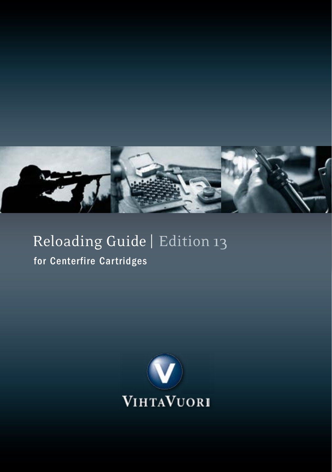

## Reloading Guide | Edition 13 for Centerfire Cartridges

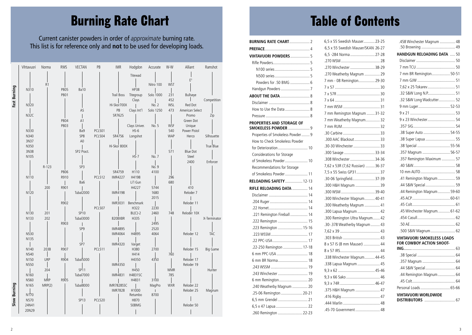# Burning Rate Chart **Table of Contents**

Current canister powders in order of *approximate* burning rate. This list is for reference only and **not** to be used for developing loads.

|              | Vihtavuori       | Norma      | RWS  | VECTAN           | PB            | <b>IMR</b>        | Hodgdon           | Accurate  | W-W        | Alliant         | Ramshot         |
|--------------|------------------|------------|------|------------------|---------------|-------------------|-------------------|-----------|------------|-----------------|-----------------|
|              |                  |            |      |                  |               |                   | Titewad           |           |            |                 |                 |
|              |                  |            |      |                  |               |                   |                   |           |            | $E^3$           |                 |
|              |                  | R1         |      |                  |               |                   |                   | Nitro 100 | <b>WST</b> |                 |                 |
| Fast Burning | N310             |            | P805 | Ba10             |               |                   | <b>HP38</b>       |           |            |                 |                 |
|              |                  |            | P801 |                  |               | Trail Boss        | Titegroup         | Solo 1000 | 231        | Bullseye        |                 |
|              |                  |            |      |                  |               |                   | Clays             |           | 452        |                 | Competition     |
|              | N320             |            |      |                  |               | Hi-Skor700X       |                   | No. 2     | WSL        | Red Dot         |                 |
|              |                  |            |      | AS               |               | $\mathsf{PB}$     | Clays Int'l       | Solo 1250 | 473        | American Select |                 |
|              | N32C             |            |      |                  |               | SR7625            |                   |           |            | Promo           | Zip             |
|              |                  |            | P804 | A1               |               |                   |                   |           |            | Green Dot       |                 |
|              |                  |            | P803 |                  |               |                   | Clays Univer.     | No. 5     | WSF        | Unique          |                 |
|              | N330             |            |      | Ba9              | PCL501        |                   | $HS-6$            |           | 540        | Power Pistol    |                 |
|              | N340             |            |      | SP8              | <b>PCL504</b> | SR4756            | Longshot          |           | <b>WAP</b> | Herco           | Silhouette      |
|              | 3N37             |            |      | A <sub>0</sub>   |               |                   |                   |           |            |                 |                 |
|              | N350             |            |      |                  |               | Hi-Skor 800X      |                   |           |            |                 | True Blue       |
|              | 3N38             |            |      | SP2 Pract.       |               |                   |                   |           | 571        | Blue Dot        |                 |
|              | N105             |            |      |                  |               |                   | $HS-7$            | No. 7     |            | Steel           |                 |
|              |                  |            |      |                  |               |                   |                   |           |            | 2400            | Enforcer        |
|              |                  | $R-123$    |      | SP3              |               |                   |                   | No. 9     |            |                 |                 |
|              |                  |            | P806 |                  |               | SR4759            | H110              | 4100      |            |                 |                 |
|              | N110             |            | R910 |                  | <b>PCL512</b> | <b>IMR4227</b>    | H4198             |           | 296        |                 |                 |
|              |                  |            |      | Ba6              |               |                   | Li'l Gun          |           | 680        |                 |                 |
|              |                  | 200        | R901 |                  |               |                   | H4227             | 5744      |            | 410             |                 |
|              | N <sub>120</sub> |            |      | Tubal2000        |               | <b>IMR4198</b>    |                   | 1680      |            | Reloder 7       |                 |
|              |                  |            |      |                  |               |                   |                   | 2015      |            |                 |                 |
|              |                  |            | R902 |                  |               |                   | IMR3031 Benchmark |           |            | Reloder 11      |                 |
|              |                  |            |      |                  | <b>PCL507</b> |                   | H322              | 2230      |            |                 |                 |
|              | N130             | 201        |      | SP10             |               |                   | $BL(C)-2$         | 2460      | 748        | Reloder 10X     |                 |
|              | N133             | 202        |      | Tubal3000        |               | 8208XBR           | H335              |           |            |                 | X-Terminator    |
|              |                  |            | R903 |                  |               |                   |                   | 2495      |            |                 |                 |
|              |                  |            |      | SP <sub>9</sub>  |               | <b>IMR4895</b>    |                   | 2520      |            |                 |                 |
|              | N530             |            |      |                  |               | <b>IMR4064</b>    | H4895             | 4064      |            | Reloder 12      | TAC             |
|              | N135             |            |      | SP7              |               | <b>IMR4320</b>    |                   |           |            |                 |                 |
|              | N140             | 203B       | R907 |                  | <b>PCL511</b> |                   | Varget<br>H380    | 2700      |            |                 | <b>Big Game</b> |
|              | N540             |            |      |                  |               |                   | H414              |           | 760        | Reloder 15      |                 |
|              | N150             | <b>URP</b> | R904 | Tubal5000        |               |                   | H4350             | 4350      |            | Reloder 17      |                 |
|              | N550             |            |      |                  |               | <b>IMR4350</b>    |                   |           |            | Reloder 19      |                 |
|              |                  | 204        |      | <b>SP11</b>      |               |                   | H450              |           | <b>WMR</b> |                 | Hunter          |
|              | N160             |            |      | Tubal7000        |               | <b>IMR4831</b>    | H4831SC           |           | 785        |                 |                 |
|              | N560             | <b>MRP</b> | R905 |                  |               |                   | H4831             | 3100      |            |                 |                 |
|              | N165             | MRP(2)     |      | Tubal8000        |               | <b>IMR7828SSC</b> |                   | MagPro    | <b>WXR</b> | Reloder 22      |                 |
| Slow Burning |                  |            |      |                  |               | <b>IMR7828</b>    | H1000             |           |            | Reloder 25      | Magnum          |
|              | N <sub>170</sub> |            |      |                  |               |                   | Retumbo           | 8700      |            |                 |                 |
|              | N570             |            |      | SP <sub>13</sub> | <b>PCL520</b> |                   | H870              |           |            |                 |                 |
|              | 24N41            |            |      |                  |               |                   | 50BMG             |           |            | Reloder 50      |                 |
|              | 20N29            |            |      |                  |               |                   |                   |           |            |                 |                 |
|              |                  |            |      |                  |               |                   |                   |           |            |                 |                 |

| <b>BURNING RATE CHART 2</b>      |  |
|----------------------------------|--|
|                                  |  |
| <b>VIHTAVUORI POWDERS 5</b>      |  |
|                                  |  |
|                                  |  |
|                                  |  |
| Powders for .50 BMG  6           |  |
|                                  |  |
| <b>ABOUT THE DATA 8</b>          |  |
|                                  |  |
| How to Use the Data  8           |  |
|                                  |  |
| PROPERTIES AND STORAGE OF        |  |
| <b>SMOKELESS POWDER  9</b>       |  |
| Properties of Smokeless Powder 9 |  |
| How to Check Smokeless Powder    |  |
|                                  |  |
| Considerations for Storage       |  |
| of Smokeless Powder  10          |  |
| Recommendations for Storage      |  |
| of Smokeless Powder 11           |  |
| <b>RELOADING SAFETY</b> 12-13    |  |
| <b>RIFLE RELOADING DATA  14</b>  |  |
|                                  |  |
|                                  |  |
|                                  |  |
| .221 Remington Fireball  14      |  |
| .222 Remington  15               |  |
| .223 Remington  15-16            |  |
|                                  |  |
|                                  |  |
| .22-250 Remington  17-18         |  |
| 6 mm PPC-USA  18                 |  |
| 6 mm BR Norma 18                 |  |
|                                  |  |
| .243 Winchester  19              |  |
| 6 mm Remington 20                |  |
| .240 Weatherby Magnum  20        |  |
| .25-06 Remington  20-21          |  |
| 6,5 mm Grendel  21               |  |
| 6,5 x 47 Lapua  22               |  |
| .260 Remington  22-23            |  |

| 6,5 x 55 Swedish Mauser 23-25      |
|------------------------------------|
| 6,5 x 55 Swedish Mauser/SKAN 26-27 |
| 6,5 -284 Norma 27-28               |
|                                    |
| .270 Winchester  38-29             |
| .270 Weatherby Magnum  29          |
| 7 mm - 08 Remington 29-30          |
|                                    |
|                                    |
|                                    |
|                                    |
| 7 mm Remington Magnum  31-32       |
| 7 mm Weatherby Magnum 32           |
|                                    |
|                                    |
| .300 AAC Blackout 33               |
| .30-30 Winchester  33              |
| .300 Savage  33-34                 |
| .308 Winchester  34-36             |
| 7,62 x 53R (7,62 Russian)  36-37   |
| 7,5 x 55 Swiss GP31 37             |
| .30-06 Springfield 37-39           |
| .300 H&H Magnum  39                |
|                                    |
| .300 Winchester Magnum 40-41       |
| .300 Weatherby Magnum  41          |
| .300 Lapua Magnum  42              |
| .300 Remington Ultra Magnum 42     |
| .30-.378 Weatherby Magnum  43      |
|                                    |
|                                    |
| 8 x 57 IS (8 mm Mauser)  44        |
|                                    |
| .338 Winchester Magnum 44-45       |
| .338 Lapua Magnum  45              |
|                                    |
| 9,3 x 66 Sako  46                  |
|                                    |
| .375 H&H Magnum  47                |
|                                    |
|                                    |
| .45-70 Government  48              |

| .458 Winchester Magnum  48                                    |  |
|---------------------------------------------------------------|--|
| <b>HANDGUN RELOADING DATA  50</b>                             |  |
|                                                               |  |
|                                                               |  |
| 7 mm BR Remington 50-51                                       |  |
|                                                               |  |
| 7,62 x 25 Tokarev 51                                          |  |
| .32 S&W Long N.P 51                                           |  |
| .32 S&W Long Wadcutter 52                                     |  |
| 9 mm Luger 52-53                                              |  |
|                                                               |  |
| 9 x 23 Winchester 54                                          |  |
|                                                               |  |
| .38 Super Auto  54-55                                         |  |
| .38 Super Lapua  55                                           |  |
| .38 Special  55-56                                            |  |
| .357 Magnum  56-57                                            |  |
| .357 Remington Maximum  57                                    |  |
|                                                               |  |
|                                                               |  |
| .41 Remington Magnum 59                                       |  |
| .44 S&W Special 59                                            |  |
| .44 Remington Magnum 59-60                                    |  |
|                                                               |  |
|                                                               |  |
| .45 Winchester Magnum 61-62                                   |  |
|                                                               |  |
|                                                               |  |
| .500 S&W Magnum 62                                            |  |
| <b>VIHTAVUORI SMOKELESS LOADS</b><br>FOR COWBOY ACTION SHOOT- |  |
|                                                               |  |
|                                                               |  |
| .357 Magnum  64                                               |  |
| .44 S&W Special 64                                            |  |
| .44 Remington Magnum 64                                       |  |

.45 Colt.......................................... 64 Personal Loads.............................65-66

**DISTRIBUTORS** .............................. 67

**VIHTAVUORI WORLDWIDE**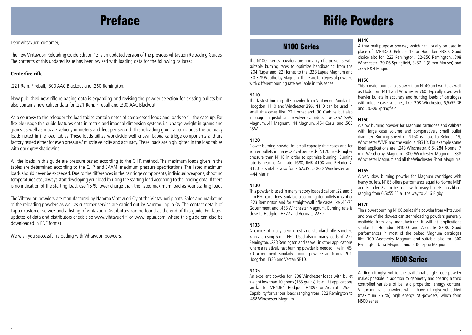## Preface

#### Dear Vihtavuori customer,

The new Vihtavuori Reloading Guide Edition 13 is an updated version of the previous Vihtavuori Reloading Guides. The contents of this updated issue has been revised with loading data for the following calibres:

#### **Centerfire rifle**

.221 Rem. Fireball, .300 AAC Blackout and .260 Remington.

Now published new rifle reloading data is expanding and revising the powder selection for existing bullets but also contains new caliber data for .221 Rem. Fireball and .300 AAC Blackout.

As a courtesy to the reloader the load tables contain notes of compressed loads and loads to fill the case up. For flexible usage this guide features data in metric and imperial dimension systems i.e. charge weight in grams and grains as well as muzzle velocity in meters and feet per second. This reloading guide also includes the accuracy loads noted in the load tables. These loads utilize worldwide well-known Lapua cartridge components and are factory tested either for even pressure / muzzle velocity and accuracy. These loads are highlighted in the load tables with dark grey shadowing.

All the loads in this guide are pressure tested according to the C.I.P. method. The maximum loads given in the tables are determined according to the C.I.P. and SAAMI maximum pressure specifications. The listed maximum loads should never be exceeded. Due to the differences in the cartridge components, individual weapons, shooting temperatures etc., always start developing your load by using the starting load according to the loading data. If there is no indication of the starting load, use 15 % lower charge than the listed maximum load as your starting load.

The Vihtavuori powders are manufactured by Nammo Vihtavuori Oy at the Vihtavuori plants. Sales and marketing of the reloading powders as well as customer service are carried out by Nammo Lapua Oy. The contact details of Lapua customer service and a listing of Vihtavuori Distributors can be found at the end of this guide. For latest updates of data and distributors check also www.vihtavuori.fi or www.lapua.com, where this guide can also be downloaded in PDF format.

We wish you successful reloading with Vihtavuori powders.

## Rifle Powders

### N100 Series

The N100 –series powders are primarily rifle powders with suitable burning rates to optimize handloading from the .204 Ruger and .22 Hornet to the .338 Lapua Magnum and .30-378 Weatherby Magnum. There are ten types of powders with different burning rate available in this series:

#### **N110**

The fastest burning rifle powder from Vihtavuori. Similar to Hodgdon H110 and Winchester 296. N110 can be used in small rifle cases like .22 Hornet and .30 Carbine but also in magnum pistol and revolver cartridges like .357 S&W Magnum, .41 Magnum, .44 Magnum, .454 Casull and .500 S&W.

#### **N120**

Slower burning powder for small capacity rifle cases and for lighter bullets in many .22 caliber loads. N120 needs higher pressure than N110 in order to optimize burning. Burning rate is near to Accurate 1680, IMR 4198 and Reloder 7. N120 is suitable also for 7,62x39, .30-30 Winchester and .444 Marlin.

#### **N130**

This powder is used in many factory loaded caliber .22 and 6 mm PPC cartridges. Suitable also for lighter bullets in caliber .223 Remington and for straight-wall rifle cases like .45-70 Government and .458 Winchester Magnum. Burning rate is close to Hodgdon H322 and Accurate 2230.

#### **N133**

A choice of many bench rest and standard rifle shooters who are using 6 mm PPC. Used also in many loads of .222 Remington, .223 Remington and as well in other applications where a relatively fast burning powder is needed, like in .45- 70 Government. Similarly burning powders are Norma 201, Hodgdon H335 and Vectan SP10.

#### **N135**

An excellent powder for .308 Winchester loads with bullet weight less than 10 grams (155 grains). It will fit applications similar to IMR4064, Hodgdon H4895 or Accurate 2520. Capability for various loads ranging from .222 Remington to .458 Winchester Magnum.

#### **N140**

A true multipurpose powder, which can usually be used in place of IMR4320, Reloder 15 or Hodgdon H380. Good choice also for .223 Remington, .22-250 Remington, .308 Winchester, .30-06 Springfield, 8x57 IS (8 mm Mauser) and .375 H&H Magnum.

#### **N150**

This powder burns a bit slower than N140 and works as well as Hodgdon H414 and Winchester 760. Typically used with heavier bullets in accuracy and hunting loads of cartridges with middle case volumes, like .308 Winchester, 6,5x55 SE and .30-06 Springfield.

#### **N160**

A slow burning powder for Magnum cartridges and calibers with large case volume and comparatively small bullet diameter. Burning speed of N160 is close to Reloder 19, Winchester WMR and the various 4831´s. For example some ideal applications are: .243 Winchester, 6,5-.284 Norma, 7 mm Weatherby Magnum, .300 Winchester Magnum, .338 Winchester Magnum and all the Winchester Short Magnums.

#### **N165**

A very slow burning powder for Magnum cartridges with heavy bullets. N165 offers performance equal to Norma MRP and Reloder 22. To be used with heavy bullets in calibers ranging from 6,5x55 SE all the way to .416 Rigby.

#### **N170**

The slowest burning N100 series rifle powder from Vihtavuori and one of the slowest canister reloading powders generally available from any manufacturer. It will fit applications similar to Hodgdon H1000 and Accurate 8700. Good performances in most of the belted Magnum cartridges like .300 Weatherby Magnum and suitable also for .300 Remington Ultra Magnum and .338 Lapua Magnum.

### N500 Series

Adding nitroglycerol to the traditional single base powder makes possible in addition to geometry and coating a third controlled variable of ballistic properties: energy content. Vihtavuori calls powders which have nitroglycerol added (maximum 25 %) high energy NC-powders, which form N500 series.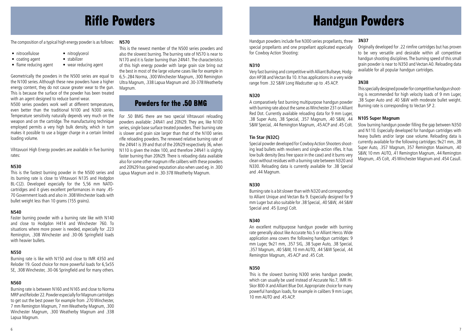The composition of a typical high energy powder is as follows:

- nitrocellulose nitroglycerol
- coating agent stabilizer
	-
- flame reducing agent wear reducing agent

Geometrically the powders in the N500 series are equal to the N100 series. Although these new powders have a higher energy content, they do not cause greater wear to the gun. This is because the surface of the powder has been treated with an agent designed to reduce barrel wear.

N500 series powders work well at different temperatures, even better than the traditional N100 and N300 series. Temperature sensitivity naturally depends very much on the weapon and on the cartridge. The manufacturing technique employed permits a very high bulk density, which in turn makes it possible to use a bigger charge in a certain limited loading volume.

Vihtavuori High Energy powders are available in five burning rates:

#### **N530**

This is the fastest burning powder in the N500 series and its burning rate is close to Vihtavuori N135 and Hodgdon BL-C(2). Developed especially for the 5,56 mm NATOcartridges and it gives excellent performances in many .45- 70 Government loads and also in .308 Winchester loads with bullet weight less than 10 grams (155 grains).

#### **N540**

Faster burning powder with a burning rate like with N140 and close to Hodgdon H414 and Winchester 760. To situations where more power is needed, especially for .223 Remington, .308 Winchester and .30-06 Springfield loads with heavier bullets.

#### **N550**

Burning rate is like with N150 and close to IMR 4350 and Reloder 19. Good choice for more powerful loads for 6,5x55 SE, .308 Winchester, .30-06 Springfield and for many others.

#### **N560**

Burning rate is between N160 and N165 and close to Norma MRP and Reloder 22. Powder especially for Magnum cartridges to get out the best power for example from .270 Winchester, 7 mm Remington Magnum, 7 mm Weatherby Magnum, .300 Winchester Magnum, .300 Weatherby Magnum and .338 Lapua Magnum.

#### **N570**

This is the newest member of the N500 series powders and also the slowest burning. The burning rate of N570 is near to N170 and it is faster burning than 24N41. The characteristics of this high energy powder with large grain size bring out the best in most of the large volume cases like for example in 6,5-.284 Norma, .300 Winchester Magnum, .300 Remington Ultra Magnum, .338 Lapua Magnum and .30-378 Weatherby Magnum.

#### Powders for the .50 BMG

For .50 BMG there are two special Vihtavuori reloading powders available: 24N41 and 20N29. They are, like N100 series, single base surface treated powders. Their burning rate is slower and grain size larger than that of the N100 series rifle reloading powders. The renewed relative burning rate of the 24N41 is 39 and that of the 20N29 respectively 36, when N110 is given the index 100, and therefore 24N41 is slightly faster burning than 20N29. There is reloading data available also for some other magnum rifle calibers with these powders and 20N29 has gained reputation also when used eg. in .300 Lapua Magnum and in .30-378 Weatherby Magnum.

## Rifle Powders **Handgun Powders**

Handgun powders include five N300 series propellants, three special propellants and one propellant applicated especially for Cowboy Action Shooting:

#### **N310**

Very fast burning and competitive with Alliant Bullseye, Hodgdon HP38 and Vectan Ba 10. It has applications in a very wide range from .32 S&W Long Wadcutter up to .45 ACP.

#### **N320**

A comparatively fast burning multipurpose handgun powder with burning rate about the same as Winchester 231 or Alliant Red Dot. Currently available reloading data for 9 mm Luger, .38 Super Auto, .38 Special, .357 Magnum, .40 S&W, .44 S&W Special, .44 Remington Magnum, .45 ACP and .45 Colt.

#### **Tin Star (N32C)**

Special powder developed for Cowboy Action Shooters shooting lead bullets with revolvers and single-action rifles. It has low bulk density (less free space in the case) and it burns very clean without residues with a burning rate between N320 and N330. Reloading data is currently available for .38 Special and .44 Magnum.

#### **N330**

Burning rate is a bit slower than with N320 and corresponding to Alliant Unique and Vectan Ba 9. Especially designed for 9 mm Luger but also suitable for .38 Special, .40 S&W, .44 S&W Special and .45 (Long) Colt.

#### **N340**

An excellent multipurpose handgun powder with burning rate generally about like Accurate No.5 or Alliant Herco. Wide application area covers the following handgun cartridges: 9 mm Luger, 9x21 mm, .357 SIG, .38 Super Auto, .38 Special, .357 Magnum, .40 S&W, 10 mm AUTO, .44 S&W Special, .44 Remington Magnum, .45 ACP and .45 Colt.

#### **N350**

This is the slowest burning N300 series handgun powder, which can usually be used instead of Accurate No.7, IMR Hi-Skor 800-X and Alliant Blue Dot. Appropriate choice for many powerful handgun loads, for example in calibers 9 mm Luger, 10 mm AUTO and .45 ACP.

#### **3N37**

Originally developed for .22 rimfire cartridges but has proven to be very versatile and desirable within all competitive handgun shooting disciplines. The burning speed of this small grain powder is near to N350 and Vectan A0. Reloading data available for all popular handgun cartridges.

#### **3N38**

This specially designed powder for competitive handgun shooting is recommended for high velocity loads of 9 mm Luger, .38 Super Auto and .40 S&W with moderate bullet weight. Burning rate is corresponding to Vectan SP 2.

#### **N105 Super Magnum**

Slow burning handgun powder filling the gap between N350 and N110. Especially developed for handgun cartridges with heavy bullets and/or large case volume. Reloading data is currently available for the following cartridges: 9x21 mm, .38 Super Auto, .357 Magnum, 357 Remington Maximum, .40 S&W, 10 mm AUTO, .41 Remington Magnum, .44 Remington Magnum, .45 Colt, .45 Winchester Magnum and .454 Casull.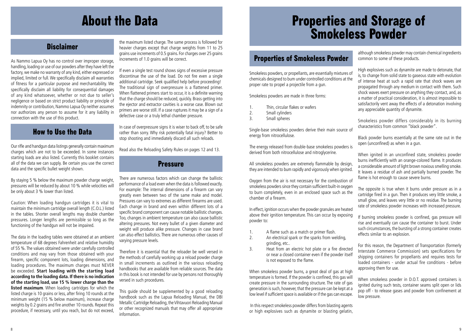## About the Data

#### **Disclaimer**

As Nammo Lapua Oy has no control over improper storage, handling, loading or use of our powders after they have left the factory, we make no warranty of any kind, either expressed or implied, limited or full. We specifically disclaim all warranties of fitness for a particular purpose and merchantability. We specifically disclaim all liability for consequential damages of any kind whatsoever, whether or not due to seller's negligence or based on strict product liability or principle of indemnity or contribution, Nammo Lapua Oy neither assumes nor authorizes any person to assume for it any liability in connection with the use of this product.

#### How to Use the Data

Our rifle and handgun data listings generally contain maximum charges which are not to be exceeded. In some instances starting loads are also listed. Currently this booklet contains all of the data we can supply. Be certain you use the correct data and the specific bullet weight shown.

By staying 5 % below the maximum powder charge weight, pressures will be reduced by about 10 % while velocities will be only about 3 % lower than listed.

Caution: When loading handgun cartridges it is vital to maintain the minimum cartridge overall length (C.O.L.) listed in the tables. Shorter overall lengths may double chamber pressures. Longer lengths are permissible so long as the functioning of the handgun will not be impaired.

The data in the loading tables were obtained at an ambient temperature of 68 degrees Fahrenheit and relative humidity of 55 %. The values obtained were under carefully controlled conditions and may vary from those obtained with your firearm, specific component lots, loading dimensions, and loading procedures. The maximum charges must NEVER be exceeded. **Start loading with the starting load according to the loading data. If there is no indication of the starting load, use 15 % lower charge than the listed maximum**. When loading cartridges for which the listed charge is 10 grains or less, after firing 10 rounds at the minimum weight (15 % below maximum), increase charge weights by 0.2 grains and fire another 10 rounds. Repeat this procedure, if necessary, until you reach, but do not exceed,

the maximum listed charge. The same process is followed for heavier charges except that charge weights from 11 to 25 grains use increments of 0.5 grains. For charges over 25 grains increments of 1.0 grains will be correct.

If even a single test round shows signs of excessive pressure discontinue the use of the load. Do not fire even a single additional cartridge. Seek qualified help before proceeding! The traditional sign of overpressure is a flattened primer. When flattened primers start to occur, it is a definite warning that the charge should be reduced, quickly. Brass getting into the ejector and extractor cavities is a worse case. Blown out primers are worse still. If a case ruptures it may be a sign of a defective case or a truly lethal chamber pressure.

In case of overpressure signs it is wiser to back off, to be safe rather than sorry. Why risk potentially fatal injury? Better to stop shooting and immediately discard all such reloads.

Read also the Reloading Safety Rules on pages 12 and 13.

#### Pressure

There are numerous factors which can change the ballistic performance of a load even when the data is followed exactly. For example: The internal dimensions of a firearm can vary greatly even between two of the same make and model. Pressures can vary to extremes as different firearms are used. Each change in brand and even within different lots of a specific brand component can cause notable ballistic changes. Too, changes in ambient temperature can also cause ballistic altering pressures. Not every bullet of a given diameter and weight will produce alike pressure. Changes in case brand can also effect ballistics. There are numerous other causes of varying pressure levels.

Therefore it is essential that the reloader be well versed in the methods of carefully working up a reload powder charge in small increments as outlined in the various reloading handbooks that are available from reliable sources. The data in this book is not intended for use by persons not thoroughly versed in such procedures.

This guide should be supplemented by a good reloading handbook such as the Lapua Reloading Manual, the DBI Metallic Cartridge Reloading, the Vihtavuori Reloading Manual or other recognized manuals that may offer all appropriate information.

## Properties and Storage of Smokeless Powder

#### Properties of Smokeless Powder

Smokeless powders, or propellants, are essentially mixtures of chemicals designed to bum under controlled conditions at the proper rate to propel a projectile from a gun.

Smokeless powders are made in three forms:

- 1. Thin, circular flakes or wafers<br>2. Small cylinders
- 2. Small cylinders<br>3. Small spheres
- Small spheres

Single-base smokeless powders derive their main source of energy from nitrocellulose.

The energy released from double-base smokeless powders is derived from both nitrocellulose and nitroglycerine.

All smokeless powders are extremely flammable by design, they are intended to bum rapidly and vigorously when ignited.

Oxygen from the air is not necessary for the combustion of smokeless powders since they contain sufficient built-in oxygen to burn completely, even in an enclosed space such as the chamber of a firearm.

In effect, ignition occurs when the powder granules are heated above their ignition temperature. This can occur by exposing powder to:

- 1. A flame such as a match or primer flash.<br>2. An electrical spark or the sparks from we
- An electrical spark or the sparks from welding, grinding, etc..
- 3. Heat from an electric hot plate or a fire directed or near a closed container even if the powder itself is not exposed to the flame.

When smokeless powder burns, a great deal of gas at high temperature is formed. If the powder is confined, this gas will create pressure in the surrounding structure. The rate of gas generation is such, however, that the pressure can be kept at a low level if sufficient space is available or if the gas can escape.

 In this respect smokeless powder differs from blasting agents or high explosives such as dynamite or blasting gelatin,

although smokeless powder may contain chemical ingredients common to some of these products.

High explosives such as dynamite are made to detonate, that is, to change from solid state to gaseous state with evolution of intense heat at such a rapid rate that shock waves are propagated through any medium in contact with them. Such shock waves exert pressure on anything they contact, and, as a matter of practical consideration, it is almost impossible to satisfactorily vent away the effects of a detonation involving any appreciable quantity of dynamite.

Smokeless powder differs considerably in its burning characteristics from common "black powder".

Black powder burns essentially at the same rate out in the open (unconfined) as when in a gun.

When ignited in an unconfined state, smokeless powder burns inefficiently with an orange-colored flame. It produces a considerable amount of light brown noxious smelling smoke. It leaves a residue of ash and partially burned powder. The flame is hot enough to cause severe burns.

The opposite is true when it burns under pressure as in a cartridge fired in a gun. Then it produces very little smoke, a small glow, and leaves very little or no residue. The burning rate of smokeless powder increases with increased pressure.

If burning smokeless powder is confined, gas pressure will rise and eventually can cause the container to burst. Under such circumstances, the bursting of a strong container creates effects similar to an explosion.

For this reason, the Department of Transportation (formerly Interstate Commerce Commission) sets specifications for shipping containers for propellants and requires tests for loaded containers - under actual fire conditions - before approving them for use.

When smokeless powder in D.O.T. approved containers is ignited during such tests, container seams split open or lids pop off - to release gases and powder from confinement at low pressure.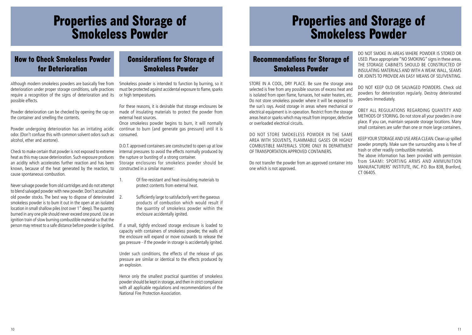## Properties and Storage of Smokeless Powder

### How to Check Smokeless Powder for Deterioration

Although modern smokeless powders are basically free from deterioration under proper storage conditions, safe practices require a recognition of the signs of deterioration and its possible effects.

Powder deterioration can be checked by opening the cap on the container and smelling the contents.

Powder undergoing deterioration has an irritating acidic odor. (Don't confuse this with common solvent odors such as alcohol, ether and acetone).

Check to make certain that powder is not exposed to extreme heat as this may cause deterioration. Such exposure produces an acidity which accelerates further reaction and has been known, because of the heat generated by the reaction, to cause spontaneous combustion.

Never salvage powder from old cartridges and do not attempt to blend salvaged powder with new powder. Don't accumulate old powder stocks. The best way to dispose of deteriorated smokeless powder is to bum it out in the open at an isolated location in small shallow piles (not over 1" deep). The quantity burned in any one pile should never exceed one pound. Use an ignition train of slow burning combustible material so that the person may retreat to a safe distance before powder is ignited.

### Considerations for Storage of Smokeless Powder

Smokeless powder is intended to function by burning, so it must be protected against accidental exposure to flame, sparks or high temperatures.

For these reasons, it is desirable that storage enclosures be made of insulating materials to protect the powder from external heat sources.

Once smokeless powder begins to burn, it will normally continue to burn (and generate gas pressure) until it is consumed.

D.O.T. approved containers are constructed to open up at low internal pressures to avoid the effects normally produced by the rupture or bursting of a strong container. Storage enclosures for smokeless powder should be constructed in a similar manner:

- 1. Of fire-resistant and heat-insulating materials to protect contents from external heat.
	- Sufficiently large to satisfactorily vent the gaseous products of combustion which would result if the quantity of smokeless powder within the enclosure accidentally ignited.

If a small, tightly enclosed storage enclosure is loaded to capacity with containers of smokeless powder, the walls of the enclosure will expand or move outwards to release the gas pressure - if the powder in storage is accidentally ignited.

Under such conditions, the effects of the release of gas pressure are similar or identical to the effects produced by an explosion.

Hence only the smallest practical quantities of smokeless powder should be kept in storage, and then in strict compliance with all applicable regulations and recommendations of the National Fire Protection Association.

## Properties and Storage of Smokeless Powder

### Recommendations for Storage of Smokeless Powder

STORE IN A COOL, DRY PLACE. Be sure the storage area selected is free from any possible sources of excess heat and is isolated from open flame, furnaces, hot water heaters, etc. Do not store smokeless powder where it will be exposed to the sun's rays. Avoid storage in areas where mechanical or electrical equipment is in operation. Restrict from the storage areas heat or sparks which may result from improper, defective or overloaded electrical circuits.

DO NOT STORE SMOKELESS POWDER IN THE SAME AREA WITH SOLVENTS, FLAMMABLE GASES OR HIGHLY COMBUSTIBLE MATERIALS. STORE ONLY IN DEPARTMENT OF TRANSPORTATION APPROVED CONTAINERS.

Do not transfer the powder from an approved container into one which is not approved.

DO NOT SMOKE IN AREAS WHERE POWDER IS STORED OR USED. Place appropriate "NO SMOKING" signs in these areas. THE STORAGE CABINETS SHOULD BE CONSTRUCTED OF INSULATING MATERIALS AND WITH A WEAK WALL, SEAMS OR JOINTS TO PROVIDE AN EASY MEANS OF SELFVENTING.

DO NOT KEEP OLD OR SALVAGED POWDERS. Check old powders for deterioration regularly. Destroy deteriorated powders immediately.

OBEY ALL REGULATIONS REGARDING QUANTITY AND METHODS OF STORING. Do not store all your powders in one place. If you can, maintain separate storage locations. Many small containers are safer than one or more large containers.

KEEP YOUR STORAGE AND USE AREA CLEAN. Clean up spilled powder promptly. Make sure the surrounding area is free of trash or other readily combustible materials.

The above information has been provided with permission from SAAMI: SPORTING ARMS AND AMMUNITION MANUFACTURERS' INSTITUTE, INC. P.O. Box 838, Branford, CT 06405.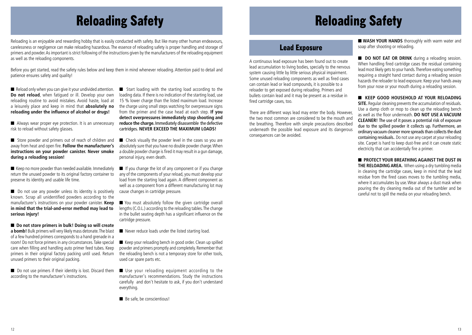# Reloading Safety **Reloading Safety**

Reloading is an enjoyable and rewarding hobby that is easily conducted with safety. But like many other human endeavours, carelessness or negligence can make reloading hazardous. The essence of reloading safety is proper handling and storage of primers and powder. As important is strict following of the instructions given by the manufacturers of the reloading equipment as well as the reloading components.

Before you get started, read the safety rules below and keep them in mind whenever reloading. Attention paid to detail and patience ensures safety and quality!

 $\blacksquare$  Reload only when you can give it your undivided attention. **Do not reload**, when fatigued or ill. Develop your own reloading routine to avoid mistakes. Avoid haste, load at a leisurely place and keep in mind that **absolutely no reloading under the influence of alcohol or drugs!**

 $\blacksquare$  Always wear proper eye protection. It is an unnecessary risk to reload without safety glasses.

■ Store powder and primers out of reach of children and away from heat and open fire. **Follow the manufacturer's instructions on your powder canister. Never smoke during a reloading session!**

 $\blacksquare$  Keep no more powder than needed available. Immediately return the unused powder to its original factory container to preserve its identity and usable life time.

 $\Box$  Do not use any powder unless its identity is positively known. Scrap all unidentified powders according to the manufacturer's instructions on your powder canister. **Keep in mind that the trial-and-error method may lead to serious injury!**

■ Do not store primers in bulk! Doing so will create **a bomb!** Bulk primers will very likely mass detonate. The blast of a few hundred primers corresponds to a hand grenade in a room! Do not force primers in any circumstances. Take special care when filling and handling auto primer feed tubes. Keep primers in their original factory packing until used. Return unused primers to their original packing.

 $\blacksquare$  Do not use primers if their identity is lost. Discard them according to the manufacturer's instructions.

■ Start loading with the starting load according to the loading data. If there is no indication of the starting load, use 15 % lower charge than the listed maximum load. Increase the charge using small steps watching for overpressure signs from the primer and the case head at each step. **If you detect overpressures immediately stop shooting and reduce the charge.** Immediately disassemble the defective cartridges. **NEVER EXCEED THE MAXIMUM LOADS!**

 $\blacksquare$  Check visually the powder level in the cases so you are absolutely sure that you have no double powder charge. When a double powder charge is fired it may result in a gun damage, personal injury, even death.

 $\blacksquare$  If you change the lot of any component or if you change any of the components of your reload, you must develop your load from the starting load again. A different component as well as a component from a different manufacturing lot may cause changes in cartridge pressure.

 $\blacksquare$  You must absolutely follow the given cartridge overall lengths (C.O.L.) according to the reloading tables. The change in the bullet seating depth has a significant influence on the cartridge pressure.

 $\blacksquare$  Never reduce loads under the listed starting load.

 $\blacksquare$  Keep your reloading bench in good order. Clean up spilled powder and primers promptly and completely. Remember that the reloading bench is not a temporary store for other tools, used car spare parts etc.

 $\blacksquare$  Use your reloading equipment according to the manufacturer's recommendations. Study the instructions carefully and don't hesitate to ask, if you don't understand everything.

 $\blacksquare$  Be safe, be conscientious!

#### Lead Exposure

A continuous lead exposure has been found out to create lead accumulation to living bodies, specially to the nervous system causing little by little serious physical impairment. Some unused reloading components as well as fired cases can contain lead or lead compounds, it is possible to a reloader to get exposed during reloading. Primers and bullets contain lead and it may be present as a residue in fired cartridge cases, too.

There are different ways lead may enter the body. However, the two most common are considered to be the mouth and the breathing. Therefore with simple precautions described underneath the possible lead exposure and its dangerous consequences can be avoided.

**NOUR HANDS** thoroughly with warm water and soap after shooting or reloading.

**n DO NOT EAT OR DRINK** during a reloading session. When handling fired cartridge cases the residual containing lead most likely gets to your hands. Therefore eating something requiring a straight hand contact during a reloading session hazards the reloader to lead exposure. Keep your hands away from your nose or your mouth during a reloading session.

**N** KEEP GOOD HOUSEHOLD AT YOUR RELOADING **SITE.** Regular cleaning prevents the accumulation of residuals. Use a damp cloth or mop to clean up the reloading bench as well as the floor underneath. **DO NOT USE A VACUUM CLEANER!** The use of it poses a potential risk of exposure due to the spilled powder it collects up. Furthermore, an ordinary vacuum cleaner more spreads than collects the dust containing residuals.. Do not use any carpet at your reloading site. Carpet is hard to keep dust-free and it can create static electricity that can accidentally fire a primer.

 $\blacksquare$  **PROTECT YOUR BREATHING AGAINST THE DUST IN THE RELOADING AREA.** When using a dry tumbling media in cleaning the cartridge cases, keep in mind that the lead residue from the fired cases moves to the tumbling media, where it accumulates by use. Wear always a dust mask when pouring the dry cleaning media out of the tumbler and be careful not to spill the media on your reloading bench.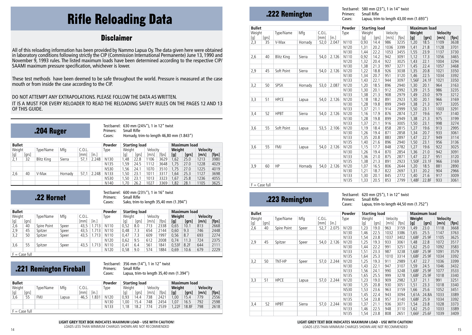# Rifle Reloading Data

#### **Disclaimer**

All of this reloading information has been provided by Nammo Lapua Oy. The data given here were obtained in laboratory conditions following strictly the CIP (Commission International Permanente) June 13, 1990 and November 9, 1993 rules. The listed maximum loads have been determined according to the respective CIP/ SAAMI maximum pressure specification, whichever is lower.

These test methods have been deemed to be safe throughout the world. Pressure is measured at the case mouth or from inside the case according to the CIP.

DO NOT ATTEMPT ANY EXTRAPOLATIONS. PLEASE FOLLOW THE DATA AS WRITTEN. IT IS A MUST FOR EVERY RELOADER TO READ THE RELOADING SAFETY RULES ON THE PAGES 12 AND 13 OF THIS GUIDE.

#### .204 Ruger

Test barrel: 630 mm (243/4"), 1 in 12" twist<br>Primers: Small Rifle **Small Rifle** Cases: Hornady, trim-to length 46,80 mm (1.843")

| <b>Bullet</b> |       |                   |         |        |       | Powder           |        | <b>Starting load</b> |          |       |        | <b>Maximum load</b> |                  |       |
|---------------|-------|-------------------|---------|--------|-------|------------------|--------|----------------------|----------|-------|--------|---------------------|------------------|-------|
| Weight        |       | Type/Name         | Mfa     | C.0.L. |       | Type             | Weight |                      | Velocity |       | Weight |                     | <b>Velocity</b>  |       |
| [g]           | [grs] |                   |         | lmml   | lin.  |                  | Įg.    | grs                  | [m/s]    | [fps] | [g]    | [grs]               | $\mathsf{[m/s]}$ | [fps] |
| 2,1           | 32    | <b>Blitz King</b> | Sierra  | 57.    | 2.248 | N <sub>130</sub> | .48    | 22.8                 | 106      | 3629  | .62    | 25.0                | 213              | 3980  |
|               |       |                   |         |        |       | N135             | , 59   | 24.5                 | 112      | 3648  | .75    | 27.0                | 228              | 4029  |
|               |       |                   |         |        |       | N530             | .56    | 24.1                 | 1070     | 3510  | .75    | 27.0                | 1225             | 4019  |
| 2,6           | 40    | V-Max             | Hornady | 57     | 2.248 | N <sub>133</sub> | .50    | 23.1                 | 1011     | 331   | .64    | 25.3                | 127              | 3698  |
|               |       |                   |         |        |       | N530             | .50    | 23.1                 | 1013     | 3323  | .67    | 25.8                | 236              | 4055  |
|               |       |                   |         |        |       | N <sub>140</sub> | .70    | 26.2                 | 1027     | 3369  | .82    | 28.7                | 105              | 3625  |

### .22 Hornet

Test barrel: 600 mm (23<sup>1</sup>/<sub>2</sub>"), 1 in 16" twist<br>Primers: Small Rifle **Small Rifle** Cases: Sako, trim-to length 35,40 mm (1.394")

| <b>Bullet</b>   |       |             |       |       |             | Powder           |        | <b>Starting load</b> |                     |       | <b>Maximum load</b> |       |                 |       |
|-----------------|-------|-------------|-------|-------|-------------|------------------|--------|----------------------|---------------------|-------|---------------------|-------|-----------------|-------|
| Weight          |       | Type/Name   | Mfg   | C.0.L |             | Type             | Weight |                      | Velocity            |       | Weight              |       | <b>Velocity</b> |       |
| [g]             | [grs] |             |       | Imml  | $[$ in. $]$ |                  | Įg,    | lgrsl                | $\lceil m/s \rceil$ | [fps] | [g]                 | [grs] | [m/s]           | [fps] |
| 2,6             | 40    | Spire Point | Speer | 43.5  | .713        | N110             | 0,52   | 8.0                  | 713                 | 2338  | 0.65                | 10.1  | 813             | 2668  |
| 2,9             | 45    | Spitzer     | Speer | 43.5  | .713        | N <sub>110</sub> | 0.48   | 7.3                  | 654                 | 2144  | 0.60                | 9.3   | 746             | 2448  |
| 3,2             | 50    | Spitzer     | Speer | 43.5  | .713        | N <sub>110</sub> | 0,47   | 7.3                  | 609                 | 1997  | 0.56                | 8.7   | 693             | 2274  |
|                 |       |             |       |       |             | N <sub>120</sub> | 0,62   | 9.5                  | 612                 | 2008  | 0.74                | 11.3  | 724             | 2375  |
| 3,6             | 55    | Spitzer     | Speer | 43.5  | .713        | N <sub>110</sub> | 0.41   | 6.4                  | 561                 | 1841  | 0.53F               | 8.2F  | 644             | 2111  |
|                 |       |             |       |       |             | N <sub>120</sub> | 0.58   | 9.0                  | 574                 | 1884  | 0.69                | 10.6  | 679             | 2229  |
| $F = Case full$ |       |             |       |       |             |                  |        |                      |                     |       |                     |       |                 |       |

### .221 Remington Fireball

Test barrel: 356 mm (14"), 1 in 12" twist Primers: Small Rifle Cases: Lapua, trim-to length 35,40 mm (1.394")

| <b>Bullet</b>   |       |           |       |        |                  | Powder           |        | <b>Starting load</b> |          |       |        | <b>Maximum load</b> |                 |       |
|-----------------|-------|-----------|-------|--------|------------------|------------------|--------|----------------------|----------|-------|--------|---------------------|-----------------|-------|
| Weight          |       | Type/Name | Mfg   | C.O.L. |                  | Type             | Weight |                      | Velocity |       | Weight |                     | <b>Velocity</b> |       |
| [g]             | [grs] |           |       | lmml   | $\lim_{x \to 0}$ |                  | lg.    | [grs]                | m/s      | [fps] | [g]    | [grs]               | [m/s]           | [fps] |
| 3,6             | 55    | FMJ       | Lapua | 46.5   | .831             | N <sub>120</sub> | 0.93   | 14.4                 | 738      | 2421  | .00    | 15.4                | 779             | 2556  |
|                 |       |           |       |        |                  | N <sub>130</sub> | 1.00   | 15.4                 | 748      | 2454  | .07    | 16.5                | 792             | 2598  |
|                 |       |           |       |        |                  | N <sub>133</sub> | .18    | 18.2                 | 774      | 2539  | .22F   | 18.8F               | 798             | 2618  |
| $F = Case full$ |       |           |       |        |                  |                  |        |                      |          |       |        |                     |                 |       |

#### .222 Remington

Test barrel: 580 mm (23"), 1 in 14" twist **Small Rifle** Cases: Lapua, trim-to length 43,00 mm (1.693")

| [grs]<br>35<br>40 | Type/Name<br>V-Max | Mfg     | C.0.L. |             | Type             |        | <b>Starting load</b>                                 |              |       |        |       |                 |       |
|-------------------|--------------------|---------|--------|-------------|------------------|--------|------------------------------------------------------|--------------|-------|--------|-------|-----------------|-------|
|                   |                    |         |        |             |                  | Weight |                                                      | Velocity     |       | Weight |       | <b>Velocity</b> |       |
|                   |                    |         | [mm]   | $[$ in. $]$ |                  | [g]    | [qrs]                                                | [m/s]        | [fps] | [g]    | [qrs] | [m/s]           | [fps] |
|                   |                    | Hornady | 52,0   | 2.047       | N110             | 0,93   | 14.4                                                 | 986          | 3235  | 1,20   | 18.5  | 1109            | 3638  |
|                   |                    |         |        |             | N120             | 1,31   | 20.2                                                 | 1036         | 3399  | 1,41   | 21.8  | 1128            | 3701  |
|                   |                    |         |        |             | N130             | 1,44   | 22.2                                                 | 1053         | 3455  | 1,55   | 23.9  | 1137            | 3730  |
|                   | <b>Blitz King</b>  | Sierra  | 54,0   | 2.126       | N110             | 0,92   | 14.2                                                 | 942          | 3091  | 1,12   | 17.3  | 1056            | 3465  |
|                   |                    |         |        |             | N120             | 1,32   | 20.4                                                 | 922          | 3025  | 1,43   | 22.1  | 1004            | 3294  |
|                   |                    |         |        |             | N130             | 1,38   | 21.3                                                 | 997          | 3271  | 1,45   | 22.4  | 1057            | 3468  |
| 45                | Soft Point         | Sierra  | 54,0   | 2.126       | N120             | 1,22   | 18.8                                                 | 926          | 3038  | 1,35   | 20.8  | 1021            | 3350  |
|                   |                    |         |        |             | N130             | 1,34   | 20.7                                                 | 951          | 3120  | 1,46   | 22.5  | 1034            | 3392  |
|                   |                    |         |        |             | N133             | 1,43   | 22.1                                                 | 944          | 3097  | 1,56F  | 24.1F | 1021            | 3350  |
| 50                | SPSX               | Hornady | 53,0   | 2.087       | N120             | 1,20   | 18.5                                                 | 896          | 2940  | 1,30   | 20.1  | 964             | 3163  |
|                   |                    |         |        |             | N <sub>130</sub> | 1,30   | 20.1                                                 | 912          | 2992  | 1,39   | 21.5  | 986             | 3235  |
|                   |                    |         |        |             | N133             | 1,38   | 21.3                                                 | 908          | 2979  | 1,49   | 23.0  | 979             | 3212  |
| 51                | <b>HPCE</b>        | Lapua   | 54,0   | 2.126       | N120             | 1,18   | 18.2                                                 | 891          | 2923  | 1,30   | 20.1  | 966             | 3169  |
|                   |                    |         |        |             | N130             | 1,28   | 19.8                                                 | 899          | 2949  | 1,38   | 21.3  | 977             | 3205  |
|                   |                    |         |        |             | N133             | 1,37   | 21.1                                                 | 914          | 2999  | 1,50   | 23.1  | 1003            | 3291  |
| 52                | <b>HPBT</b>        | Sierra  | 54,0   |             | N120             | 1,16   | 17.9                                                 | 876          | 2874  | 1,27   | 19.6  | 957             | 3140  |
|                   |                    |         |        |             | N130             | 1,28   | 19.8                                                 | 899          | 2949  | 1,38   | 21.3  | 975             | 3199  |
|                   |                    |         |        |             | N133             | 1,37   | 21.1                                                 | 916          | 3005  | 1,50   | 23.1  | 998             | 3274  |
| 55                | Soft Point         | Lapua   |        | 2.106       |                  |        | 18.4                                                 | 858          | 2815  | 1,27   | 19.6  | 913             | 2995  |
|                   |                    |         |        |             | N <sub>130</sub> |        | 19.4                                                 | 871          | 2858  | 1,34   | 20.7  | 933             | 3061  |
|                   |                    |         |        |             | N133             |        | 20.8                                                 | 883          | 2897  | 1,47   | 22.7  | 949             | 3114  |
|                   |                    |         |        |             | N135             |        | 21.6                                                 | 896          | 2940  | 1,50   | 23.1  | 956             | 3136  |
| 55                | <b>FMJ</b>         | Lapua   | 54,0   | 2.126       | N120             |        | 17.7                                                 | 848          | 2782  | 1,27   | 19.6  | 922             | 3025  |
|                   |                    |         |        |             | N130             |        |                                                      | 870          |       | 1,36   | 21.0  | 942             | 3091  |
|                   |                    |         |        |             | N133             |        |                                                      | 875          | 2871  | 1,47   | 22.7  | 951             | 3120  |
|                   |                    |         |        |             | N135             | 1,38   | 21.3                                                 | 891          | 2923  | 1,50F  | 23.1F | 966             | 3169  |
| 60                | HP                 | Hornady | 54,0   | 2.126       | N120             | 1,07   | 16.5                                                 | 806          | 2644  | 1,20   | 18.5  | 881             | 2890  |
|                   |                    |         |        |             | N <sub>130</sub> | 1,21   | 18.7                                                 | 822          | 2697  | 1,31   | 20.2  | 904             | 2966  |
|                   |                    |         |        |             | N <sub>133</sub> | 1,30   | 20.1                                                 | 845          | 2772  | 1,40   | 21.6  | 917             | 3009  |
|                   |                    |         |        |             | N135             | 1,33   | 20.5                                                 | 853          | 2799  | 1,48F  | 22.8F | 933             | 3061  |
|                   | $F = Case full$    |         |        | 53,5        | 2.126            | N120   | 1,19<br>1,26<br>1,35<br>1,40<br>1,15<br>1,26<br>1,36 | 19.4<br>21.0 |       | 2854   |       |                 |       |

#### .223 Remington

#### Test barrel: 620 mm (25"), 1 in 12" twist **Small Rifle** Cases: Lapua, trim-to length 44,50 mm (1.752")

| <b>Bullet</b> |       |             |        |        |             | Powder           |        | <b>Starting load</b> |          |                  |        | <b>Maximum load</b> |                 |       |
|---------------|-------|-------------|--------|--------|-------------|------------------|--------|----------------------|----------|------------------|--------|---------------------|-----------------|-------|
| Weight        |       | Type/Name   | Mfg    | C.0.L. |             | Type             | Weight |                      | Velocity |                  | Weight |                     | <b>Velocity</b> |       |
| [g]           | [grs] |             |        | lmm l  | $[$ in. $]$ |                  | [g]    | [grs]                | [m/s]    | $[{\text{fps}}]$ | [g]    | [grs]               | [m/s]           | [fps] |
| 2,6           | 40    | Spire Point | Speer  | 52,7   | 2.075       | N <sub>120</sub> | 1,23   | 19.0                 | 963      | 3159             | 1,49   | 23.0                | 1118            | 3668  |
|               |       |             |        |        |             | N <sub>130</sub> | 1,46   | 22.5                 | 1032     | 3386             | 1,65   | 25.5                | 1147            | 3763  |
|               |       |             |        |        |             | N <sub>133</sub> | 1,54   | 23.8                 | 1037     | 3402             | 1,68F  | 25.9F               | 1105            | 3625  |
| 2,9           | 45    | Spitzer     | Speer  | 54,0   | 2.126       | N <sub>120</sub> | 1,25   | 19.3                 | 933      | 3061             | 1,48   | 22.8                | 1072            | 3517  |
|               |       |             |        |        |             | N <sub>130</sub> | 1,44   | 22.2                 | 991      | 3251             | 1,62   | 25.0                | 1092            | 3583  |
|               |       |             |        |        |             | N <sub>133</sub> | 1,51   | 23.3                 | 987      | 3238             | 1,68F  | 25.9F               | 1091            | 3579  |
|               |       |             |        |        |             | N <sub>135</sub> | 1,64   | 25.3                 | 1010     | 3314             | 1,68F  | 25.9F               | 1034            | 3392  |
| 3,2           | 50    | TNT-HP      | Speer  | 57,0   | 2.244       | N <sub>120</sub> | 1,25   | 19.3                 | 911      | 2989             | 1,47   | 22.7                | 1036            | 3399  |
|               |       |             |        |        |             | N <sub>130</sub> | 1,43   | 22.1                 | 947      | 3107             | 1,59   | 24.5                | 1046            | 3432  |
|               |       |             |        |        |             | N133             | 1,56   | 24.1                 | 990      | 3248             | 1,68F  | 25.9F               | 1077            | 3533  |
|               |       |             |        |        |             | N135             | 1,65   | 25.5                 | 999      | 3278             | 1,68F  | 25.9F               | 1018            | 3340  |
| 3,3           | 51    | <b>HPCE</b> | Lapua  | 57,0   | 2.244       | N120             | 1,23   | 19.0                 | 909      | 2982             | 1,37   | 21.1                | 991             | 3251  |
|               |       |             |        |        |             | N <sub>130</sub> | 1,35   | 20.8                 | 930      | 3051             | 1,51   | 23.3                | 1018            | 3340  |
|               |       |             |        |        |             | N530             | 1,53   | 23.6                 | 963      | 3159             | 1,66   | 25.6                | 1052            | 3451  |
|               |       |             |        |        |             | N <sub>133</sub> | 1,45   | 22.4                 | 943      | 3094             | 1,61A  | 24.8A               | 1033            | 3389  |
|               |       |             |        |        |             | N135             | 1,54   | 23.8                 | 957      | 3140             | 1,68F  | 25.9                | 1034            | 3392  |
| 3,4           | 52    | <b>HPBT</b> | Sierra | 57,0   | 2.244       | N <sub>130</sub> | 1,37   | 21.1                 | 936      | 3071             | 1,54   | 23.8                | 1028            | 3373  |
|               |       |             |        |        |             | N <sub>133</sub> | 1,46   | 22.5                 | 948      | 3110             | 1,62   | 25.0                | 1033            | 3389  |
|               |       |             |        |        |             | N135             | 1,54   | 23.8                 | 808      | 2651             | 1,66F  | 25.6F               | 1039            | 3409  |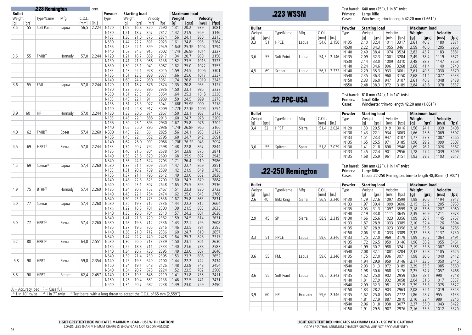|               |       | .223 Remington       |         |        | cont.        |        |        |                      |            |       |        |                     |                 |       |
|---------------|-------|----------------------|---------|--------|--------------|--------|--------|----------------------|------------|-------|--------|---------------------|-----------------|-------|
| <b>Bullet</b> |       |                      |         |        |              | Powder |        | <b>Starting load</b> |            |       |        | <b>Maximum load</b> |                 |       |
| Weight        |       | Type/Name            | Mfg     | C.0.L. |              | Type   | Weight |                      | Velocity   |       | Weight |                     | <b>Velocity</b> |       |
| [g]           | [qrs] |                      |         | [mm]   | $[$ in. $]$  |        | [q]    | [qrs]                | [m/s]      | [fps] | [g]    | [grs]               | [m/s]           | [fps] |
| 3,6           | 55    | Soft Point           | Lapua   | 56,5   | 2.224        | N120   | 1,09   | 16.8                 | 820        | 2690  | 1,31   | 20.2                | 939             | 3081  |
|               |       |                      |         |        |              | N130   | 1,21   | 18.7                 | 857        | 2812  | 1,42   | 21.9                | 959             | 3146  |
|               |       |                      |         |        |              | N133   | 1,36   | 21.0                 | 876        | 2874  | 1,56   | 24.1                | 980             | 3215  |
|               |       |                      |         |        |              | N530   | 1,44   | 22.2                 | 891        | 2923  | 1,61   | 24.8                | 995             | 3264  |
|               |       |                      |         |        |              | N135   | 1,43   | 22.1                 | 899        | 2949  | 1,64F  | 25.3F               | 1004            | 3294  |
|               |       |                      |         |        |              | N140   | 1,57   | 24.2                 | 915        | 3002  | 1,74F  | 26.9F               | 1014            | 3327  |
| 3,6           | 55    | <b>FMJBT</b>         | Hornady | 57,0   | 2.244        | N120   | 1,21   | 18.7                 | 889        | 2917  | 1,34   | 20.7                | 960             | 3150  |
|               |       |                      |         |        |              | N130   | 1,41   | 21.8                 | 956        | 3136  | 1,52   | 23.5                | 1013            | 3323  |
|               |       |                      |         |        |              | N530   | 1,50   | 23.1                 | 941        | 3087  | 1,62   | 25.0                | 1022            | 3353  |
|               |       |                      |         |        |              | N133   | 1,43   | 22.1                 | 928        | 3045  | 1,59   | 24.5                | 1006            | 3301  |
|               |       |                      |         |        |              | N135   | 1,51   | 23.3                 | 938        | 3077  | 1,66   | 25.6                | 1017            | 3337  |
|               |       |                      |         |        |              | N140   | 1,60   | 24.7                 | 930        | 3051  | 1,74   | 26.8                | 1019            | 3343  |
| 3,6           | 55    | <b>FMJ</b>           | Lapua   | 57,0   | 2.244        | N120   | 1,21   | 18.7                 | 876        | 2874  | 1,35   | 20.8                | 953             | 3127  |
|               |       |                      |         |        |              | N130   | 1,33   | 20.5                 | 895        | 2936  | 1,50   | 23.1                | 985             | 3232  |
|               |       |                      |         |        |              | N530   | 1,51   | 23.3                 | 931        | 3054  | 1,64   | 25.3                | 1015            | 3330  |
|               |       |                      |         |        |              | N133   | 1,43   | 22.1                 | 911        | 2989  | 1,59   | 24.5                | 999             | 3278  |
|               |       |                      |         |        |              | N135   |        |                      |            | 3041  |        | 25.9F               | 999             | 3278  |
|               |       |                      |         |        |              | N140   | 1,51   | 23.3<br>24.8         | 927<br>917 | 3009  | 1,68F  | 27.3F               | 1004            | 3294  |
|               |       |                      |         |        |              |        | 1,61   |                      |            |       | 1,77F  |                     |                 |       |
| 3,9           | 60    | HP                   | Hornady | 57,0   | 2.244        | N130   | 1,33   | 20.5                 | 874        | 2867  | 1,50   | 23.1                | 967             | 3173  |
|               |       |                      |         |        |              | N133   | 1,43   | 22.1                 | 888        | 2913  | 1,60   | 24.7                | 978             | 3209  |
|               |       |                      |         |        |              | N135   | 1,50   | 23.1                 | 893        | 2930  | 1,67   | 25.8                | 976             | 3202  |
|               |       |                      |         |        |              | N140   | 1,62   | 25.0                 | 895        | 2936  | 1,74F  | 26.8F               | 965             | 3166  |
| 4,0           | 62    | <b>FMJBT</b>         | Speer   | 57,4   | 2.260        | N530   | 1,43   | 22.1                 | 861        | 2825  | 1,56   | 24.1                | 953             | 3127  |
|               |       |                      |         |        |              | N135   | 1,43   | 22.1                 | 852        | 2795  | 1,60   | 24.7                | 942             | 3091  |
|               |       |                      |         |        |              | N140   | 1,62   | 25.0                 | 901        | 2956  | 1,70F  | 26.2F               | 943             | 3094  |
| 4,5           | 69    | HPBT <sup>1)</sup>   | Sierra  | 57,0   | 2.244        | N133   | 1,34   | 20.7                 | 792        | 2598  | 1,48   | 22.8                | 867             | 2844  |
|               |       |                      |         |        |              | N135   | 1,40   | 21.6                 | 804        | 2638  | 1,54   | 23.8                | 875             | 2871  |
|               |       |                      |         |        |              | N140   | 1,53   | 23.6                 | 820        | 2690  | 1,68   | 25.9                | 897             | 2943  |
|               |       |                      |         |        |              | N540   | 1,56   | 24.1                 | 824        | 2703  | 1,71   | 26.4                | 910             | 2986  |
| 4,5           | 69    | Scenar <sup>1)</sup> | Lapua   | 57,4   | 2.260        | N530   | 1,37   | 21.1                 | 809        | 2654  | 1,47   | 22.7                | 869             | 2851  |
|               |       |                      |         |        |              | N133   | 1,31   | 20.2                 | 789        | 2589  | 1,42   | 21.9                | 849             | 2785  |
|               |       |                      |         |        |              | N135   | 1,37   | 21.1                 | 796        | 2612  | 1,49   | 23.0                | 862             | 2828  |
|               |       |                      |         |        |              | N140   | 1,48   | 22.8                 | 823        | 2700  | 1,60   | 24.7                | 879             | 2884  |
|               |       |                      |         |        |              | N540   | 1,50   | 23.1                 | 807        | 2648  | 1,65   | 25.5                | 895             | 2936  |
| 4,9           | 75    | BTHP <sup>2)</sup>   | Hornady | 57,4   | 2.260        | N135   | 1,34   | 20.7                 | 752        | 2467  | 1,51   | 23.3                | 830             | 2723  |
|               |       |                      |         |        |              | N140   | 1,43   | 22.1                 | 754        | 2474  | 1,62   | 25.0                | 843             | 2766  |
|               |       |                      |         |        |              | N540   | 1,50   | 23.1                 | 773        | 2536  | 1,67   | 25.8                | 863             | 2831  |
| 5,0           | 77    | Scenar               | Lapua   | 57,4   |              | N530   | 1,25   | 19.3                 | 712        | 2336  |        | 22.2                | 812             | 2664  |
|               |       |                      |         |        | 2.260        |        |        |                      |            |       | 1,44   | 21.5                |                 | 2635  |
|               |       |                      |         |        |              | N135   | 1,22   | 18.8                 | 701        | 2300  | 1,39   |                     | 803             |       |
|               |       |                      |         |        |              | N140   | 1,35   | 20.8                 | 704        | 2310  | 1,57   | 24.2                | 801             | 2628  |
|               |       |                      |         |        |              | N540   | 1,41   | 21.8                 | 720        | 2362  | 1,59   | 24.5                | 814             | 2671  |
| 5,0           | 77    | HPBT <sup>2)</sup>   | Sierra  |        | $57,4$ 2.260 | N530   | 1,28   | 19.8                 | 712        | 2336  | 1,43   | 22.1                | 795             | 2608  |
|               |       |                      |         |        |              | N135   | 1,27   | 19.6                 | 706        | 2316  | 1,46   | 22.5                | 791             | 2595  |
|               |       |                      |         |        |              | N140   | 1,36   | 21.0                 | 712        | 2336  | 1,60   | 24.7                | 810             | 2657  |
|               |       |                      |         |        |              | N540   | 1,47   | 22.7                 | 740        | 2428  | 1,64   | 25.3                | 828             | 2717  |
| 5,2           | 80    | HPBT <sup>3)</sup>   | Sierra  | 64,8   | 2.551        | N530   | 1,30   | 20.0                 | 713        | 2339  | 1,50   | 23.1                | 801             | 2630  |
|               |       |                      |         |        |              | N135   | 1,22   | 18.8                 | 711        | 2333  | 1,40   | 21.6                | 788             | 2587  |
|               |       |                      |         |        |              | N140   | 1,34   | 20.7                 | 730        | 2395  | 1,49   | 23.0                | 807             | 2646  |
|               |       |                      |         |        |              | N540   | 1,39   | 21.4                 | 730        | 2395  | 1,53   | 23.7                | 808             | 2652  |
| 5,8           | 90    | <b>HPBT</b>          | Sierra  | 59,8   | 2.354        | N140   | 1,25   | 19.3                 | 640        | 2100  | 1,44   | 22.2                | 742             | 2434  |
|               |       |                      |         |        |              | N150   | 1,24   | 19.1                 | 648        | 2126  | 1,48   | 22.8                | 748             | 2454  |
|               |       |                      |         |        |              | N540   | 1,34   | 20.7                 | 678        | 2224  | 1,52   | 23.5                | 762             | 2500  |
| 5,8           | 90    | <b>HPBT</b>          | Berger  | 62,4   | 2.457        | N140   | 1,25   | 19.3                 | 646        | 2119  | 1,41   | 21.8                | 735             | 2411  |
|               |       |                      |         |        |              | N150   | 1,26   | 19.4                 | 651        | 2136  | 1,46   | 22.5                | 741             | 2431  |
|               |       |                      |         |        |              | N540   | 1,34   | 20.7                 | 682        | 2238  | 1,49   | 23.0                | 759             | 2490  |
|               |       |                      |         |        |              |        |        |                      |            |       |        |                     |                 |       |

#### .223 WSSM

Test barrel: 640 mm (25"), 1 in 8" twist Primers: Large Rifle<br>Cases: Winchester, Cases: Winchester, trim-to length 42,20 mm (1.661")

| <b>Bullet</b> |       |             |       |       |             | Powder           |        | <b>Starting load</b> |          |       |        | Maximum load |                 |       |
|---------------|-------|-------------|-------|-------|-------------|------------------|--------|----------------------|----------|-------|--------|--------------|-----------------|-------|
| Weight        |       | Type/Name   | Mfg   | C.0.L |             | Type             | Weight |                      | Velocity |       | Weight |              | <b>Velocity</b> |       |
| [g]           | [grs] |             |       | Imml  | $[$ in. $]$ |                  | [g]    | [grs]                | [m/s]    | [fps] | [g]    | [grs]        | [m/s]           | [fps] |
| 3,3           | 51    | <b>HPCE</b> | Lapua | 54,6  | 2.150       | N <sub>135</sub> | 2,10   | 32.4                 | 1011     | 3317  | 2,61   | 40.3         | 180             | 3871  |
|               |       |             |       |       |             | N530             | 2,22   | 34.3                 | 1055     | 3461  | 2,59   | 40.0         | 1205            | 3953  |
|               |       |             |       |       |             | N <sub>140</sub> | 2.49   | 38.4                 | 1074     | 3524  | 2,83   | 43.7         | 1183            | 3881  |
| 3,6           | 55    | Soft Point  | Lapua | 54,5  | 2.146       | N <sub>135</sub> | 2,09   | 32.3                 | 1001     | 3284  | 2,49   | 38.4         | 1119            | 3671  |
|               |       |             |       |       |             | N530             | 2,14   | 33.0                 | 1009     | 3310  | 2.48   | 38.3         | 1147            | 3763  |
|               |       |             |       |       |             | N <sub>140</sub> | 2,24   | 34.6                 | 996      | 3268  | 2,68   | 41.4         | 1140            | 3740  |
| 4,5           | 69    | Scenar      | Lapua | 56,7  | 2.232       | N <sub>140</sub> | 2,29   | 35.3                 | 933      | 3061  | 2,61   | 40.3         | 1030            | 3379  |
|               |       |             |       |       |             | N540             | 2,35   | 36.3                 | 960      | 3150  | 2,68   | 41.4         | 1077            | 3533  |
|               |       |             |       |       |             | N <sub>150</sub> | 2,33   | 36.0                 | 947      | 3107  | 2,61   | 40.3         | 1048            | 3438  |
|               |       |             |       |       |             | N550             | 2.48   | 38.3                 | 972      | 3189  | 2.84   | 43.8         | 1078            | 3537  |

#### .22 PPC-USA

#### Test barrel: 610 mm (24"), 1 in 14" twist Primers: Small Rifle Cases: Winchester, trim-to length 42,20 mm (1.661")

| <b>Bullet</b> |       |             |        |        |          | Powder           |        | <b>Starting load</b> |          |       |        | <b>Maximum load</b> |                 |       |
|---------------|-------|-------------|--------|--------|----------|------------------|--------|----------------------|----------|-------|--------|---------------------|-----------------|-------|
| Weight        |       | Type/Name   | Mfg    | C.0.L. |          | Type             | Weight |                      | Velocity |       | Weight |                     | <b>Velocity</b> |       |
| [g]           | [grs] |             |        | mm     | $[$ in.] |                  | [g]    | [grs]                | [m/s]    | [fps] | [g]    | [grs]               | [m/s]           | [fps] |
| 3,4           | 52    | <b>HPBT</b> | Sierra | 51.4   | 2.024    | N <sub>120</sub> | , 33   | 20.5                 | 919      | 3016  | .56    | 24.1                | 1039            | 3408  |
|               |       |             |        |        |          | N <sub>130</sub> | 1,43   | 22.1                 | 934      | 3063  | ,66    | 25.6                | 1069            | 3507  |
|               |       |             |        |        |          | N <sub>133</sub> | 1,51   | 23.3                 | 947      | 3107  | .77    | 27.3                | 1087            | 3565  |
|               |       |             |        |        |          | N <sub>135</sub> | 1,65   | 25.5                 | 971      | 3185  | .90    | 29.2                | 1099            | 3607  |
| 3,6           | 55    | Spitzer     | Speer  | 51.8   | 2.039    | N <sub>130</sub> | 1,41   | 21.8                 | 898      | 2946  | ,69    | 26.1                | 1026            | 3367  |
|               |       |             |        |        |          | N <sub>133</sub> | 1.45   | 22.4                 | 901      | 2956  | .78    | 27.4                | 1039            | 3409  |
|               |       |             |        |        |          | N <sub>135</sub> | .68    | 25.9                 | 961      | 3151  | .93    | 29.7                | 1103            | 3617  |

## .22-250 Remington

Test barrel: 580 mm (22"), 1 in 14" twist Primers: Large Rifle<br>Cases: Lapua .22-2 Lapua .22-250 Remington, trim-to length 48,30mm (1.902")

| <b>Bullet</b> |       |                   |         |        |          | Powder           |        | <b>Starting load</b> |          |       |        | <b>Maximum load</b> |                 |       |
|---------------|-------|-------------------|---------|--------|----------|------------------|--------|----------------------|----------|-------|--------|---------------------|-----------------|-------|
| Weight        |       | Type/Name         | Mfg     | C.0.L. |          | Type             | Weight |                      | Velocity |       | Weight |                     | <b>Velocity</b> |       |
| [g]           | [grs] |                   |         | mm     | $[$ in.] |                  | [g]    | [grs]                | [m/s]    | [fps] | [g]    | [grs]               | [m/s]           | [fps] |
| 2,6           | 40    | <b>Blitz King</b> | Sierra  | 56,9   | 2.240    | N130             | 1,79   | 27.6                 | 1097     | 3599  | 1,98   | 30.6                | 1194            | 3917  |
|               |       |                   |         |        |          | N133             | 1,97   | 30.4                 | 1099     | 3606  | 2,15   | 33.2                | 1205            | 3953  |
|               |       |                   |         |        |          | N135             | 2,03   | 31.3                 | 1097     | 3599  | 2,18   | 33.6                | 1207            | 3960  |
|               |       |                   |         |        |          | N140             | 2,19   | 33.8                 | 1111     | 3645  | 2,39   | 36.9                | 1211            | 3973  |
| 2,9           | 45    | SP                | Sierra  | 58,9   | 2.319    | N130             | 1,66   | 25.6                 | 1023     | 3356  | 1,99   | 30.7                | 1145            | 3757  |
|               |       |                   |         |        |          | N133             | 1,87   | 28.9                 | 1033     | 3389  | 2,10   | 32.4                | 1126            | 3694  |
|               |       |                   |         |        |          | N135             | 1,87   | 28.9                 | 1023     | 3356  | 2,18   | 33.6                | 1154            | 3786  |
|               |       |                   |         |        |          | N <sub>150</sub> | 2,06   | 31.8                 | 1033     | 3389  | 2,32   | 35.8                | 1137            | 3730  |
| 3,3           | 51    | <b>HPCE</b>       | Lapua   | 59,6   | 2.346    | N133             | 1,75   | 27.0                 | 969      | 3179  | 1,99   | 30.7                | 1064            | 3491  |
|               |       |                   |         |        |          | N135             | 1,72   | 26.5                 | 959      | 3146  | 1,96   | 30.2                | 1055            | 3461  |
|               |       |                   |         |        |          | N <sub>140</sub> | 1,99   | 30.7                 | 988      | 3241  | 2,19   | 33.8                | 1087            | 3566  |
|               |       |                   |         |        |          | N540             | 2,08   | 32.1                 | 1001     | 3284  | 2,32   | 35.8                | 1105            | 3625  |
| 3,6           | 55    | FMJ               | Lapua   | 59,6   | 2.346    | N135             | 1,75   | 27.0                 | 936      | 3071  | 1,98   | 30.6                | 1040            | 3412  |
|               |       |                   |         |        |          | N <sub>140</sub> | 1,94   | 29.9                 | 959      | 3146  | 2,17   | 33.5                | 1050            | 3445  |
|               |       |                   |         |        |          | N540             | 2,03   | 31.3                 | 972      | 3189  | 2,29   | 35.3                | 1085            | 3560  |
|               |       |                   |         |        |          | N <sub>150</sub> | 1,98   | 30.6                 | 968      | 3176  | 2,25   | 34.7                | 1057            | 3468  |
| 3,6           | 55    | Soft Point        | Lapua   | 59,5   | 2.343    | N135             | 1,62   | 25.0                 | 902      | 2959  | 1,82   | 28.1                | 990             | 3248  |
|               |       |                   |         |        |          | N <sub>140</sub> | 1,81   | 27.9                 | 932      | 3058  | 2,04   | 31.5                | 1017            | 3337  |
|               |       |                   |         |        |          | N540             | 2,09   | 32.3                 | 981      | 3219  | 2,29   | 35.3                | 1075            | 3527  |
|               |       |                   |         |        |          | N <sub>150</sub> | 1,83   | 28.2                 | 903      | 2963  | 2,08   | 32.1                | 1019            | 3343  |
| 3,9           | 60    | HP                | Hornady | 59,6   | 2.346    | N135             | 1,62   | 25.0                 | 845      | 2772  | 1,86   | 28.7                | 955             | 3133  |
|               |       |                   |         |        |          | N140             | 1,81   | 27.9                 | 887      | 2910  | 2,10   | 32.4                | 989             | 3245  |
|               |       |                   |         |        |          | N540             | 2,06   | 31.8                 | 938      | 3077  | 2,27   | 35.0                | 1043            | 3422  |
|               |       |                   |         |        |          | N <sub>150</sub> | 1,91   | 29.5                 | 907      | 2976  | 2,16   | 33.3                | 1012            | 3320  |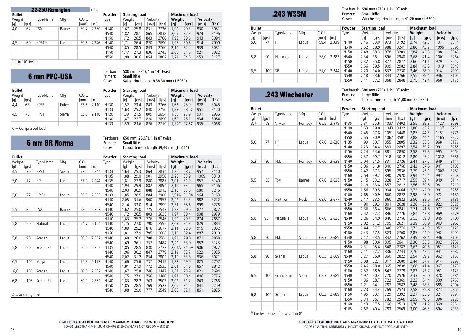|               |                    | .22-250 Remington |               |        | cont.       |                  |        |                      |                     |       |        |                     |                 |       |
|---------------|--------------------|-------------------|---------------|--------|-------------|------------------|--------|----------------------|---------------------|-------|--------|---------------------|-----------------|-------|
| <b>Bullet</b> |                    |                   |               |        |             | Powder           |        | <b>Starting load</b> |                     |       |        | <b>Maximum load</b> |                 |       |
| Weight        |                    | Type/Name         | Mfg           | C.0.L. |             | Type             | Weight |                      | Velocity            |       | Weight |                     | <b>Velocity</b> |       |
| [g]           | [grs]              |                   |               | mm     | $[$ in. $]$ |                  | [g]    | [grs]                | $\lceil m/s \rceil$ | [fps] | [g]    | [grs]               | [m/s]           | [fps] |
| 4,0           | 62                 | TSX               | <b>Barnes</b> | 59.7   | 2.350       | N <sub>140</sub> | .67    | 25.8                 | 831                 | 2726  | 1.90   | 29.3                | 930             | 3051  |
|               |                    |                   |               |        |             | N540             | 1,82   | 28.1                 | 865                 | 2838  | 2,09   | 32.3                | 974             | 3196  |
|               |                    |                   |               |        |             | N <sub>150</sub> | 1,72   | 26.5                 | 843                 | 2766  | 1,98   | 30.6                | 943             | 3094  |
| 4,5           | 69                 | $HPBT^1$          | Lapua         | 59.6   | 2.346       | N <sub>140</sub> | 1,71   | 26.4                 | 820                 | 2690  | 1.98   | 30.6                | 914             | 2999  |
|               |                    |                   |               |        |             | N540             | .85    | 28.5                 | 843                 | 2766  | 2.10   | 32.4                | 939             | 3081  |
|               |                    |                   |               |        |             | N <sub>150</sub> | 1,77   | 27.3                 | 836                 | 2743  | 2,05   | 31.6                | 921             | 3022  |
|               |                    |                   |               |        |             | N550             | ,98    | 30.6                 | 854                 | 2802  | 2.24   | 34.6                | 953             | 3127  |
|               | $1$ 1 in 10" twist |                   |               |        |             |                  |        |                      |                     |       |        |                     |                 |       |

6 mm PPC-USA

Test barrel: 580 mm (23"), 1 in 14" twist Primers: Small Rifle<br>Cases: Sako, trim-t Sako, trim-to length 38,30 mm (1.508")

| <b>Bullet</b> |       |             |        |        |            | Powder           |        | <b>Starting load</b> |                     |       |        | Maximum load |                 |       |
|---------------|-------|-------------|--------|--------|------------|------------------|--------|----------------------|---------------------|-------|--------|--------------|-----------------|-------|
| Weight        |       | Type/Name   | Mfa    | C.O.L. |            | Type             | Weight |                      | Velocity            |       | Weight |              | <b>Velocity</b> |       |
| [g]           | [grs] |             |        | lmm    | $\lim_{i}$ |                  | Įg     | grs                  | $\lceil m/s \rceil$ | [fps] | [g]    | [grs]        | [m/s]           | [fps] |
| 4,4           | 68    | <b>HPFB</b> | Euber  | 53.6   | 2.110      | N <sub>130</sub> | 1.52   | 23.4                 | 843                 | 2766  | .68    | 25.9         | 928             | 3045  |
|               |       |             |        |        |            | N <sub>133</sub> | .63    | 25.2                 | 840                 | 2756  | .83C   | 28.2C        | 951             | 3120  |
| 4,5           | 70    | <b>HPBT</b> | Sierra | 53.6   | 2.110      | N <sub>120</sub> | .39    | 21.5                 | 809                 | 2654  | .,55   | 23.9         | 901             | 2956  |
|               |       |             |        |        |            | N <sub>130</sub> | .47    | 22.7                 | 820                 | 2690  | .69    | 26.1         | 934             | 3064  |
|               |       |             |        |        |            | N <sub>133</sub> | .59    | 24.6                 | 826                 | 2710  | .79C I | 27.6C        | 935             | 3068  |

 $C =$  Compressed load

### 6 mm BR Norma

Test barrel: 650 mm (25½"), 1 in 8" twist<br>Primers: Small Rifle Primers: Small Rifle<br>Cases: Lapua, trim Lapua, trim-to length 39,40 mm (1.551")

| <b>Bullet</b> |                     |                  |               |        |             | Powder           |        | <b>Starting load</b> |                     |       |        | <b>Maximum load</b> |                 |       |
|---------------|---------------------|------------------|---------------|--------|-------------|------------------|--------|----------------------|---------------------|-------|--------|---------------------|-----------------|-------|
| Weight        |                     | Type/Name        | Mfg           | C.0.L. |             | Type             | Weight |                      | Velocity            |       | Weight |                     | <b>Velocity</b> |       |
| [g]           | [grs]               |                  |               | [mm]   | $[$ in. $]$ |                  | [g]    | [grs]                | $\lceil m/s \rceil$ | [fps] | [g]    | [grs]               | [m/s]           | [fps] |
| 4,5           | 70                  | <b>HPBT</b>      | Sierra        | 57,0   | 2.244       | N133             | 1,64   | 25.3                 | 864                 | 2834  | 1,86   | 28.7                | 957             | 3140  |
|               |                     |                  |               |        |             | N135             | 1,88   | 29.0                 | 901                 | 2956  | 2,20   | 33.9                | 1009            | 3310  |
| 5,0           | 77                  | HP               | Lapua         | 57,0   | 2.244       | N135             | 1,81   | 27.9                 | 880                 | 2887  | 2,01   | 31.0                | 957             | 3140  |
|               |                     |                  |               |        |             | N <sub>140</sub> | 1,94   | 29.9                 | 882                 | 2894  | 2,15   | 33.2                | 965             | 3166  |
|               |                     |                  |               |        |             | N540             | 2,00   | 30.9                 | 888                 | 2913  | 2,18   | 33.6                | 980             | 3215  |
| 5,0           | 77                  | HP SJ            | Lapua         | 60,0   | 2.362       | N <sub>133</sub> | 1,85   | 28.5                 | 884                 | 2900  | 2,01A  | 31.0A               | 964             | 3163  |
|               |                     |                  |               |        |             | N <sub>140</sub> | 2,05   | 31.6                 | 900                 | 2953  | 2,22   | 34.3                | 982             | 3222  |
|               |                     |                  |               |        |             | N540             | 2,14   | 33.0                 | 914                 | 2999  | 2,31   | 35.6                | 999             | 3278  |
| 5,5           | 85                  | <b>TSX</b>       | <b>Barnes</b> | 58,5   | 2.303       | N140             | 1,62   | 25.0                 | 775                 | 2543  | 1,88   | 29.0                | 877             | 2877  |
|               |                     |                  |               |        |             | N540             | 1,72   | 26.5                 | 803                 | 2635  | 1,97   | 30.4                | 908             | 2979  |
|               |                     |                  |               |        |             | N150             | 1,63   | 25.2                 | 776                 | 2546  | 1,90   | 29.3                | 874             | 2867  |
| 5,8           | 90                  | <b>Naturalis</b> | Lapua         | 54,7   | 2.154       | N <sub>140</sub> | 1,75   | 27.0                 | 790                 | 2592  | 2,03   | 31.3                | 879             | 2884  |
|               |                     |                  |               |        |             | N540             | 1,89   | 29.2                 | 816                 | 2677  | 2,11   | 32.6                | 915             | 3002  |
|               |                     |                  |               |        |             | N150             | 1,81   | 27.9                 | 795                 | 2608  | 2,10   | 32.4                | 887             | 2910  |
| 5,8           | 90                  | Scenar           | Lapua         | 60,0   | 2.362       | N140             | 1,68   | 26.0                 | 788                 | 2584  | 1,93   | 29.8                | 871             | 2858  |
|               |                     |                  |               |        |             | N540             | 1,69   | 26.1                 | 757                 | 2484  | 2,20   | 33.9                | 952             | 3123  |
| 5,8           | 90                  | Scenar SJ        | Lapua         | 60,0   | 2.362       | N135             | 1,85   | 28.5                 | 830                 | 2723  | 2,04A  | 31.5A               | 906             | 2972  |
|               |                     |                  |               |        |             | N <sub>140</sub> | 1,96   | 30.2                 | 847                 | 2779  | 2,12   | 32.7                | 922             | 3025  |
|               |                     |                  |               |        |             | N540             | 2,02   | 31.2                 | 854                 | 2802  | 2,19   | 33.8                | 936             | 3071  |
| 6, 5          | 100                 | Mega             | Lapua         | 55,3   | 2.177       | N <sub>140</sub> | 1,66   | 25.6                 | 737                 | 2419  | 1,88   | 29.0                | 825             | 2707  |
|               |                     |                  |               |        |             | N540             | 1,81   | 27.9                 | 772                 | 2533  | 2,01   | 31.0                | 857             | 2812  |
| 6,8           | 105                 | Scenar           | Lapua         | 60,0   | 2.362       | N140             | 1,67   | 25.8                 | 746                 | 2447  | 1.87   | 28.9                | 821             | 2694  |
|               |                     |                  |               |        |             | N540             | 1,75   | 27.0                 | 756                 | 2480  | 1,97   | 30.4                | 846             | 2776  |
| 6,8           | 105                 | Scenar SJ        | Lapua         | 60,0   | 2.362       | N140             | 1,83   | 28.2                 | 763                 | 2503  | 2,02   | 31.2                | 843             | 2766  |
|               |                     |                  |               |        |             | N150             | 1,85   | 28.5                 | 769                 | 2523  | 2,05   | 31.6                | 841             | 2759  |
|               |                     |                  |               |        |             | N540             | 1,88   | 29.0                 | 777                 | 2549  | 2,08   | 32.1                | 861             | 2825  |
|               | $A =$ Accuracy load |                  |               |        |             |                  |        |                      |                     |       |        |                     |                 |       |

.243 WSSM

Test barrel: 690 mm (27"), 1 in 10" twist Primers: Small Rifle<br>Cases: Winchester, Winchester, trim-to length 42,20 mm (1.660")

| <b>Bullet</b> |       |                  |       |        |             | Powder           |        | <b>Starting load</b> |                            |       |        | Maximum load |                 |       |
|---------------|-------|------------------|-------|--------|-------------|------------------|--------|----------------------|----------------------------|-------|--------|--------------|-----------------|-------|
| Weight        |       | Type/Name        | Mfg   | C.0.L. |             | Type             | Weight |                      | Velocity                   |       | Weight |              | <b>Velocity</b> |       |
| [g]           | [grs] |                  |       | lmm I  | $[$ in. $]$ |                  | [g]    | grs                  | $\left[\frac{m}{s}\right]$ | [fps] | [g]    | [grs]        | [m/s]           | [fps] |
| 5,0           | 77    | HP               | Lapua | 59,4   | 2.339       | N <sub>140</sub> | 2.46   | 38.0                 | 973                        | 3192  | 2.74   | 42.3         | 1071            | 3514  |
|               |       |                  |       |        |             | N540             | 2,52   | 38.9                 | 988                        | 3241  | 2.80   | 43.2         | 1096            | 3596  |
|               |       |                  |       |        |             | N <sub>150</sub> | 2.48   | 38.3                 | 978                        | 3209  | 2.84   | 43.8         | 1081            | 3547  |
| 5,8           | 90    | <b>Naturalis</b> | Lapua | 58,0   | 2.283       | N540             | 2,34   | 36.1                 | 896                        | 2940  | 2.68   | 41.4         | 1001            | 3284  |
|               |       |                  |       |        |             | N <sub>150</sub> | 2.32   | 35.8                 | 877                        | 2877  | 2.66   | 41.1         | 979             | 3212  |
|               |       |                  |       |        |             | N550             | 2.56   | 39.5                 | 909                        | 2982  | 2.84   | 43.8         | 1019            | 3343  |
| 6,5           | 100   | <b>SP</b>        | Lapua | 57.0   | 2.244       | N <sub>140</sub> | 2,20   | 34.0                 | 832                        | 2730  | 2.46   | 38.0         | 914             | 2999  |
|               |       |                  |       |        |             | N540             | 2,18   | 33.6                 | 843                        | 2766  | 2,55   | 39.4         | 946             | 3104  |
|               |       |                  |       |        |             | N550             | 2.41   | 37.2                 | 868                        | 2848  | 2.75   | 42.4         | 968             | 3176  |

#### .243 Winchester

Test barrel: 580 mm (23"), 1 in 10" twist<br>Primers: Large Rifle Primers: Large Rifle<br>Cases: Lapua, trim Lapua, trim-to length 51,80 mm (2.039")

| <b>Bullet</b> |       |                      |               |        |          | Powder      |        | <b>Starting load</b> |          |       |        | <b>Maximum load</b> |                 |       |
|---------------|-------|----------------------|---------------|--------|----------|-------------|--------|----------------------|----------|-------|--------|---------------------|-----------------|-------|
| Weight        |       | Type/Name            | Mfg           | C.0.L. |          | Type        | Weight |                      | Velocity |       | Weight |                     | <b>Velocity</b> |       |
| [g]           | [grs] |                      |               | [mm]   | $[$ in.] |             | [g]    | [grs]                | [m/s]    | [fps] | [g]    | [grs]               | [m/s]           | [fps] |
| 3,7           | 58    | V-Max                | Hornady       | 65,5   | 2.579    | N135        | 2,31   | 35.6                 | 1037     | 3402  | 2,55   | 39.3                | 1127            | 3698  |
|               |       |                      |               |        |          | N140        | 2,53   | 39.0                 | 1043     | 3422  | 2,80   | 43.2                | 1137            | 3730  |
|               |       |                      |               |        |          | N540        | 2,45   | 37.8                 | 1051     | 3448  | 2,87   | 44.3                | 1151            | 3776  |
|               |       |                      |               |        |          | <b>N550</b> | 2,65   | 40.9                 | 1067     | 3501  | 2,88   | 44.4                | 1165            | 3822  |
| 5,0           | 77    | HP                   | Lapua         | 67,0   | 2.638    | N135        | 1,99   | 30.7                 | 855      | 2805  | 2,32   | 35.8                | 968             | 3176  |
|               |       |                      |               |        |          | N140        | 2,23   | 34.4                 | 883      | 2897  | 2,54   | 39.2                | 992             | 3255  |
|               |       |                      |               |        |          | N150        | 2,24   | 34.6                 | 881      | 2890  | 2,58   | 39.8                | 995             | 3264  |
|               |       |                      |               |        |          | N550        | 2,57   | 39.7                 | 918      | 3012  | 2,80   | 43.2                | 1032            | 3386  |
| 5,2           | 80    | <b>FMJ</b>           | Hornady       | 67,0   | 2.638    | N140        | 2,04   | 31.5                 | 831      | 2726  | 2,41   | 37.2                | 949             | 3114  |
|               |       |                      |               |        |          | N150        | 2,06   | 31.8                 | 840      | 2756  | 2,43   | 37.5                | 947             | 3107  |
|               |       |                      |               |        |          | N550        | 2,42   | 37.3                 | 895      | 2936  | 2,79   | 43.1                | 1002            | 3287  |
|               |       |                      |               |        |          | N160        | 2,54   | 39.2                 | 890      | 2920  | 2,94   | 45.4                | 993             | 3258  |
| 5,5           | 85    | <b>TSX</b>           | <b>Barnes</b> | 67,0   | 2.638    | N150        | 2,15   | 33.2                 | 828      | 2717  | 2,55   | 39.4                | 949             | 3114  |
|               |       |                      |               |        |          | N540        | 2,19   | 33.8                 | 857      | 2812  | 2,56   | 39.5                | 981             | 3219  |
|               |       |                      |               |        |          | N550        | 2,56   | 39.5                 | 934      | 3064  | 2,72   | 42.0                | 992             | 3255  |
|               |       |                      |               |        |          | N160        | 2,65   | 40.9                 | 860      | 2822  | 2,98   | 46.0                | 972             | 3189  |
| 5,5           | 85    | Partition            | Nosler        | 68,0   | 2.677    | N540        | 2,17   | 33.5                 | 860      | 2822  | 2,50   | 38.6                | 971             | 3186  |
|               |       |                      |               |        |          | N150        | 1,90   | 29.3                 | 801      | 2628  | 2,28   | 35.2                | 922             | 3025  |
|               |       |                      |               |        |          | N550        | 2,36   | 36.4                 | 866      | 2841  | 2,71   | 41.8                | 977             | 3205  |
|               |       |                      |               |        |          | N160        | 2,42   | 37.3                 | 846      | 2776  | 2,84   | 43.8                | 969             | 3179  |
| 5,8           | 90    | Naturalis            | Lapua         | 67,0   | 2.638    | N540        | 2,26   | 34.9                 | 840      | 2756  | 2,53   | 39.0                | 945             | 3100  |
|               |       |                      |               |        |          | N150        | 2,02   | 31.2                 | 799      | 2621  | 2,39   | 36.9                | 903             | 2963  |
|               |       |                      |               |        |          | N550        | 2,44   | 37.7                 | 846      | 2776  | 2,72   | 42.0                | 952             | 3123  |
|               |       |                      |               |        |          | N160        | 2,43   | 37.5                 | 823      | 2700  | 2,85   | 44.0                | 942             | 3091  |
| 5,8           | 90    | <b>FMJ</b>           | Sierra        | 68,3   | 2.689    | N540        | 2,17   | 33.5                 | 842      | 2762  | 2,49   | 38.4                | 946             | 3104  |
|               |       |                      |               |        |          | N150        | 1,98   | 30.6                 | 805      | 2641  | 2,30   | 35.5                | 902             | 2959  |
|               |       |                      |               |        |          | N550        | 2,31   | 35.6                 | 848      | 2782  | 2,63   | 40.6                | 952             | 3123  |
|               |       |                      |               |        |          | N160        | 2,41   | 37.2                 | 836      | 2743  | 2,76   | 42.6                | 941             | 3087  |
| 5,8           | 90    | Scenar               | Lapua         | 68,3   | 2.689    | N540        | 2,27   | 35.0                 | 860      | 2822  | 2,54   | 39.2                | 962             | 3156  |
|               |       |                      |               |        |          | N150        | 2,08   | 32.1                 | 817      | 2680  | 2,44   | 37.7                | 914             | 2999  |
|               |       |                      |               |        |          | N550        | 2,46   | 38.0                 | 865      | 2838  | 2,68   | 41.4                | 967             | 3173  |
|               |       |                      |               |        |          | N160        | 2,52   | 38.9                 | 847      | 2779  | 2,83   | 43.7                | 952             | 3123  |
| 6, 5          | 100   | <b>Grand Slam</b>    | Speer         | 68,3   | 2.689    | N540        | 1,97   | 30.4                 | 770      | 2526  | 2,33   | 36.0                | 878             | 2881  |
|               |       |                      |               |        |          | N150        | 1,86   | 28.7                 | 722      | 2369  | 2,23   | 34.4                | 839             | 2753  |
|               |       |                      |               |        |          | N550        | 2,21   | 34.1                 | 787      | 2582  | 2,48   | 38.3                | 885             | 2904  |
|               |       |                      |               |        |          | N160        | 2,23   | 34.4                 | 769      | 2523  | 2,58   | 39.8                | 873             | 2864  |
| 6,8           | 105   | Scenar <sup>1)</sup> | Lapua         | 68,3   | 2.689    | N150        | 1,95   | 30.1                 | 729      | 2392  | 2,27   | 35.0                | 821             | 2694  |
|               |       |                      |               |        |          | N550        | 2,34   | 36.1                 | 782      | 2566  | 2,59   | 40.0                | 890             | 2920  |
|               |       |                      |               |        |          | N160        | 2,43   | 37.5                 | 766      | 2513  | 2,70   | 41.7                | 869             | 2851  |
|               |       |                      |               |        |          | N165        | 2,62   | 40.4                 | 783      | 2569  | 3,00   | 46.3                | 894             | 2933  |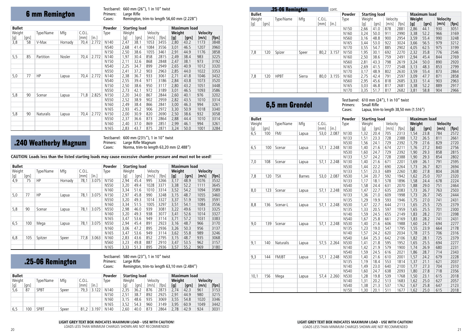### 6 mm Remington

Test barrel: 660 mm (26"), 1 in 10" twist<br>Primers: Large Rifle Primers: Large Rifle<br>Cases: Remington, Emgermington, trim-to length 56,60 mm (2.228")

| <b>Bullet</b> |       |                  |         |        | Powder      |                  | <b>Starting load</b> |       |                                          |                  | <b>Maximum load</b> |       |          |       |
|---------------|-------|------------------|---------|--------|-------------|------------------|----------------------|-------|------------------------------------------|------------------|---------------------|-------|----------|-------|
| Weight        |       | Type/Name        | Mfg     | C.0.L. |             | Type             | Weight               |       | Velocity                                 |                  | Weight              |       | Velocity |       |
| [g]           | [grs] |                  |         | mm     | $[$ in. $]$ |                  | [g]                  | [grs] | $\left[\left.\mathsf{m/s}\right]\right]$ | $[{\text{fps}}]$ | [g]                 | [grs] | [m/s]    | [fps] |
| 3,8           | 58    | V-Max            | Hornady | 70,4   | 2.772       | N <sub>140</sub> | 2,47                 | 38.1  | 1053                                     | 3455             | 2,80                | 43.2  | 1173     | 3848  |
|               |       |                  |         |        |             | N540             | 2,68                 | 41.4  | 1084                                     | 3556             | 3,01                | 46.5  | 1207     | 3960  |
|               |       |                  |         |        |             | N <sub>150</sub> | 2,50                 | 38.6  | 1055                                     | 3461             | 2,91                | 44.9  | 1176     | 3858  |
| 5, 5          | 85    | Partition        | Nosler  | 70,4   | 2.772       | N <sub>140</sub> | 1,97                 | 30.4  | 858                                      | 2815             | 2,49                | 38.4  | 983      | 3225  |
|               |       |                  |         |        |             | N <sub>150</sub> | 2,11                 | 32.6  | 868                                      | 2848             | 2,47                | 38.1  | 973      | 3192  |
|               |       |                  |         |        |             | N540             | 2,25                 | 34.7  | 899                                      | 2949             | 2,65                | 40.9  | 1012     | 3320  |
|               |       |                  |         |        |             | N550             | 2,41                 | 37.2  | 903                                      | 2963             | 2,85                | 44.0  | 1022     | 3353  |
| 5,0           | 77    | HP               | Lapua   | 70,4   | 2.772       | N <sub>140</sub> | 2,38                 | 36.7  | 933                                      | 3061             | 2,71                | 41.8  | 1046     | 3432  |
|               |       |                  |         |        |             | N540             | 2,55                 | 39.4  | 971                                      | 3186             | 2,84                | 43.8  | 1073     | 3520  |
|               |       |                  |         |        |             | N <sub>150</sub> | 2,50                 | 38.6  | 950                                      | 3117             | 2,80                | 43.2  | 1051     | 3448  |
|               |       |                  |         |        |             | N550             | 2,73                 | 42.1  | 972                                      | 3189             | 3,01                | 46.5  | 1093     | 3586  |
| 5,8           | 90    | Scenar           | Lapua   | 71,8   | 2.825       | N150             | 2,20                 | 34.0  | 867                                      | 2844             | 2,60                | 40.1  | 976      | 3202  |
|               |       |                  |         |        |             | N550             | 2,52                 | 38.9  | 902                                      | 2959             | 2,82                | 43.5  | 1010     | 3314  |
|               |       |                  |         |        |             | N <sub>160</sub> | 2,49                 | 38.4  | 866                                      | 2841             | 3,00                | 46.3  | 994      | 3261  |
|               |       |                  |         |        |             | N <sub>165</sub> | 2,93                 | 45.2  | 906                                      | 2972             | 3,30                | 50.9  | 1018     | 3340  |
| 5,8           | 90    | <b>Naturalis</b> | Lapua   | 70,4   | 2.772       | N <sub>150</sub> | 2,00                 | 30.9  | 820                                      | 2690             | 2,50                | 38.6  | 932      | 3058  |
|               |       |                  |         |        |             | N550             | 2,37                 | 36.6  | 873                                      | 2864             | 2,88                | 44.4  | 1010     | 3314  |
|               |       |                  |         |        |             | N <sub>160</sub> | 2,40                 | 37.0  | 869                                      | 2851             | 2,99                | 46.1  | 994      | 3261  |
|               |       |                  |         |        |             | N <sub>165</sub> | 2,83                 | 43.7  | 875                                      | 2871             | 3,24                | 50.0  | 1001     | 3284  |

### .240 Weatherby Magnum

Test barrel: 600 mm (23½"), 1 in 10" twist<br>Primers: Large Rifle Magnum Primers: Large Rifle Magnum Cases: Norma, trim-to length 63,20 mm (2.488")

**CAUTION: Loads less than the listed starting loads may cause excessive chamber pressure and must not be used!**

| <b>Bullet</b> |       |           |         |        |             | Powder           |        | <b>Starting load</b> |          |       |        | <b>Maximum load</b> |                  |       |
|---------------|-------|-----------|---------|--------|-------------|------------------|--------|----------------------|----------|-------|--------|---------------------|------------------|-------|
| Weight        |       | Type/Name | Mfg     | C.0.L. |             | Type             | Weight |                      | Velocity |       | Weight |                     | <b>Velocity</b>  |       |
| [g]           | [grs] |           |         | lmml   | $[$ in. $]$ |                  | [g]    | [grs]                | lm/sl    | [fps] | [g]    | [grs]               | $\mathsf{[m/s]}$ | [fps] |
| 4,9           | 75    | HP        | Hornady | 78,1   | 3.075       | N <sub>150</sub> | 2,94   | 45.4                 | 995      | 3266  | 3,17   | 48.9                | 1076             | 3532  |
|               |       |           |         |        |             | N550             | 3,20   | 49.4                 | 1028     | 3371  | 3,38   | 52.2                | 1111             | 3645  |
|               |       |           |         |        |             | N <sub>160</sub> | 3,34   | 51.6                 | 1010     | 3314  | 3,52   | 54.2                | 1094             | 3589  |
| 5,0           | 77    | HP        | Lapua   | 78,1   | 3.075       | N <sub>150</sub> | 2,97   | 45.8                 | 990      | 3248  | 3,15   | 48.7                | 1055             | 3460  |
|               |       |           |         |        |             | N550             | 3,20   | 49.3                 | 1014     | 3327  | 3,37   | 51.9                | 1095             | 3591  |
|               |       |           |         |        |             | N <sub>160</sub> | 3,34   | 51.5                 | 1005     | 3297  | 3,51   | 54.1                | 1084             | 3556  |
| 5,8           | 90    | Scenar    | Lapua   | 78,1   | 3.075       | N550             | 2,98   | 46.0                 | 939      | 3081  | 3,22   | 49.6                | 1013             | 3325  |
|               |       |           |         |        |             | N <sub>160</sub> | 3,20   | 49.3                 | 938      | 3077  | 3,41   | 52.6                | 1014             | 3327  |
|               |       |           |         |        |             | N <sub>165</sub> | 3,47   | 53.6                 | 949      | 3114  | 3,71   | 57.2                | 1031             | 3383  |
| 6,5           | 100   | Mega      | Lapua   | 78,1   | 3.075       | N550             | 2,94   | 45.4                 | 891      | 2923  | 3,16   | 48.7                | 966              | 3170  |
|               |       |           |         |        |             | N <sub>160</sub> | 3,06   | 47.2                 | 895      | 2936  | 3,26   | 50.3                | 956              | 3137  |
|               |       |           |         |        |             | N <sub>165</sub> | 3,47   | 53.6                 | 949      | 3114  | 3,62   | 55.8                | 989              | 3246  |
| 6,8           | 105   | Spitzer   | Speer   | 77,8   | 3.063       | N <sub>160</sub> | 2,83   | 43.6                 | 852      | 2795  | 3,15   | 48.7                | 935              | 3068  |
|               |       |           |         |        |             | N560             | 3,23   | 49.8                 | 887      | 2910  | 3,47   | 53.5                | 962              | 3157  |
|               |       |           |         |        |             | N <sub>165</sub> | 3,33   | 51.3                 | 895      | 2936  | 3,57   | 55.2                | 969              | 3180  |

### .25-06 Remington

Test barrel: 580 mm (23"), 1 in 10" twist<br>Primers: Large Rifle Primers: Large Rifle<br>Cases: Remington, Remington, trim-to length 63,10 mm (2.484")

| <b>Bullet</b> |       |             |       |        |       | Powder           |        | <b>Starting load</b> |          |       |        | <b>Maximum load</b> |                 |       |
|---------------|-------|-------------|-------|--------|-------|------------------|--------|----------------------|----------|-------|--------|---------------------|-----------------|-------|
| Weight        |       | Type/Name   | Mfg   | C.O.L. |       | Type             | Weight |                      | Velocity |       | Weight |                     | <b>Velocity</b> |       |
| [g]           | [grs] |             |       | lmml   | lin.1 |                  | lg,    | [grs]                | [m/s]    | [fps] | [g]    | [grs]               | [m/s]           | [fps] |
| 5,6           | 87    | <b>SPBT</b> | Speer | 79,3   | 3.122 | N <sub>140</sub> | 2,35   | 36.2                 | 876      | 2873  | 2.74   | 42.3                | 961             | 3153  |
|               |       |             |       |        |       | N <sub>150</sub> | 2,51   | 38.7                 | 892      | 2925  | 2.91   | 44.9                | 980             | 3215  |
|               |       |             |       |        |       | N <sub>160</sub> | 3,15   | 48.6                 | 935      | 3069  | 3.55   | 54.8                | 1020            | 3346  |
|               |       |             |       |        |       | N <sub>165</sub> | 3.52   | 54.3                 | 960      | 3149  | 3.95   | 60.9                | 1049            | 3442  |
| 6,5           | 100   | <b>SPBT</b> | Speer | 81.2   | 3.197 | N <sub>140</sub> | 2.60   | 40.0                 | 873      | 2864  | 2.78   | 42.9                | 924             | 3031  |

|               |       | .25-06 Remington |        |        | cont.    |                  |        |                      |          |       |        |                     |                 |       |
|---------------|-------|------------------|--------|--------|----------|------------------|--------|----------------------|----------|-------|--------|---------------------|-----------------|-------|
| <b>Bullet</b> |       |                  |        |        |          | Powder           |        | <b>Starting load</b> |          |       |        | <b>Maximum load</b> |                 |       |
| Weight        |       | Type/Name        | Mfg    | C.0.L. |          | Type             | Weight |                      | Velocity |       | Weight |                     | <b>Velocity</b> |       |
| [g]           | [grs] |                  |        | mm     | $[$ in.] |                  | [g]    | [grs]                | [m/s]    | [fps] | [g]    | [grs]               | [m/s]           | [fps] |
|               |       |                  |        |        |          | N <sub>150</sub> | 2,66   | 41.0                 | 878      | 2881  | 2,86   | 44.1                | 930             | 3051  |
|               |       |                  |        |        |          | N <sub>160</sub> | 3,24   | 50.0                 | 911      | 2990  | 3,38   | 52.2                | 966             | 3169  |
|               |       |                  |        |        |          | N560             | 3,16   | 48.8                 | 900      | 2954  | 3,59   | 55.4                | 990             | 3248  |
|               |       |                  |        |        |          | N <sub>165</sub> | 3,44   | 53.0                 | 922      | 3024  | 3,66   | 56.5                | 979             | 3212  |
|               |       |                  |        |        |          | N <sub>170</sub> | 3,55   | 54.7                 | 885      | 2902  | 4,05   | 62.5                | 975             | 3199  |
| 7,8           | 120   | Spizer           | Speer  | 80,2   | 3.157    | N <sub>150</sub> | 1,95   | 30.1                 | 692      | 2270  | 2,32   | 35.8                | 776             | 2546  |
|               |       |                  |        |        |          | N <sub>160</sub> | 2,50   | 38.6                 | 759      | 2491  | 2,94   | 45.4                | 844             | 2769  |
|               |       |                  |        |        |          | N560             | 2,81   | 43.3                 | 798      | 2619  | 3,24   | 50.0                | 890             | 2920  |
|               |       |                  |        |        |          | N <sub>165</sub> | 2,69   | 41.5                 | 777      | 2548  | 3,13   | 48.3                | 853             | 2799  |
|               |       |                  |        |        |          | N <sub>170</sub> | 3,17   | 48.9                 | 802      | 2630  | 3,59   | 55.4                | 873             | 2864  |
| 7,8           | 120   | <b>HPBT</b>      | Sierra | 80,0   | 3.155    | N <sub>160</sub> | 2,75   | 42.4                 | 791      | 2597  | 3,09   | 47.7                | 871             | 2858  |
|               |       |                  |        |        |          | N560             | 2,95   | 45.6                 | 818      | 2685  | 3,33   | 51.4                | 903             | 2963  |
|               |       |                  |        |        |          | N <sub>165</sub> | 3,03   | 46.8                 | 817      | 2681  | 3,38   | 52.2                | 889             | 2917  |
|               |       |                  |        |        |          | N <sub>170</sub> | 3,35   | 51.7                 | 817      | 2682  | 3,81   | 58.8                | 904             | 2966  |

### 6,5 mm Grendel

Test barrel: 610 mm (24"), 1 in 10" twist<br>Primers: Small Rifle Primers: Small Rifle Cases: Lapua, trim-to length 38,50 mm (1.516")

| <b>Bullet</b> |       |              |               |        |             | Powder           |        | <b>Starting load</b> |          |       |        | <b>Maximum load</b> |                 |       |
|---------------|-------|--------------|---------------|--------|-------------|------------------|--------|----------------------|----------|-------|--------|---------------------|-----------------|-------|
| Weight        |       | Type/Name    | Mfg           | C.0.L. |             | Type             | Weight |                      | Velocity |       | Weight |                     | <b>Velocity</b> |       |
| [g]           | [grs] |              |               | [mm]   | $[$ in. $]$ |                  | [g]    | [grs]                | [m/s]    | [fps] | [g]    | [grs]               | [m/s]           | [fps] |
| 6, 5          | 100   | <b>FMJ</b>   | Lapua         | 53,0   | 2.087       | N <sub>130</sub> | 1,32   | 20.4                 | 705      | 2313  | 1,54   | 23.8                | 784             | 2572  |
|               |       |              |               |        |             | N133             | 1,51   | 23.3                 | 728      | 2388  | 1,72   | 26.5                | 811             | 2661  |
|               |       |              |               |        |             | N530             | 1,56   | 24.1                 | 729      | 2392  | 1,79   | 27.6                | 829             | 2720  |
| 6,5           | 100   | Scenar       | Lapua         | 57,1   | 2.248       | N130             | 1,40   | 21.6                 | 674      | 2211  | 1,76   | 27.2                | 840             | 2756  |
|               |       |              |               |        |             | N530             | 1,60   | 24.7                 | 729      | 2392  | 1,90   | 29.3                | 858             | 2815  |
|               |       |              |               |        |             | N <sub>133</sub> | 1,57   | 24.2                 | 728      | 2388  | 1,90   | 29.3                | 854             | 2802  |
| 7,0           | 108   | Scenar       | Lapua         | 57,1   | 2.248       | N130             | 1,40   | 21.6                 | 671      | 2201  | 1,69   | 26.1                | 791             | 2595  |
|               |       |              |               |        |             | N530             | 1,44   | 22.2                 | 690      | 2264  | 1,73   | 26.7                | 821             | 2694  |
|               |       |              |               |        |             | N133             | 1,51   | 23.3                 | 689      | 2260  | 1,80   | 27.8                | 804             | 2638  |
| 7,8           | 120   | <b>TSX</b>   | <b>Barnes</b> | 53,0   | 2.087       | N530             | 1,34   | 20.7                 | 592      | 1942  | 1,62   | 25.0                | 707             | 2320  |
|               |       |              |               |        |             | N133             | 1,17   | 18.1                 | 578      | 1896  | 1,58   | 24.4                | 678             | 2224  |
|               |       |              |               |        |             | N540             | 1,58   | 24.4                 | 631      | 2070  | 1,88   | 29.0                | 751             | 2464  |
| 8,0           | 123   | Scenar       | Lapua         | 57,1   | 2.248       | N530             | 1,47   | 22.7                 | 635      | 2083  | 1,73   | 26.7                | 763             | 2503  |
|               |       |              |               |        |             | N133             | 1,36   | 21.0                 | 609      | 1998  | 1,73   | 26.7                | 745             | 2444  |
|               |       |              |               |        |             | N135             | 1,29   | 19.9                 | 593      | 1946  | 1,75   | 27.0                | 741             | 2431  |
| 8,8           | 136   | Scenar-L     | Lapua         | 57,1   | 2.248       | N530             | 1,47   | 22.7                 | 644      | 2113  | 1,65   | 25.5                | 725             | 2379  |
|               |       |              |               |        |             | N135             | 1,33   | 20.5                 | 597      | 1959  | 1,65   | 25.5                | 701             | 2300  |
|               |       |              |               |        |             | N140             | 1,59   | 24.5                 | 655      | 2149  | 1,83   | 28.2                | 731             | 2398  |
|               |       |              |               |        |             | N540             | 1,67   | 25.8                 | 661      | 2169  | 1,83   | 28.2                | 741             | 2431  |
| 9,0           | 139   | Scenar       | Lapua         | 57,1   | 2.248       | N530             | 1,40   | 21.6                 | 606      | 1988  | 1,60   | 24.7                | 694             | 2277  |
|               |       |              |               |        |             | N135             | 1,23   | 19.0                 | 547      | 1795  | 1,55   | 23.9                | 664             | 2178  |
|               |       |              |               |        |             | N140             | 1,57   | 24.2                 | 620      | 2034  | 1,78   | 27.5                | 706             | 2316  |
|               |       |              |               |        |             | N540             | 1,64   | 25.3                 | 642      | 2106  | 1,82   | 28.1                | 725             | 2379  |
| 9,1           | 140   | Naturalis    | Lapua         | 57,5   | 2.264       | N530             | 1,41   | 21.8                 | 595      | 1952  | 1,65   | 25.5                | 694             | 2277  |
|               |       |              |               |        |             | N140             | 1,42   | 21.9                 | 579      | 1900  | 1,74   | 26.9                | 680             | 2231  |
|               |       |              |               |        |             | N540             | 1,59   | 24.5                 | 616      | 2021  | 1,86   | 28.7                | 714             | 2343  |
| 9,3           | 144   | <b>FMJBT</b> | Lapua         | 57,1   | 2.248       | N530             | 1,40   | 21.6                 | 610      | 2001  | 1,57   | 24.2                | 679             | 2228  |
|               |       |              |               |        |             | N135             | 1,19   | 18.4                 | 553      | 1814  | 1,37   | 21.1                | 621             | 2037  |
|               |       |              |               |        |             | N140             | 1,49   | 23.0                 | 640      | 2100  | 1,77   | 27.3                | 704             | 2310  |
|               |       |              |               |        |             | N540             | 1,60   | 24.7                 | 638      | 2093  | 1,80   | 27.8                | 718             | 2356  |
| 10,1          | 156   | Mega         | Lapua         | 57,4   | 2.260       | N530             | 1,28   | 19.8                 | 539      | 1768  | 1,50   | 23.1                | 615             | 2018  |
|               |       |              |               |        |             | N140             | 1,31   | 20.2                 | 513      | 1683  | 1,62   | 25.0                | 627             | 2057  |
|               |       |              |               |        |             | N540             | 1,38   | 21.3                 | 537      | 1762  | 1,67   | 25.8                | 647             | 2123  |
|               |       |              |               |        |             | N150             | 1,30   | 20.1                 | 511      | 1677  | 1,62   | 25.0                | 615             | 2018  |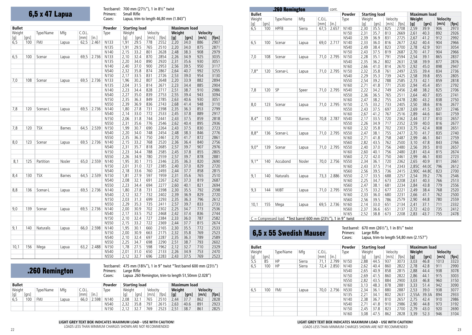### 6,5 x 47 Lapua

Test barrel:  $700 \text{ mm} (27\frac{1}{2})$ , 1 in  $8\frac{1}{2}$ " twist Primers: Small Rifle Primers: Small Rifle<br>Cases: Lapua, trim-Cases: Lapua, trim-to length 46,80 mm (1.843")

| Weight<br>Mfg<br>C.0.L.<br>Type<br>Weight<br>Velocity<br>Weight<br><b>Velocity</b><br>Type/Name<br>[grs]<br>[mm]<br>$[$ in.]<br>[g]<br>[fps]<br>[g]<br>[fps]<br>[g]<br>[grs]<br>[m/s]<br>[grs]<br>[m/s]<br>6,5<br>100<br>FMJ<br>62,5<br>2.461<br>N133<br>1,91<br>29.5<br>778<br>2552<br>2,20<br>34.0<br>886<br>2907<br>Lapua<br>N135<br>1,91<br>29.5<br>765<br>2510<br>2,20<br>34.0<br>875<br>2871<br>N140<br>2,15<br>33.2<br>801<br>2628<br>38.3<br>908<br>2979<br>2,48<br>6, 5<br>2.736<br>N133<br>2,10<br>32.4<br>870<br>2854<br>925<br>3035<br>100<br>69,5<br>2,26<br>34.9<br>Scenar<br>Lapua<br>930<br>N135<br>2,20<br>34.0<br>890<br>2920<br>2,31<br>35.6<br>3051<br>2,40<br>37.0<br>900<br>2953<br>39.5<br>950<br>N140<br>2,56<br>3117<br>35.8<br>992<br>3255<br>N540<br>2,32<br>874<br>2867<br>2,64<br>40.7<br>N150<br>2,17<br>33.5<br>831<br>2726<br>2,53<br>39.0<br>954<br>3130<br>7,0<br>108<br>69,5<br>2.736<br>N133<br>30.2<br>807<br>2648<br>33.9<br>882<br>2894<br>Scenar<br>1,96<br>2,20<br>Lapua<br>N135<br>2,04<br>2671<br>885<br>2904<br>31.5<br>814<br>2,23<br>34.4<br>910<br>2986<br>N140<br>2,23<br>34.4<br>828<br>2717<br>2,51<br>38.7<br>N540<br>2,27<br>35.0<br>839<br>2753<br>2,55<br>39.4<br>943<br>3094<br>930<br>3051<br>N150<br>2,35<br>36.3<br>849<br>2785<br>40.6<br>2,63<br>N550<br>2,39<br>36.9<br>836<br>2743<br>41.4<br>948<br>3110<br>2,68<br>7,8<br>69,5<br>2.736<br>N140<br>27.8<br>731<br>2398<br>853<br>2799<br>120<br>Scenar-L<br>1,80<br>36.3<br>2,35<br>Lapua<br>N540<br>2533<br>889<br>2917<br>2,14<br>33.0<br>772<br>2,45<br>37.8<br>859<br>2818<br>N150<br>31.8<br>744<br>2441<br>2,06<br>2,43<br>37.5<br>N550<br>2,31<br>35.6<br>776<br>2546<br>895<br>2936<br>2,62<br>40.4<br>2.539<br>830<br>2723<br>7,8<br>120<br><b>TSX</b><br>64,5<br>N150<br>1,99<br>30.7<br>690<br>2264<br>2,43<br>37.5<br><b>Barnes</b><br>N540<br>2,20<br>34.0<br>748<br>2454<br>846<br>2776<br>2,48<br>38.3<br>N550<br>2,35<br>36.3<br>750<br>872<br>2861<br>2461<br>2,70<br>41.7<br>2756<br>8,0<br>123<br>69,5<br>2.736<br>N140<br>2,15<br>33.2<br>768<br>2520<br>2,36<br>36.4<br>840<br>Scenar<br>Lapua<br>N540<br>35.7<br>818<br>2685<br>907<br>2976<br>2,31<br>2,57<br>39.7<br>N150<br>2,23<br>34.4<br>788<br>2585<br>855<br>2805<br>2,45<br>37.8<br>N550<br>2,26<br>34.9<br>780<br>2559<br>2,57<br>39.7<br>878<br>2881<br>8,1<br>125<br>Nosler<br>65,0<br>2.559<br>N140<br>1,95<br>30.1<br>715<br>2346<br>2,35<br>36.3<br>820<br>2690<br>Partition<br>727<br>829<br>2720<br>N150<br>2,01<br>31.0<br>2385<br>37.0<br>2,40<br>N540<br>858<br>2,18<br>33.6<br>760<br>2493<br>2,44<br>37.7<br>2815<br><b>TSX</b><br>64,5<br>2.539<br>N150<br>27.9<br>597<br>1959<br>35.6<br>765<br>2510<br>8,4<br>130<br><b>Barnes</b><br>1,81<br>2,31<br>819<br>2687<br>N540<br>2,08<br>32.1<br>691<br>2267<br>2,42<br>37.3<br>N550<br>34.4<br>694<br>821<br>2694<br>2,23<br>2277<br>2,60<br>40.1<br>1,80<br>35.5<br>792<br>2598<br>8,8<br>136<br>Scenar-L<br>69,5<br>2.736<br>N140<br>27.8<br>731<br>2398<br>2,30<br>Lapua<br>829<br>2720<br>2,12<br>32.7<br>732<br>2402<br>36.9<br>N540<br>2,39<br>2,03<br>31.3<br>699<br>796<br>2612<br>N150<br>2293<br>2,35<br>36.3<br>35.3<br>833<br>2733<br>N550<br>2,29<br>735<br>2411<br>2,57<br>39.7<br>139<br>69,5<br>2.736<br>N140<br>2,00<br>30.9<br>702<br>2302<br>2,25<br>773<br>2536<br>9,0<br>Scenar<br>34.7<br>Lapua<br>N540<br>2,17<br>33.5<br>752<br>37.4<br>836<br>2744<br>2468<br>2,42<br>2582<br>N150<br>2,10<br>32.4<br>727<br>2384<br>2,33<br>36.0<br>787<br>N550<br>2,15<br>33.2<br>722<br>815<br>2674<br>2369<br>2,44<br>37.7<br>140<br>2.598<br>1,95<br>30.1<br>35.5<br>772<br>2533<br>9,1<br>Naturalis<br>66,0<br>N140<br>660<br>2165<br>2,30<br>Lapua<br>35.8<br>769<br>2523<br>N <sub>150</sub><br>2,00<br>30.9<br>663<br>2175<br>2,32<br>N540<br>2,10<br>32.4<br>697<br>2287<br>2,35<br>36.3<br>789<br>2589<br>N550<br>2,25<br>34.7<br>698<br>2290<br>38.7<br>793<br>2602<br>2,51<br>27.5<br>2329<br>10,1<br>156<br>63,2<br>2.488<br>N150<br>1,78<br>598<br>1962<br>2,12<br>32.7<br>710<br>Mega<br>Lapua<br>N540<br>2,01<br>31.0<br>650<br>2133<br>2,26<br>34.9<br>753<br>2470<br>N550<br>2,12<br>32.7<br>696<br>2283<br>37.5<br>769<br>2523<br>2,43 | <b>Bullet</b> |  |  | Powder | <b>Starting load</b> |  | <b>Maximum load</b> |  |
|---------------------------------------------------------------------------------------------------------------------------------------------------------------------------------------------------------------------------------------------------------------------------------------------------------------------------------------------------------------------------------------------------------------------------------------------------------------------------------------------------------------------------------------------------------------------------------------------------------------------------------------------------------------------------------------------------------------------------------------------------------------------------------------------------------------------------------------------------------------------------------------------------------------------------------------------------------------------------------------------------------------------------------------------------------------------------------------------------------------------------------------------------------------------------------------------------------------------------------------------------------------------------------------------------------------------------------------------------------------------------------------------------------------------------------------------------------------------------------------------------------------------------------------------------------------------------------------------------------------------------------------------------------------------------------------------------------------------------------------------------------------------------------------------------------------------------------------------------------------------------------------------------------------------------------------------------------------------------------------------------------------------------------------------------------------------------------------------------------------------------------------------------------------------------------------------------------------------------------------------------------------------------------------------------------------------------------------------------------------------------------------------------------------------------------------------------------------------------------------------------------------------------------------------------------------------------------------------------------------------------------------------------------------------------------------------------------------------------------------------------------------------------------------------------------------------------------------------------------------------------------------------------------------------------------------------------------------------------------------------------------------------------------------------------------------------------------------------------------------------------------------------------------------------------------------------------------------------------------------------------------------------------------------------------------------------------------------------------------------------------------------------------------------------------------------------------------------------------------------------------------------------------------------------------------------------------------------------------------------------------------------------------------------------------------------------------------------------------------------------------------------------------------------------------------------------------------------------------------------------------------------------------------------------------------------------------------------------------------------------------------------------------------------------------------------------------------------------------------------------------------------------------------------------------------------------------------------------------------|---------------|--|--|--------|----------------------|--|---------------------|--|
|                                                                                                                                                                                                                                                                                                                                                                                                                                                                                                                                                                                                                                                                                                                                                                                                                                                                                                                                                                                                                                                                                                                                                                                                                                                                                                                                                                                                                                                                                                                                                                                                                                                                                                                                                                                                                                                                                                                                                                                                                                                                                                                                                                                                                                                                                                                                                                                                                                                                                                                                                                                                                                                                                                                                                                                                                                                                                                                                                                                                                                                                                                                                                                                                                                                                                                                                                                                                                                                                                                                                                                                                                                                                                                                                                                                                                                                                                                                                                                                                                                                                                                                                                                                                                                 |               |  |  |        |                      |  |                     |  |
|                                                                                                                                                                                                                                                                                                                                                                                                                                                                                                                                                                                                                                                                                                                                                                                                                                                                                                                                                                                                                                                                                                                                                                                                                                                                                                                                                                                                                                                                                                                                                                                                                                                                                                                                                                                                                                                                                                                                                                                                                                                                                                                                                                                                                                                                                                                                                                                                                                                                                                                                                                                                                                                                                                                                                                                                                                                                                                                                                                                                                                                                                                                                                                                                                                                                                                                                                                                                                                                                                                                                                                                                                                                                                                                                                                                                                                                                                                                                                                                                                                                                                                                                                                                                                                 |               |  |  |        |                      |  |                     |  |
|                                                                                                                                                                                                                                                                                                                                                                                                                                                                                                                                                                                                                                                                                                                                                                                                                                                                                                                                                                                                                                                                                                                                                                                                                                                                                                                                                                                                                                                                                                                                                                                                                                                                                                                                                                                                                                                                                                                                                                                                                                                                                                                                                                                                                                                                                                                                                                                                                                                                                                                                                                                                                                                                                                                                                                                                                                                                                                                                                                                                                                                                                                                                                                                                                                                                                                                                                                                                                                                                                                                                                                                                                                                                                                                                                                                                                                                                                                                                                                                                                                                                                                                                                                                                                                 |               |  |  |        |                      |  |                     |  |
|                                                                                                                                                                                                                                                                                                                                                                                                                                                                                                                                                                                                                                                                                                                                                                                                                                                                                                                                                                                                                                                                                                                                                                                                                                                                                                                                                                                                                                                                                                                                                                                                                                                                                                                                                                                                                                                                                                                                                                                                                                                                                                                                                                                                                                                                                                                                                                                                                                                                                                                                                                                                                                                                                                                                                                                                                                                                                                                                                                                                                                                                                                                                                                                                                                                                                                                                                                                                                                                                                                                                                                                                                                                                                                                                                                                                                                                                                                                                                                                                                                                                                                                                                                                                                                 |               |  |  |        |                      |  |                     |  |
|                                                                                                                                                                                                                                                                                                                                                                                                                                                                                                                                                                                                                                                                                                                                                                                                                                                                                                                                                                                                                                                                                                                                                                                                                                                                                                                                                                                                                                                                                                                                                                                                                                                                                                                                                                                                                                                                                                                                                                                                                                                                                                                                                                                                                                                                                                                                                                                                                                                                                                                                                                                                                                                                                                                                                                                                                                                                                                                                                                                                                                                                                                                                                                                                                                                                                                                                                                                                                                                                                                                                                                                                                                                                                                                                                                                                                                                                                                                                                                                                                                                                                                                                                                                                                                 |               |  |  |        |                      |  |                     |  |
|                                                                                                                                                                                                                                                                                                                                                                                                                                                                                                                                                                                                                                                                                                                                                                                                                                                                                                                                                                                                                                                                                                                                                                                                                                                                                                                                                                                                                                                                                                                                                                                                                                                                                                                                                                                                                                                                                                                                                                                                                                                                                                                                                                                                                                                                                                                                                                                                                                                                                                                                                                                                                                                                                                                                                                                                                                                                                                                                                                                                                                                                                                                                                                                                                                                                                                                                                                                                                                                                                                                                                                                                                                                                                                                                                                                                                                                                                                                                                                                                                                                                                                                                                                                                                                 |               |  |  |        |                      |  |                     |  |
|                                                                                                                                                                                                                                                                                                                                                                                                                                                                                                                                                                                                                                                                                                                                                                                                                                                                                                                                                                                                                                                                                                                                                                                                                                                                                                                                                                                                                                                                                                                                                                                                                                                                                                                                                                                                                                                                                                                                                                                                                                                                                                                                                                                                                                                                                                                                                                                                                                                                                                                                                                                                                                                                                                                                                                                                                                                                                                                                                                                                                                                                                                                                                                                                                                                                                                                                                                                                                                                                                                                                                                                                                                                                                                                                                                                                                                                                                                                                                                                                                                                                                                                                                                                                                                 |               |  |  |        |                      |  |                     |  |
|                                                                                                                                                                                                                                                                                                                                                                                                                                                                                                                                                                                                                                                                                                                                                                                                                                                                                                                                                                                                                                                                                                                                                                                                                                                                                                                                                                                                                                                                                                                                                                                                                                                                                                                                                                                                                                                                                                                                                                                                                                                                                                                                                                                                                                                                                                                                                                                                                                                                                                                                                                                                                                                                                                                                                                                                                                                                                                                                                                                                                                                                                                                                                                                                                                                                                                                                                                                                                                                                                                                                                                                                                                                                                                                                                                                                                                                                                                                                                                                                                                                                                                                                                                                                                                 |               |  |  |        |                      |  |                     |  |
|                                                                                                                                                                                                                                                                                                                                                                                                                                                                                                                                                                                                                                                                                                                                                                                                                                                                                                                                                                                                                                                                                                                                                                                                                                                                                                                                                                                                                                                                                                                                                                                                                                                                                                                                                                                                                                                                                                                                                                                                                                                                                                                                                                                                                                                                                                                                                                                                                                                                                                                                                                                                                                                                                                                                                                                                                                                                                                                                                                                                                                                                                                                                                                                                                                                                                                                                                                                                                                                                                                                                                                                                                                                                                                                                                                                                                                                                                                                                                                                                                                                                                                                                                                                                                                 |               |  |  |        |                      |  |                     |  |
|                                                                                                                                                                                                                                                                                                                                                                                                                                                                                                                                                                                                                                                                                                                                                                                                                                                                                                                                                                                                                                                                                                                                                                                                                                                                                                                                                                                                                                                                                                                                                                                                                                                                                                                                                                                                                                                                                                                                                                                                                                                                                                                                                                                                                                                                                                                                                                                                                                                                                                                                                                                                                                                                                                                                                                                                                                                                                                                                                                                                                                                                                                                                                                                                                                                                                                                                                                                                                                                                                                                                                                                                                                                                                                                                                                                                                                                                                                                                                                                                                                                                                                                                                                                                                                 |               |  |  |        |                      |  |                     |  |
|                                                                                                                                                                                                                                                                                                                                                                                                                                                                                                                                                                                                                                                                                                                                                                                                                                                                                                                                                                                                                                                                                                                                                                                                                                                                                                                                                                                                                                                                                                                                                                                                                                                                                                                                                                                                                                                                                                                                                                                                                                                                                                                                                                                                                                                                                                                                                                                                                                                                                                                                                                                                                                                                                                                                                                                                                                                                                                                                                                                                                                                                                                                                                                                                                                                                                                                                                                                                                                                                                                                                                                                                                                                                                                                                                                                                                                                                                                                                                                                                                                                                                                                                                                                                                                 |               |  |  |        |                      |  |                     |  |
|                                                                                                                                                                                                                                                                                                                                                                                                                                                                                                                                                                                                                                                                                                                                                                                                                                                                                                                                                                                                                                                                                                                                                                                                                                                                                                                                                                                                                                                                                                                                                                                                                                                                                                                                                                                                                                                                                                                                                                                                                                                                                                                                                                                                                                                                                                                                                                                                                                                                                                                                                                                                                                                                                                                                                                                                                                                                                                                                                                                                                                                                                                                                                                                                                                                                                                                                                                                                                                                                                                                                                                                                                                                                                                                                                                                                                                                                                                                                                                                                                                                                                                                                                                                                                                 |               |  |  |        |                      |  |                     |  |
|                                                                                                                                                                                                                                                                                                                                                                                                                                                                                                                                                                                                                                                                                                                                                                                                                                                                                                                                                                                                                                                                                                                                                                                                                                                                                                                                                                                                                                                                                                                                                                                                                                                                                                                                                                                                                                                                                                                                                                                                                                                                                                                                                                                                                                                                                                                                                                                                                                                                                                                                                                                                                                                                                                                                                                                                                                                                                                                                                                                                                                                                                                                                                                                                                                                                                                                                                                                                                                                                                                                                                                                                                                                                                                                                                                                                                                                                                                                                                                                                                                                                                                                                                                                                                                 |               |  |  |        |                      |  |                     |  |
|                                                                                                                                                                                                                                                                                                                                                                                                                                                                                                                                                                                                                                                                                                                                                                                                                                                                                                                                                                                                                                                                                                                                                                                                                                                                                                                                                                                                                                                                                                                                                                                                                                                                                                                                                                                                                                                                                                                                                                                                                                                                                                                                                                                                                                                                                                                                                                                                                                                                                                                                                                                                                                                                                                                                                                                                                                                                                                                                                                                                                                                                                                                                                                                                                                                                                                                                                                                                                                                                                                                                                                                                                                                                                                                                                                                                                                                                                                                                                                                                                                                                                                                                                                                                                                 |               |  |  |        |                      |  |                     |  |
|                                                                                                                                                                                                                                                                                                                                                                                                                                                                                                                                                                                                                                                                                                                                                                                                                                                                                                                                                                                                                                                                                                                                                                                                                                                                                                                                                                                                                                                                                                                                                                                                                                                                                                                                                                                                                                                                                                                                                                                                                                                                                                                                                                                                                                                                                                                                                                                                                                                                                                                                                                                                                                                                                                                                                                                                                                                                                                                                                                                                                                                                                                                                                                                                                                                                                                                                                                                                                                                                                                                                                                                                                                                                                                                                                                                                                                                                                                                                                                                                                                                                                                                                                                                                                                 |               |  |  |        |                      |  |                     |  |
|                                                                                                                                                                                                                                                                                                                                                                                                                                                                                                                                                                                                                                                                                                                                                                                                                                                                                                                                                                                                                                                                                                                                                                                                                                                                                                                                                                                                                                                                                                                                                                                                                                                                                                                                                                                                                                                                                                                                                                                                                                                                                                                                                                                                                                                                                                                                                                                                                                                                                                                                                                                                                                                                                                                                                                                                                                                                                                                                                                                                                                                                                                                                                                                                                                                                                                                                                                                                                                                                                                                                                                                                                                                                                                                                                                                                                                                                                                                                                                                                                                                                                                                                                                                                                                 |               |  |  |        |                      |  |                     |  |
|                                                                                                                                                                                                                                                                                                                                                                                                                                                                                                                                                                                                                                                                                                                                                                                                                                                                                                                                                                                                                                                                                                                                                                                                                                                                                                                                                                                                                                                                                                                                                                                                                                                                                                                                                                                                                                                                                                                                                                                                                                                                                                                                                                                                                                                                                                                                                                                                                                                                                                                                                                                                                                                                                                                                                                                                                                                                                                                                                                                                                                                                                                                                                                                                                                                                                                                                                                                                                                                                                                                                                                                                                                                                                                                                                                                                                                                                                                                                                                                                                                                                                                                                                                                                                                 |               |  |  |        |                      |  |                     |  |
|                                                                                                                                                                                                                                                                                                                                                                                                                                                                                                                                                                                                                                                                                                                                                                                                                                                                                                                                                                                                                                                                                                                                                                                                                                                                                                                                                                                                                                                                                                                                                                                                                                                                                                                                                                                                                                                                                                                                                                                                                                                                                                                                                                                                                                                                                                                                                                                                                                                                                                                                                                                                                                                                                                                                                                                                                                                                                                                                                                                                                                                                                                                                                                                                                                                                                                                                                                                                                                                                                                                                                                                                                                                                                                                                                                                                                                                                                                                                                                                                                                                                                                                                                                                                                                 |               |  |  |        |                      |  |                     |  |
|                                                                                                                                                                                                                                                                                                                                                                                                                                                                                                                                                                                                                                                                                                                                                                                                                                                                                                                                                                                                                                                                                                                                                                                                                                                                                                                                                                                                                                                                                                                                                                                                                                                                                                                                                                                                                                                                                                                                                                                                                                                                                                                                                                                                                                                                                                                                                                                                                                                                                                                                                                                                                                                                                                                                                                                                                                                                                                                                                                                                                                                                                                                                                                                                                                                                                                                                                                                                                                                                                                                                                                                                                                                                                                                                                                                                                                                                                                                                                                                                                                                                                                                                                                                                                                 |               |  |  |        |                      |  |                     |  |
|                                                                                                                                                                                                                                                                                                                                                                                                                                                                                                                                                                                                                                                                                                                                                                                                                                                                                                                                                                                                                                                                                                                                                                                                                                                                                                                                                                                                                                                                                                                                                                                                                                                                                                                                                                                                                                                                                                                                                                                                                                                                                                                                                                                                                                                                                                                                                                                                                                                                                                                                                                                                                                                                                                                                                                                                                                                                                                                                                                                                                                                                                                                                                                                                                                                                                                                                                                                                                                                                                                                                                                                                                                                                                                                                                                                                                                                                                                                                                                                                                                                                                                                                                                                                                                 |               |  |  |        |                      |  |                     |  |
|                                                                                                                                                                                                                                                                                                                                                                                                                                                                                                                                                                                                                                                                                                                                                                                                                                                                                                                                                                                                                                                                                                                                                                                                                                                                                                                                                                                                                                                                                                                                                                                                                                                                                                                                                                                                                                                                                                                                                                                                                                                                                                                                                                                                                                                                                                                                                                                                                                                                                                                                                                                                                                                                                                                                                                                                                                                                                                                                                                                                                                                                                                                                                                                                                                                                                                                                                                                                                                                                                                                                                                                                                                                                                                                                                                                                                                                                                                                                                                                                                                                                                                                                                                                                                                 |               |  |  |        |                      |  |                     |  |
|                                                                                                                                                                                                                                                                                                                                                                                                                                                                                                                                                                                                                                                                                                                                                                                                                                                                                                                                                                                                                                                                                                                                                                                                                                                                                                                                                                                                                                                                                                                                                                                                                                                                                                                                                                                                                                                                                                                                                                                                                                                                                                                                                                                                                                                                                                                                                                                                                                                                                                                                                                                                                                                                                                                                                                                                                                                                                                                                                                                                                                                                                                                                                                                                                                                                                                                                                                                                                                                                                                                                                                                                                                                                                                                                                                                                                                                                                                                                                                                                                                                                                                                                                                                                                                 |               |  |  |        |                      |  |                     |  |
|                                                                                                                                                                                                                                                                                                                                                                                                                                                                                                                                                                                                                                                                                                                                                                                                                                                                                                                                                                                                                                                                                                                                                                                                                                                                                                                                                                                                                                                                                                                                                                                                                                                                                                                                                                                                                                                                                                                                                                                                                                                                                                                                                                                                                                                                                                                                                                                                                                                                                                                                                                                                                                                                                                                                                                                                                                                                                                                                                                                                                                                                                                                                                                                                                                                                                                                                                                                                                                                                                                                                                                                                                                                                                                                                                                                                                                                                                                                                                                                                                                                                                                                                                                                                                                 |               |  |  |        |                      |  |                     |  |
|                                                                                                                                                                                                                                                                                                                                                                                                                                                                                                                                                                                                                                                                                                                                                                                                                                                                                                                                                                                                                                                                                                                                                                                                                                                                                                                                                                                                                                                                                                                                                                                                                                                                                                                                                                                                                                                                                                                                                                                                                                                                                                                                                                                                                                                                                                                                                                                                                                                                                                                                                                                                                                                                                                                                                                                                                                                                                                                                                                                                                                                                                                                                                                                                                                                                                                                                                                                                                                                                                                                                                                                                                                                                                                                                                                                                                                                                                                                                                                                                                                                                                                                                                                                                                                 |               |  |  |        |                      |  |                     |  |
|                                                                                                                                                                                                                                                                                                                                                                                                                                                                                                                                                                                                                                                                                                                                                                                                                                                                                                                                                                                                                                                                                                                                                                                                                                                                                                                                                                                                                                                                                                                                                                                                                                                                                                                                                                                                                                                                                                                                                                                                                                                                                                                                                                                                                                                                                                                                                                                                                                                                                                                                                                                                                                                                                                                                                                                                                                                                                                                                                                                                                                                                                                                                                                                                                                                                                                                                                                                                                                                                                                                                                                                                                                                                                                                                                                                                                                                                                                                                                                                                                                                                                                                                                                                                                                 |               |  |  |        |                      |  |                     |  |
|                                                                                                                                                                                                                                                                                                                                                                                                                                                                                                                                                                                                                                                                                                                                                                                                                                                                                                                                                                                                                                                                                                                                                                                                                                                                                                                                                                                                                                                                                                                                                                                                                                                                                                                                                                                                                                                                                                                                                                                                                                                                                                                                                                                                                                                                                                                                                                                                                                                                                                                                                                                                                                                                                                                                                                                                                                                                                                                                                                                                                                                                                                                                                                                                                                                                                                                                                                                                                                                                                                                                                                                                                                                                                                                                                                                                                                                                                                                                                                                                                                                                                                                                                                                                                                 |               |  |  |        |                      |  |                     |  |
|                                                                                                                                                                                                                                                                                                                                                                                                                                                                                                                                                                                                                                                                                                                                                                                                                                                                                                                                                                                                                                                                                                                                                                                                                                                                                                                                                                                                                                                                                                                                                                                                                                                                                                                                                                                                                                                                                                                                                                                                                                                                                                                                                                                                                                                                                                                                                                                                                                                                                                                                                                                                                                                                                                                                                                                                                                                                                                                                                                                                                                                                                                                                                                                                                                                                                                                                                                                                                                                                                                                                                                                                                                                                                                                                                                                                                                                                                                                                                                                                                                                                                                                                                                                                                                 |               |  |  |        |                      |  |                     |  |
|                                                                                                                                                                                                                                                                                                                                                                                                                                                                                                                                                                                                                                                                                                                                                                                                                                                                                                                                                                                                                                                                                                                                                                                                                                                                                                                                                                                                                                                                                                                                                                                                                                                                                                                                                                                                                                                                                                                                                                                                                                                                                                                                                                                                                                                                                                                                                                                                                                                                                                                                                                                                                                                                                                                                                                                                                                                                                                                                                                                                                                                                                                                                                                                                                                                                                                                                                                                                                                                                                                                                                                                                                                                                                                                                                                                                                                                                                                                                                                                                                                                                                                                                                                                                                                 |               |  |  |        |                      |  |                     |  |
|                                                                                                                                                                                                                                                                                                                                                                                                                                                                                                                                                                                                                                                                                                                                                                                                                                                                                                                                                                                                                                                                                                                                                                                                                                                                                                                                                                                                                                                                                                                                                                                                                                                                                                                                                                                                                                                                                                                                                                                                                                                                                                                                                                                                                                                                                                                                                                                                                                                                                                                                                                                                                                                                                                                                                                                                                                                                                                                                                                                                                                                                                                                                                                                                                                                                                                                                                                                                                                                                                                                                                                                                                                                                                                                                                                                                                                                                                                                                                                                                                                                                                                                                                                                                                                 |               |  |  |        |                      |  |                     |  |
|                                                                                                                                                                                                                                                                                                                                                                                                                                                                                                                                                                                                                                                                                                                                                                                                                                                                                                                                                                                                                                                                                                                                                                                                                                                                                                                                                                                                                                                                                                                                                                                                                                                                                                                                                                                                                                                                                                                                                                                                                                                                                                                                                                                                                                                                                                                                                                                                                                                                                                                                                                                                                                                                                                                                                                                                                                                                                                                                                                                                                                                                                                                                                                                                                                                                                                                                                                                                                                                                                                                                                                                                                                                                                                                                                                                                                                                                                                                                                                                                                                                                                                                                                                                                                                 |               |  |  |        |                      |  |                     |  |
|                                                                                                                                                                                                                                                                                                                                                                                                                                                                                                                                                                                                                                                                                                                                                                                                                                                                                                                                                                                                                                                                                                                                                                                                                                                                                                                                                                                                                                                                                                                                                                                                                                                                                                                                                                                                                                                                                                                                                                                                                                                                                                                                                                                                                                                                                                                                                                                                                                                                                                                                                                                                                                                                                                                                                                                                                                                                                                                                                                                                                                                                                                                                                                                                                                                                                                                                                                                                                                                                                                                                                                                                                                                                                                                                                                                                                                                                                                                                                                                                                                                                                                                                                                                                                                 |               |  |  |        |                      |  |                     |  |
|                                                                                                                                                                                                                                                                                                                                                                                                                                                                                                                                                                                                                                                                                                                                                                                                                                                                                                                                                                                                                                                                                                                                                                                                                                                                                                                                                                                                                                                                                                                                                                                                                                                                                                                                                                                                                                                                                                                                                                                                                                                                                                                                                                                                                                                                                                                                                                                                                                                                                                                                                                                                                                                                                                                                                                                                                                                                                                                                                                                                                                                                                                                                                                                                                                                                                                                                                                                                                                                                                                                                                                                                                                                                                                                                                                                                                                                                                                                                                                                                                                                                                                                                                                                                                                 |               |  |  |        |                      |  |                     |  |
|                                                                                                                                                                                                                                                                                                                                                                                                                                                                                                                                                                                                                                                                                                                                                                                                                                                                                                                                                                                                                                                                                                                                                                                                                                                                                                                                                                                                                                                                                                                                                                                                                                                                                                                                                                                                                                                                                                                                                                                                                                                                                                                                                                                                                                                                                                                                                                                                                                                                                                                                                                                                                                                                                                                                                                                                                                                                                                                                                                                                                                                                                                                                                                                                                                                                                                                                                                                                                                                                                                                                                                                                                                                                                                                                                                                                                                                                                                                                                                                                                                                                                                                                                                                                                                 |               |  |  |        |                      |  |                     |  |
|                                                                                                                                                                                                                                                                                                                                                                                                                                                                                                                                                                                                                                                                                                                                                                                                                                                                                                                                                                                                                                                                                                                                                                                                                                                                                                                                                                                                                                                                                                                                                                                                                                                                                                                                                                                                                                                                                                                                                                                                                                                                                                                                                                                                                                                                                                                                                                                                                                                                                                                                                                                                                                                                                                                                                                                                                                                                                                                                                                                                                                                                                                                                                                                                                                                                                                                                                                                                                                                                                                                                                                                                                                                                                                                                                                                                                                                                                                                                                                                                                                                                                                                                                                                                                                 |               |  |  |        |                      |  |                     |  |
|                                                                                                                                                                                                                                                                                                                                                                                                                                                                                                                                                                                                                                                                                                                                                                                                                                                                                                                                                                                                                                                                                                                                                                                                                                                                                                                                                                                                                                                                                                                                                                                                                                                                                                                                                                                                                                                                                                                                                                                                                                                                                                                                                                                                                                                                                                                                                                                                                                                                                                                                                                                                                                                                                                                                                                                                                                                                                                                                                                                                                                                                                                                                                                                                                                                                                                                                                                                                                                                                                                                                                                                                                                                                                                                                                                                                                                                                                                                                                                                                                                                                                                                                                                                                                                 |               |  |  |        |                      |  |                     |  |
|                                                                                                                                                                                                                                                                                                                                                                                                                                                                                                                                                                                                                                                                                                                                                                                                                                                                                                                                                                                                                                                                                                                                                                                                                                                                                                                                                                                                                                                                                                                                                                                                                                                                                                                                                                                                                                                                                                                                                                                                                                                                                                                                                                                                                                                                                                                                                                                                                                                                                                                                                                                                                                                                                                                                                                                                                                                                                                                                                                                                                                                                                                                                                                                                                                                                                                                                                                                                                                                                                                                                                                                                                                                                                                                                                                                                                                                                                                                                                                                                                                                                                                                                                                                                                                 |               |  |  |        |                      |  |                     |  |
|                                                                                                                                                                                                                                                                                                                                                                                                                                                                                                                                                                                                                                                                                                                                                                                                                                                                                                                                                                                                                                                                                                                                                                                                                                                                                                                                                                                                                                                                                                                                                                                                                                                                                                                                                                                                                                                                                                                                                                                                                                                                                                                                                                                                                                                                                                                                                                                                                                                                                                                                                                                                                                                                                                                                                                                                                                                                                                                                                                                                                                                                                                                                                                                                                                                                                                                                                                                                                                                                                                                                                                                                                                                                                                                                                                                                                                                                                                                                                                                                                                                                                                                                                                                                                                 |               |  |  |        |                      |  |                     |  |
|                                                                                                                                                                                                                                                                                                                                                                                                                                                                                                                                                                                                                                                                                                                                                                                                                                                                                                                                                                                                                                                                                                                                                                                                                                                                                                                                                                                                                                                                                                                                                                                                                                                                                                                                                                                                                                                                                                                                                                                                                                                                                                                                                                                                                                                                                                                                                                                                                                                                                                                                                                                                                                                                                                                                                                                                                                                                                                                                                                                                                                                                                                                                                                                                                                                                                                                                                                                                                                                                                                                                                                                                                                                                                                                                                                                                                                                                                                                                                                                                                                                                                                                                                                                                                                 |               |  |  |        |                      |  |                     |  |
|                                                                                                                                                                                                                                                                                                                                                                                                                                                                                                                                                                                                                                                                                                                                                                                                                                                                                                                                                                                                                                                                                                                                                                                                                                                                                                                                                                                                                                                                                                                                                                                                                                                                                                                                                                                                                                                                                                                                                                                                                                                                                                                                                                                                                                                                                                                                                                                                                                                                                                                                                                                                                                                                                                                                                                                                                                                                                                                                                                                                                                                                                                                                                                                                                                                                                                                                                                                                                                                                                                                                                                                                                                                                                                                                                                                                                                                                                                                                                                                                                                                                                                                                                                                                                                 |               |  |  |        |                      |  |                     |  |
|                                                                                                                                                                                                                                                                                                                                                                                                                                                                                                                                                                                                                                                                                                                                                                                                                                                                                                                                                                                                                                                                                                                                                                                                                                                                                                                                                                                                                                                                                                                                                                                                                                                                                                                                                                                                                                                                                                                                                                                                                                                                                                                                                                                                                                                                                                                                                                                                                                                                                                                                                                                                                                                                                                                                                                                                                                                                                                                                                                                                                                                                                                                                                                                                                                                                                                                                                                                                                                                                                                                                                                                                                                                                                                                                                                                                                                                                                                                                                                                                                                                                                                                                                                                                                                 |               |  |  |        |                      |  |                     |  |
|                                                                                                                                                                                                                                                                                                                                                                                                                                                                                                                                                                                                                                                                                                                                                                                                                                                                                                                                                                                                                                                                                                                                                                                                                                                                                                                                                                                                                                                                                                                                                                                                                                                                                                                                                                                                                                                                                                                                                                                                                                                                                                                                                                                                                                                                                                                                                                                                                                                                                                                                                                                                                                                                                                                                                                                                                                                                                                                                                                                                                                                                                                                                                                                                                                                                                                                                                                                                                                                                                                                                                                                                                                                                                                                                                                                                                                                                                                                                                                                                                                                                                                                                                                                                                                 |               |  |  |        |                      |  |                     |  |
|                                                                                                                                                                                                                                                                                                                                                                                                                                                                                                                                                                                                                                                                                                                                                                                                                                                                                                                                                                                                                                                                                                                                                                                                                                                                                                                                                                                                                                                                                                                                                                                                                                                                                                                                                                                                                                                                                                                                                                                                                                                                                                                                                                                                                                                                                                                                                                                                                                                                                                                                                                                                                                                                                                                                                                                                                                                                                                                                                                                                                                                                                                                                                                                                                                                                                                                                                                                                                                                                                                                                                                                                                                                                                                                                                                                                                                                                                                                                                                                                                                                                                                                                                                                                                                 |               |  |  |        |                      |  |                     |  |
|                                                                                                                                                                                                                                                                                                                                                                                                                                                                                                                                                                                                                                                                                                                                                                                                                                                                                                                                                                                                                                                                                                                                                                                                                                                                                                                                                                                                                                                                                                                                                                                                                                                                                                                                                                                                                                                                                                                                                                                                                                                                                                                                                                                                                                                                                                                                                                                                                                                                                                                                                                                                                                                                                                                                                                                                                                                                                                                                                                                                                                                                                                                                                                                                                                                                                                                                                                                                                                                                                                                                                                                                                                                                                                                                                                                                                                                                                                                                                                                                                                                                                                                                                                                                                                 |               |  |  |        |                      |  |                     |  |
|                                                                                                                                                                                                                                                                                                                                                                                                                                                                                                                                                                                                                                                                                                                                                                                                                                                                                                                                                                                                                                                                                                                                                                                                                                                                                                                                                                                                                                                                                                                                                                                                                                                                                                                                                                                                                                                                                                                                                                                                                                                                                                                                                                                                                                                                                                                                                                                                                                                                                                                                                                                                                                                                                                                                                                                                                                                                                                                                                                                                                                                                                                                                                                                                                                                                                                                                                                                                                                                                                                                                                                                                                                                                                                                                                                                                                                                                                                                                                                                                                                                                                                                                                                                                                                 |               |  |  |        |                      |  |                     |  |
|                                                                                                                                                                                                                                                                                                                                                                                                                                                                                                                                                                                                                                                                                                                                                                                                                                                                                                                                                                                                                                                                                                                                                                                                                                                                                                                                                                                                                                                                                                                                                                                                                                                                                                                                                                                                                                                                                                                                                                                                                                                                                                                                                                                                                                                                                                                                                                                                                                                                                                                                                                                                                                                                                                                                                                                                                                                                                                                                                                                                                                                                                                                                                                                                                                                                                                                                                                                                                                                                                                                                                                                                                                                                                                                                                                                                                                                                                                                                                                                                                                                                                                                                                                                                                                 |               |  |  |        |                      |  |                     |  |
|                                                                                                                                                                                                                                                                                                                                                                                                                                                                                                                                                                                                                                                                                                                                                                                                                                                                                                                                                                                                                                                                                                                                                                                                                                                                                                                                                                                                                                                                                                                                                                                                                                                                                                                                                                                                                                                                                                                                                                                                                                                                                                                                                                                                                                                                                                                                                                                                                                                                                                                                                                                                                                                                                                                                                                                                                                                                                                                                                                                                                                                                                                                                                                                                                                                                                                                                                                                                                                                                                                                                                                                                                                                                                                                                                                                                                                                                                                                                                                                                                                                                                                                                                                                                                                 |               |  |  |        |                      |  |                     |  |
|                                                                                                                                                                                                                                                                                                                                                                                                                                                                                                                                                                                                                                                                                                                                                                                                                                                                                                                                                                                                                                                                                                                                                                                                                                                                                                                                                                                                                                                                                                                                                                                                                                                                                                                                                                                                                                                                                                                                                                                                                                                                                                                                                                                                                                                                                                                                                                                                                                                                                                                                                                                                                                                                                                                                                                                                                                                                                                                                                                                                                                                                                                                                                                                                                                                                                                                                                                                                                                                                                                                                                                                                                                                                                                                                                                                                                                                                                                                                                                                                                                                                                                                                                                                                                                 |               |  |  |        |                      |  |                     |  |
|                                                                                                                                                                                                                                                                                                                                                                                                                                                                                                                                                                                                                                                                                                                                                                                                                                                                                                                                                                                                                                                                                                                                                                                                                                                                                                                                                                                                                                                                                                                                                                                                                                                                                                                                                                                                                                                                                                                                                                                                                                                                                                                                                                                                                                                                                                                                                                                                                                                                                                                                                                                                                                                                                                                                                                                                                                                                                                                                                                                                                                                                                                                                                                                                                                                                                                                                                                                                                                                                                                                                                                                                                                                                                                                                                                                                                                                                                                                                                                                                                                                                                                                                                                                                                                 |               |  |  |        |                      |  |                     |  |

### .260 Remington

Test barrel: 475 mm (18¾"), 1 in 9" twist \*Test barrel 600 mm (23½")<br>Primers: Large Rifle Primers: Large Rifle<br>Cases: Lapua .260 Lapua .260 Remington, trim-to length 51,50mm (2.028")

|        | <b>Bullet</b> |           |       |        |       | Powder           |        | <b>Starting load</b> |          |      |               | <b>Maximum load</b> |                 |       |
|--------|---------------|-----------|-------|--------|-------|------------------|--------|----------------------|----------|------|---------------|---------------------|-----------------|-------|
| Weight |               | Type/Name | Mfa   | C.O.L. |       | Type             | Weight |                      | Velocity |      | Weight        |                     | <b>Velocity</b> |       |
| [g]    | grs           |           |       | mm     | [in.] |                  | Įg     | [grs]                | im/sl    | [fps | [g]           | [grs]               | [m/s]           | [fps] |
| 6,5    | 100           | FMJ       | Lapua | 66.0   | 2.598 | N <sub>140</sub> | 2.08   |                      | 765      | 2510 | 2.44          | 37.7                | 862             | 2828  |
|        |               |           |       |        |       | N540             |        | 35.8                 | 797      | 2615 | 2.63          | 40.6                | 891             | 2923  |
|        |               |           |       |        |       | N <sub>150</sub> |        |                      | 769      | 2523 | $2.5^{\circ}$ | 38.7                | 861             | 2825  |

**LIGHT GREY TEXT BOX INDICATES MAXIMUM LOAD - USE WITH CAUTION!** LOADS LESS THAN MINIMUM CHARGES SHOWN ARE NOT RECOMMENDED

| .260 Remington<br><b>Bullet</b><br>Powder<br><b>Starting load</b><br><b>Maximum load</b><br>C.0.L.<br>Type/Name<br>Mfg<br>Weight<br>Velocity<br>Weight<br>Velocity<br>Weight<br>Type<br>[fps]<br>[mm]<br>$[$ in.]<br>[g]<br>[m/s]<br>[g]<br>[m/s]<br>[qrs]<br>[grs]<br>[grs]<br>[g]<br>6, 5<br><b>HPFB</b><br>35.5<br>2,59<br>100<br>67,5<br>2.657<br>N140<br>2,30<br>825<br>2708<br>39.9<br>Sierra<br>906<br>N150<br>2,31<br>35.7<br>813<br>2669<br>2,61<br>40.3<br>892<br>N540<br>2,39<br>36.9<br>831<br>2725<br>41.2<br>912<br>2,67<br>2,33<br>816<br>6,5<br>100<br>69,0<br>2.717<br>N140<br>36.0<br>2677<br>40.4<br>904<br>Scenar<br>2,62<br>Lapua<br>823<br>2700<br>931<br>N540<br>2,49<br>38.4<br>2,78<br>42.9<br>N150<br>37.5<br>819<br>2687<br>904<br>2,43<br>2,70<br>41.7<br>35.1<br>791<br>2594<br>7,0<br>108<br>71,0<br>2.795<br>N150<br>2,28<br>2,54<br>39.1<br>865<br>Scenar<br>Lapua<br>2,35<br>36.2<br>802<br>N540<br>2631<br>2,58<br>39.9<br>877<br>N160<br>814<br>2670<br>898<br>2,66<br>41.0<br>2,92<br>45.0<br>$7,8*$<br>35.8<br>761<br>120<br>71,0<br>2.795<br>N150<br>2,32<br>2497<br>2,55<br>39.4<br>834<br>Scenar-L<br>Lapua<br>35.3<br>739<br>2425<br>855<br>N540<br>2,29<br>2,58<br>39.8<br>N550<br>39.2<br>788<br>2585<br>859<br>2,54<br>2,73<br>42.1<br>851<br>N160<br>41.8<br>771<br>2530<br>2,94<br>45.4<br>2,71<br>7,8<br>120<br>SP<br>71,0<br>825<br>Speer<br>2.795<br>N540<br>2,22<br>34.2<br>749<br>2456<br>38.2<br>2,48<br>N550<br>36.5<br>765<br>2511<br>835<br>2,36<br>2,64<br>40.7<br>755<br>N160<br>38.2<br>2478<br>2,80<br>43.2<br>838<br>2,47<br>733<br>8,0<br>123<br>Scenar<br>71,0<br>2.795<br>N150<br>33.2<br>2405<br>38.6<br>816<br>2,15<br>2,50<br>Lapua<br>N550<br>37.5<br>697<br>2287<br>837<br>2,43<br>2,69<br>41.5 |       |
|---------------------------------------------------------------------------------------------------------------------------------------------------------------------------------------------------------------------------------------------------------------------------------------------------------------------------------------------------------------------------------------------------------------------------------------------------------------------------------------------------------------------------------------------------------------------------------------------------------------------------------------------------------------------------------------------------------------------------------------------------------------------------------------------------------------------------------------------------------------------------------------------------------------------------------------------------------------------------------------------------------------------------------------------------------------------------------------------------------------------------------------------------------------------------------------------------------------------------------------------------------------------------------------------------------------------------------------------------------------------------------------------------------------------------------------------------------------------------------------------------------------------------------------------------------------------------------------------------------------------------------------------------------------------------------------------------------------------------------------------------------------------|-------|
|                                                                                                                                                                                                                                                                                                                                                                                                                                                                                                                                                                                                                                                                                                                                                                                                                                                                                                                                                                                                                                                                                                                                                                                                                                                                                                                                                                                                                                                                                                                                                                                                                                                                                                                                                                     |       |
|                                                                                                                                                                                                                                                                                                                                                                                                                                                                                                                                                                                                                                                                                                                                                                                                                                                                                                                                                                                                                                                                                                                                                                                                                                                                                                                                                                                                                                                                                                                                                                                                                                                                                                                                                                     |       |
|                                                                                                                                                                                                                                                                                                                                                                                                                                                                                                                                                                                                                                                                                                                                                                                                                                                                                                                                                                                                                                                                                                                                                                                                                                                                                                                                                                                                                                                                                                                                                                                                                                                                                                                                                                     | [fps] |
|                                                                                                                                                                                                                                                                                                                                                                                                                                                                                                                                                                                                                                                                                                                                                                                                                                                                                                                                                                                                                                                                                                                                                                                                                                                                                                                                                                                                                                                                                                                                                                                                                                                                                                                                                                     | 2973  |
|                                                                                                                                                                                                                                                                                                                                                                                                                                                                                                                                                                                                                                                                                                                                                                                                                                                                                                                                                                                                                                                                                                                                                                                                                                                                                                                                                                                                                                                                                                                                                                                                                                                                                                                                                                     | 2926  |
|                                                                                                                                                                                                                                                                                                                                                                                                                                                                                                                                                                                                                                                                                                                                                                                                                                                                                                                                                                                                                                                                                                                                                                                                                                                                                                                                                                                                                                                                                                                                                                                                                                                                                                                                                                     | 2992  |
|                                                                                                                                                                                                                                                                                                                                                                                                                                                                                                                                                                                                                                                                                                                                                                                                                                                                                                                                                                                                                                                                                                                                                                                                                                                                                                                                                                                                                                                                                                                                                                                                                                                                                                                                                                     | 2966  |
|                                                                                                                                                                                                                                                                                                                                                                                                                                                                                                                                                                                                                                                                                                                                                                                                                                                                                                                                                                                                                                                                                                                                                                                                                                                                                                                                                                                                                                                                                                                                                                                                                                                                                                                                                                     | 3054  |
|                                                                                                                                                                                                                                                                                                                                                                                                                                                                                                                                                                                                                                                                                                                                                                                                                                                                                                                                                                                                                                                                                                                                                                                                                                                                                                                                                                                                                                                                                                                                                                                                                                                                                                                                                                     | 2966  |
|                                                                                                                                                                                                                                                                                                                                                                                                                                                                                                                                                                                                                                                                                                                                                                                                                                                                                                                                                                                                                                                                                                                                                                                                                                                                                                                                                                                                                                                                                                                                                                                                                                                                                                                                                                     | 2837  |
|                                                                                                                                                                                                                                                                                                                                                                                                                                                                                                                                                                                                                                                                                                                                                                                                                                                                                                                                                                                                                                                                                                                                                                                                                                                                                                                                                                                                                                                                                                                                                                                                                                                                                                                                                                     | 2876  |
|                                                                                                                                                                                                                                                                                                                                                                                                                                                                                                                                                                                                                                                                                                                                                                                                                                                                                                                                                                                                                                                                                                                                                                                                                                                                                                                                                                                                                                                                                                                                                                                                                                                                                                                                                                     | 2947  |
|                                                                                                                                                                                                                                                                                                                                                                                                                                                                                                                                                                                                                                                                                                                                                                                                                                                                                                                                                                                                                                                                                                                                                                                                                                                                                                                                                                                                                                                                                                                                                                                                                                                                                                                                                                     | 2736  |
|                                                                                                                                                                                                                                                                                                                                                                                                                                                                                                                                                                                                                                                                                                                                                                                                                                                                                                                                                                                                                                                                                                                                                                                                                                                                                                                                                                                                                                                                                                                                                                                                                                                                                                                                                                     | 2805  |
|                                                                                                                                                                                                                                                                                                                                                                                                                                                                                                                                                                                                                                                                                                                                                                                                                                                                                                                                                                                                                                                                                                                                                                                                                                                                                                                                                                                                                                                                                                                                                                                                                                                                                                                                                                     | 2818  |
|                                                                                                                                                                                                                                                                                                                                                                                                                                                                                                                                                                                                                                                                                                                                                                                                                                                                                                                                                                                                                                                                                                                                                                                                                                                                                                                                                                                                                                                                                                                                                                                                                                                                                                                                                                     | 2792  |
|                                                                                                                                                                                                                                                                                                                                                                                                                                                                                                                                                                                                                                                                                                                                                                                                                                                                                                                                                                                                                                                                                                                                                                                                                                                                                                                                                                                                                                                                                                                                                                                                                                                                                                                                                                     | 2706  |
|                                                                                                                                                                                                                                                                                                                                                                                                                                                                                                                                                                                                                                                                                                                                                                                                                                                                                                                                                                                                                                                                                                                                                                                                                                                                                                                                                                                                                                                                                                                                                                                                                                                                                                                                                                     | 2741  |
|                                                                                                                                                                                                                                                                                                                                                                                                                                                                                                                                                                                                                                                                                                                                                                                                                                                                                                                                                                                                                                                                                                                                                                                                                                                                                                                                                                                                                                                                                                                                                                                                                                                                                                                                                                     | 2750  |
|                                                                                                                                                                                                                                                                                                                                                                                                                                                                                                                                                                                                                                                                                                                                                                                                                                                                                                                                                                                                                                                                                                                                                                                                                                                                                                                                                                                                                                                                                                                                                                                                                                                                                                                                                                     | 2677  |
|                                                                                                                                                                                                                                                                                                                                                                                                                                                                                                                                                                                                                                                                                                                                                                                                                                                                                                                                                                                                                                                                                                                                                                                                                                                                                                                                                                                                                                                                                                                                                                                                                                                                                                                                                                     | 2746  |
| 767<br>2516<br>N160<br>2,67<br>41.2<br>44.6<br>841<br>2,89                                                                                                                                                                                                                                                                                                                                                                                                                                                                                                                                                                                                                                                                                                                                                                                                                                                                                                                                                                                                                                                                                                                                                                                                                                                                                                                                                                                                                                                                                                                                                                                                                                                                                                          | 2759  |
| $8,4*$<br>130<br><b>TSX</b><br><b>Barnes</b><br>70,8<br>2.787<br>N540<br>33.5<br>720<br>2362<br>810<br>2,17<br>2,44<br>37.7                                                                                                                                                                                                                                                                                                                                                                                                                                                                                                                                                                                                                                                                                                                                                                                                                                                                                                                                                                                                                                                                                                                                                                                                                                                                                                                                                                                                                                                                                                                                                                                                                                         | 2657  |
| N550<br>717<br>2352<br>816<br>2,26<br>34.9<br>2,59<br>40.0                                                                                                                                                                                                                                                                                                                                                                                                                                                                                                                                                                                                                                                                                                                                                                                                                                                                                                                                                                                                                                                                                                                                                                                                                                                                                                                                                                                                                                                                                                                                                                                                                                                                                                          | 2677  |
| 702<br>2303<br>N160<br>2,32<br>35.8<br>808<br>2,75<br>42.4                                                                                                                                                                                                                                                                                                                                                                                                                                                                                                                                                                                                                                                                                                                                                                                                                                                                                                                                                                                                                                                                                                                                                                                                                                                                                                                                                                                                                                                                                                                                                                                                                                                                                                          | 2651  |
| $8,8*$<br>755<br>835<br>Scenar-L<br>71,0<br>2.795<br>N550<br>38.1<br>2477<br>41.7<br>136<br>Lapua<br>2,47<br>2,70                                                                                                                                                                                                                                                                                                                                                                                                                                                                                                                                                                                                                                                                                                                                                                                                                                                                                                                                                                                                                                                                                                                                                                                                                                                                                                                                                                                                                                                                                                                                                                                                                                                   | 2740  |
| 41.8<br>758<br>N160<br>2,71<br>2487<br>2,99<br>46.1<br>841                                                                                                                                                                                                                                                                                                                                                                                                                                                                                                                                                                                                                                                                                                                                                                                                                                                                                                                                                                                                                                                                                                                                                                                                                                                                                                                                                                                                                                                                                                                                                                                                                                                                                                          | 2759  |
| 762<br>N560<br>2,82<br>43.5<br>2500<br>47.8<br>843<br>3,10                                                                                                                                                                                                                                                                                                                                                                                                                                                                                                                                                                                                                                                                                                                                                                                                                                                                                                                                                                                                                                                                                                                                                                                                                                                                                                                                                                                                                                                                                                                                                                                                                                                                                                          | 2766  |
| $9,0*$<br>139<br>71,0<br>2.795<br>N550<br>37.0<br>756<br>2480<br>39.5<br>810<br>Scenar<br>2,40<br>2,56<br>Lapua                                                                                                                                                                                                                                                                                                                                                                                                                                                                                                                                                                                                                                                                                                                                                                                                                                                                                                                                                                                                                                                                                                                                                                                                                                                                                                                                                                                                                                                                                                                                                                                                                                                     | 2657  |
| 756<br>N160<br>2,60<br>40.1<br>2480<br>2,81<br>43.4<br>815                                                                                                                                                                                                                                                                                                                                                                                                                                                                                                                                                                                                                                                                                                                                                                                                                                                                                                                                                                                                                                                                                                                                                                                                                                                                                                                                                                                                                                                                                                                                                                                                                                                                                                          | 2674  |
| N560<br>2,72<br>42.0<br>750<br>2461<br>46.1<br>830<br>2,99                                                                                                                                                                                                                                                                                                                                                                                                                                                                                                                                                                                                                                                                                                                                                                                                                                                                                                                                                                                                                                                                                                                                                                                                                                                                                                                                                                                                                                                                                                                                                                                                                                                                                                          | 2723  |
| $9,1*$<br>140<br>Accubond<br>Nosler<br>70,0<br>2.756<br>N550<br>36.1<br>720<br>2362<br>2,65<br>40.9<br>811<br>2,34                                                                                                                                                                                                                                                                                                                                                                                                                                                                                                                                                                                                                                                                                                                                                                                                                                                                                                                                                                                                                                                                                                                                                                                                                                                                                                                                                                                                                                                                                                                                                                                                                                                  | 2661  |
| 37.5<br>714<br>796<br>N160<br>2,43<br>2343<br>2,85C<br>44.0C                                                                                                                                                                                                                                                                                                                                                                                                                                                                                                                                                                                                                                                                                                                                                                                                                                                                                                                                                                                                                                                                                                                                                                                                                                                                                                                                                                                                                                                                                                                                                                                                                                                                                                        | 2612  |
| N560<br>39.5<br>736<br>2415<br>823<br>2,56<br>2,90C<br>44.8C                                                                                                                                                                                                                                                                                                                                                                                                                                                                                                                                                                                                                                                                                                                                                                                                                                                                                                                                                                                                                                                                                                                                                                                                                                                                                                                                                                                                                                                                                                                                                                                                                                                                                                        | 2700  |
| 9,1<br>140<br>Naturalis<br>N550<br>33.5<br>688<br>2257<br>776<br>73,3<br>2.886<br>2,17<br>2,54<br>39.2<br>Lapua                                                                                                                                                                                                                                                                                                                                                                                                                                                                                                                                                                                                                                                                                                                                                                                                                                                                                                                                                                                                                                                                                                                                                                                                                                                                                                                                                                                                                                                                                                                                                                                                                                                     | 2546  |
| 2,25<br>673<br>N160<br>34.7<br>2208<br>40.3<br>766<br>2,61                                                                                                                                                                                                                                                                                                                                                                                                                                                                                                                                                                                                                                                                                                                                                                                                                                                                                                                                                                                                                                                                                                                                                                                                                                                                                                                                                                                                                                                                                                                                                                                                                                                                                                          | 2513  |
| N560<br>38.1<br>681<br>2234<br>779<br>2,47<br>2,84<br>43.8                                                                                                                                                                                                                                                                                                                                                                                                                                                                                                                                                                                                                                                                                                                                                                                                                                                                                                                                                                                                                                                                                                                                                                                                                                                                                                                                                                                                                                                                                                                                                                                                                                                                                                          | 2556  |
| 9,3<br>144<br><b>MJBT</b><br>2.795<br>N550<br>677<br>2221<br>768<br>71,0<br>2,15<br>33.2<br>2,49<br>38.4<br>Lapua                                                                                                                                                                                                                                                                                                                                                                                                                                                                                                                                                                                                                                                                                                                                                                                                                                                                                                                                                                                                                                                                                                                                                                                                                                                                                                                                                                                                                                                                                                                                                                                                                                                   | 2520  |
| 680<br>N160<br>2,33<br>36.0<br>2231<br>762<br>2,66<br>41.1                                                                                                                                                                                                                                                                                                                                                                                                                                                                                                                                                                                                                                                                                                                                                                                                                                                                                                                                                                                                                                                                                                                                                                                                                                                                                                                                                                                                                                                                                                                                                                                                                                                                                                          | 2500  |
| 780<br>786<br>2579<br>44.8<br>N560<br>2,56<br>39.5<br>2,90                                                                                                                                                                                                                                                                                                                                                                                                                                                                                                                                                                                                                                                                                                                                                                                                                                                                                                                                                                                                                                                                                                                                                                                                                                                                                                                                                                                                                                                                                                                                                                                                                                                                                                          | 2559  |
| 69,5<br>651<br>2134<br>10,1<br>155<br>2.736<br>N160<br>33.0<br>37.1<br>711<br>Mega<br>Lapua<br>2,14<br>2,41                                                                                                                                                                                                                                                                                                                                                                                                                                                                                                                                                                                                                                                                                                                                                                                                                                                                                                                                                                                                                                                                                                                                                                                                                                                                                                                                                                                                                                                                                                                                                                                                                                                         | 2332  |
| 651<br>735<br>N560<br>2,37<br>36.6<br>2137<br>42.0<br>2,72                                                                                                                                                                                                                                                                                                                                                                                                                                                                                                                                                                                                                                                                                                                                                                                                                                                                                                                                                                                                                                                                                                                                                                                                                                                                                                                                                                                                                                                                                                                                                                                                                                                                                                          | 2412  |
| N <sub>165</sub><br>2,52<br>38.8<br>673<br>2208<br>2,83<br>43.7<br>755                                                                                                                                                                                                                                                                                                                                                                                                                                                                                                                                                                                                                                                                                                                                                                                                                                                                                                                                                                                                                                                                                                                                                                                                                                                                                                                                                                                                                                                                                                                                                                                                                                                                                              | 2478  |
| C = Compressed load *Test barrel 600 mm (23 $\frac{1}{2}$ "), 1 in 9" twist                                                                                                                                                                                                                                                                                                                                                                                                                                                                                                                                                                                                                                                                                                                                                                                                                                                                                                                                                                                                                                                                                                                                                                                                                                                                                                                                                                                                                                                                                                                                                                                                                                                                                         |       |

### 6,5 x 55 Swedish Mauser

Test barrel:  $670$  mm  $(26\frac{1}{2})$ , 1 in  $8\frac{1}{2}$ " twist<br>Primers: Large Rifle Primers: Large Rifle Cases: Lapua, trim-to length 54,80 mm (2.157")

| <b>Bullet</b> |       |           |        |        |             | Powder           |        | <b>Starting load</b> |          |       |        | Maximum load |                 |       |
|---------------|-------|-----------|--------|--------|-------------|------------------|--------|----------------------|----------|-------|--------|--------------|-----------------|-------|
| Weight        |       | Type/Name | Mfg    | C.0.L. |             | Type             | Weight |                      | Velocity |       | Weight |              | <b>Velocity</b> |       |
| [g]           | [grs] |           |        | mm     | $[$ in. $]$ |                  | [g]    | [grs]                | [m/s]    | [fps] | [g]    | [grs]        | [m/s]           | [fps] |
| 5,5           | 85    | HP        | Sierra | 71,1   | 2.799       | N <sub>150</sub> | 2,88   | 44.5                 | 937      | 3073  | 3,03   | 46.8         | 1013            | 3323  |
| 6, 5          | 100   | HP        | Sierra | 72,4   | 2.850       | N <sub>140</sub> | 2,62   | 40.4                 | 860      | 2822  | 2.78   | 42.8         | 911             | 2990  |
|               |       |           |        |        |             | N540             | 2,65   | 40.9                 | 858      | 2815  | 2,88   | 44.4         | 938             | 3078  |
|               |       |           |        |        |             | N <sub>150</sub> | 2,69   | 41.5                 | 860      | 2822  | 2,86   | 44.1         | 915             | 3003  |
|               |       |           |        |        |             | N550             | 2,82   | 43.5                 | 884      | 2900  | 3,03   | 46.8         | 960             | 3150  |
|               |       |           |        |        |             | N <sub>160</sub> | 3,13   | 48.3                 | 878      | 2881  | 3,33   | 51.4         | 942             | 3090  |
| 6,5           | 100   | FMJ       | Lapua  | 70.0   | 2.756       | N530             | 2,34   | 36.1                 | 880      | 2887  | 2,53   | 39.0         | 938             | 3077  |
|               |       |           |        |        |             | N <sub>135</sub> | 2,21   | 34.1                 | 802      | 2631  | 2,55A  | 39.3A        | 894             | 2933  |
|               |       |           |        |        |             | N <sub>140</sub> | 2,38   | 36.7                 | 810      | 2657  | 2,75   | 42.4         | 910             | 2986  |
|               |       |           |        |        |             | N540             | 2,71   | 41.8                 | 910      | 2986  | 2,90   | 44.8         | 973             | 3192  |
|               |       |           |        |        |             | N <sub>150</sub> | 2,45   | 37.8                 | 823      | 2700  | 2,79   | 43.0         | 920             | 2690  |
|               |       |           |        |        |             | N <sub>160</sub> | 3,08   | 47.5                 | 862      | 2828  | 3,39   | 52.3         | 946             | 3104  |

**LIGHT GREY TEXT BOX INDICATES MAXIMUM LOAD - USE WITH CAUTION!**

22 23 23 24 25 26 27 28 29 20 21 22 23 24 26 27 28 29 20 21 22 23 24 26 27 28 29 20 21 22 23 24 25 26 27 28 29 LOADS LESS THAN MINIMUM CHARGES SHOWN ARE NOT RECOMMENDED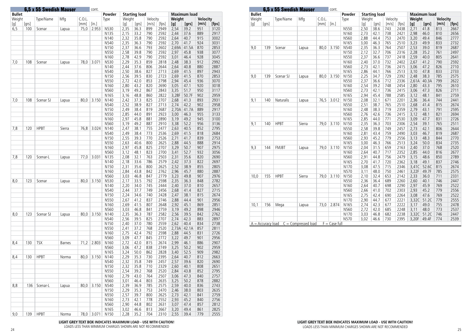| <b>Bullet</b> |       | 6,5 x 55 Swedish Mauser |               |        | cont.      | Powder           |        | <b>Starting load</b> |          |       |        | <b>Maximum load</b> |                 |       |
|---------------|-------|-------------------------|---------------|--------|------------|------------------|--------|----------------------|----------|-------|--------|---------------------|-----------------|-------|
| Weight        |       | Type/Name               | Mfg           | C.0.L. |            | Type             | Weight |                      | Velocity |       | Weight |                     | <b>Velocity</b> |       |
| [g]           |       |                         |               | [mm]   | $[$ in.]   |                  | [g]    |                      | [m/s]    | [fps] |        |                     | [m/s]           | [fps] |
|               | [grs] |                         |               |        |            |                  |        | [grs]                |          |       | [g]    | [grs]               |                 |       |
| 6,5           | 100   | Scenar                  | Lapua         | 75,0   | 2.953      | N530             | 2,35   | 36.3                 | 899      | 2949  | 2,54   | 39.2                | 951             | 3120  |
|               |       |                         |               |        |            | N135             | 2,15   | 33.2                 | 790      | 2592  | 2,44   | 37.6                | 889             | 2917  |
|               |       |                         |               |        |            | N140             | 2,32   | 35.8                 | 790      | 2592  | 2,64   | 40.7                | 915             | 3002  |
|               |       |                         |               |        |            | N540             | 2,35   | 36.3                 | 790      | 2592  | 2,70   | 41.7                | 924             | 3031  |
|               |       |                         |               |        |            | N150             | 2,37   | 36.6                 | 793      | 2602  | 2,69A  | 41.5A               | 870             | 2853  |
|               |       |                         |               |        |            | N550             | 2,58   | 39.8                 | 790      | 2592  | 2,97   | 45.8                | 938             | 3077  |
|               |       |                         |               |        |            | N160             | 2,78   | 42.9                 | 790      | 2592  | 3,01   | 46.4                | 928             | 3045  |
| 7,0           | 108   | Scenar                  | Lapua         | 78,0   | 3.071      | N530             | 2,29   | 35.3                 | 859      | 2818  | 2,48   | 38.3                | 912             | 2992  |
|               |       |                         |               |        |            | N140             |        | 37.6                 | 806      | 2644  |        | 40.8                | 880             | 2887  |
|               |       |                         |               |        |            |                  | 2,44   |                      |          |       | 2,64   |                     |                 |       |
|               |       |                         |               |        |            | N540             | 2,50   | 38.6                 | 827      | 2713  | 2,69   | 41.5                | 897             | 2943  |
|               |       |                         |               |        |            | N150             | 2,56   | 39.5                 | 830      | 2723  | 2,69   | 41.5                | 870             | 2853  |
|               |       |                         |               |        |            | N550             | 2,72   | 42.0                 | 853      | 2798  | 2,94   | 45.4                | 936             | 3070  |
|               |       |                         |               |        |            | N160             | 2,80   | 43.2                 | 820      | 2690  | 3,05   | 47.1                | 920             | 3018  |
|               |       |                         |               |        |            | N560             | 3,19   | 49.2                 | 867      | 2843  | 3,35   | 51.7                | 950             | 3117  |
|               |       |                         |               |        |            | N165             | 3,16   | 48.8                 | 860      | 2822  | 3,28F  | 50.7F               | 902             | 2959  |
| 7,0           | 108   | Scenar SJ               | Lapua         | 80,0   | 3.150      | N140             | 2,42   | 37.3                 | 825      | 2707  | 2,68   | 41.3                | 893             | 2931  |
|               |       |                         |               |        |            | N540             | 2,52   | 38.9                 | 827      | 2713  | 2,74   | 42.2                | 902             | 2958  |
|               |       |                         |               |        |            |                  |        |                      |          |       |        |                     |                 |       |
|               |       |                         |               |        |            | N150             | 2,49   | 38.4                 | 819      | 2687  | 2,70A  | 41.7A               | 889             | 2917  |
|               |       |                         |               |        |            | N550             | 2,85   | 44.0                 | 891      | 2923  | 3,00   | 46.3                | 955             | 3133  |
|               |       |                         |               |        |            | N160             | 2,97   | 45.8                 | 881      | 2890  | 3,19   | 49.2                | 945             | 3100  |
|               |       |                         |               |        |            | N560             | 3,19   | 49.2                 | 887      | 2910  | 3,38   | 52.2                | 956             | 3136  |
| 7,8           | 120   | <b>HPBT</b>             | Sierra        | 76,8   | 3.024      | N140             | 2,47   | 38.1                 | 755      | 2477  | 2,63   | 40.5                | 852             | 2795  |
|               |       |                         |               |        |            | N540             | 2,49   | 38.4                 | 773      | 2536  | 2,69   | 41.5                | 818             | 2684  |
|               |       |                         |               |        |            | N150             | 2,55   | 39.3                 | 770      | 2526  | 2,71   | 41.7                | 839             | 2753  |
|               |       |                         |               |        |            | N550             | 2,63   | 40.6                 | 800      | 2625  | 2,88   | 44.5                | 888             | 2914  |
|               |       |                         |               |        |            |                  |        |                      |          |       |        |                     |                 | 2975  |
|               |       |                         |               |        |            | N160             | 2,97   | 45.8                 | 825      | 2707  | 3,29   | 50.7                | 907             |       |
|               |       |                         |               |        |            | N560             | 3,12   | 48.1                 | 823      | 2700  | 3,41   | 52.7                | 932             | 3056  |
| 7,8           | 120   | Scenar-L                | Lapua         | 77,0   | 3.031      | N135             | 2,08   | 32.1                 | 763      | 2503  | 2,31   | 35.6                | 820             | 2690  |
|               |       |                         |               |        |            | N <sub>140</sub> | 2,18   | 33.6                 | 786      | 2579  | 2,42   | 37.3                | 822             | 2697  |
|               |       |                         |               |        |            | N150             | 2,31   | 35.6                 | 800      | 2625  | 2,52   | 38.9                | 855             | 2805  |
|               |       |                         |               |        |            | N160             | 2,84   | 43.8                 | 842      | 2762  | 2,96   | 45.7                | 880             | 2887  |
|               |       |                         |               |        |            | N560             | 3,03   | 46.8                 | 847      | 2779  | 3,23   | 49.8                | 907             | 2976  |
| 8,0           | 123   | Scenar                  | Lapua         | 80,0   | 3.150      | N530             | 2,17   | 33.5                 | 792      | 2598  | 2,35   | 36.3                | 848             | 2782  |
|               |       |                         |               |        |            | N <sub>140</sub> |        | 34.0                 | 745      | 2444  |        | 37.0                | 810             | 2657  |
|               |       |                         |               |        |            |                  | 2,20   |                      |          |       | 2,40   |                     |                 |       |
|               |       |                         |               |        |            | N540             | 2,44   | 37.7                 | 749      | 2456  | 2,68   | 41.4                | 827             | 2715  |
|               |       |                         |               |        |            | N150             | 2,24   | 34.6                 | 740      | 2428  | 2,47   | 38.1                | 815             | 2674  |
|               |       |                         |               |        |            | N550             | 2,67   | 41.2                 | 837      | 2746  | 2,88   | 44.4                | 901             | 2956  |
|               |       |                         |               |        |            | N160             | 2,69   | 41.5                 | 807      | 2648  | 2,92   | 45.1                | 869             | 2851  |
|               |       |                         |               |        |            | N560             | 3,03   | 46.8                 | 841      | 2759  | 3,19   | 49.2                | 898             | 2946  |
| 8,0           | 123   | Scenar SJ               | Lapua         | 80,0   | 3.150      | N140             | 2,35   | 36.3                 | 787      | 2582  | 2,56   | 39.5                | 842             | 2762  |
|               |       |                         |               |        |            | N540             | 2,56   | 39.5                 | 825      | 2707  | 2,74   | 42.3                | 883             | 2897  |
|               |       |                         |               |        |            | N150             | 2,40   | 37.0                 | 780      | 2559  | 2,62   | 40.4                | 834             | 2738  |
|               |       |                         |               |        |            |                  |        |                      |          |       |        |                     |                 |       |
|               |       |                         |               |        |            | N550             | 2,41   | 37.2                 | 768      | 2520  |        | 2,73A 42.1A         | 857             | 2811  |
|               |       |                         |               |        |            | N160             | 2,75   | 42.4                 | 792      | 2598  | 2,88   | 44.5                | 831             | 2726  |
|               |       |                         |               |        |            | N560             | 3,09   | 47.7                 | 845      | 2772  | 3,22   | 49.7                | 901             | 2956  |
| 8,4           | 130   | <b>TSX</b>              | <b>Barnes</b> | 71,2   | 2.803      | N160             | 2,72   | 42.0                 | 815      | 2674  | 2,99   | 46.1                | 886             | 2907  |
|               |       |                         |               |        |            | N560             | 3,06   | 47.2                 | 838      | 2749  | 3,25   | 50.2                | 902             | 2959  |
|               |       |                         |               |        |            | N165             | 3,24   | 50.0                 | 862      | 2828  | 3,40   | 52.5                | 909             | 2982  |
| 8,4           | 130   | <b>HPBT</b>             | Norma         | 80,0   | 3.150      | N140             | 2,29   | 35.3                 | 730      | 2395  | 2,64   | 40.7                | 812             | 2663  |
|               |       |                         |               |        |            | N540             | 2,32   | 35.8                 | 749      | 2457  | 2,57   | 39.6                | 820             | 2690  |
|               |       |                         |               |        |            |                  |        |                      |          |       |        |                     |                 |       |
|               |       |                         |               |        |            | N150             | 2,32   | 35.8                 | 710      | 2329  | 2,60   | 40.1                | 808             | 2651  |
|               |       |                         |               |        |            | N550             | 2,54   | 39.2                 | 768      | 2520  | 2,84   | 43.8                | 852             | 2795  |
|               |       |                         |               |        |            | N160             | 2,79   | 43.0                 | 764      | 2507  | 3,06   | 47.3                | 840             | 2757  |
|               |       |                         |               |        |            | N560             | 3,01   | 46.4                 | 803      | 2635  | 3,25   | 50.2                | 878             | 2882  |
| 8,8           | 136   | Scenar-L                | Lapua         | 80,0   | 3.150      | N540             | 2,39   | 36.9                 | 785      | 2575  | 2,59   | 40.0                | 836             | 2743  |
|               |       |                         |               |        |            | N150             | 2,29   | 35.3                 | 753      | 2470  | 2,46   | 38.0                | 803             | 2635  |
|               |       |                         |               |        |            | N550             |        |                      |          | 2625  |        |                     |                 | 2759  |
|               |       |                         |               |        |            |                  | 2,57   | 39.7                 | 800      |       | 2,73   | 42.1                | 841             |       |
|               |       |                         |               |        |            | N160             | 2,73   | 42.1                 | 778      | 2552  | 2,93   | 45.2                | 840             | 2756  |
|               |       |                         |               |        |            | N560             | 2,90   | 44.8                 | 802      | 2631  | 3,07   | 47.4                | 857             | 2812  |
|               |       |                         |               |        |            | N165             | 3,02   | 46.6                 | 813      | 2667  | 3,20   | 49.4                | 861             | 2825  |
| 9,0           | 139   | <b>HPBT</b>             | Norma         |        | 78,0 3.071 | N150             | 2,28   | 35.2                 | 704      | 2310  | 2,55   | 39.4                | 779             | 2555  |
|               |       |                         |               |        |            |                  |        |                      |          |       |        |                     |                 |       |

|               |       | 6,5 x 55 Swedish Mauser                   |        |        | cont.           |                  |        |                      |          |       |        |                     |                 |       |
|---------------|-------|-------------------------------------------|--------|--------|-----------------|------------------|--------|----------------------|----------|-------|--------|---------------------|-----------------|-------|
| <b>Bullet</b> |       |                                           |        |        |                 | Powder           |        | <b>Starting load</b> |          |       |        | <b>Maximum load</b> |                 |       |
| Weight        |       | Type/Name                                 | Mfg    | C.0.L. |                 | Type             | Weight |                      | Velocity |       | Weight |                     | <b>Velocity</b> |       |
| [g]           | [grs] |                                           |        | [mm]   | $[$ in.]        |                  | [g]    | [qrs]                | [m/s]    | [fps] | [g]    | [grs]               | [m/s]           | [fps] |
|               |       |                                           |        |        |                 | N550             | 2,50   | 38.6                 | 743      | 2438  | 2,71   | 41.8                | 813             | 2667  |
|               |       |                                           |        |        |                 | N160             | 2,73   | 42.1                 | 738      | 2421  | 2,98   | 46.0                | 810             | 2656  |
|               |       |                                           |        |        |                 | N560             | 2,88   | 44.4                 | 753      | 2470  | 3,20   | 49.4                | 846             | 2777  |
|               |       |                                           |        |        |                 | N165             | 3,00   | 46.3                 | 765      | 2510  | 3,23   | 49.9                | 833             | 2732  |
| 9,0           | 139   | Scenar                                    | Lapua  | 80,0   | 3.150           | N540             | 2,35   | 36.3                 | 764      | 2507  | 2,53   | 39.0                | 819             | 2687  |
|               |       |                                           |        |        |                 | N150             | 2,12   | 32.7                 | 706      | 2316  | 2,28   | 35.2                | 761             | 2497  |
|               |       |                                           |        |        |                 | N550             | 2,37   | 36.6                 | 737      | 2418  | 2,59   | 40.0                | 805             | 2641  |
|               |       |                                           |        |        |                 | N <sub>160</sub> | 2,40   | 37.0                 | 732      | 2402  | 2,67   | 41.2                | 790             | 2592  |
|               |       |                                           |        |        |                 | N560             | 2,73   | 42.1                 | 736      | 2415  | 3,06   | 47.2                | 826             | 2710  |
|               |       |                                           |        |        |                 | N165             | 2,86   | 44.1                 | 766      | 2513  | 3,10   | 47.8                | 833             | 2733  |
| 9,0           | 139   | Scenar SJ                                 | Lapua  | 80,0   | 3.150           | N150             | 2,25   | 34.7                 | 729      | 2392  | 2,48   | 38.3                | 785             | 2575  |
|               |       |                                           |        |        |                 | <b>N550</b>      | 2,37   | 36.6                 | 712      | 2336  | 2,61A  | 40.3A               | 799             | 2622  |
|               |       |                                           |        |        |                 | N160             | 2,54   | 39.2                 | 748      | 2454  | 2,80   | 43.3                | 795             | 2610  |
|               |       |                                           |        |        |                 | N560             | 2,73   | 42.1                 | 736      | 2415  | 3,06   | 47.3                | 826             | 2711  |
|               |       |                                           |        |        |                 | N165             | 2,94   | 45.4                 | 788      | 2585  | 3,12   | 48.1                | 841             | 2759  |
| 9,1           | 140   | Naturalis                                 | Lapua  | 76,5   | 3.012           | N150             | 2,08   | 32.1                 | 671      | 2201  | 2,36   | 36.4                | 744             | 2441  |
|               |       |                                           |        |        |                 | N550             | 2,51   | 38.7                 | 765      | 2510  | 2,68   | 41.4                | 815             | 2674  |
|               |       |                                           |        |        |                 | N160             | 2,48   | 38.3                 | 719      | 2359  | 2,79   | 43.1                | 791             | 2595  |
|               |       |                                           |        |        |                 | N560             | 2,76   | 42.6                 | 736      | 2415  | 3,12   | 48.1                | 821             | 2694  |
|               |       |                                           |        |        |                 | N165             | 2,85   | 44.0                 | 771      | 2530  | 3,09   | 47.7                | 831             | 2726  |
| 9,1           | 140   | <b>HPBT</b>                               | Sierra | 79,0   | 3.110           | N150             | 2,35   | 36.3                 | 703      | 2306  | 2,54   | 39.1                | 765             | 2511  |
|               |       |                                           |        |        |                 | N550             | 2,58   | 39.8                 | 749      | 2457  | 2,73   | 42.1                | 806             | 2644  |
|               |       |                                           |        |        |                 | N160             | 2,81   | 43.4                 | 759      | 2490  | 3,03   | 46.7                | 819             | 2687  |
|               |       |                                           |        |        |                 | N560             | 2,93   | 45.2                 | 779      | 2556  | 3,13   | 48.3                | 844             | 2770  |
|               |       |                                           |        |        |                 | N165             | 3,00   | 46.3                 | 766      | 2513  | 3,24   | 50.0                | 834             | 2735  |
| 9,3           | 144   | <b>FMJBT</b>                              | Lapua  | 79,0   | 3.110           | N150             | 2,04   | 31.5                 | 659      | 2163  | 2,40   | 37.0                | 768             | 2520  |
|               |       |                                           |        |        |                 | N160             | 2,64   | 40.7                 | 717      | 2352  | 2,85   | 44.0                | 816             | 2677  |
|               |       |                                           |        |        |                 | N560             | 2,91   | 44.8                 | 756      | 2479  | 3,15   | 48.6                | 850             | 2789  |
|               |       |                                           |        |        |                 | N165             | 2,70   | 41.7                 | 720      | 2362  | 3,18   | 49.1                | 837             | 2746  |
|               |       |                                           |        |        |                 | N170             | 3,08   | 47.5                 | 715      | 2346  | 3,41C  | 52.6C               | 815             | 2674  |
|               |       |                                           |        |        |                 | N570             | 3,11   | 48.0                 | 750      | 2461  | 3,22F  | 49.7F               | 785             | 2575  |
| 10,0          | 155   | <b>HPBT</b>                               | Sierra | 79,0   | 3.110           | N150             | 2,10   | 32.4                 | 653      | 2142  | 2,33   | 36.0                | 711             | 2331  |
|               |       |                                           |        |        |                 | N550             | 2,36   | 36.4                 | 689      | 2260  | 2,60   | 40.1                | 746             | 2447  |
|               |       |                                           |        |        |                 | N160             | 2,64   | 40.7                 | 698      | 2290  | 2,97   | 45.9                | 769             | 2522  |
|               |       |                                           |        |        |                 | N560             | 2,66   | 41.0                 | 702      | 2303  | 2,93   | 45.2                | 779             | 2556  |
|               |       |                                           |        |        |                 | N165             | 2,75   | 42.4                 | 690      | 2264  | 3,08   | 47.6                | 769             | 2522  |
|               |       |                                           |        |        |                 | N170             | 2,90   | 44.7                 | 677      | 2221  | 3,32C  | 51.2C               | 779             | 2555  |
| 10,1          | 156   | Mega                                      | Lapua  | 73,0   | 2.874           | N165             | 2,74   | 42.3                 | 677      | 2222  | 3,17   | 49.0                | 755             | 2478  |
|               |       |                                           |        |        |                 | N560             | 2,72   | 42.0                 | 685      | 2248  | 3,11   | 48.0                | 773             | 2537  |
|               |       |                                           |        |        |                 | N170             | 3,03   | 46.8                 | 682      | 2238  | 3,32C  | 51.2C               | 746             | 2447  |
|               |       |                                           |        |        |                 | N570             | 3,02   | 46.6                 | 730      | 2395  | 3,20F  | 49.4F               | 774             | 2539  |
|               |       | $A =$ Accuracy load $C =$ Compressed load |        |        | $F = Case full$ |                  |        |                      |          |       |        |                     |                 |       |
|               |       |                                           |        |        |                 |                  |        |                      |          |       |        |                     |                 |       |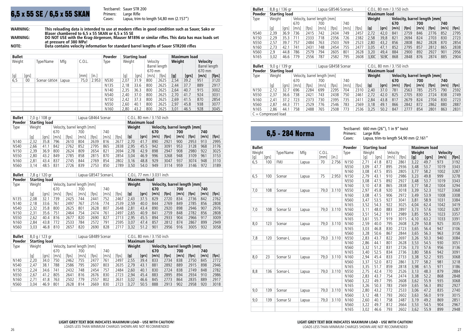### 6,5 x 55 SE / 6,5 x 55 SKAN

Test barrel: Sauer STR 200 Primers: Large Rifle Cases: Lapua, trim-to length 54,80 mm (2.157")

WARNING: This reloading data is intended to use at modern rifles in good condition such as Sauer, Sako or<br>Blaser chambered to 6,5 x 55 SKAN or 6,5 x 55 SE<br>WARNING: DO NOT USE with the Krag-Jörgensen, Mauser M1896 or simila

| <b>Bullet</b> |       |              |       |             |             | Powder           |        | <b>Starting load</b> |          |               |        | <b>Maximum load</b> |                         |       |
|---------------|-------|--------------|-------|-------------|-------------|------------------|--------|----------------------|----------|---------------|--------|---------------------|-------------------------|-------|
| Weight        |       | Type/Name    | Mfg   | C.0.L.      |             | Type             | Weight |                      | Velocity |               | Weight |                     | <b>Velocity</b>         |       |
|               |       |              |       |             |             |                  |        |                      | 670 mm   | Barrel length |        |                     | Barrel length<br>670 mm |       |
| [g]           | [grs] |              |       | <i>Imml</i> | $[$ in. $]$ |                  | [g]    | [qrs]                | [m/s]    | [fps]         | [g]    | [grs]               | [m/s]                   | [fps] |
| 6,5           | 00    | Scenar GB504 | Lapua | 75,0        | 2.953       | N530             | 2,07   | 31.9                 | 800      | 2625          | 2,54   | 39.2                | 951                     | 3120  |
|               |       |              |       |             |             | N <sub>135</sub> | 2,18   | 33.6                 | 800      | 2625          | 2,44   | 37.7                | 889                     | 2917  |
|               |       |              |       |             |             | N <sub>140</sub> | 2,35   | 36.3                 | 800      | 2625          | 2,64   | 40.7                | 915                     | 3002  |
|               |       |              |       |             |             | N540             | 2,40   | 37.0                 | 800      | 2625          | 2.70   | 41.7                | 924                     | 3031  |
|               |       |              |       |             |             | N <sub>150</sub> | 2,42   | 37.3                 | 800      | 2625          | 2,69   | 41.5                | 870                     | 2854  |
|               |       |              |       |             |             | N550             | 2,60   | 40.1                 | 800      | 2625          | 2,97   | 45.8                | 938                     | 3077  |
|               |       |              |       |             |             | N <sub>160</sub> | 2.80   | 43.2                 | 800      | 2625          | 3.01   | 46.5                | 928                     | 3045  |

| <b>Bullet</b>    | 7.0 g / 108 gr<br>Lapua GB464 Scenar |                      |                     |                              |       |       |       |               | C.O.L. 80 mm / 3.150 inch |                           |       |                              |       |       |       |       |
|------------------|--------------------------------------|----------------------|---------------------|------------------------------|-------|-------|-------|---------------|---------------------------|---------------------------|-------|------------------------------|-------|-------|-------|-------|
| Powder           |                                      | <b>Starting load</b> |                     |                              |       |       |       |               |                           | Maximum load              |       |                              |       |       |       |       |
| Type             | Weight                               |                      |                     | Velocity, barrel length [mm] |       |       |       |               | Weight                    |                           |       | Velocity, barrel length [mm] |       |       |       |       |
|                  |                                      |                      | 670                 |                              | 700   |       | 740   |               |                           |                           | 670   |                              | 700   |       | 740   |       |
|                  | [g]                                  | [grs]                | $\lceil m/s \rceil$ | [fps]                        | [m/s] | [fps] | [m/s] | $[{\rm fps}]$ | [g]                       | [grs]                     | [m/s] | [fps]                        | [m/s] | [fps] | [m/s] | [fps] |
| N <sub>140</sub> | 2,32                                 | 35.8                 | 796                 | 2610                         | 804   | 2639  | 816   | 2677          | 2,70                      | 41.7                      | 890   | 2921                         | 900   | 2953  | 913   | 2995  |
| N540             | 2,66                                 | 41.1                 | 842                 | 2762                         | 852   | 2795  | 865   | 2838          | 2,95                      | 45.5                      | 942   | 3091                         | 953   | 3128  | 968   | 3176  |
| N150             | 2,39                                 | 36.9                 | 800                 | 2624                         | 809   | 2654  | 821   | 2694          | 2,78                      | 42.9                      | 898   | 2947                         | 908   | 2980  | 922   | 3025  |
| N550             | 2,80                                 | 43.2                 | 849                 | 2785                         | 858   | 2815  | 870   | 2854          | 3,04                      | 46.9                      | 996   | 3268                         | 948   | 3109  | 961   | 3153  |
| N <sub>160</sub> | 2,81                                 | 43.4                 | 837                 | 2745                         | 844   | 2769  | 854   | 2802          | 3,16                      | 48.8                      | 929   | 3047                         | 937   | 3074  | 948   | 3110  |
| N560             | 3,14                                 | 48.5                 | 831                 | 2726                         | 839   | 2753  | 850   | 2789          | 3,50                      | 54.0                      | 949   | 3114                         | 959   | 3146  | 972   | 3189  |
|                  |                                      |                      |                     |                              |       |       |       |               |                           |                           |       |                              |       |       |       |       |
| <b>Bullet</b>    |                                      | 7,8 g / 120 gr       |                     |                              |       |       |       |               |                           | C.O.L. 77 mm / 3.031 inch |       |                              |       |       |       |       |
|                  |                                      |                      |                     | Lapua GB547 Scenar-L         |       |       |       |               |                           |                           |       |                              |       |       |       |       |
| Powder           |                                      | <b>Starting load</b> |                     |                              |       |       |       |               |                           | Maximum load              |       |                              |       |       |       |       |
| Type             | Weight                               |                      |                     | Velocity, barrel length [mm] |       |       |       |               | Weight                    |                           |       | Velocity, barrel length [mm] |       |       |       |       |
|                  |                                      |                      | 670                 |                              | 700   |       | 740   |               |                           |                           | 670   |                              | 700   |       | 740   |       |
|                  | [g]                                  | [grs]                | [m/s]               | $[{\rm fps}]$                | [m/s] | [fps] | [m/s] | [fps]         | [g]                       | [grs]                     | [m/s] | [fps]                        | [m/s] | [fps] | [m/s] | [fps] |
| N <sub>135</sub> | 2,08                                 | 32.1                 | 739                 | 2425                         | 744   | 2441  | 752   | 2467          | 2,43                      | 37.5                      | 829   | 2720                         | 834   | 2736  | 842   | 2762  |
| N140             | 2,18                                 | 33.6                 | 761                 | 2497                         | 767   | 2516  | 774   | 2539          | 2,59                      | 40.0                      | 844   | 2769                         | 849   | 2785  | 856   | 2808  |
| N540             | 2,32                                 | 35.8                 | 800                 | 2625                         | 801   | 2628  | 807   | 2648          | 2,81                      | 43.4                      | 890   | 2920                         | 898   | 2946  | 907   | 2976  |
| N150             | 2,31                                 | 35.6                 | 751                 | 2464                         | 754   | 2474  | 761   | 2497          | 2,65                      | 40.9                      | 841   | 2759                         | 848   | 2782  | 856   | 2808  |
| N550             | 2,62                                 | 40.4                 | 816                 | 2677                         | 820   | 2690  | 827   | 2713          | 2,95                      | 45.5                      | 894   | 2933                         | 904   | 2966  | 917   | 3009  |
| N <sub>160</sub> | 2,84                                 | 43.8                 | 772                 | 2533                         | 784   | 2572  | 791   | 2595          | 3,07                      | 47.4                      | 857   | 2812                         | 874   | 2867  | 899   | 2949  |
| N560             | 3,03                                 | 46.8                 | 810                 | 2657                         | 820   | 2690  | 828   | 2717          | 3,32                      | 51.2                      | 901   | 2956                         | 916   | 3005  | 932   | 3058  |

| <b>Bullet</b>    | 8.0 g / 123 gr       |       |     |               |                              | Lapua GB489 Scenar |     |       |        |                     | C.O.L. 80 mm / 3.150 inch |                              |       |       |       |       |
|------------------|----------------------|-------|-----|---------------|------------------------------|--------------------|-----|-------|--------|---------------------|---------------------------|------------------------------|-------|-------|-------|-------|
| Powder           | <b>Starting load</b> |       |     |               |                              |                    |     |       |        | <b>Maximum load</b> |                           |                              |       |       |       |       |
| Type             | Weight               |       |     |               | Velocity, barrel length [mm] |                    |     |       | Weight |                     |                           | Velocity, barrel length [mm] |       |       |       |       |
|                  |                      |       | 670 | 700           |                              |                    |     |       |        |                     | 670                       |                              | 700   |       | 740   |       |
|                  | [g]                  | [grs] | m/s | $[{\rm fps}]$ | [m/s]                        | [fps]              | m/s | [fps] | [g]    | [grs]               | [m/s]                     | [fps]                        | [m/s] | [fps] | [m/s] | [fps] |
| N <sub>140</sub> | 2.20                 | 34.0  | 750 | 2462          | 755                          | 2477               | 761 | 2497  | 2.55   | 39.4                | 833                       | 2734                         | 838   | 2750  | 845   | 2772  |
| N540             | 2.47                 | 38.1  | 788 | 2586          | 795                          | 2607               | 803 | 2635  | 2.79   | 43.1                | 881                       | 2892                         | 889   | 2915  | 898   | 2946  |
| N <sub>150</sub> | 2.24                 | 34.6  | 741 | 2432          | 748                          | 2454               | 757 | 2484  | 2.60   | 40.1                | 830                       | 2724                         | 838   | 2749  | 848   | 2782  |
| N550             | 2.67                 | 41.2  | 805 | 2641          | 816                          | 2676               | 830 | 2723  | 2.94   | 45.4                | 883                       | 2895                         | 894   | 2934  | 910   | 2986  |
| N <sub>160</sub> | 2.71                 | 41.8  | 763 | 2502          | 779                          | 2557               | 802 | 2631  | 3.02   | 46.6                | 845                       | 2773                         | 864   | 2835  | 889   | 2917  |
| N560             | 3.04                 | 46.9  | 801 | 2628          | 814                          | 2669               | 830 | 2723  | 3.27   | 50.5                | 888                       | 2913                         | 902   | 2958  | 920   | 3018  |
|                  |                      |       |     |               |                              |                    |     |       |        |                     |                           |                              |       |       |       |       |

| <b>Bullet</b>         |        | Lapua GB546 Scenar-L<br>$8,8$ g $/$ 136 gr<br><b>Starting load</b> |       |                              |       |                    |       |               |        |                     | C.O.L. 80 mm / 3.150 inch |                              |       |       |       |       |
|-----------------------|--------|--------------------------------------------------------------------|-------|------------------------------|-------|--------------------|-------|---------------|--------|---------------------|---------------------------|------------------------------|-------|-------|-------|-------|
| Powder                |        |                                                                    |       |                              |       |                    |       |               |        | <b>Maximum load</b> |                           |                              |       |       |       |       |
| Type                  | Weight |                                                                    |       | Velocity, barrel length [mm] |       |                    |       |               | Weight |                     |                           | Velocity, barrel length [mm] |       |       |       |       |
|                       |        |                                                                    | 670   |                              | 700   |                    | 740   |               |        |                     | 670                       |                              | 700   |       | 740   |       |
|                       | [g]    | grs                                                                | [m/s] | $[{\text{fps}}]$             | [m/s] | [fps]              | [m/s] | $[{\rm fps}]$ | [g]    | [grs]               | [m/s]                     | [fps]                        | [m/s] | [fps] | [m/s] | [fps] |
| N540                  | 2,39   | 36.9                                                               | 736   | 2415                         | 742   | 2434               | 749   | 2457          | 2,72   | 42,0                | 841                       | 2759                         | 846   | 2776  | 852   | 2795  |
| N150                  | 2,29   | 35.3                                                               | 711   | 2333                         | 718   | 2356               | 726   | 2382          | 2,58   | 39,8                | 821                       | 2694                         | 824   | 2703  | 830   | 2723  |
| N550                  | 2,57   | 39.7                                                               | 757   | 2484                         | 763   | 2503               | 769   | 2523          | 2,80   | 43,2                | 856                       | 2808                         | 862   | 2828  | 870   | 2854  |
| N <sub>160</sub>      | 2,73   | 42.1                                                               | 741   | 2431                         | 748   | 2454               | 755   | 2477          | 3,05   | 47,1                | 852                       | 2795                         | 857   | 2812  | 865   | 2838  |
| N560                  | 2,9    | 44.8                                                               | 786   | 2579                         | 794   | 2605               | 801   | 2628          | 3,20   | 49,4                | 884                       | 2900                         | 892   | 2927  | 901   | 2956  |
| N165                  | 3,02   | 46.6                                                               | 779   | 2556                         | 787   | 2582               | 795   | 2608          | 3,30C  | 50.9C               | 868                       | 2848                         | 876   | 2874  | 885   | 2904  |
|                       |        |                                                                    |       |                              |       |                    |       |               |        |                     |                           |                              |       |       |       |       |
| <b>Bullet</b>         |        | 9.0 q / 139 qr                                                     |       |                              |       | Lapua GB458 Scenar |       |               |        |                     | C.O.L. 80 mm / 3.150 inch |                              |       |       |       |       |
| <b>Powder</b>         |        | <b>Starting load</b>                                               |       |                              |       |                    |       |               |        | <b>Maximum load</b> |                           |                              |       |       |       |       |
| Type                  | Weight |                                                                    |       | Velocity, barrel length [mm] |       |                    |       |               | Weight |                     |                           | Velocity, barrel length [mm] |       |       |       |       |
|                       |        |                                                                    | 670   |                              | 700   |                    | 740   |               |        |                     | 670                       |                              | 700   |       | 740   |       |
|                       | [g]    | [grs]                                                              | [m/s] | $[{\rm fps}]$                | [m/s] | [fps]              | [m/s] | [fps]         | [g]    | [grs]               | [m/s]                     | [fps]                        | [m/s] | [fps] | [m/s] | [fps] |
| N150                  | 2,12   | 32.7                                                               | 696   | 2284                         | 699   | 2295               | 704   | 2310          | 2,40   | 37.0                | 781                       | 2563                         | 785   | 2575  | 790   | 2592  |
| N550                  | 2,37   | 36.6                                                               | 738   | 2421                         | 743   | 2438               | 750   | 2461          | 2,72   | 42.0                | 825                       | 2705                         | 830   | 2724  | 838   | 2749  |
| N <sub>160</sub>      | 2,41   | 37.2                                                               | 723   | 2373                         | 730   | 2395               | 735   | 2411          | 2,84   | 43.8                | 817                       | 2679                         | 824   | 2704  | 830   | 2723  |
| N560                  | 2,87   | 44.3                                                               | 771   | 2529                         | 776   | 2546               | 783   | 2569          | 3,18   | 49.1                | 866                       | 2842                         | 872   | 2862  | 880   | 2887  |
| N <sub>165</sub>      | 2,86   | 44.1                                                               | 758   | 2488                         | 765   | 2508               | 773   | 2536          | 3,25   | 50.2                | 847                       | 2777                         | 854   | 2801  | 863   | 2831  |
| $C =$ Compressed load |        |                                                                    |       |                              |       |                    |       |               |        |                     |                           |                              |       |       |       |       |

### 6,5 - 284 Norma

#### Test barrel: 660 mm (26"), 1 in 9" twist<br>Primers: Large Rifle Large Rifle Cases: Lapua, trim-to length 54,90 mm (2.161"

| <b>Bullet</b> |       |            |       |        |       | Powder           |        | <b>Starting load</b> |          |       |        | <b>Maximum load</b> |                 |       |
|---------------|-------|------------|-------|--------|-------|------------------|--------|----------------------|----------|-------|--------|---------------------|-----------------|-------|
| Weight        |       | Type/Name  | Mfg   | C.0.L. |       | Type             | Weight |                      | Velocity |       | Weight |                     | <b>Velocity</b> |       |
| <u>[g]</u>    | [qrs] |            |       | [mm]   | [in.] |                  | [g]    | [ars]                | [m/s]    | [fps] | [g]    | [qrs]               | [m/s]           | [fps] |
| 6, 5          | 100   | <b>FMJ</b> | Lapua | 70     | 2.756 | N150             | 2,71   | 41.8                 | 872      | 2861  | 3,22   | 49.7                | 973             | 3192  |
|               |       |            |       |        |       | N550             | 3,09   | 47.7                 | 895      | 2936  | 3,48   | 53.7                | 1019            | 3343  |
|               |       |            |       |        |       | N <sub>160</sub> | 3,08   | 47.5                 | 855      | 2805  | 3,77   | 58.2                | 1002            | 3287  |
| 6,5           | 100   | Scenar     | Lapua | 75     | 2.953 | N150             | 2,79   | 43.1                 | 910      | 2986  | 3,23   | 49.8                | 999             | 3278  |
|               |       |            |       |        |       | N550             | 3,08   | 47.5                 | 892      | 2927  | 3,48   | 53.7                | 1019            | 3343  |
|               |       |            |       |        |       | N160             | 3,10   | 47.8                 | 865      | 2838  | 3,77   | 58.2                | 1004            | 3294  |
| 7,0           | 108   | Scenar     | Lapua | 79,0   | 3.110 | N550             | 2,97   | 45.8                 | 920      | 3018  | 3,39   | 52.3                | 1027            | 3368  |
|               |       |            |       |        |       | N <sub>160</sub> | 3,08   | 47.5                 | 906      | 2972  | 3,49   | 53.9                | 1008            | 3308  |
|               |       |            |       |        |       | N560             | 3,47   | 53.5                 | 927      | 3041  | 3,81   | 58.9                | 1031            | 3384  |
|               |       |            |       |        |       | N <sub>165</sub> | 3,52   | 54.3                 | 922      | 3025  | 4,04   | 62.4                | 1042            | 3419  |
| 7,0           | 108   | Scenar SJ  | Lapua | 79,0   | 3.110 | N160             | 3,11   | 48.0                 | 883      | 2897  | 3,73   | 57.6                | 1002            | 3287  |
|               |       |            |       |        |       | N560             | 3,51   | 54.2                 | 911      | 2989  | 3,85   | 59.5                | 1023            | 3357  |
|               |       |            |       |        |       | N <sub>165</sub> | 3,61   | 55.7                 | 919      | 3015  | 4,10   | 63.2                | 1033            | 3391  |
| 8,0           | 123   | Scenar     | Lapua | 79,0   | 3.110 | N160             | 2,59   | 40.0                 | 795      | 2608  | 3,29   | 50.8                | 925             | 3035  |
|               |       |            |       |        |       | N <sub>165</sub> | 3,03   | 46.8                 | 830      | 2723  | 3,65   | 56.4                | 947             | 3106  |
|               |       |            |       |        |       | N560             | 3,28   | 50.6                 | 867      | 2844  | 3,65   | 56.3                | 963             | 3158  |
| 7,8           | 120   | Scenar-L   | Lapua | 79,0   | 3.110 | N550             | 2,83   | 43.7                 | 822      | 2697  | 3,26   | 50.3                | 940             | 3084  |
|               |       |            |       |        |       | N <sub>160</sub> | 2,86   | 44.1                 | 801      | 2628  | 3,53   | 54.5                | 930             | 3051  |
|               |       |            |       |        |       | N560             | 3,32   | 51.2                 | 831      | 2726  | 3,73   | 57.6                | 956             | 3136  |
|               |       |            |       |        |       | N165             | 3,40   | 52.5                 | 834      | 2736  | 3,80   | 58.6                | 942             | 3091  |
| 8,0           | 23    | Scenar SJ  | Lapua | 79,0   | 3.110 | N160             | 2,94   | 45.4                 | 833      | 2733  | 3,38   | 52.2                | 935             | 3068  |
|               |       |            |       |        |       | N560             | 3,37   | 52.0                 | 872      | 2861  | 3,77   | 58.2                | 981             | 3218  |
|               |       |            |       |        |       | N165             | 3,35   | 51.7                 | 859      | 2818  | 3,98   | 61.5                | 971             | 3186  |
| 8,8           | 136   | Scenar-L   | Lapua | 79,0   | 3.110 | N550             | 2,75   | 42.4                 | 770      | 2526  | 3,13   | 48.3                | 879             | 2884  |
|               |       |            |       |        |       | N160             | 2,83   | 43.7                 | 754      | 2474  | 3,38   | 52.2                | 868             | 2848  |
|               |       |            |       |        |       | N560             | 3,22   | 49.7                 | 795      | 2608  | 3,62   | 55.9                | 935             | 3068  |
|               |       |            |       |        |       | N <sub>165</sub> | 3,26   | 50.3                 | 783      | 2569  | 3,65   | 56.3                | 892             | 2927  |
| 9,0           | 139   | Scenar     | Lapua | 79,0   | 3.110 | N <sub>160</sub> | 2,80   | 43.2                 | 772      | 2533  | 3,06   | 47.2                | 835             | 2740  |
|               |       |            |       |        |       | N560             | 3,12   | 48.1                 | 793      | 2602  | 3,63   | 56.0                | 919             | 3015  |
| 9,0           | 139   | Scenar SJ  | Lapua | 79,0   | 3.110 | N <sub>160</sub> | 2,60   | 40.1                 | 758      | 2487  | 3,19   | 49.2                | 869             | 2851  |
|               |       |            |       |        |       | N560             | 3,22   | 49.7                 | 812      | 2664  | 3,53   | 54.5                | 904             | 2967  |
|               |       |            |       |        |       | N <sub>165</sub> | 3,02   | 46.6                 | 793      | 2602  | 3,62   | 55.9                | 899             | 2948  |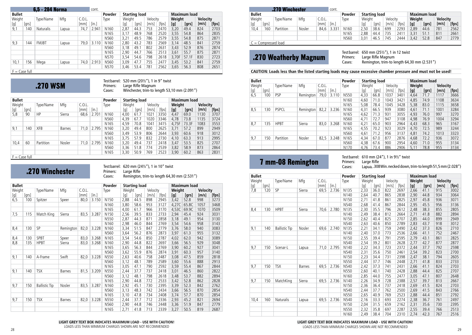|                 |       | 6,5 - 284 Norma  |       |        | cont.    |                  |        |                      |          |       |        |                     |                 |       |
|-----------------|-------|------------------|-------|--------|----------|------------------|--------|----------------------|----------|-------|--------|---------------------|-----------------|-------|
| <b>Bullet</b>   |       |                  |       |        |          | Powder           |        | <b>Starting load</b> |          |       |        | <b>Maximum load</b> |                 |       |
| Weight          |       | Type/Name        | Mfg   | C.0.L. |          | Type             | Weight |                      | Velocity |       | Weight |                     | <b>Velocity</b> |       |
| [g]             | [grs] |                  |       | mm     | $[$ in.] |                  | [g]    | [grs]                | [m/s]    | [fps] | [g]    | [grs]               | [m/s]           | [fps] |
| 9,1             | 140   | <b>Naturalis</b> | Lapua | 74.7   | 2.941    | N <sub>160</sub> | 2,87   | 44.3                 | 753      | 2470  | 3.20   | 49.4                | 824             | 2703  |
|                 |       |                  |       |        |          | N <sub>165</sub> | 3,17   | 48.9                 | 768      | 2520  | 3,55   | 54.8                | 864             | 2835  |
|                 |       |                  |       |        |          | N560             | 3,21   | 49.5                 | 786      | 2579  | 3,55   | 54.8                | 875             | 2871  |
| 9,3             | 144   | <b>FMJBT</b>     | Lapua | 79,0   | 3.110    | N <sub>160</sub> | 2,80   | 43.2                 | 783      | 2569  | 3,14   | 48.5                | 841             | 2759  |
|                 |       |                  |       |        |          | N560             | 3.18   | 49.1                 | 802      | 2631  | 3,43   | 52.9                | 876             | 2874  |
|                 |       |                  |       |        |          | N <sub>165</sub> | 2,90   | 44.7                 | 766      | 2513  | 3,61   | 55.7                | 875             | 2871  |
|                 |       |                  |       |        |          | N570             | 3,54   | 54.6                 | 798      | 2618  | 3,70F  | 57.1F               | 830             | 2723  |
| 10,1            | 156   | Mega             | Lapua | 74.0   | 2.913    | N560             | 3.09   | 47.7                 | 755      | 2477  | 3,45   | 53.2                | 841             | 2759  |
|                 |       |                  |       |        |          | N570             | 3,46   | 53.4                 | 781      | 2562  | 3,65   | 56.3                | 808             | 2651  |
| $F = Case full$ |       |                  |       |        |          |                  |        |                      |          |       |        |                     |                 |       |

### .270 WSM

Test barrel: 520 mm (201/2"), 1 in 9" twist<br>Primers: Large Rifle Magnum Primers: Large Rifle Magnum<br>Cases: Winchester, trim-to le Winchester, trim-to length 53,10 mm (2.091")

| <b>Bullet</b> |                 |            |               | Powder |             | <b>Starting load</b> |            |       |          | <b>Maximum load</b> |        |       |          |       |
|---------------|-----------------|------------|---------------|--------|-------------|----------------------|------------|-------|----------|---------------------|--------|-------|----------|-------|
| Weight        |                 | Type/Name  | Mfg           | C.0.L. |             | Type                 | Weight     |       | Velocity |                     | Weight |       | Velocity |       |
| [g]           | [grs]           |            |               | lmml   | $[$ in. $]$ |                      | <u>lgl</u> | [qrs] | [m/s]    | [fps]               | [g]    | [grs] | [m/s]    | [fps] |
| 5,8           | 90              | HP         | Sierra        | 68,6   | 2.701       | N <sub>160</sub>     | 4,00       | 61.7  | 1021     | 3350                | 4,47   | 69.0  | 1130     | 3707  |
|               |                 |            |               |        |             | N560                 | 4,39       | 67.7  | 1020     | 3346                | 4,78   | 73.8  | 1135     | 3724  |
|               |                 |            |               |        |             | N <sub>165</sub>     | 4,59       | 70.8  | 1041     | 3415                | 4,75F  | 73.3F | 1083     | 3553  |
| 9,1           | 140             | <b>XFB</b> | <b>Barnes</b> | 71.0   | 2.795       | N <sub>160</sub>     | 3,20       | 49.4  | 800      | 2625                | 3,71   | 57.2  | 899      | 2949  |
|               |                 |            |               |        |             | N560                 | 3,49       | 53.9  | 806      | 2644                | 3,93   | 60.6  | 918      | 3012  |
|               |                 |            |               |        |             | N <sub>165</sub>     | 3,75       | 57.9  | 832      | 2730                | 4,10   | 63.3  | 913      | 2995  |
| 10,4          | 60              | Partition  | Nosler        | 71.0   | 2.795       | N <sub>160</sub>     | 3,20       | 49.4  | 737      | 2418                | 3,47   | 53.5  | 825      | 2707  |
|               |                 |            |               |        |             | N560                 | 3,36       | 51.8  | 774      | 2539                | 3,82   | 58.9  | 873      | 2864  |
|               |                 |            |               |        |             | N <sub>165</sub>     | 3,30       | 50.9  | 769      | 2523                | 3,90   | 60.2  | 863      | 2831  |
|               | $F = Case full$ |            |               |        |             |                      |            |       |          |                     |        |       |          |       |

#### .270 Winchester

Test barrel: 620 mm (241/2"), 1 in 10" twist<br>Primers: Large Rifle Primers: Large Rifle<br>Cases: Remington Emgermington, trim-to length  $64,30$  mm  $(2.531")$ 

| <b>Bullet</b> |       |                      |               |        |          | <b>Powder</b>    |        | <b>Starting load</b> |          |       |        | <b>Maximum load</b> |                 |       |
|---------------|-------|----------------------|---------------|--------|----------|------------------|--------|----------------------|----------|-------|--------|---------------------|-----------------|-------|
| Weight        |       | Type/Name            | Mfg           | C.0.L. |          | Type             | Weight |                      | Velocity |       | Weight |                     | <b>Velocity</b> |       |
| [g]           | [grs] |                      |               | [mm]   | $[$ in.] |                  | [g]    | [grs]                | [m/s]    | [fps] | [g]    | [grs]               | [m/s]           | [fps] |
| 6, 5          | 100   | Spitzer              | Speer         | 80,0   | 3.150    | N150             | 2,88   | 44.5                 | 898      | 2945  | 3,42   | 52.8                | 998             | 3273  |
|               |       |                      |               |        |          | N <sub>160</sub> | 3,80   | 58.6                 | 953      | 3127  | 4,27C  | 65.8C               | 1057            | 3468  |
|               |       |                      |               |        |          | N165             | 4,00   | 61.7                 | 966      | 3170  | 4,53C  | 69.9C               | 1070            | 3509  |
| 7,5           | 115   | Match King           | Sierra        | 83,5   | 3.287    | N150             | 2,56   | 39.5                 | 833      | 2733  | 2,94   | 45.4                | 924             | 3031  |
|               |       |                      |               |        |          | N550             | 2,87   | 44.3                 | 871      | 2858  | 3,18   | 49.1                | 954             | 3130  |
|               |       |                      |               |        |          | N160             | 2,98   | 46.0                 | 844      | 2769  | 3,54   | 54.6                | 958             | 3143  |
| 8,4           | 130   | SP                   | Remington     | 82,0   | 3.228    | N160             | 3,34   | 51.5                 | 847      | 2779  | 3,76   | 58.0                | 940             | 3083  |
|               |       |                      |               |        |          | N560             | 3,64   | 56.2                 | 876      | 2873  | 3,97   | 61.3                | 955             | 3132  |
| 8,4           | 130   | <b>SPBT</b>          | Speer         | 83,0   | 3.268    | N <sub>165</sub> | 3,54   | 54.6                 | 850      | 2787  | 4,02   | 62.0                | 942             | 3089  |
| 8,8           | 135   | <b>HPBT</b>          | Sierra        | 83,0   | 3.268    | N <sub>160</sub> | 2,90   | 44.8                 | 822      | 2697  | 3,66   | 56.5                | 929             | 3048  |
|               |       |                      |               |        |          | N <sub>165</sub> | 3,65   | 56.3                 | 844      | 2769  | 3,90   | 60.2                | 927             | 3041  |
|               |       |                      |               |        |          | N560             | 3,62   | 55.9                 | 876      | 2874  | 3,91   | 60.3                | 957             | 3140  |
| 9,1           | 140   | A-Frame              | Swift         | 82,0   | 3.228    | N550             | 2,63   | 40.6                 | 758      | 2487  | 3,08   | 47.5                | 859             | 2818  |
|               |       |                      |               |        |          | N560             | 3,12   | 48.1                 | 789      | 2589  | 3,60   | 55.6                | 888             | 2913  |
|               |       |                      |               |        |          | N165             | 3,05   | 47.1                 | 790      | 2592  | 3,59   | 55.4                | 867             | 2844  |
| 9,1           | 140   | <b>TSX</b>           | <b>Barnes</b> | 81,5   | 3.209    | N550             | 2,44   | 37.7                 | 737      | 2418  | 3,01   | 46.5                | 860             | 2822  |
|               |       |                      |               |        |          | N560             | 3,12   | 48.1                 | 798      | 2618  | 3,48   | 53.7                | 882             | 2894  |
|               |       |                      |               |        |          | N165             | 2,90   | 44.8                 | 772      | 2533  | 3,42   | 52.8                | 862             | 2828  |
| 9,7           | 150   | <b>Ballistic Tip</b> | Nosler        | 83,5   | 3.287    | N <sub>160</sub> | 2,92   | 45.1                 | 730      | 2395  | 3,39   | 52.3                | 842             | 2762  |
|               |       |                      |               |        |          | N560             | 3,13   | 48.3                 | 742      | 2434  | 3,66   | 56.5                | 870             | 2854  |
|               |       |                      |               |        |          | N165             | 3,10   | 47.8                 | 734      | 2408  | 3,74   | 57.7                | 870             | 2854  |
| 9,7           | 150   | <b>TSX</b>           | <b>Barnes</b> | 82,0   | 3.228    | N550             | 2,44   | 37.7                 | 712      | 2336  | 2,93   | 45.2                | 821             | 2694  |
|               |       |                      |               |        |          | N560             | 2,90   | 44.8                 | 746      | 2448  | 3,36   | 51.9                | 847             | 2779  |
|               |       |                      |               |        |          | N <sub>165</sub> | 2,71   | 41.8                 | 713      | 2339  | 3,27   | 50.5                | 819             | 2687  |

|               |       | .270 Winchester       |        |             | cont. |                  |        |                      |          |       |        |              |                 |       |
|---------------|-------|-----------------------|--------|-------------|-------|------------------|--------|----------------------|----------|-------|--------|--------------|-----------------|-------|
| <b>Bullet</b> |       |                       |        |             |       | Powder           |        | <b>Starting load</b> |          |       |        | Maximum load |                 |       |
| Weight        |       | Type/Name             | Mfg    | C.0.L.      |       | Type             | Weiaht |                      | Velocity |       | Weight |              | <b>Velocity</b> |       |
| [g]           | [grs] |                       |        | <i>Imml</i> | lin.  |                  | [g]    | [grs]                | [m/s]    | [fps] | [g]    | [grs]        | [m/s]           | [fps] |
| 10,4          | 160   | Partition             | Nosler | 84.6        | 3.331 | N <sub>160</sub> | 2.50   | 38.6                 | 699      | 2293  | 2.89   | 44.6         | 781             | 2562  |
|               |       |                       |        |             |       | N <sub>165</sub> | 2.88   | 44.4                 | 735      | 2411  | 3,31   | 51.1         | 811             | 2661  |
|               |       |                       |        |             |       | N560             | 3,01   | 46.5                 | 745      | 2444  | 3.42   | 52.8         | 847             | 2779  |
|               |       | $C =$ Compressed load |        |             |       |                  |        |                      |          |       |        |              |                 |       |

### .270 Weatherby Magnum

Test barrel: 650 mm (25½"), 1 in 12 twist<br>Primers: Large Rifle Magnum Primers: Large Rifle Magnum<br>Cases: Remington, trim-to le Remington, trim-to length 64,30 mm (2.531")

**CAUTION: Loads less than the listed starting loads may cause excessive chamber pressure and must not be used!**

| <b>Bullet</b> |       |              |           |        |             | Powder           |        | <b>Starting load</b> |          |                  |        | Maximum load |                 |       |
|---------------|-------|--------------|-----------|--------|-------------|------------------|--------|----------------------|----------|------------------|--------|--------------|-----------------|-------|
| Weight        |       | Type/Name    | Mfg       | C.0.L. |             | Type             | Weight |                      | Velocity |                  | Weight |              | <b>Velocity</b> |       |
| [g]           | [grs] |              |           | mm     | $[$ in. $]$ |                  | [g]    | [grs]                | [m/s]    | $[{\text{fps}}]$ | [g]    | [grs]        | [m/s]           | [fps] |
| 6, 5          | 100   | <b>PSP</b>   | Remington | 79,0   | 3.110       | N <sub>550</sub> | 4,33   | 66.8                 | 1037     | 3401             | 4.64   | 71.7         | 1117            | 3666  |
|               |       |              |           |        |             | N <sub>160</sub> | 4,60   | 71.0                 | 1043     | 3421             | 4,85   | 74.9         | 1108            | 3634  |
|               |       |              |           |        |             | N <sub>165</sub> | 5,08   | 78.4                 | 1045     | 3428             | 5,38   | 83.0         | 1115            | 3658  |
| 8,5           | 130   | <b>PSPCL</b> | Remington | 82.2   | 3.236       | N <sub>160</sub> | 4,31   | 66.5                 | 939      | 3080             | 4,61   | 71.1         | 1001            | 3284  |
|               |       |              |           |        |             | N <sub>165</sub> | 4,62   | 71.3                 | 931      | 3055             | 4.93   | 76.0         | 997             | 3270  |
|               |       |              |           |        |             | N560             | 4,71   | 72.7                 | 947      | 3108             | 4,98   | 76.9         | 1004            | 3294  |
| 8,7           | 135   | <b>HPBT</b>  | Sierra    | 83,0   | 3.268       | N <sub>160</sub> | 4,21   | 65.0                 | 903      | 2964             | 4,43   | 68.3         | 965             | 3167  |
|               |       |              |           |        |             | N <sub>165</sub> | 4,55   | 70.2                 | 923      | 3029             | 4.70   | 72.5         | 989             | 3244  |
|               |       |              |           |        |             | N560             | 4,61   | 71.2                 | 956      | 3137             | 4,81   | 74.2         | 1013            | 3323  |
| 9,7           | 150   | Partition    | Nosler    | 82,5   | 3.248       | N <sub>165</sub> | 4,34   | 67.0                 | 877      | 2876             | 4,68   | 72.2         | 936             | 3072  |
|               |       |              |           |        |             | N560             | 4,38   | 67.6                 | 900      | 2954             | 4,60   | 71.0         | 955             | 3134  |
|               |       |              |           |        |             | N <sub>170</sub> | 4,76   | 73.4                 | 886      | 2906             | 5,11   | 78.8         | 955             | 3134  |

### 7 mm-08 Remington

Test barrel: 610 mm (24"), 1 in 9½" twist Primers: Large Rifle Cases: Lapua, .308 Win. necked down, trim-to length 51,5 mm (2.028")

| <b>Bullet</b> |       |                      |               |        |          | Powder           |        | <b>Starting load</b> |          |       |        | <b>Maximum load</b> |                 |       |
|---------------|-------|----------------------|---------------|--------|----------|------------------|--------|----------------------|----------|-------|--------|---------------------|-----------------|-------|
| Weight        |       | Type/Name            | Mfg           | C.0.L. |          | Type             | Weight |                      | Velocity |       | Weight |                     | <b>Velocity</b> |       |
| [g]           | [grs] |                      |               | [mm]   | $[$ in.] |                  | [g]    | [grs]                | [m/s]    | [fps] | [g]    | [grs]               | [m/s]           | [fps] |
| 7,8           | 120   | SP                   | Sierra        | 69,5   | 2.736    | N135             | 2,33   | 36.0                 | 822      | 2697  | 2,66   | 41.1                | 915             | 3002  |
|               |       |                      |               |        |          | N140             | 2,64   | 40.7                 | 865      | 2838  | 2,90   | 44.8                | 934             | 3064  |
|               |       |                      |               |        |          | N <sub>150</sub> | 2,71   | 41.8                 | 861      | 2825  | 2,97   | 45.8                | 936             | 3071  |
|               |       |                      |               |        |          | N540             | 2,68   | 41.4                 | 867      | 2844  | 2,95   | 45.5                | 956             | 3136  |
| 8,4           | 130   | <b>HPBT</b>          | Sierra        | 70,6   | 2.780    | N135             | 2,30   | 35.5                 | 796      | 2612  | 2,48   | 38.3                | 855             | 2805  |
|               |       |                      |               |        |          | N140             | 2,49   | 38.4                 | 812      | 2664  | 2,71   | 41.8                | 882             | 2894  |
|               |       |                      |               |        |          | N <sub>150</sub> | 2,62   | 40.4                 | 825      | 2707  | 2,85   | 44.0                | 899             | 2949  |
|               |       |                      |               |        |          | N540             | 2,63   | 40.6                 | 850      | 2789  | 2,83   | 43.7                | 918             | 3012  |
| 9,1           | 140   | <b>Ballistic Tip</b> | Nosler        | 69,6   | 2.740    | N135             | 2,21   | 34.1                 | 759      | 2490  | 2,42   | 37.3                | 826             | 2710  |
|               |       |                      |               |        |          | N140             | 2,40   | 37.0                 | 773      | 2536  | 2,66   | 41.1                | 752             | 2467  |
|               |       |                      |               |        |          | N150             | 2,55   | 39.4                 | 791      | 2595  | 2,79   | 43.1                | 861             | 2825  |
|               |       |                      |               |        |          | N540             | 2,54   | 39.2                 | 801      | 2628  | 2,77   | 42.7                | 877             | 2877  |
| 9,7           | 150   | Scenar-L             | Lapua         | 71,0   | 2.795    | N140             | 2,22   | 34.3                 | 723      | 2372  | 2,44   | 37.7                | 792             | 2598  |
|               |       |                      |               |        |          | N540             | 2,31   | 35.6                 | 750      | 2461  | 2,54   | 39.2                | 823             | 2700  |
|               |       |                      |               |        |          | N150             | 2,23   | 34.4                 | 731      | 2398  | 2,47   | 38.1                | 794             | 2605  |
|               |       |                      |               |        |          | N550             | 2,44   | 37.7                 | 746      | 2448  | 2,71   | 41.8                | 833             | 2733  |
| 9,7           | 150   | <b>TSX</b>           | <b>Barnes</b> | 69,5   | 2.736    | N540             | 2,42   | 37.3                 | 741      | 2431  | 2,66   | 41.1                | 824             | 2703  |
|               |       |                      |               |        |          | N550             | 2,60   | 40.1                 | 740      | 2428  | 2,88   | 44.4                | 825             | 2707  |
|               |       |                      |               |        |          | N160             | 2,85   | 44.0                 | 755      | 2477  | 3,05   | 47.1                | 807             | 2648  |
| 9,7           | 150   | MatchKing            | Sierra        | 69,5   | 2.736    | N <sub>140</sub> | 2,26   | 34.9                 | 728      | 2388  | 2,57   | 39.7                | 813             | 2667  |
|               |       |                      |               |        |          | N150             | 2,36   | 36.4                 | 737      | 2418  | 2,69   | 41.5                | 824             | 2703  |
|               |       |                      |               |        |          | N540             | 2,44   | 37.7                 | 762      | 2500  | 2,69   | 41.5                | 843             | 2766  |
|               |       |                      |               |        |          | N550             | 2,65   | 40.9                 | 769      | 2523  | 2,88   | 44.4                | 851             | 2792  |
| 10,4          | 160   | Naturalis            | Lapua         | 69,5   | 2.736    | N540             | 2,16   | 33.3                 | 693      | 2274  | 2,38   | 36.7                | 761             | 2497  |
|               |       |                      |               |        |          | N150             | 2,04   | 31.5                 | 659      | 2162  | 2,31   | 35.6                | 730             | 2395  |
|               |       |                      |               |        |          | N550             | 2,32   | 35.8                 | 697      | 2287  | 2,55   | 39.4                | 766             | 2513  |
|               |       |                      |               |        |          | N160             | 2,49   | 38.4                 | 704      | 2310  | 2.74   | 42.3                | 767             | 2516  |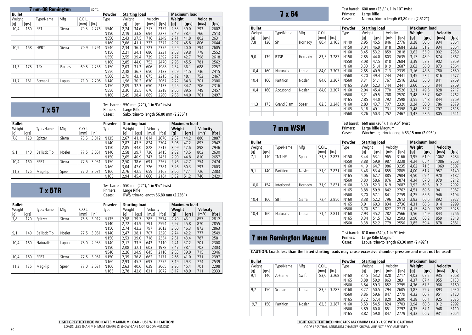|               |       | <b>7 mm-08 Remington</b> |               |        | cont.    |                  |        |                      |          |       |        |                     |          |       |
|---------------|-------|--------------------------|---------------|--------|----------|------------------|--------|----------------------|----------|-------|--------|---------------------|----------|-------|
| <b>Bullet</b> |       |                          |               |        |          | Powder           |        | <b>Starting load</b> |          |       |        | <b>Maximum load</b> |          |       |
| Weight        |       | Type/Name                | Mfg           | C.0.L. |          | <b>Type</b>      | Weight |                      | Velocity |       | Weight |                     | Velocity |       |
| [g]           | [grs] |                          |               | mm     | $[$ in.] |                  | [g]    | [grs]                | [m/s]    | [fps] | [g]    | [grs]               | [m/s]    | [fps] |
| 10,4          | 160   | <b>SBT</b>               | Sierra        | 70,5   | 2.776    | N540             | 2,24   | 34.6                 | 717      | 2352  | 2,53   | 39.0                | 793      | 2602  |
|               |       |                          |               |        |          | N <sub>150</sub> | 2,19   | 33.8                 | 694      | 2277  | 2,49   | 38.4                | 766      | 2513  |
|               |       |                          |               |        |          | N550             | 2,43   | 37.5                 | 716      | 2349  | 2,71   | 41.8                | 802      | 2631  |
|               |       |                          |               |        |          | N <sub>160</sub> | 2,66   | 41.1                 | 723      | 2372  | 2,97   | 45.8                | 806      | 2644  |
| 10,9          | 168   | <b>HPBT</b>              | Sierra        | 70,9   | 2.791    | N540             | 2,34   | 36.1                 | 723      | 2372  | 2,59   | 40.0                | 794      | 2605  |
|               |       |                          |               |        |          | N <sub>150</sub> | 2,21   | 34.1                 | 680      | 2231  | 2,58   | 39.8                | 778      | 2552  |
|               |       |                          |               |        |          | N550             | 2,55   | 39.4                 | 729      | 2392  | 2,77   | 42.7                | 798      | 2618  |
|               |       |                          |               |        |          | N <sub>160</sub> | 2,85   | 44.0                 | 753      | 2470  | 2,95   | 45.5                | 781      | 2562  |
| 11,3          | 175   | <b>TSX</b>               | <b>Barnes</b> | 69,5   | 2.736    | N <sub>150</sub> | 2,03   | 31.3                 | 606      | 1988  | 2,34   | 36.1                | 688      | 2257  |
|               |       |                          |               |        |          | N550             | 2,38   | 36.7                 | 650      | 2133  | 2,69   | 41.5                | 736      | 2415  |
|               |       |                          |               |        |          | N560             | 2,79   | 43.1                 | 675      | 2215  | 3,12   | 48.1                | 752      | 2467  |
| 11,7          | 181   | Scenar-L                 | Lapua         | 71,0   | 2.795    | N <sub>140</sub> | 1,96   | 30.2                 | 630      | 2067  | 2,22   | 34.3                | 701      | 2300  |
|               |       |                          |               |        |          | N <sub>150</sub> | 2,09   | 32.3                 | 650      | 2133  | 2,25   | 34.7                | 706      | 2316  |
|               |       |                          |               |        |          | N550             | 2,30   | 35.5                 | 676      | 2218  | 2,56   | 39.5                | 749      | 2457  |
|               |       |                          |               |        |          | N <sub>160</sub> | 2,49   | 38.4                 | 689      | 2260  | 2,85   | 44.0                | 761      | 2497  |

7 x 57

Test barrel: 550 mm (22"), 1 in 91/<sub>2</sub>" twist<br>Primers: Large Rifle Primers: Large Rifle<br>Cases: Sako, trim-t Sako, trim-to length 56,80 mm (2.236")

| <b>Bullet</b> |       |                      |        |        |             | <b>Powder</b>    |        | <b>Starting load</b> |          |       |        | <b>Maximum load</b> |                 |       |
|---------------|-------|----------------------|--------|--------|-------------|------------------|--------|----------------------|----------|-------|--------|---------------------|-----------------|-------|
| Weight        |       | Type/Name            | Mfg    | C.0.L. |             | Type             | Weight |                      | Velocitv |       | Weight |                     | <b>Velocity</b> |       |
| [g]           | [grs] |                      |        | lmml   | $[$ in. $]$ |                  | lgl    | [grs]                | [m/s]    | [fps] | [g]    | [grs]               | [m/s]           | [fps] |
| 7,8           | 120   | Spitzer              | Sierra | 76,5   | 3.012       | N <sub>135</sub> | 2,67   | 41.1                 | 814      | 2670  | 2,87   | 44.2                | 880             | 2887  |
|               |       |                      |        |        |             | N <sub>140</sub> | 2,82   | 43.5                 | 824      | 2704  | 3,06   | 47.2                | 897             | 2942  |
|               |       |                      |        |        |             | N <sub>150</sub> | 2,85   | 44.0                 | 828      | 2717  | 3,09   | 47.6                | 898             | 2946  |
| 9,1           | 140   | <b>Ballistic Tip</b> | Nosler | 77.5   | 3.051       | N <sub>140</sub> | 2,58   | 39.7                 | 736      | 2415  | 2,82   | 43.5                | 802             | 2630  |
|               |       |                      |        |        |             | N <sub>150</sub> | 2,65   | 40.9                 | 747      | 2451  | 2,90   | 44.8                | 810             | 2657  |
| 10,4          | 160   | SPBT                 | Sierra | 77.5   | 3.051       | N <sub>150</sub> | 2,50   | 38.6                 | 691      | 2267  | 2.76   | 42.7                | 754             | 2474  |
|               |       |                      |        |        |             | N <sub>160</sub> | 3,04   | 47.0                 | 726      | 2381  | 3,26   | 50.3                | 793             | 2603  |
| 11,3          | 175   | Mag-Tip              | Speer  | 77.0   | 3.031       | N <sub>160</sub> | 2,76   | 42.5                 | 659      | 2162  | 3.06   | 47.1                | 726             | 2383  |
|               |       |                      |        |        |             | N <sub>165</sub> | 2,94   | 45.4                 | 666      | 2184  | 3,32   | 51.2                | 740             | 2429  |

### 7 x 57R

Test barrel: 550 mm (22"), 1 in 91/2" twist<br>Primers: Large Rifle Primers: Large Rifle<br>Cases: RWS, trim-t Cases: RWS, trim-to length 56,80 mm (2.236")

| <b>Bullet</b> |       |                      |        |       |       | Powder           |        | <b>Starting load</b> |          |       |        | Maximum load |                 |       |
|---------------|-------|----------------------|--------|-------|-------|------------------|--------|----------------------|----------|-------|--------|--------------|-----------------|-------|
| Weight        |       | Type/Name            | Mfg    | C.0.L |       | Type             | Weight |                      | Velocity |       | Weight |              | <b>Velocity</b> |       |
| [g]           | [grs] |                      |        | mm    | $\ln$ |                  | [g     | [grs]                | [m/s]    | [fps] | [g]    | [grs]        | [m/s]           | [fps] |
| 7,8           | 120   | Spitzer              | Sierra | 76,5  | 3.012 | N <sub>135</sub> | 2,58   | 39.7                 | 785      | 2574  | 2.79   | 43.1         | 857             | 2812  |
|               |       |                      |        |       |       | N <sub>140</sub> | 2,72   | 41.9                 | 791      | 2594  | 2,97   | 45.8         | 870             | 2855  |
|               |       |                      |        |       |       | N <sub>150</sub> | 2,74   | 42.3                 | 797      | 2613  | 3,00   | 46.3         | 873             | 2863  |
| 9,1           | 140   | <b>Ballistic Tip</b> | Nosler | 77,5  | 3.051 | N <sub>140</sub> | 2,47   | 38.1                 | 707      | 2320  | 2,74   | 42.2         | 777             | 2549  |
|               |       |                      |        |       |       | N <sub>150</sub> | 2,53   | 39.0                 | 718      | 2354  | 2,81   | 43.4         | 787             | 2581  |
| 10.4          | 160   | <b>Naturalis</b>     | Lapua  | 75,0  | 2.953 | N <sub>140</sub> | 2,17   | 33.5                 | 643      | 2110  | 2,41   | 37.2         | 701             | 2300  |
|               |       |                      |        |       |       | N <sub>150</sub> | 2.08   | 32.1                 | 603      | 1978  | 2.47   | 38.1         | 702             | 2303  |
|               |       |                      |        |       |       | N540             | 2,26   | 34.9                 | 645      | 2116  | 2,53   | 39.0         | 715             | 2346  |
| 10,4          | 160   | <b>SPBT</b>          | Sierra | 77,5  | 3.051 | N <sub>150</sub> | 2,39   | 36.8                 | 662      | 2171  | 2,66   | 41.0         | 731             | 2397  |
|               |       |                      |        |       |       | N <sub>160</sub> | 2,93   | 45.2                 | 693      | 2272  | 3.19   | 49.3         | 774             | 2539  |
| 11,3          | 175   | Mag-Tip              | Speer  | 77,0  | 3.031 | N <sub>160</sub> | 2,63   | 40.6                 | 629      | 2065  | 2,95   | 45.4         | 701             | 2298  |
|               |       |                      |        |       |       | N165             | 2,78   | 42.8                 | 631      | 2072  | 3.17   | 48.9         | 711             | 2333  |

7 x 64

Test barrel: 600 mm (23½"), 1 in 10" twist<br>Primers: Large Rifle Large Rifle Cases: Norma, trim-to length 63,80 mm (2.512")

| <b>Bullet</b> |       |                  |         |        |             | Powder           |        | <b>Starting load</b> |                       |      |        | Maximum load |                 |               |
|---------------|-------|------------------|---------|--------|-------------|------------------|--------|----------------------|-----------------------|------|--------|--------------|-----------------|---------------|
| Weight        |       | Type/Name        | Mfg     | C.0.L. |             | Type             | Weight |                      | Velocity              |      | Weight |              | <b>Velocity</b> |               |
| [g]           | [grs] |                  |         | mm     | $[$ in. $]$ |                  | [a]    | grs                  | $\lfloor m/s \rfloor$ | tps  | [g]    | [grs]        | [m/s]           | $[{\sf fps}]$ |
| 7,8           | 120   | SP               | Hornady | 80,4   | 3.165       | N <sub>140</sub> | 2,95   | 45.5                 | 846                   | 2776 | 3,28   | 50.6         | 934             | 3064          |
|               |       |                  |         |        |             | N <sub>150</sub> | 3,04   | 46.9                 | 818                   | 2684 | 3,32   | 51.2         | 934             | 3064          |
|               |       |                  |         |        |             | N <sub>160</sub> | 3,45   | 53.2                 | 859                   | 2818 | 3,62   | 55.9         | 902             | 2959          |
| 9,0           | 139   | <b>BTSP</b>      | Hornady | 83,5   | 3.287       | N <sub>150</sub> | 2,85   | 44.0                 | 803                   | 2635 | 3,17   | 48.9         | 874             | 2867          |
|               |       |                  |         |        |             | N550             | 3,08   | 47.5                 | 818                   | 2684 | 3,39   | 52.3         | 902             | 2959          |
|               |       |                  |         |        |             | N <sub>160</sub> | 3,33   | 51.4                 | 819                   | 2687 | 3,63   | 56.0         | 873             | 2864          |
| 10,4          | 160   | <b>Naturalis</b> | Lapua   | 84,0   | 3.307       | N <sub>160</sub> | 2,65   | 40.9                 | 713                   | 2339 | 3,16   | 48.8         | 780             | 2559          |
|               |       |                  |         |        |             | N560             | 3,20   | 49.4                 | 744                   | 2441 | 3,45   | 53.2         | 816             | 2677          |
| 10,4          | 160   | Partition        | Nosler  | 84,0   | 3.307       | N560             | 3,31   | 51.1                 | 767                   | 2516 | 3,63   | 56.0         | 841             | 2759          |
|               |       |                  |         |        |             | N <sub>165</sub> | 3,39   | 52.3                 | 744                   | 2441 | 3,60   | 55.5         | 844             | 2769          |
| 10,4          | 160   | Accubond         | Nosler  | 84,0   | 3.307       | N <sub>160</sub> | 2,94   | 45.4                 | 770                   | 2526 | 3,21   | 49.5         | 828             | 2717          |
|               |       |                  |         |        |             | N560             | 3,21   | 49.5                 | 768                   | 2520 | 3,48   | 53.7         | 842             | 2762          |
|               |       |                  |         |        |             | N <sub>165</sub> | 2,85   | 44.0                 | 792                   | 2598 | 3,55   | 54.8         | 844             | 2769          |
| 11,3          | 175   | Grand Slam       | Speer   | 82,5   | 3.248       | N <sub>160</sub> | 2,83   | 43.7                 | 707                   | 2320 | 3,24   | 50.0         | 786             | 2579          |
|               |       |                  |         |        |             | N <sub>165</sub> | 3,18   | 49.1                 | 731                   | 2398 | 3,48   | 53.7         | 797             | 2615          |
|               |       |                  |         |        |             | N560             | 3,26   | 50.3                 | 752                   | 2467 | 3,47   | 53.6         | 805             | 2641          |

#### 7 mm WSM

Test barrel: 660 mm (26"), 1 in 9.5" twist<br>Primers: Large Rifle Magnum Primers: Large Rifle Magnum Cases: Winchester, trim-to length 53,15 mm (2.093")

| <b>Bullet</b> |       |                  |         |        |             | Powder           |        | <b>Starting load</b> |          |       |        | <b>Maximum load</b> |                 |       |
|---------------|-------|------------------|---------|--------|-------------|------------------|--------|----------------------|----------|-------|--------|---------------------|-----------------|-------|
| Weight        |       | Type/Name        | Mfg     | C.0.L. |             | Type             | Weight |                      | Velocity |       | Weight |                     | <b>Velocity</b> |       |
| [g]           | [grs] |                  |         | mm     | $[$ in. $]$ |                  | [g]    | [grs]                | m/s      | [fps] | [g]    | [grs]               | [m/s]           | [fps] |
| 7,1           | 110   | TNT HP           | Speer   | 71,7   | 2.823       | N <sub>150</sub> | 3,44   | 53.1                 | 965      | 3166  | 3,95   | 61.0                | 1062            | 3484  |
|               |       |                  |         |        |             | N550             | 3,88   | 59.9                 | 987      | 3238  | 4,24   | 65.4                | 1086            | 3563  |
|               |       |                  |         |        |             | N <sub>160</sub> | 4,19   | 64.7                 | 986      | 3235  | 4,62   | 71.3                | 1069            | 3507  |
| 9,1           | 140   | Partition        | Nosler  | 71,9   | 2.831       | N <sub>160</sub> | 3,46   | 53.4                 | 855      | 2805  | 4,00   | 61.7                | 957             | 3140  |
|               |       |                  |         |        |             | N <sub>165</sub> | 4,06   | 62.7                 | 885      | 2904  | 4,50   | 69.4                | 970             | 3182  |
|               |       |                  |         |        |             | N560             | 3,80   | 58.6                 | 876      | 2874  | 4,34   | 67.0                | 979             | 3212  |
| 10,0          | 154   | Interbond        | Hornady | 71,9   | 2.831       | N <sub>160</sub> | 3,39   | 52.3                 | 819      | 2687  | 3,92   | 60.5                | 912             | 2992  |
|               |       |                  |         |        |             | N <sub>165</sub> | 3,88   | 59.9                 | 842      | 2762  | 4,51   | 69.6                | 941             | 3087  |
|               |       |                  |         |        |             | N560             | 3,70   | 57.1                 | 841      | 2759  | 4,25   | 65.6                | 946             | 3104  |
| 10,4          | 160   | <b>SBT</b>       | Sierra  | 72,4   | 2.850       | N <sub>160</sub> | 3,38   | 52.2                 | 796      | 2612  | 3,93   | 60.6                | 892             | 2927  |
|               |       |                  |         |        |             | N <sub>165</sub> | 3,91   | 60.3                 | 834      | 2736  | 4,31   | 66.5                | 914             | 2999  |
|               |       |                  |         |        |             | N560             | 3,70   | 57.1                 | 827      | 2713  | 4,15   | 64.0                | 922             | 3025  |
| 10,4          | 160   | <b>Naturalis</b> | Lapua   | 71,4   | 2.811       | N <sub>160</sub> | 2,93   | 45.2                 | 782      | 2566  | 3,56   | 54.9                | 843             | 2766  |
|               |       |                  |         |        |             | N <sub>165</sub> | 3,34   | 51.5                 | 763      | 2503  | 3,90   | 60.2                | 859             | 2818  |
|               |       |                  |         |        |             | N560             | 3,38   | 52.2                 | 779      | 2556  | 3,85   | 59.4                | 878             | 2881  |

### 7 mm Remington Magnum

Test barrel: 610 mm (24"), 1 in 9" twist Primers: Large Rifle Magnum<br>Cases: Lapua, trim-to length Lapua, trim-to length 63,30 mm (2.492")

**CAUTION: Loads less than the listed starting loads may cause excessive chamber pressure and must not be used!**

| <b>Bullet</b> |       |           |        |        |             | Powder           |        | <b>Starting load</b> |                     |       |        | <b>Maximum load</b> |                 |       |
|---------------|-------|-----------|--------|--------|-------------|------------------|--------|----------------------|---------------------|-------|--------|---------------------|-----------------|-------|
| Weight        |       | Type/Name | Mfg    | C.0.L. |             | Type             | Weight |                      | Velocity            |       | Weight |                     | <b>Velocity</b> |       |
| [g]           | [grs] |           |        | Imml   | $[$ in. $]$ |                  | [g]    | grs                  | $\lceil m/s \rceil$ | [fps] | [g]    | [grs]               | [m/s]           | [fps] |
| 9,1           | 140   | A-Frame   | Swift  | 83.0   | 3.268       | N <sub>160</sub> | 3,45   | 53.2                 | 828                 | 2717  | 4,03   | 62.2                | 935             | 3068  |
|               |       |           |        |        |             | N <sub>165</sub> | 3,88   | 59.9                 | 863                 | 2831  | 4,37   | 67.4                | 955             | 3133  |
|               |       |           |        |        |             | N560             | 3,84   | 59.3                 | 852                 | 2795  | 4,36   | 67.3                | 966             | 3169  |
| 9,7           | 50 י  | Scenar-L  | Lapua  | 83.5   | 3.287       | N <sub>160</sub> | 3,27   | 50.5                 | 794                 | 2605  | 3,87   | 59.7                | 893             | 2930  |
|               |       |           |        |        |             | N560             | 3,86   | 59.6                 | 847                 | 2779  | 4,32   | 66.7                | 951             | 3120  |
|               |       |           |        |        |             | N <sub>165</sub> | 3,72   | 57.4                 | 820                 | 2690  | 4,28   | 66.1                | 925             | 3035  |
| 9,7           | 150   | Partition | Nosler | 83.5   | 3.287       | N <sub>160</sub> | 3,53   | 54.5                 | 824                 | 2703  | 3.94   | 60.8                | 912             | 2992  |
|               |       |           |        |        |             | N560             | 3,89   | 60.0                 | 851                 | 2792  | 4,35   | 67.1                | 948             | 3110  |
|               |       |           |        |        |             | N <sub>165</sub> | 3,82   | 59.0                 | 847                 | 2779  | 4.32   | 66.7                | 931             | 3054  |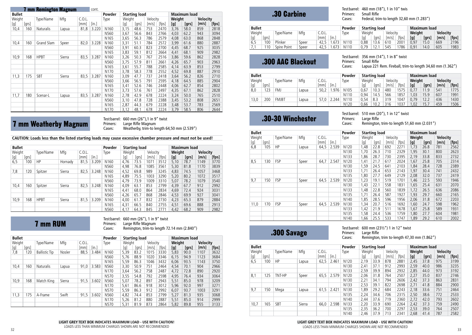|               |       | <b>7 mm Remington Magnum</b> |        |        | cont.       |                  |        |                      |          |       |        |                     |                 |       |
|---------------|-------|------------------------------|--------|--------|-------------|------------------|--------|----------------------|----------|-------|--------|---------------------|-----------------|-------|
| <b>Bullet</b> |       |                              |        |        |             | <b>Powder</b>    |        | <b>Starting load</b> |          |       |        | <b>Maximum load</b> |                 |       |
| Weight        |       | Type/Name                    | Mfg    | C.0.L. |             | Type             | Weight |                      | Velocity |       | Weight |                     | <b>Velocity</b> |       |
| [g]           | [grs] |                              |        | mm     | $[$ in. $]$ |                  | lgl    | [grs]                | m/s      | [fps] | [g]    | [grs]               | [m/s]           | [fps] |
| 10,4          | 160   | <b>Naturalis</b>             | Lapua  | 81,8   | 3.220       | N <sub>160</sub> | 3,15   | 48.6                 | 753      | 2470  | 3,76   | 58.0                | 859             | 2818  |
|               |       |                              |        |        |             | N560             | 3,67   | 56.6                 | 843      | 2766  | 4,03   | 62.2                | 943             | 3094  |
|               |       |                              |        |        |             | N <sub>165</sub> | 3,65   | 56.3                 | 786      | 2579  | 4,08   | 63.0                | 868             | 2848  |
| 10,4          | 160   | Grand Slam                   | Speer  | 82,0   | 3.228       | N <sub>160</sub> | 3,31   | 51.1                 | 784      | 2572  | 3,99   | 61.6                | 880             | 2887  |
|               |       |                              |        |        |             | N560             | 3,91   | 60.3                 | 823      | 2700  | 4,45   | 68.7                | 925             | 3035  |
|               |       |                              |        |        |             | N <sub>165</sub> | 3,83   | 59.1                 | 812      | 2664  | 4,41   | 68.1                | 909             | 2982  |
| 10,9          | 168   | <b>HPBT</b>                  | Sierra | 83,5   | 3.287       | N <sub>160</sub> | 3,26   | 50.3                 | 767      | 2516  | 3,86   | 59.6                | 862             | 2828  |
|               |       |                              |        |        |             | N560             | 3,75   | 57.9                 | 811      | 2661  | 4,26   | 65.7                | 903             | 2963  |
|               |       |                              |        |        |             | N <sub>165</sub> | 3,61   | 55.7                 | 788      | 2585  | 4,14   | 63.9                | 853             | 2799  |
|               |       |                              |        |        |             | N <sub>170</sub> | 3,78   | 58.3                 | 778      | 2552  | 4,52   | 69.8                | 887             | 2910  |
| 11,3          | 175   | <b>SBT</b>                   | Sierra | 83,5   | 3.287       | N <sub>160</sub> | 3,09   | 47.7                 | 737      | 2418  | 3,64   | 56.2                | 826             | 2710  |
|               |       |                              |        |        |             | N560             | 3,66   | 56.5                 | 791      | 2595  | 4,18   | 64.5                | 885             | 2904  |
|               |       |                              |        |        |             | N <sub>165</sub> | 3,41   | 52.6                 | 746      | 2448  | 4,06   | 62.7                | 854             | 2802  |
|               |       |                              |        |        |             | N <sub>170</sub> | 3,73   | 57.6                 | 761      | 2497  | 4,35   | 67.1                | 862             | 2828  |
| 11,7          | 180   | Scenar-L                     | Lapua  | 83,5   | 3.287       | N <sub>160</sub> | 2,78   | 42.9                 | 678      | 2224  | 3,24   | 50.0                | 765             | 2510  |
|               |       |                              |        |        |             | N560             | 3,10   | 47.8                 | 728      | 2388  | 3,45   | 53.2                | 808             | 2651  |
|               |       |                              |        |        |             | N <sub>165</sub> | 2,87   | 44.3                 | 679      | 2228  | 3,48   | 53.7                | 783             | 2569  |
|               |       |                              |        |        |             | N <sub>170</sub> | 3,12   | 48.1                 | 678      | 2224  | 3,79   | 58.5                | 806             | 2644  |

### 7 mm Weatherby Magnum

Test barrel: 660 mm (26"), 1 in 9" twist<br>Primers: Large Rifle Magnum Primers: Large Rifle Magnum<br>Cases: Weatherby, trim-to le Weatherby, trim-to length 64,50 mm (2.539")

**CAUTION: Loads less than the listed starting loads may cause excessive chamber pressure and must not be used!**

| <b>Bullet</b> |       |             |         |        |             | <b>Powder</b>    |        | <b>Starting load</b> |          |       |        | <b>Maximum load</b> |          |       |
|---------------|-------|-------------|---------|--------|-------------|------------------|--------|----------------------|----------|-------|--------|---------------------|----------|-------|
| Weight        |       | Type/Name   | Mfg     | C.0.L. |             | Type             | Weight |                      | Velocity |       | Weight |                     | Velocity |       |
| [g]           | [grs] |             |         | lmml   | $[$ in. $]$ |                  | lgı    | qrs                  | m/s      | [fps] | [g]    | [grs]               | [m/s]    | [fps] |
| 6, 5          | 100   | HP          | Hornady | 81,5   | 3.209       | N <sub>160</sub> | 4,76   | 73.5                 | 1071     | 3512  | 5,10   | 78.7                | 1149     | 3770  |
|               |       |             |         |        |             | N560             | 4,98   | 76.8                 | 1085     | 3561  | 5.30   | 81.8                | 1170     | 3839  |
| 7,8           | 120   | Spitzer     | Sierra  | 82,5   | 3.248       | N <sub>160</sub> | 4,52   | 69.8                 | 989      | 3245  | 4.83   | 74.5                | 1057     | 3468  |
|               |       |             |         |        |             | N <sub>165</sub> | 4,89   | 75.5                 | 1003     | 3290  | 5,20   | 80.2                | 1072     | 3517  |
|               |       |             |         |        |             | N560             | 4.79   | 73.9                 | 1009     | 3310  | 5.07   | 78.2                | 1079     | 3540  |
| 10,4          | 160   | Spitzer     | Sierra  | 82,5   | 3.248       | N <sub>160</sub> | 4,09   | 63.1                 | 853      | 2799  | 4.39   | 67.7                | 912      | 2992  |
|               |       |             |         |        |             | N <sub>165</sub> | 4,41   | 68.0                 | 864      | 2834  | 4,69   | 72.4                | 924      | 3031  |
|               |       |             |         |        |             | N560             | 4,26   | 65.7                 | 868      | 2846  | 4,53   | 69.9                | 927      | 3041  |
| 10,9          | 168   | <b>HPBT</b> | Sierra  | 81.5   | 3.209       | N <sub>160</sub> | 4,00   | 61.7                 | 832      | 2730  | 4.23   | 65.3                | 879      | 2884  |
|               |       |             |         |        |             | N <sub>165</sub> | 4,31   | 66.5                 | 840      | 2755  | 4,51   | 69.6                | 888      | 2913  |
|               |       |             |         |        |             | N560             | 4,17   | 64.3                 | 845      | 2771  | 4.42   | 68.2                | 909      | 2982  |

### 7 mm RUM

Test barrel: 660 mm (26"), 1 in 9" twist Primers: Large Rifle Magnum<br>Cases: Remington, trim-to le Remington, trim-to length 72.14 mm (2.840")

| <b>Bullet</b> |       |                      |        |        |             | Powder           |        | <b>Starting load</b> |          |       |        | <b>Maximum load</b> |                 |       |
|---------------|-------|----------------------|--------|--------|-------------|------------------|--------|----------------------|----------|-------|--------|---------------------|-----------------|-------|
| Weight        |       | Type/Name            | Mfg    | C.0.L. |             | Type             | Weight |                      | Velocity |       | Weight |                     | <b>Velocity</b> |       |
| [g]           | [grs] |                      |        | Imml   | $[$ in. $]$ |                  | Įg.    | [grs]                | [m/s]    | [fps] | [g]    | [grs]               | [m/s]           | [fps] |
| 7,8           | 120   | <b>Ballistic Tip</b> | Nosler | 88,5   | 3.484       | N <sub>160</sub> | 5,39   | 83.2                 | 1015     | 3330  | 5,83   | 90.0                | 1107            | 3632  |
|               |       |                      |        |        |             | N560             | 5,76   | 88.9                 | 1020     | 3346  | 6,15   | 94.9                | 1123            | 3684  |
|               |       |                      |        |        |             | N <sub>165</sub> | 5,59   | 86.3                 | 1046     | 3432  | 6,06   | 93.5                | 1143            | 3750  |
| 10,4          | 160   | <b>Naturalis</b>     | Lapua  | 91,0   | 3.583       | N560             | 3,30   | 50.9                 | 751      | 2464  | 4,54   | 70.1                | 904             | 2966  |
|               |       |                      |        |        |             | N <sub>170</sub> | 3,64   | 56.2                 | 758      | 2487  | 4,72   | 72.8                | 890             | 2920  |
|               |       |                      |        |        |             | N570             | 3,55   | 54.8                 | 792      | 2598  | 4,95   | 76.4                | 934             | 3064  |
| 10,9          | 168   | Match King           | Sierra | 91.5   | 3.602       | N560             | 5,07   | 78.2                 | 897      | 2943  | 5,51   | 85.0                | 978             | 3209  |
|               |       |                      |        |        |             | N <sub>170</sub> | 5,61   | 86.6                 | 918      | 3012  | 5,96   | 92.0                | 997             | 3271  |
|               |       |                      |        |        |             | N570             | 5,59   | 86.3                 | 912      | 2992  | 6,07   | 93.7                | 1003            | 3291  |
| 11,3          | 175   | A-Frame              | Swift  | 91,5   | 3.602       | N560             | 4,82   | 74.4                 | 853      | 2799  | 5,27   | 81.3                | 935             | 3068  |
|               |       |                      |        |        |             | N <sub>170</sub> | 5,26   | 81.2                 | 880      | 2887  | 5,51   | 85.0                | 914             | 2999  |
|               |       |                      |        |        |             | N570             | 5,31   | 81.9                 | 873      | 2864  | 5,82   | 89.8                | 955             | 3133  |

.30 Carbine

Test barrel: 460 mm (18"), 1 in 10" twis Small Rifle Cases: Federal, trim-to length 32,60 mm (1.283")

| <b>Bullet</b> |      |             |       |        |        | Powder           |        | <b>Starting load</b> |                     |             |        | <b>Maximum load</b> |          |       |
|---------------|------|-------------|-------|--------|--------|------------------|--------|----------------------|---------------------|-------------|--------|---------------------|----------|-------|
| Weight        |      | Tvpe/Name   | Mfa   | C.O.L. |        | Type             | Weight |                      | Velocity            |             | Weight |                     | Velocity |       |
| [g]           | lars |             |       | `mmı   | $\lim$ |                  | [g]    | grs                  | $\lceil m/s \rceil$ | <b>Ifps</b> | [g]    | [grs]               | [m/s]    | [fps] |
| 6.5           | 100  | Plinker     | Speer | 42.    | 673    | N <sub>110</sub> | 0.88   | 3.6                  | 610                 | 2001        | 0.97   | 15.0                | 669      | 2196  |
|               | 10   | Spire Point | Speer | 42.    | 673    | N <sub>110</sub> | 0.79   |                      | 545                 | 786         | 0.91   | 14.0                | 605      | 1983  |

#### .300 AAC Blackout

Test barrel: 356 mm (14"), 1 in 8" twist Primers: Small Rifle<br>Cases: Lapua 221 Lapua 221 Rem. Fireball, trim-to length 34,60 mm (1.362")

| <b>Bullet</b> |       |              |       |        |       | Powder           |        | <b>Starting load</b> |          |       |        | Maximum load |                 |       |
|---------------|-------|--------------|-------|--------|-------|------------------|--------|----------------------|----------|-------|--------|--------------|-----------------|-------|
| Weight        |       | Type/Name    | Mfg   | C.0.L. |       | Type             | Weight |                      | Velocity |       | Weight |              | <b>Velocity</b> |       |
| [g]           | [grs] |              |       | l mm   | [in.] |                  | [g]    | grs                  | [m/s]    | [fps] | [g]    | [grs]        | [m/s]           | [fps] |
| 8,0           | 23    | FMJ          | Lapua | 50.2   | .976  | N <sub>105</sub> | 0.67   | 10.3                 | 480      | 1575  | 0.77   | 11.9         | 541             | 1775  |
|               |       |              |       |        |       | N <sub>110</sub> | 0.94   | 14.5                 | 566      | 1857  | .03    | 15.9         | 607             | 1991  |
| 13.0          | 200   | <b>FMJBT</b> | Lapua | 57.0   | 244 ' | N <sub>110</sub> | 0.54   | 8.3                  | 319      | 1047  | 0.79   | 12.2         | 436             | 1430  |
|               |       |              |       |        |       | N <sub>120</sub> | 0.66   | 10.2                 | 316      | 1037  | .02    | 15.7         | 459             | 1506  |

### .30-30 Winchester

Test barrel: 510 mm (20"), 1 in 12" twist<br>Primers: Large Rifle Primers: Large Rifle<br>Cases: Remington Remington, trim-to length 51,60 mm (2.031")

| <b>Bullet</b> |       |            |       |        |             | Powder           |        | <b>Starting load</b> |          |       |        | Maximum load |                 |       |
|---------------|-------|------------|-------|--------|-------------|------------------|--------|----------------------|----------|-------|--------|--------------|-----------------|-------|
| Weight        |       | Type/Name  | Mfg   | C.0.L. |             | Type             | Weight |                      | Velocity |       | Weight |              | <b>Velocity</b> |       |
| <u>[g]</u>    | [grs] |            |       | mm     | $[$ in. $]$ |                  | [g]    | [grs]                | [m/s]    | [fps] | [g]    | [grs]        | [m/s]           | [fps] |
| 6,8           | 105   | HP         | Lapua | 64,5   | 2.539       | N <sub>120</sub> | 1,48   | 22.8                 | 692      | 2271  | 1,73   | 26.8         | 781             | 2562  |
|               |       |            |       |        |             | N <sub>130</sub> | 1,70   | 26.3                 | 710      | 2329  | 1,95   | 30.1         | 800             | 2623  |
|               |       |            |       |        |             | N <sub>133</sub> | 1,86   | 28.7                 | 730      | 2395  | 2,19   | 33.8         | 833             | 2732  |
| 8,5           | 130   | <b>FSP</b> | Speer | 64,7   | 2.547       | N <sub>120</sub> | 1,41   | 21.7                 | 617      | 2024  | 1,67   | 25.8         | 705             | 2314  |
|               |       |            |       |        |             | N <sub>130</sub> | 1,59   | 24.5                 | 641      | 2103  | 1,84   | 28.4         | 728             | 2389  |
|               |       |            |       |        |             | N <sub>133</sub> | 1,71   | 26.4                 | 653      | 2143  | 1,97   | 30.4         | 741             | 2432  |
|               |       |            |       |        |             | N <sub>135</sub> | 1,80   | 27.7                 | 649      | 2129  | 2,08   | 32.0         | 737             | 2419  |
| 9,7           | 150   | <b>FSP</b> | Speer | 64,5   | 2.539       | N <sub>120</sub> | 1,23   | 19.1                 | 519      | 1701  | 1,46   | 22.5         | 593             | 1946  |
|               |       |            |       |        |             | N130             | 1,43   | 22.1                 | 558      | 1831  | 1,65   | 25.4         | 631             | 2070  |
|               |       |            |       |        |             | N <sub>133</sub> | 1,48   | 22.8                 | 560      | 1839  | 1,72   | 26.5         | 636             | 2086  |
|               |       |            |       |        |             | N135             | 1,71   | 26.4                 | 587      | 1927  | 1,93   | 29.7         | 660             | 2165  |
|               |       |            |       |        |             | N <sub>140</sub> | 1,85   | 28.5                 | 596      | 1956  | 2,06   | 31.8         | 672             | 2203  |
| 11,0          | 170   | <b>FSP</b> | Speer | 64,5   | 2.539       | N <sub>130</sub> | 1,34   | 20.7                 | 516      | 1692  | 1,60   | 24.7         | 598             | 1962  |
|               |       |            |       |        |             | N <sub>133</sub> | 1,42   | 21.9                 | 511      | 1678  | 1,67   | 25.8         | 589             | 1931  |
|               |       |            |       |        |             | N <sub>135</sub> | 1,58   | 24.4                 | 536      | 1759  | 1,80   | 27.7         | 604             | 1981  |
|               |       |            |       |        |             | N <sub>140</sub> | 1,66   | 25.5                 | 533      | 1747  | 89,ا   | 29.2         | 610             | 2002  |

.300 Savage

Test barrel: 600 mm (23½") 1 in 12" twist Primers: Large Rifle<br>Cases: Remington, Remington, trim to-length 47,30 mm (1.862")

| <b>Bullet</b> |       |            |        |        |             | Powder           |        | <b>Starting load</b> |          |       |        | Maximum load |                 |       |
|---------------|-------|------------|--------|--------|-------------|------------------|--------|----------------------|----------|-------|--------|--------------|-----------------|-------|
| Weight        |       | Type/Name  | Mfg    | C.0.L. |             | <b>Type</b>      | Weight |                      | Velocity |       | Weight |              | <b>Velocity</b> |       |
| [g]           | [grs] |            |        | Imml   | $[$ in. $]$ |                  | [g]    | [grs]                | lm/sl    | [fps] | [g]    | [grs]        | [m/s]           | [fps] |
| 6,5           | 100   | <b>HP</b>  | Lapua  | 62,5   | 2.461       | N <sub>120</sub> | 2,19   | 33.9                 | 878      | 2881  | 2.45   | 37.8         | 975             | 3199  |
|               |       |            |        |        |             | N <sub>130</sub> | 2,41   | 37.1                 | 912      | 2993  | 2.59   | 40.0         | 986             | 3235  |
|               |       |            |        |        |             | N <sub>133</sub> | 2,59   | 39.9                 | 894      | 2932  | 2,85   | 44.0         | 973             | 3192  |
| 8,1           | 125   | TNT-HP     | Speer  | 65,5   | 2.579       | N <sub>120</sub> | 2,06   | 31.8                 | 764      | 2507  | 2.27   | 35.0         | 837             | 2746  |
|               |       |            |        |        |             | N <sub>130</sub> | 2,21   | 34.1                 | 794      | 2606  | 2.42   | 37.3         | 863             | 2831  |
|               |       |            |        |        |             | N <sub>133</sub> | 2,53   | 39.1                 | 822      | 2698  | 2,71   | 41.8         | 884             | 2900  |
| 9,7           | 150   | Mega       | Lapua  | 61,5   | 2.421       | N <sub>130</sub> | 1,89   | 29.2                 | 684      | 2243  | 2.18   | 33.6         | 751             | 2464  |
|               |       |            |        |        |             | N <sub>135</sub> | 2,24   | 34.6                 | 706      | 2315  | 2.50   | 38.6         | 772             | 2533  |
|               |       |            |        |        |             | N <sub>140</sub> | 2.44   | 37.6                 | 719      | 2360  | 2.72   | 42.0         | 793             | 2602  |
| 10,7          | 165   | <b>SBT</b> | Sierra | 66,0   | 2.598       | N <sub>133</sub> | 2,20   | 33.9                 | 690      | 2264  | 2.42   | 37.3         | 759             | 2490  |
|               |       |            |        |        |             | N <sub>135</sub> | 2,35   | 36.2                 | 700      | 2297  | 2,53   | 39.0         | 764             | 2507  |
|               |       |            |        |        |             | N <sub>140</sub> | 2.46   | 37.9                 | 713      | 2341  | 2.68   | 41.4         | 787             | 2582  |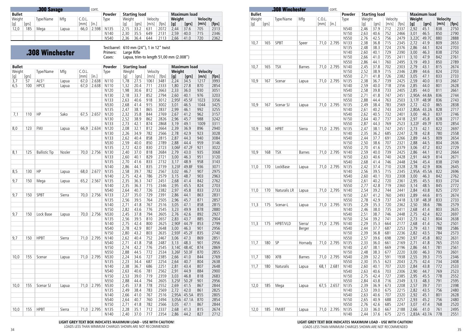|               |                  | .300 Savage |        |      | cont.                 |                  |      |                      |       |        |      |                     |       |       |
|---------------|------------------|-------------|--------|------|-----------------------|------------------|------|----------------------|-------|--------|------|---------------------|-------|-------|
| <b>Bullet</b> |                  |             |        |      |                       | Powder           |      | <b>Starting load</b> |       |        |      | <b>Maximum load</b> |       |       |
| Weight        | Mfg<br>Type/Name |             | C.0.L. |      | Type                  | Weight           |      | Velocity             |       | Weight |      | Velocity            |       |       |
| [g]           | [grs]            |             |        | lmml | $\overline{\lim}_{n}$ |                  | [g]  | [grs]                | [m/s] | [fps]  | [g]  | [grs]               | [m/s] | [fps] |
| 12,0          | 185              | Mega        | Lapua  | 66.0 | 2.598                 | N <sub>135</sub> | 2.15 | 33.2                 | 631   | 2072   | 2.44 | 37.6                | 705   | 2313  |
|               |                  |             |        |      |                       | N <sub>140</sub> | 2.30 | 35.5                 | 649   | 2131   | 2.59 | 40.0                | 715   | 2346  |
|               |                  |             |        |      |                       | N540             | 2.36 | 36.4                 | 644   | 2113   | 2.66 | 41.0                | 720   | 2362  |

#### .308 Winchester

Test barrel: 610 mm (24"), 1 in 12" twist Primers: Large Rifle Cases: Lapua, trim-to length 51,00 mm (2.008")

| <b>Bullet</b> |       |                      |        |        |          | Powder |        | <b>Starting load</b> |          |       |        | <b>Maximum load</b> |                 |       |
|---------------|-------|----------------------|--------|--------|----------|--------|--------|----------------------|----------|-------|--------|---------------------|-----------------|-------|
| Weight        |       | Type/Name            | Mfg    | C.0.L. |          | Type   | Weight |                      | Velocity |       | Weight |                     | <b>Velocity</b> |       |
| [g]           | [grs] |                      |        | [mm]   | $[$ in.] |        | [g]    | [grs]                | [m/s]    | [fps] | [g]    | [grs]               | [m/s]           | [fps] |
| 3,7           | 57    | ALS <sup>1</sup>     | Lapua  | 67,0   | 2.638    | N110   | 1,78   | 27.5                 | 1061     | 3481  | 2,24   | 34.5                | 1217            | 3993  |
| 6, 5          | 100   | <b>HPCE</b>          | Lapua  | 67,0   | 2.638    | N110   | 1,32   | 20.4                 | 711      | 2333  | 1,80   | 27.8                | 870             | 2854  |
|               |       |                      |        |        |          | N120   | 1,98   | 30.6                 | 812      | 2663  | 2,33   | 36.0                | 930             | 3051  |
|               |       |                      |        |        |          | N130   | 2,18   | 33.7                 | 852      | 2794  | 2,60   | 40.1                | 976             | 3203  |
|               |       |                      |        |        |          | N133   | 2,63   | 40.6                 | 918      | 3012  | 2,95F  | 45.5F               | 1023            | 3356  |
|               |       |                      |        |        |          | N530   | 2,68   | 41.4                 | 915      | 3002  | 3,01   | 46.5                | 1044            | 3425  |
|               |       |                      |        |        |          | N135   | 2,47   | 38.1                 | 865      | 2837  | 2,99   | 46.1                | 992             | 3255  |
| 7,1           | 110   | HP                   | Sako   | 67,5   | 2.657    | N120   | 2,32   | 35.8                 | 844      | 2769  | 2,67   | 41.2                | 962             | 3157  |
|               |       |                      |        |        |          | N130   |        | 38.9                 | 862      | 2826  |        | 45.7                | 988             | 3242  |
|               |       |                      |        |        |          |        | 2,52   |                      |          |       | 2,96   |                     |                 |       |
|               |       |                      |        |        |          | N133   | 2,73   | 42.1                 | 874      | 2868  | 3,19   | 49.1                | 1009            | 3311  |
| 8,0           | 123   | FMJ                  | Lapua  | 66,9   | 2.634    | N120   | 2,08   | 32.1                 | 812      | 2664  | 2,39   | 36.9                | 896             | 2940  |
|               |       |                      |        |        |          | N130   | 2,26   | 34.9                 | 782      | 2566  | 2,78   | 42.9                | 923             | 3028  |
|               |       |                      |        |        |          | N133   | 2,62   | 40.4                 | 858      | 2815  | 2,87   | 44.3                | 940             | 3084  |
|               |       |                      |        |        |          | N530   | 2,59   | 40.0                 | 850      | 2789  | 2,88   | 44.4                | 959             | 3146  |
|               |       |                      |        |        |          | N135   | 2,72   | 42.0                 | 830      | 2723  | 3,06F  | 47.2F               | 921             | 3022  |
| 8,1           | 125   | <b>Ballistic Tip</b> | Nosler | 70,0   | 2.756    | N130   | 2,40   | 37.0                 | 818      | 2684  | 2,79   | 43.0                | 935             | 3068  |
|               |       |                      |        |        |          | N133   | 2,60   | 40.1                 | 829      | 2721  | 3,00   | 46.3                | 951             | 3120  |
|               |       |                      |        |        |          | N135   | 2,70   | 41.6                 | 833      | 2732  | 3,17   | 48.9                | 958             | 3143  |
|               |       |                      |        |        |          | N140   | 2,86   | 44.1                 | 835      | 2739  | 3,23F  | 49.8F               | 936             | 3071  |
| 8,5           | 130   | HP                   | Lapua  | 68,0   | 2.677    | N135   | 2,58   | 39.7                 | 782      | 2567  | 3,02   | 46.7                | 907             | 2975  |
|               |       |                      |        |        |          | N140   | 2,75   | 42.4                 | 786      | 2579  | 3,15   | 48.7                | 903             | 2963  |
| 9,7           | 150   | Mega                 | Lapua  | 65,2   | 2.567    | N135   | 2,35   | 36.3                 | 747      | 2451  | 2,68   | 41.4                | 842             | 2762  |
|               |       |                      |        |        |          | N140   | 2,35   | 36.3                 | 715      | 2346  | 2,95   | 45.5                | 824             | 2703  |
|               |       |                      |        |        |          | N540   | 2,64   | 40.7                 | 726      | 2382  | 2,97   | 45.8                | 833             | 2733  |
| 9,7           | 150   | SPBT                 | Sierra | 70,0   | 2.756    | N133   | 2,27   | 35.0                 | 729      | 2391  | 2,86   | 44.1                | 863             | 2831  |
|               |       |                      |        |        |          | N135   | 2,56   | 39.5                 | 764      | 2505  | 2,96   | 45.7                | 871             | 2857  |
|               |       |                      |        |        |          | N140   | 2,71   | 41.8                 | 767      | 2516  | 3,05   | 47.1                | 858             | 2815  |
|               |       |                      |        |        |          | N150   | 2,82   | 43.6                 | 776      | 2545  | 3,23   | 49.9                | 878             | 2880  |
| 9,7           | 150   | Lock Base            | Lapua  | 70,0   | 2.756    | N530   | 2,45   | 37.8                 | 794      | 2605  | 2,76   | 42.6                | 892             | 2927  |
|               |       |                      |        |        |          | N135   | 2,56   | 39.5                 | 810      | 2657  | 2,83   | 43.7                | 885             | 2904  |
|               |       |                      |        |        |          | N140   | 2,75   | 42.4                 | 800      | 2625  | 2,90F  | 44.7F               | 853             | 2799  |
|               |       |                      |        |        |          | N540   | 2,78   | 42.9                 | 807      | 2648  | 3,00   | 46.3                | 901             | 2956  |
|               |       |                      |        |        |          | N150   | 2,80   | 43.2                 | 803      | 2635  | 2,93F  | 45.2F               | 835             | 2740  |
| 9,7           | 150   | <b>HPBT</b>          | Sierra | 71,0   | 2.795    | N140   | 2,62   | 40.4                 | 752      | 2467  | 3,06   | 47.3                | 869             | 2851  |
|               |       |                      |        |        |          | N540   | 2,71   | 41.8                 | 758      | 2487  | 3,13   | 48.3                | 901             | 2956  |
|               |       |                      |        |        |          | N150   | 2,74   | 42.2                 | 776      | 2545  | 3,14C  | 48.4C               | 874             | 2869  |
|               |       |                      |        |        |          | N550   | 2,88   | 44.5                 | 772      | 2534  | 3,26F  | 50.3F               | 870             | 2855  |
| 10,0          | 155   | Scenar               | Lapua  | 71,0   | 2.795    | N530   | 2,24   | 34.6                 | 727      | 2385  | 2,66   | 41.0                | 844             | 2769  |
|               |       |                      |        |        |          | N135   | 2,23   | 34.4                 | 687      | 2254  | 2,64   | 40.7                | 804             | 2638  |
|               |       |                      |        |        |          | N140   | 2,38   | 36.7                 | 686      | 2251  | 2,81   | 43.4                | 807             | 2648  |
|               |       |                      |        |        |          | N540   | 2,63   | 40.6                 | 781      | 2562  | 2,91   | 44.9                | 884             | 2900  |
|               |       |                      |        |        |          | N150   |        |                      |          |       |        |                     |                 |       |
|               |       |                      |        |        |          |        | 2,53   | 39.0                 | 719      | 2359  | 3,03   | 46.8                | 818             | 2683  |
|               |       |                      |        |        |          | N550   | 2,88   | 44.4                 | 794      | 2605  | 3,25F  | 50.2F               | 901             | 2956  |
| 10,0          | 155   | Scenar SJ            | Lapua  | 71,0   | 2.795    | N530   | 2,45   | 37.8                 | 778      | 2552  | 2,69   | 41.5                | 867             | 2844  |
|               |       |                      |        |        |          | N135   | 2,49   | 38.4                 | 783      | 2569  | 2,72   | 42.0                | 861             | 2825  |
|               |       |                      |        |        |          | N140   | 2,66   | 41.0                 | 767      | 2516  |        | 2,95A 45.5A         | 855             | 2805  |
|               |       |                      |        |        |          | N540   | 2,64   | 40.7                 | 760      | 2494  |        | 3,05A 47.1A         | 870             | 2854  |
|               |       |                      |        |        |          | N150   | 2,71   | 41.8                 | 782      | 2566  | 3,05   | 47.1                | 867             | 2844  |
| 10,0          | 155   | <b>HPBT</b>          | Sierra | 71,0   | 2.795    | N135   | 2,28   | 35.1                 | 712      | 2337  | 2,68   | 41.3                | 815             | 2674  |
|               |       |                      |        |        |          | N140   | 2,40   | 37.0                 | 717      | 2354  | 2,86   | 44.2                | 827             | 2712  |

N540 2,46 37.9 712 2337 2,92 45.1 838 2750 N150 2,63 40.6 752 2466 3,01 46.5 850 2790 N550 2,76 42.5 756 2479 3,22C 49.7C 880 2888 10,7 165 SPBT Speer 71,0 2.795 N133 2,38 36.8 715 2345 2,72 41.9 809 2653 N135 2,48 38.3 724 2376 2,86 44.1 824 N140 2,60 40.1 729 2390 3,00 46.3 838 2750 N150 2,66 41.0 735 2411 3,10 47.9 842 2761 N550 2,86 44.1 760 2495 3,19 49.3 850 2789 10,7 165 TSX Barnes 71,0 2.795 N140 2,45 37.8 702 2303 2,79 43.1 815 2674 N150 2,52 38.9 715 2346 2,89 44.6 824 2703 N550 2,71 41.8 726 2382 3,05 47.1 833 2733 10,9 167 Scenar Lapua 71,0 2.795 N135 2,38 36.7 739 2425 2,59 40.0 813 2667 N140 2,59 40.0 718 2356 2,85 44.0 801 2628 N540 2,58 39.8 733 2405 2,85 44.0 811 2661 N150 2,71 41.8 747 2451 2,90A 44.8A 836 2744 3,17F 48.9F 10,9 167 Scenar SJ Lapua 71,0 2.795 N135 2,49 38.4 783 2569 2,72 42.0 865 2838 2,61 40.2 743 2437 2,80A 43.2A 828 2717<br>2,62 40.5 732 2401 3,00 46.3 837 2746 N540 2,62 40.5 732 2401 3,00 46.3 837 2746 N150 2,64 40.7 737 2418 2,97 45.8 828 2717 44.3 769 2523 3,22F 49.7F 870<br>38.1 747 2451 2,73 42.1 822 10,9 168 HPBT Sierra 71,0 2.795 N135 2,47 38.1 747 2451 2,73 42.1 822 2697 N140 2,35 36.2 685 2247 2,78 42.8 780 2558 N540 2,44 37.7 691 2266 2,89 44.5 809 2654 N150 2,50 38.6 707 2321 2,88 44.5 804 2636 N550 2,70 41.6 725 2379 3,06 47.2 832 2729 10,9 168 TSX Barnes 71,0 2.795 N140 2,59 40.0 739 2425 2,86 44.1 812 2664 N150 2,63 40.6 740 2428 2,91 44.9 814 2671 N540 2,68 41.4 746 2448 2,94 45.4 838 2749 11,0 170 LockBase Lapua 71,0 2.795 N135 2,42 37.4 710 2328 2,78 42.9 806 2645 2,95A 45.5A N540 2,60 40.1 703 2308 3,00 46.3 842 2762 N150 2,61 40.2 720 2361 2,95 45.5 833 2734 N550 2,77 42.8 719 2360 3,14 48.5 845 2772 11,0 170 Naturalis LR Lapua 71,0 2,795 N140 2,54 39.2 744 2441 2,84<br>N150 2.67 41.2 760 2493 2.89 N150 2,67 41.2 760 2493 2,89 44.6 815 2674 N550 2,78 42.9 737 2418 3,13F 48.3F 833 2733 11,3 175 Scenar-L Lapua 71,0 2.795 N135 2,29 35.3 720 2362 2,50 38.6 786 2579 N140 2,46 38.0 735 2411 2,68 41.4 803 2635 N540 2,51 38.7 746 2448 2,75 42.4 822 2697 N150 2,54 39.2 741 2431 2,73 42.1 804 2638 11,3 175 HPBT/VLD Sierra/ 71,0 2.795 N140 2,29 35.3 664 2177 2,68 41.4 762 2501 Berger N540 2,44 37.7 687 2253 2,79 43.1 788 2586 N150 2,39 36.8 681 2236 2,82 43.5 784 2573 N550 2,57 39.6 698 2290 2,97 45.8 802 2631 11,7 180 SP Hornady 71,0 2.795 N135 2,33 36.0 661 2169 2,71 41.8 765 2510 N140 2,47 38.1 669 2196 2,86 44.1 781 2561 N150 2,48 38.3 677 2220 3,00 46.3 793 2601 11,7 180 XFB Barnes 71,0 2.795 N540 2,09 32.2 591 1938 2,55 39.3 715 2346 N550 2,30 35.5 623 2043 2,75 42.4 734 2408 11,7 180 Naturalis Lapua 68,1 2.681 N140 2,60 40.1 707 2320 2,84 43.8 772 2533 N540 2,63 40.6 703 2306 2,90 44.7 769 2523 N150 2,75 42.4 727 2385 2,95 45.5 778 2552 N550 2,84 43.8 716 2349 3,13 48.3 791 2595 12,0 185 Mega Lapua 67,5 2.657 N135 2,39 36.9 673 2208 2,57 39.7 731 2398 N140 2,53 39.0 675 2215 2,82 43.5 756 2480 N540 2,63 40.6 707 2320 2,92 45.1 801 2628 N150 2,65 40.9 688 2257 2,93 45.2 756 2480 N550 2,76 42.6 685 2247 3,07 47.4 768 2520 12,0 185 FMJBT Lapua 71,0 2.795 N135 2,33 36.0 667 2188 2,66 41.0 761 2495 N140 2,44 37.6 675 2215 2,83A 43.7A 778 2551 [g] [grs] [mm] [in.] [g] [grs] [m/s] [fps] **[g] [grs] [m/s] [fps]**

**.308 Winchester Contract Contract Contract Contract Contract Contract Contract Contract Contract Contract Contr** 

**Bullet Powder Starting load Maximum load Powder Starting load Maximum load Powder Powder Powder Powder Powder Powder Powder Powder Powder Powder Powder Powder Powder Powder Powder P** Weight Type/Name Mfg C.O.L. Type Weight Velocity **Weight Velocity**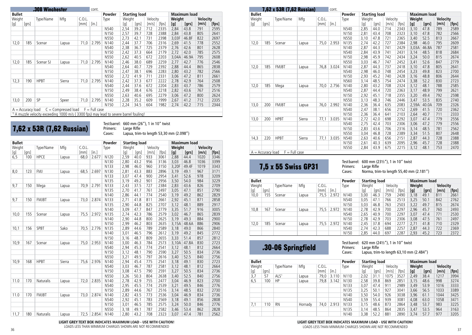|               |       | .308 Winchester |        |        | cont.    |                  |        |                      |          |       |        |                     |                 |       |
|---------------|-------|-----------------|--------|--------|----------|------------------|--------|----------------------|----------|-------|--------|---------------------|-----------------|-------|
| <b>Bullet</b> |       |                 |        |        |          | <b>Powder</b>    |        | <b>Starting load</b> |          |       |        | <b>Maximum load</b> |                 |       |
| Weight        |       | Type/Name       | Mfg    | C.0.L. |          | Type             | Weight |                      | Velocity |       | Weight |                     | <b>Velocity</b> |       |
| [g]           | [grs] |                 |        | mm     | $[$ in.] |                  | [g]    | [grs]                | [m/s]    | [fps] | [g]    | [grs]               | [m/s]           | [fps] |
|               |       |                 |        |        |          | N540             | 2,54   | 39.2                 | 712      | 2335  | 2,84   | 43.8                | 791             | 2595  |
|               |       |                 |        |        |          | N <sub>150</sub> | 2,57   | 39.7                 | 728      | 2388  | 2,84   | 43.8                | 805             | 2641  |
|               |       |                 |        |        |          | N550             | 2,73   | 42.1                 | 731      | 2398  | 3,03F  | 46.8F               | 822             | 2697  |
| 12,0          | 185   | Scenar          | Lapua  | 71,0   | 2.795    | N <sub>140</sub> | 2,44   | 37.7                 | 706      | 2316  | 2,69   | 41.5                | 778             | 2552  |
|               |       |                 |        |        |          | N540             | 2,38   | 36.7                 | 725      | 2379  | 2,76   | 42.6                | 801             | 2628  |
|               |       |                 |        |        |          | N <sub>150</sub> | 2,42   | 37.3                 | 664      | 2179  | 2,72   | 42.0                | 785             | 2575  |
|               |       |                 |        |        |          | N550             | 2,62   | 40.5                 | 672      | 2203  | 3,04A  | 46.9A               | 795             | 2608  |
| 12,0          | 185   | Scenar SJ       | Lapua  | 71,0   | 2.795    | N <sub>140</sub> | 2,46   | 38.0                 | 689      | 2259  | 2,77   | 42.7                | 776             | 2546  |
|               |       |                 |        |        |          | N540             | 2,64   | 40.7                 | 729      | 2392  | 2,88   | 44.4                | 865             | 2838  |
|               |       |                 |        |        |          | N <sub>150</sub> | 2,47   | 38.1                 | 696      | 2283  | 2,80   | 43.2                | 782             | 2566  |
|               |       |                 |        |        |          | N550             | 2,72   | 41.9                 | 711      | 2331  | 3,06   | 47.2                | 811             | 2661  |
| 12,3          | 190   | <b>HPBT</b>     | Sierra | 71,0   | 2.795    | N <sub>140</sub> | 2,42   | 37.3                 | 677      | 2222  | 2,78   | 42.9                | 764             | 2508  |
|               |       |                 |        |        |          | N540             | 2,44   | 37.6                 | 672      | 2204  | 2,83   | 43.7                | 786             | 2579  |
|               |       |                 |        |        |          | N <sub>150</sub> | 2,49   | 38.4                 | 676      | 2218  | 2,82   | 43.6                | 767             | 2516  |
|               |       |                 |        |        |          | N550             | 2,63   | 40.6                 | 695      | 2279  | 3,06   | 47.2                | 800             | 2624  |
| 13,0          | 200   | SP              | Speer  | 71,0   | 2.795    | N <sub>140</sub> | 2,28   | 35.2                 | 609      | 1999  | 2,67   | 41.2                | 712             | 2335  |
|               |       |                 |        |        |          | N <sub>150</sub> | 2,24   | 34.5                 | 604      | 1982  | 2,74   | 42.2                | 715             | 2344  |

 $A =$  Accuracy load  $C =$  Compressed load  $F =$  Full case

<sup>1)</sup> A muzzle velocity exceeding 1000 m/s (3300 fps) may lead to severe barrel fouling!

### 7,62 x 53R (7,62 Russian)

Test barrel: 660 mm (26"), 1 in 10" twist Primers: Large Rifle<br>Cases: Lapua, trim Lapua, trim-to length 53,30 mm (2.098")

| <b>Bullet</b> |       |                  |        |        |       | Powder |        | <b>Starting load</b> |          |       |        | <b>Maximum load</b> |                 |       |
|---------------|-------|------------------|--------|--------|-------|--------|--------|----------------------|----------|-------|--------|---------------------|-----------------|-------|
| Weight        |       | Type/Name        | Mfg    | C.0.L. |       | Type   | Weight |                      | Velocity |       | Weight |                     | <b>Velocity</b> |       |
| [g]           | [grs] |                  |        | [mm]   | [in.] |        | [g]    | [qrs]                | [m/s]    | [fps] | [g]    | [grs]               | [m/s]           | [fps] |
| 6, 5          | 100   | <b>HPCE</b>      | Lapua  | 68,0   | 2.677 | N120   | 2,59   | 40.0                 | 933      | 3061  | 2,88   | 44.4                | 1020            | 3346  |
|               |       |                  |        |        |       | N130   | 2,80   | 43.2                 | 956      | 3136  | 3,03   | 46.8                | 1036            | 3399  |
|               |       |                  |        |        |       | N133   | 2,98   | 46.0                 | 960      | 3150  | 3,20F  | 49.4F               | 1019            | 3343  |
| 8,0           | 123   | <b>FMJ</b>       | Lapua  | 68,5   | 2.697 | N130   | 2,81   | 43.3                 | 883      | 2896  | 3,19   | 49.1                | 967             | 3171  |
|               |       |                  |        |        |       | N133   | 3,07   | 47.4                 | 900      | 2954  | 3,41   | 52.6                | 978             | 3209  |
|               |       |                  |        |        |       | N135   | 3,19   | 49.2                 | 901      | 2956  | 3,50   | 54.0                | 984             | 3229  |
| 9,7           | 150   | Mega             | Lapua  | 70,9   | 2.791 | N133   | 2,43   | 37.5                 | 727      | 2384  | 2,83   | 43.6                | 826             | 2709  |
|               |       |                  |        |        |       | N135   | 2,70   | 41.7                 | 761      | 2497  | 3,05   | 47.1                | 851             | 2790  |
|               |       |                  |        |        |       | N140   | 2,86   | 44.1                 | 774      | 2540  | 3,19   | 49.2                | 862             | 2829  |
| 9,7           | 150   | <b>FMJBT</b>     | Lapua  | 73,0   | 2.874 | N133   | 2,71   | 41.8                 | 811      | 2661  | 2,92   | 45.1                | 871             | 2858  |
|               |       |                  |        |        |       | N135   | 2,90   | 44.8                 | 825      | 2707  | 3,12   | 48.1                | 889             | 2917  |
|               |       |                  |        |        |       | N140   | 3,09   | 47.7                 | 847      | 2779  | 3,35   | 51.7                | 916             | 3005  |
| 10,0          | 155   | Scenar           | Lapua  | 75,5   | 2.972 | N135   | 2,74   | 42.3                 | 786      | 2579  | 3,02   | 46.7                | 865             | 2839  |
|               |       |                  |        |        |       | N140   | 2,90   | 44.8                 | 800      | 2625  | 3,19   | 49.3                | 884             | 2900  |
|               |       |                  |        |        |       | N150   | 2,99   | 46.2                 | 803      | 2635  | 3,15A  | 48.6A               | 886             | 2906  |
| 10,1          | 156   | SPBT             | Sako   | 70,5   | 2.776 | N135   | 2,89   | 44.6                 | 789      | 2589  | 3,18   | 49.0                | 866             | 2840  |
|               |       |                  |        |        |       | N140   | 3,01   | 46.5                 | 796      | 2612  | 3,19   | 49.2                | 845             | 2772  |
|               |       |                  |        |        |       | N150   | 3,16   | 48.7                 | 809      | 2655  | 3,33   | 51.4                | 857             | 2812  |
| 10,9          | 167   | Scenar           | Lapua  | 75,0   | 2.953 | N140   | 3,00   | 46.3                 | 784      | 2573  | 3,10A  | 47.8A               | 830             | 2723  |
|               |       |                  |        |        |       | N540   | 2,94   | 45.3                 | 774      | 2541  | 3,12   | 48.1                | 812             | 2664  |
|               |       |                  |        |        |       | N150   | 3,12   | 48.1                 | 790      | 2590  | 3,27   | 50.5                | 834             | 2736  |
|               |       |                  |        |        |       | N550   | 3,21   | 49.5                 | 797      | 2616  | 3,40   | 52.5                | 840             | 2756  |
| 10,9          | 168   | <b>HPBT</b>      | Sierra | 75,6   | 2.976 | N140   | 2,94   | 45.4                 | 775      | 2541  | 3,18   | 49.1                | 830             | 2723  |
|               |       |                  |        |        |       | N540   | 3,03   | 46.7                 | 787      | 2581  | 3,12   | 48.1                | 812             | 2664  |
|               |       |                  |        |        |       | N150   | 3,08   | 47.5                 | 790      | 2591  | 3,27   | 50.5                | 834             | 2736  |
|               |       |                  |        |        |       | N550   | 3,26   | 50.3                 | 804      | 2638  | 3,40   | 52.5                | 840             | 2756  |
| 11.0          | 170   | Naturalis        | Lapua  | 72,0   | 2.835 | N140   | 2,78   | 42.9                 | 755      | 2477  | 3,04   | 46.9                | 823             | 2700  |
|               |       |                  |        |        |       | N540   | 2,95   | 45.5                 | 774      | 2539  | 3,21   | 49.5                | 846             | 2776  |
|               |       |                  |        |        |       | N150   | 2,89   | 44.6                 | 767      | 2516  | 3,14   | 48.5                | 832             | 2730  |
| 11.0          | 170   | <b>FMJBT</b>     | Lapua  | 73,0   | 2.874 | N140   | 2,82   | 43.5                 | 773      | 2536  | 3,04   | 46.9                | 834             | 2736  |
|               |       |                  |        |        |       | N540   | 2,92   | 45.1                 | 783      | 2569  | 3,18   | 49.1                | 856             | 2808  |
|               |       |                  |        |        |       | N150   | 3,01   | 46.5                 | 785      | 2575  | 3,24   | 50.0                | 846             | 2776  |
|               |       |                  |        |        |       | N550   | 3,18   | 49.1                 | 787      | 2582  | 3,46   | 53.4                | 862             | 2828  |
| 11,7          | 180   | <b>Naturalis</b> | Lapua  | 72,5   | 2.854 | N140   | 2,80   | 43.2                 | 708      | 2323  | 3,07   | 47.4                | 781             | 2562  |

**LIGHT GREY TEXT BOX INDICATES MAXIMUM LOAD - USE WITH CAUTION!** LOADS LESS THAN MINIMUM CHARGES SHOWN ARE NOT RECOMMENDED

|               |       | 7,62 x 53R (7,62 Russian) |        |        | cont.    |                  |        |                      |          |       |        |                     |                 |       |
|---------------|-------|---------------------------|--------|--------|----------|------------------|--------|----------------------|----------|-------|--------|---------------------|-----------------|-------|
| <b>Bullet</b> |       |                           |        |        |          | Powder           |        | <b>Starting load</b> |          |       |        | <b>Maximum load</b> |                 |       |
| Weight        |       | Type/Name                 | Mfg    | C.0.L. |          | Type             | Weight |                      | Velocity |       | Weight |                     | <b>Velocity</b> |       |
| [g]           | [grs] |                           |        | [mm]   | $[$ in.] |                  | [g]    | [grs]                | [m/s]    | [fps] | [g]    | [grs]               | [m/s]           | [fps] |
|               |       |                           |        |        |          | N540             | 2,85   | 44.0                 | 714      | 2343  | 3,10   | 47.8                | 789             | 2589  |
|               |       |                           |        |        |          | N150             | 2,81   | 43.4                 | 708      | 2323  | 3,10   | 47.8                | 782             | 2566  |
|               |       |                           |        |        |          | N550             | 3,10   | 47.8                 | 721      | 2365  | 3,40   | 52.5                | 813             | 2667  |
| 12,0          | 185   | Scenar                    | Lapua  | 75,0   | 2.953    | N135             | 2,74   | 42.2                 | 727      | 2384  | 2,98   | 46.0                | 795             | 2609  |
|               |       |                           |        |        |          | N140             | 2,87   | 44.3                 | 741      | 2429  | 3,03A  | 46.8A               | 787             | 2581  |
|               |       |                           |        |        |          | N540             | 2,84   | 43.9                 | 741      | 2431  | 3,14   | 48.5                | 818             | 2684  |
|               |       |                           |        |        |          | N150             | 2,98   | 45.9                 | 742      | 2434  | 3,24   | 50.0                | 815             | 2674  |
|               |       |                           |        |        |          | N550             | 3,03   | 46.7                 | 747      | 2452  | 3,41   | 52.6                | 847             | 2779  |
| 12,0          | 185   | <b>FMJBT</b>              | Lapua  | 76.8   | 3.024    | N140             | 2,87   | 44.3                 | 737      | 2418  | 3,10   | 47.8                | 805             | 2641  |
|               |       |                           |        |        |          | N540             | 2,98   | 46.0                 | 748      | 2454  | 3,23   | 49.8                | 823             | 2700  |
|               |       |                           |        |        |          | N <sub>150</sub> | 2,93   | 45.2                 | 740      | 2428  | 3,16   | 48.8                | 806             | 2644  |
|               |       |                           |        |        |          | N560             | 3,14   | 48.5                 | 754      | 2474  | 3,38   | 52.2                | 830             | 2723  |
| 12,0          | 185   | Mega                      | Lapua  | 70,0   | 2.756    | N140             | 2,80   | 43.2                 | 708      | 2324  | 3,12   | 48.1                | 788             | 2585  |
|               |       |                           |        |        |          | N540             | 2,87   | 44.4                 | 720      | 2363  | 3,17   | 48.9                | 799             | 2621  |
|               |       |                           |        |        |          | N150             | 2,92   | 45.1                 | 718      | 2355  | 3,20   | 49.4                | 792             | 2598  |
|               |       |                           |        |        |          | N550             | 3,13   | 48.3                 | 746      | 2446  | 3,47   | 53.5                | 835             | 2740  |
| 13,0          | 200   | <b>FMJBT</b>              | Lapua  | 76,0   | 2.992    | N140             | 2,36   | 36.4                 | 635      | 2083  | 2,59A  | 40.0A               | 709             | 2326  |
|               |       |                           |        |        |          | N540             | 2,47   | 38.1                 | 656      | 2152  | 2,69   | 41.5                | 720             | 2362  |
|               |       |                           |        |        |          | N <sub>150</sub> | 2,36   | 36.4                 | 641      | 2103  | 2,64   | 40.7                | 711             | 2333  |
| 13,0          | 200   | <b>HPBT</b>               | Sierra | 77,1   | 3.035    | N140             | 2,72   | 42.0                 | 698      | 2292  | 3,07   | 47.4                | 779             | 2556  |
|               |       |                           |        |        |          | N540             | 2,75   | 42.4                 | 703      | 2306  | 3,06   | 47.2                | 779             | 2556  |
|               |       |                           |        |        |          | N150             | 2,83   | 43.6                 | 706      | 2316  | 3,14   | 48.5                | 781             | 2562  |
|               |       |                           |        |        |          | N550             | 3,04   | 46.8                 | 728      | 2389  | 3,34   | 51.5                | 807             | 2648  |
| 14,3          | 220   | <b>HPBT</b>               | Sierra | 77,1   | 3.035    | N540             | 2,63   | 40.6                 | 656      | 2151  | 2,87   | 44.3                | 728             | 2388  |
|               |       |                           |        |        |          | N <sub>150</sub> | 2,61   | 40.3                 | 639      | 2095  | 2,96   | 45.7                | 728             | 2388  |
|               |       |                           |        |        |          | N550             | 2,84   | 43.9                 | 675      | 2215  | 3,12   | 48.1                | 753             | 2470  |

### 7,5 x 55 Swiss GP31

Test barrel: 600 mm (231/2"), 1 in 10" twist<br>Primers: Large Rifle Primers: Large Rifle<br>Cases: Norma, trin Norma, trim-to length 55,40 mm  $(2.181")$ 

| <b>Bullet</b> |       |           |       |        |       | Powder           |        | <b>Starting load</b> |          |      |        | Maximum load |                 |       |
|---------------|-------|-----------|-------|--------|-------|------------------|--------|----------------------|----------|------|--------|--------------|-----------------|-------|
| Weight        |       | Type/Name | Mfg   | C.0.L. |       | Type             | Weight |                      | Velocitv |      | Weight |              | <b>Velocity</b> |       |
| [g]           | [grs] |           |       | lmm l  | in.   |                  | [g]    | [grs]                | [m/s]    | [fps | [g]    | [grs]        | [m/s]           | [fps] |
| 10,0          | 155   | Scenar    | Lapua | 75,5   | 2.972 | N <sub>140</sub> | 3,00   | 46.3                 | 759      | 2490 | 3,18   | 49.1         | 811             | 2661  |
|               |       |           |       |        |       | N540             | 3,05   | 47.1                 | 766      | 2513 | 3,25   | 50.1         | 842             | 2762  |
|               |       |           |       |        |       | N <sub>150</sub> | 3,03   | 46.8                 | 763      | 2503 | 3,22   | 49.7         | 815             | 2674  |
| 10,8          | 167   | Scenar    | Lapua | 75.5   | 2.972 | N <sub>140</sub> | 2,78   | 42.9                 | 700      | 2297 | 2,96   | 45.7         | 760             | 2493  |
|               |       |           |       |        |       | N540             | 2.65   | 40.9                 | 700      | 2297 | 3.07   | 47.4         | 771             | 2530  |
|               |       |           |       |        |       | N <sub>150</sub> | 2,78   | 42.9                 | 703      | 2306 | 3,08   | 47.5         | 761             | 2497  |
| 12,0          | 185   | Scenar    | Lapua | 75.5   | 2.972 | N <sub>140</sub> | 2,45   | 37.8                 | 694      | 2277 | 2.71   | 41.8         | 710             | 2329  |
|               |       |           |       |        |       | N540             | 2,74   | 42.3                 | 688      | 2257 | 2,87   | 44.3         | 722             | 2369  |
|               |       |           |       |        |       | N <sub>150</sub> | 2,85   | 44.0                 | 697      | 2287 | 2.93   | 45.2         | 723             | 2372  |

## .30-06 Springfield

Test barrel: 620 mm (24½"), 1 in 10" twist<br>Primers: Large Rifle Primers: Large Rifle<br>Cases: Lapua, trim Lapua, trim-to length  $63,10$  mm  $(2.484")$ 

| <b>Bullet</b> |       |                  |         |        |             | Powder           |        | <b>Starting load</b> |          |       |        | Maximum load |                 |       |
|---------------|-------|------------------|---------|--------|-------------|------------------|--------|----------------------|----------|-------|--------|--------------|-----------------|-------|
| Weight        |       | Type/Name        | Mfg     | C.0.L. |             | Type             | Weight |                      | Velocity |       | Weight |              | <b>Velocity</b> |       |
| [g]           | [grs] |                  |         | mm     | $[$ in. $]$ |                  | [g]    | [grs]                | [m/s]    | [fps] | [g]    | [grs]        | [m/s]           | [fps] |
| 3,7           | 57    | ALS <sup>1</sup> | Lapua   | 79.0   | 3.110       | N <sub>110</sub> | 2.02   | 31.1                 | 1075     | 3527  | 2,49   | 38.4         | 1217            | 3994  |
| 6,5           | 100   | HP               | Lapua   | 79,8   | 3.142       | N <sub>130</sub> | 2,58   | 39.8                 | 869      | 2851  | 3,15   | 48.6         | 998             | 3274  |
|               |       |                  |         |        |             | N <sub>133</sub> | 3,07   | 47.4                 | 911      | 2989  | 3,49   | 53.9         | 1016            | 3333  |
|               |       |                  |         |        |             | N <sub>135</sub> | 3,25   | 50.1                 | 927      | 3041  | 3,66   | 56.5         | 1033            | 3389  |
|               |       |                  |         |        |             | N <sub>140</sub> | 3,50   | 54.0                 | 926      | 3038  | 3,96   | 61.1         | 1044            | 3425  |
|               |       |                  |         |        |             | N540             | 3,59   | 55.4                 | 939      | 3081  | 4.08   | 63.0         | 1058            | 3471  |
| 7,1           | 110   | <b>RN</b>        | Hornady | 74.0   | 2.913       | N <sub>133</sub> | 3,15   | 48.6                 | 873      | 2864  | 3,48   | 53.7         | 983             | 3225  |
|               |       |                  |         |        |             | N <sub>135</sub> | 3,14   | 48.5                 | 864      | 2835  | 3,47   | 53.5         | 964             | 3163  |
|               |       |                  |         |        |             | N <sub>140</sub> | 3.38   | 52.2                 | 881      | 2890  | 3.74   | 57.7         | 977             | 3205  |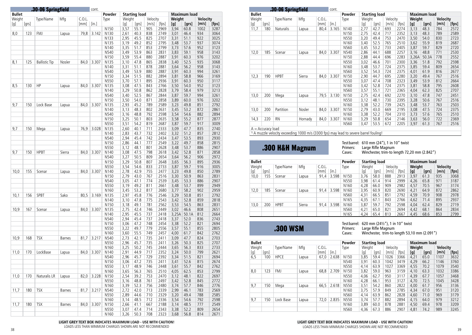|               |       | .30-06 Springfield   |               |        | cont.    |        |        |                      |          |       |        |                     |                 |       |
|---------------|-------|----------------------|---------------|--------|----------|--------|--------|----------------------|----------|-------|--------|---------------------|-----------------|-------|
| <b>Bullet</b> |       |                      |               |        |          | Powder |        | <b>Starting load</b> |          |       |        | <b>Maximum load</b> |                 |       |
| Weight        |       | Type/Name            | Mfg           | C.0.L. |          | Type   | Weight |                      | Velocity |       | Weight |                     | <b>Velocity</b> |       |
| [g]           | [grs] |                      |               | [mm]   | $[$ in.] |        | [g]    | [grs]                | [m/s]    | [fps] | [g]    | [grs]               | [m/s]           | [fps] |
|               |       |                      |               |        |          | N150   | 3,57   | 55.1                 | 905      | 2969  | 3,94   | 60.8                | 1002            | 3287  |
| 8,0           | 123   | FMJ                  | Lapua         | 79,8   | 3.142    | N130   | 2,61   | 40.3                 | 838      | 2749  | 3,01   | 46.4                | 934             | 3064  |
|               |       |                      |               |        |          | N133   | 2,95   | 45.5                 | 825      | 2707  | 3,31   | 51.1                | 922             | 3025  |
|               |       |                      |               |        |          |        |        |                      |          |       |        |                     |                 |       |
|               |       |                      |               |        |          | N135   | 3,19   | 49.2                 | 852      | 2795  | 3,48   | 53.7                | 937             | 3074  |
|               |       |                      |               |        |          | N140   | 3,35   | 51.7                 | 853      | 2799  | 3,73   | 57.6                | 952             | 3123  |
|               |       |                      |               |        |          | N540   | 3,49   | 53.9                 | 863      | 2831  | 3,83   | 59.1                | 958             | 3143  |
|               |       |                      |               |        |          | N150   | 3,59   | 55.4                 | 880      | 2887  | 3,91   | 60.3                | 976             | 3202  |
| 8,1           | 125   | <b>Ballistic Tip</b> | Nosler        | 84,0   | 3.307    | N135   | 3,10   | 47.8                 | 865      | 2838  | 3,40   | 52.5                | 935             | 3068  |
|               |       |                      |               |        |          |        |        |                      |          |       |        |                     |                 |       |
|               |       |                      |               |        |          | N140   | 3,31   | 51.1                 | 878      | 2881  | 3,64   | 56.2                | 958             | 3143  |
|               |       |                      |               |        |          | N540   | 3,49   | 53.9                 | 880      | 2887  | 3,91   | 60.3                | 994             | 3261  |
|               |       |                      |               |        |          | N150   | 3,34   | 51.5                 | 882      | 2894  | 3,81   | 58.8                | 966             | 3169  |
|               |       |                      |               |        |          | N550   | 3,70   | 57.1                 | 895      | 2936  | 3,91   | 60.3                | 950             | 3117  |
| 8,5           | 130   | HP                   |               | 84,0   | 3.307    | N135   | 3,08   | 47.5                 | 843      | 2766  | 3,50   | 54.0                | 952             | 3123  |
|               |       |                      | Lapua         |        |          |        |        |                      |          |       |        |                     |                 |       |
|               |       |                      |               |        |          | N140   | 3,29   | 50.8                 | 862      | 2828  | 3,79   | 58.4                | 979             | 3213  |
|               |       |                      |               |        |          | N540   | 3,40   | 52.5                 | 867      | 2844  | 3,87   | 59.7                | 994             | 3261  |
|               |       |                      |               |        |          | N150   | 3,50   | 54.0                 | 871      | 2858  | 3,89   | 60.0                | 976             | 3202  |
| 9,7           | 150   | Lock Base            | Lapua         | 84,0   | 3.307    | N135   | 2,93   | 45.2                 | 789      | 2589  | 3,23   | 49.8                | 851             | 2792  |
|               |       |                      |               |        |          | N140   | 3,13   | 48.3                 | 802      | 2631  | 3,45   | 53.2                | 872             | 2861  |
|               |       |                      |               |        |          |        |        |                      |          |       |        |                     |                 |       |
|               |       |                      |               |        |          | N540   | 3,16   | 48.8                 | 792      | 2598  | 3,54   | 54.6                | 882             | 2894  |
|               |       |                      |               |        |          | N150   | 3,25   | 50.1                 | 803      | 2635  | 3,58   | 55.2                | 877             | 2877  |
|               |       |                      |               |        |          | N550   | 3,51   | 54.2                 | 819      | 2687  | 3,87   | 59.7                | 917             | 3009  |
| 9,7           | 150   | Mega                 | Lapua         | 76,9   | 3.028    | N135   | 2,60   | 40.1                 | 711      | 2333  | 3,09   | 47.7                | 835             | 2740  |
|               |       |                      |               |        |          | N140   | 2,83   | 43.7                 | 732      | 2402  | 3,32   | 51.2                | 857             | 2812  |
|               |       |                      |               |        |          |        |        |                      |          |       |        |                     |                 |       |
|               |       |                      |               |        |          | N540   | 2,94   | 45.4                 | 742      | 2434  | 3,47   | 53.5                | 893             | 2930  |
|               |       |                      |               |        |          | N150   | 2,86   | 44.1                 | 777      | 2549  | 3,22   | 49.7                | 858             | 2815  |
|               |       |                      |               |        |          | N550   | 3,12   | 48.1                 | 801      | 2628  | 3,48   | 53.7                | 886             | 2907  |
| 9,7           | 150   | <b>HPBT</b>          | Sierra        | 84,0   | 3.307    | N140   | 3,08   | 47.5                 | 798      | 2618  | 3,42   | 52.8                | 871             | 2858  |
|               |       |                      |               |        |          |        |        |                      |          |       |        |                     |                 |       |
|               |       |                      |               |        |          | N540   | 3,27   | 50.5                 | 809      | 2654  | 3,64   | 56.2                | 906             | 2972  |
|               |       |                      |               |        |          | N150   | 3,29   | 50.8                 | 807      | 2648  | 3,65   | 56.3                | 895             | 2936  |
|               |       |                      |               |        |          | N550   | 3,54   | 54.6                 | 833      | 2733  | 3,87   | 59.7                | 916             | 3005  |
| 10,0          | 155   | Scenar               | Lapua         | 84,0   | 3.307    | N140   | 2,78   | 42.9                 | 755      | 2477  | 3,23   | 49.8                | 850             | 2789  |
|               |       |                      |               |        |          | N150   | 2,79   | 43.0                 | 767      | 2516  | 3,30   | 50.9                | 863             | 2831  |
|               |       |                      |               |        |          |        |        |                      |          |       |        |                     |                 |       |
|               |       |                      |               |        |          | N540   | 3,05   | 47.1                 | 774      | 2539  | 3,45   | 53.3                | 886             | 2907  |
|               |       |                      |               |        |          | N550   | 3,19   | 49.2                 | 811      | 2661  | 3,48   | 53.7                | 899             | 2949  |
|               |       |                      |               |        |          | N160   | 3,45   | 53.2                 | 817      | 2680  | 3,77   | 58.2                | 902             | 2959  |
| 10,1          | 156   | SPBT                 | Sako          | 80,5   | 3.169    | N135   | 2,97   | 45.8                 | 776      | 2546  | 3,29   | 50.8                | 851             | 2792  |
|               |       |                      |               |        |          | N140   | 3,10   | 47.8                 | 775      | 2543  | 3,42   | 52.8                | 859             | 2818  |
|               |       |                      |               |        |          |        |        |                      |          |       |        |                     |                 |       |
|               |       |                      |               |        |          | N150   | 3,18   | 49.1                 | 781      | 2562  | 3,53   | 54.5                | 863             | 2831  |
| 10,9          | 167   | Scenar               | Lapua         | 84,0   | 3.307    | N135   | 2,75   | 42.4                 | 746      | 2449  | 3,02   | 46.6                | 808             | 2651  |
|               |       |                      |               |        |          | N140   | 2,95   | 45.5                 | 737      | 2418  | 3,25A  | 50.1A               | 812             | 2664  |
|               |       |                      |               |        |          | N540   | 2,94   | 45.4                 | 737      | 2418  | 3,37   | 52.0                | 836             | 2743  |
|               |       |                      |               |        |          | N150   | 3,06   | 47.2                 | 748      | 2454  | 3,38   | 52.2                | 821             | 2694  |
|               |       |                      |               |        |          |        |        |                      |          |       |        |                     |                 |       |
|               |       |                      |               |        |          | N550   | 3,22   | 49.7                 | 779      | 2556  | 3,57   | 55.1                | 855             | 2805  |
|               |       |                      |               |        |          | N160   | 3,60   | 55.5                 | 749      | 2457  | 4,00   | 61.7                | 842             | 2762  |
| 10,9          | 168   | <b>TSX</b>           | <b>Barnes</b> | 81,7   | 3.217    | N540   | 2,73   | 42.1                 | 735      | 2411  | 3,09   | 47.7                | 824             | 2703  |
|               |       |                      |               |        |          | N550   | 2,96   | 45.7                 | 735      | 2411  | 3,26   | 50.3                | 825             | 2707  |
|               |       |                      |               |        |          |        |        |                      |          |       |        |                     |                 |       |
|               |       |                      |               |        |          | N160   | 3,25   | 50.2                 | 745      | 2444  | 3,65   | 56.3                | 833             | 2733  |
| 11,0          | 170   | LockBase             | Lapua         | 84,0   | 3.307    | N140   | 2,91   | 44.9                 | 717      | 2352  | 3,24   | 50.0                | 799             | 2621  |
|               |       |                      |               |        |          | N540   | 2,96   | 45.7                 | 729      | 2392  | 3,34   | 51.5                | 821             | 2694  |
|               |       |                      |               |        |          | N150   | 3,06   | 47.2                 | 735      | 2411  | 3,41   | 52.6                | 815             | 2674  |
|               |       |                      |               |        |          | N550   | 3,17   | 48.9                 | 746      | 2448  | 3,61   | 55.7                | 842             | 2762  |
|               |       |                      |               |        |          |        |        |                      |          |       |        |                     |                 |       |
|               |       |                      |               |        |          | N160   | 3,65   | 56.3                 | 765      | 2510  | 4,05   | 62.5                | 853             | 2799  |
| 11,0          | 170   | Naturalis LR         | Lapua         | 82,0   | 3.228    | N150   | 2,54   | 39.2                 | 753      | 2470  | 3,12   | 48.1                | 822             | 2697  |
|               |       |                      |               |        |          | N550   | 3,16   | 48.8                 | 761      | 2497  | 3,42   | 52.8                | 845             | 2772  |
|               |       |                      |               |        |          | N160   | 3,39   | 52.3                 | 756      | 2480  | 3,74   | 57.7                | 846             | 2776  |
| 11,7          | 180   | <b>TSX</b>           |               | 81,7   | 3.217    |        |        | 42.0                 | 713      |       |        | 46.1                | 783             | 2569  |
|               |       |                      | <b>Barnes</b> |        |          | N540   | 2,72   |                      |          | 2339  | 2,99   |                     |                 |       |
|               |       |                      |               |        |          | N550   | 2,89   | 44.6                 | 710      | 2329  | 3,20   | 49.4                | 788             | 2585  |
|               |       |                      |               |        |          | N160   | 3,14   | 48.5                 | 712      | 2336  | 3,54   | 54.6                | 792             | 2598  |
| 11,7          | 180   | <b>TSX</b>           | <b>Barnes</b> | 84,0   | 3.307    | N150   | 2,66   | 41.1                 | 667      | 2188  | 3,14   | 48.5                | 777             | 2549  |
|               |       |                      |               |        |          | N550   |        | 47.4                 | 714      |       |        | 52.2                | 809             | 2654  |
|               |       |                      |               |        |          |        | 3,07   |                      |          | 2343  | 3,38   |                     |                 |       |
|               |       |                      |               |        |          | N160   | 3,26   | 50.3                 | 708      | 2323  | 3,68   | 56.8                | 814             | 2671  |

|               |                     | .30-06 Springfield                                                                               |         |        | cont.       |                  |        |                      |          |       |        |                     |          |       |
|---------------|---------------------|--------------------------------------------------------------------------------------------------|---------|--------|-------------|------------------|--------|----------------------|----------|-------|--------|---------------------|----------|-------|
| <b>Bullet</b> |                     |                                                                                                  |         |        |             | <b>Powder</b>    |        | <b>Starting load</b> |          |       |        | <b>Maximum load</b> |          |       |
| Weight        |                     | Type/Name                                                                                        | Mfg     | C.0.L. |             | Type             | Weight |                      | Velocity |       | Weight |                     | Velocity |       |
| [g]           | [grs]               |                                                                                                  |         | [mm]   | $[$ in. $]$ |                  | [g]    | [grs]                | [m/s]    | [fps] | [g]    | [grs]               | [m/s]    | [fps] |
| 11,7          | 180                 | <b>Naturalis</b>                                                                                 | Lapua   | 80,4   | 3.165       | N140             | 2,77   | 42.7                 | 693      | 2274  | 3,13   | 48.3                | 784      | 2572  |
|               |                     |                                                                                                  |         |        |             | N150             | 2,75   | 42.4                 | 717      | 2352  | 3,13   | 48.3                | 789      | 2589  |
|               |                     |                                                                                                  |         |        |             | N550             | 3,20   | 49.4                 | 753      | 2470  | 3,50   | 54.0                | 830      | 2723  |
|               |                     |                                                                                                  |         |        |             | N <sub>160</sub> | 3,40   | 52.5                 | 765      | 2510  | 3,62   | 55.9                | 819      | 2687  |
|               |                     |                                                                                                  |         |        |             | N560             | 3,45   | 53.2                 | 733      | 2405  | 3,87   | 59.7                | 829      | 2720  |
| 12,0          | 185                 | Scenar                                                                                           | Lapua   | 84,0   | 3.307       | N540             | 2,86   | 44.1                 | 688      | 2257  | 3,16   | 48.8                | 771      | 2530  |
|               |                     |                                                                                                  |         |        |             | N <sub>150</sub> | 2,88   | 44.4                 | 696      | 2283  | 3,26A  | 50.3A               | 778      | 2552  |
|               |                     |                                                                                                  |         |        |             | N550             | 3,02   | 46.6                 | 701      | 2300  | 3,36   | 51.8                | 792      | 2598  |
|               |                     |                                                                                                  |         |        |             | N160             | 3,48   | 53.7                 | 724      | 2375  | 3,85   | 59.4                | 809      | 2654  |
|               |                     |                                                                                                  |         |        |             | N560             | 3,52   | 54.3                 | 724      | 2375  | 4,01   | 61.9                | 816      | 2677  |
| 12,3          | 190                 | <b>HPBT</b>                                                                                      | Sierra  | 84,0   | 3.307       | N150             | 2,90   | 44.7                 | 695      | 2280  | 3,20   | 49.4                | 767      | 2516  |
|               |                     |                                                                                                  |         |        |             | N550             | 3,07   | 47.4                 | 708      | 2323  | 3,49   | 53.9                | 812      | 2664  |
|               |                     |                                                                                                  |         |        |             | N <sub>160</sub> | 3,42   | 52.8                 | 724      | 2375  | 3,81   | 58.8                | 795      | 2608  |
|               |                     |                                                                                                  |         |        |             | N560             | 3,57   | 55.1                 | 721      | 2365  | 4,04   | 62.3                | 825      | 2707  |
| 13,0          | 200                 | Mega                                                                                             | Lapua   | 79,5   | 3.130       | N150             | 2,75   | 42.4                 | 692      | 2270  | 3,10   | 47.8                | 747      | 2451  |
|               |                     |                                                                                                  |         |        |             | N550             | 3,12   | 48.1                 | 730      | 2395  | 3,28   | 50.6                | 767      | 2516  |
|               |                     |                                                                                                  |         |        |             | N <sub>160</sub> | 3,38   | 52.2                 | 739      | 2425  | 3,48   | 53.7                | 763      | 2503  |
| 13,0          | 200                 | Partition                                                                                        | Nosler  | 84,0   | 3.307       | N <sub>150</sub> | 2,79   | 43.0                 | 669      | 2195  | 3,08   | 47.5                | 724      | 2375  |
|               |                     |                                                                                                  |         |        |             | N <sub>160</sub> | 3,38   | 52.2                 | 704      | 2310  | 3,73   | 57.6                | 765      | 2510  |
| 14,3          | 220                 | <b>RN</b>                                                                                        | Hornady | 84,0   | 3.307       | N160             | 3,29   | 50.8                 | 654      | 2146  | 3,63   | 56.0                | 722      | 2369  |
|               |                     |                                                                                                  |         |        |             | N560             | 3,47   | 53.5                 | 672      | 2205  | 3,97   | 61.3                | 767      | 2516  |
|               | $A =$ Accuracy load |                                                                                                  |         |        |             |                  |        |                      |          |       |        |                     |          |       |
|               |                     | <sup>1)</sup> A muzzle velocity exceeding 1000 m/s (3300 fps) may lead to severe barrel fouling! |         |        |             |                  |        |                      |          |       |        |                     |          |       |

### .300 H&H Magnum

Test barrel: 610 mm (24"), 1 in 10" twist Primers: Large Rifle Magnum Cases: Winchester, trim-to length 72,20 mm (2.842")

| <b>Bullet</b> |       |             |        |        |                       | Powder           |        | <b>Starting load</b> |                     |       |        | Maximum load |                 |       |
|---------------|-------|-------------|--------|--------|-----------------------|------------------|--------|----------------------|---------------------|-------|--------|--------------|-----------------|-------|
| Weight        |       | Type/Name   | Mfg    | C.0.L. |                       | Type             | Weight |                      | Velocity            |       | Weight |              | <b>Velocity</b> |       |
| [g]           | [grs] |             |        | lmm l  | $\lceil$ in. $\rceil$ |                  | [q]    | grs                  | $\lceil m/s \rceil$ | [fps] | [g]    | [grs]        | [m/s]           | [fps] |
| 10,0          | 55    | Scenar      | Lapua  | 91,4   | 3.598                 | N <sub>150</sub> | 3,76   | 58.0                 | 888                 | 2913  | 3,97   | 61.3         | 935             | 3068  |
|               |       |             |        |        |                       | N550             | 3,98   | 61.4                 | 914                 | 2999  | 4,26   | 65.8         | 971             | 3187  |
|               |       |             |        |        |                       | N <sub>160</sub> | 4,28   | 66.0                 | 909                 | 2982  | 4,57   | 70.5         | 967             | 3174  |
| 12,0          | 185   | Scenar      | Lapua  | 91,4   | 3.598                 | N <sub>160</sub> | 3,95   | 60.9                 | 820                 | 2690  | 4,21   | 64.9         | 872             | 2862  |
|               |       |             |        |        |                       | N560             | 4,31   | 66.5                 | 851                 | 2792  | 4,59   | 70.9         | 908             | 2978  |
|               |       |             |        |        |                       | N <sub>165</sub> | 4,35   | 67.1                 | 843                 | 2766  | 4,62   | 71.4         | 895             | 2937  |
| 13,0          | 200   | <b>HPBT</b> | Sierra | 91.4   | 3.598                 | N <sub>160</sub> | 3,87   | 59.7                 | 792                 | 2598  | 4,04   | 62.4         | 829             | 2719  |
|               |       |             |        |        |                       | N560             | 4,21   | 65.0                 | 821                 | 2694  | 4,42   | 68.1         | 864             | 2834  |
|               |       |             |        |        |                       | N <sub>165</sub> | 4,24   | 65.4                 | 813                 | 2667  | 4,45   | 68.6         | 853             | 2799  |

### .300 WSM

Test barrel: 620 mm (24½"), 1 in 10" twist Primers: Large Rifle Magnum Cases: Winchester, trim-to length 53,10 mm (2.091")

| <b>Bullet</b> |       |             |       |        |             | Powder           |        | <b>Starting load</b> |          |       |        | Maximum load |                 |       |
|---------------|-------|-------------|-------|--------|-------------|------------------|--------|----------------------|----------|-------|--------|--------------|-----------------|-------|
| Weight        |       | Type/Name   | Mfg   | C.0.L. |             | Type             | Weight |                      | Velocity |       | Weight |              | <b>Velocity</b> |       |
| [g]           | [grs] |             |       | lmml   | $[$ in. $]$ |                  | [g]    | qrs                  | [m/s]    | [fps] | [g]    | [grs]        | [m/s]           | [fps] |
| 6,5           | 100   | <b>HPCE</b> | Lapua | 67,0   | 2.638       | N <sub>150</sub> | 3,85   | 59.4                 | 1026     | 3366  | 4,21   | 65.0         | 1107            | 3632  |
|               |       |             |       |        |             | N540             | 3,91   | 60.3                 | 1042     | 3419  | 4,29   | 66.2         | 1146            | 3760  |
|               |       |             |       |        |             | N550             | 4,14   | 63.9                 | 1027     | 3369  | 4.55   | 70.2         | 1079            | 3540  |
| 8,0           | 123   | <b>FMJ</b>  | Lapua | 68,8   | 2.709       | N <sub>150</sub> | 3,82   | 59.0                 | 963      | 3159  | 4,10   | 63.3         | 1032            | 3386  |
|               |       |             |       |        |             | N550             | 4,06   | 62.7                 | 950      | 3117  | 4,39   | 67.7         | 1057            | 3468  |
|               |       |             |       |        |             | N <sub>160</sub> | 4,28   | 66.1                 | 953      | 3127  | 4.70   | 72.5         | 1045            | 3428  |
| 9,7           | 150   | Mega        | Lapua | 66.5   | 2.618       | N550             | 3,51   | 54.2                 | 860      | 2822  | 4,00   | 61.7         | 956             | 3136  |
|               |       |             |       |        |             | N <sub>160</sub> | 3,75   | 57.9                 | 849      | 2785  | 4,34   | 67.0         | 951             | 3120  |
|               |       |             |       |        |             | N560             | 4,14   | 63.9                 | 862      | 2828  | 4.60   | 71.0         | 969             | 3179  |
| 9,7           | 150   | Lock Base   | Lapua | 72,0   | 2.835       | N550             | 3.74   | 57.7                 | 882      | 2894  | 4.15   | 64.0         | 979             | 3212  |
|               |       |             |       |        |             | N <sub>160</sub> | 3,89   | 60.0                 | 878      | 2881  | 4,50   | 69.4         | 978             | 3209  |
|               |       |             |       |        |             | N560             | 4.36   | 67.3                 | 886      | 2907  | 4.81   | 74.2         | 989             | 3245  |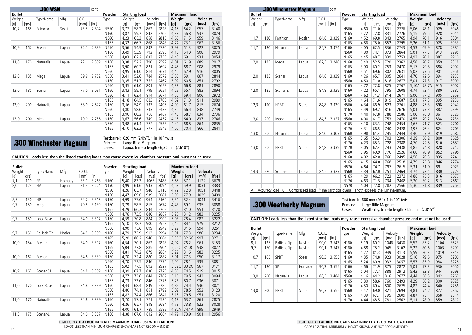|               |       | <b>.300 WSM</b>  |       |        | cont.       |                  |        |                      |                     |       |        |                     |                 |       |
|---------------|-------|------------------|-------|--------|-------------|------------------|--------|----------------------|---------------------|-------|--------|---------------------|-----------------|-------|
| <b>Bullet</b> |       |                  |       |        |             | <b>Powder</b>    |        | <b>Starting load</b> |                     |       |        | <b>Maximum load</b> |                 |       |
| Weight        |       | Type/Name        | Mfg   | C.0.L. |             | Type             | Weight |                      | Velocity            |       | Weight |                     | <b>Velocity</b> |       |
| [g]           | [grs] |                  |       | mm     | $[$ in. $]$ |                  | [g]    | [grs]                | $\lceil m/s \rceil$ | [fps] | [g]    | [grs]               | [m/s]           | [fps] |
| 10,7          | 165   | Scirocco         | Swift | 73,5   | 2.894       | N550             | 3,77   | 58.2                 | 862                 | 2828  | 4,16   | 64.2                | 957             | 3140  |
|               |       |                  |       |        |             | N160             | 3,87   | 59.7                 | 842                 | 2762  | 4,33   | 66.8                | 937             | 3074  |
|               |       |                  |       |        |             | N560             | 4,23   | 65.3                 | 858                 | 2815  | 4,63   | 71.5                | 959             | 3146  |
|               |       |                  |       |        |             | N <sub>165</sub> | 4,32   | 66.7                 | 868                 | 2848  | 4,74   | 73.1                | 962             | 3156  |
| 10,9          | 167   | Scenar           | Lapua | 72,1   | 2.839       | N550             | 3,56   | 54.9                 | 832                 | 2730  | 3,97   | 61.3                | 922             | 3025  |
|               |       |                  |       |        |             | N <sub>160</sub> | 3,49   | 53.9                 | 792                 | 2598  | 4,15   | 64.0                | 908             | 2979  |
|               |       |                  |       |        |             | N560             | 4,03   | 62.2                 | 833                 | 2733  | 4,48   | 69.1                | 931             | 3054  |
| 11,0          | 170   | <b>Naturalis</b> | Lapua | 72,1   | 2.839       | N <sub>160</sub> | 3,38   | 52.2                 | 790                 | 2592  | 4,01   | 61.9                | 889             | 2917  |
|               |       |                  |       |        |             | N <sub>165</sub> | 3,90   | 60.2                 | 821                 | 2694  | 4,45   | 68.7                | 908             | 2979  |
|               |       |                  |       |        |             | N560             | 3,95   | 61.0                 | 814                 | 2671  | 4,40   | 67.9                | 916             | 3005  |
| 12,0          | 185   | Mega             | Lapua | 69,9   | 2.752       | N550             | 3,41   | 52.6                 | 784                 | 2572  | 3,83   | 59.1                | 867             | 2844  |
|               |       |                  |       |        |             | N <sub>160</sub> | 3,35   | 51.7                 | 752                 | 2467  | 3,92   | 60.5                | 851             | 2792  |
|               |       |                  |       |        |             | N560             | 3,95   | 61.0                 | 801                 | 2628  | 4,33   | 66.8                | 881             | 2890  |
| 12,0          | 185   | Scenar           | Lapua | 77,0   | 3.031       | N <sub>160</sub> | 3,83   | 59.1                 | 799                 | 2621  | 4,22   | 65.1                | 882             | 2894  |
|               |       |                  |       |        |             | N560             | 4,11   | 63.4                 | 814                 | 2671  | 4,50   | 69.4                | 906             | 2972  |
|               |       |                  |       |        |             | N <sub>165</sub> | 4,18   | 64.5                 | 823                 | 2700  | 4,62   | 71.3                | 911             | 2989  |
| 13,0          | 200   | <b>Naturalis</b> | Lapua | 68,0   | 2.677       | N <sub>160</sub> | 3,56   | 54.9                 | 733                 | 2405  | 4,00   | 61.7                | 815             | 2674  |
|               |       |                  |       |        |             | N560             | 3,80   | 58.6                 | 743                 | 2438  | 4,30   | 66.4                | 838             | 2749  |
|               |       |                  |       |        |             | N <sub>165</sub> | 3,90   | 60.2                 | 758                 | 2487  | 4,45   | 68.7                | 834             | 2736  |
| 13,0          | 200   | Mega             | Lapua | 70,0   | 2.756       | N <sub>160</sub> | 3,67   | 56.6                 | 749                 | 2457  | 4,15   | 64.0                | 837             | 2746  |
|               |       |                  |       |        |             | N560             | 3,98   | 61.4                 | 772                 | 2533  | 4,44   | 68.5                | 864             | 2835  |
|               |       |                  |       |        |             | N <sub>165</sub> | 4,10   | 63.3                 | 777                 | 2549  | 4,56   | 70.4                | 866             | 2841  |

## .300 Winchester Magnum

Test barrel: 620 mm (24½"), 1 in 10" twist Primers: Large Rifle Magnum Cases: Lapua, trim-to length 66,30 mm (2.610")

**CAUTION: Loads less than the listed starting loads may cause excessive chamber pressure and must not be used!**

| <b>Bullet</b> |       |                      |         |        |             | Powder           |        | <b>Starting load</b> |          |       |        | <b>Maximum load</b> |                 |       |
|---------------|-------|----------------------|---------|--------|-------------|------------------|--------|----------------------|----------|-------|--------|---------------------|-----------------|-------|
| Weight        |       | Type/Name            | Mfa     | C.0.L. |             | Type             | Weight |                      | Velocity |       | Weight |                     | <b>Velocity</b> |       |
| [g]           | [grs] |                      |         | [mm]   | $[$ in. $]$ |                  | [g]    | [grs]                | [m/s]    | [fps] | [g]    | [grs]               | [m/s]           | [fps] |
| 7,1           | 110   | SP                   | Hornady | 83,0   | 3.268       | N <sub>160</sub> | 5,40   | 83.3                 | 1063     | 3488  | 5,65   | 87.1                | 1122            | 3679  |
| 8,0           | 123   | <b>FMJ</b>           | Lapua   | 81,9   | 3.224       | N <sub>150</sub> | 3,99   | 61.6                 | 943      | 3094  | 4,53   | 69.9                | 1031            | 3383  |
|               |       |                      |         |        |             | N550             | 4,26   | 65.7                 | 948      | 3110  | 4,72   | 72.8                | 1051            | 3448  |
|               |       |                      |         |        |             | N <sub>160</sub> | 4,47   | 69.0                 | 939      | 3081  | 5,05   | 77.9                | 1039            | 3409  |
| 8,5           | 130   | HP                   | Lapua   | 84,2   | 3.315       | N <sub>160</sub> | 4,99   | 77.0                 | 964      | 3162  | 5,34   | 82.4                | 1041            | 3416  |
| 9,7           | 150   | Mega                 | Lapua   | 79,5   | 3.130       | N <sub>160</sub> | 3,79   | 58.5                 | 815      | 2674  | 4,48   | 69.1                | 935             | 3068  |
|               |       |                      |         |        |             | N <sub>165</sub> | 4,29   | 66.2                 | 844      | 2769  | 5,25   | 81.0                | 951             | 3120  |
|               |       |                      |         |        |             | N560             | 4,76   | 73.5                 | 880      | 2887  | 5,26   | 81.2                | 983             | 3225  |
| 9,7           | 150   | Lock Base            | Lapua   | 84,0   | 3.307       | N <sub>160</sub> | 4,59   | 70.8                 | 884      | 2900  | 5,08   | 78.4                | 982             | 3222  |
|               |       |                      |         |        |             | N <sub>165</sub> | 5,10   | 78.7                 | 900      | 2953  | 5,45   | 84.1                | 979             | 3212  |
|               |       |                      |         |        |             | N560             | 4,90   | 75.6                 | 899      | 2949  | 5,29   | 81.6                | 994             | 3261  |
| 9,7           | 150   | <b>Ballistic Tip</b> | Nosler  | 84,8   | 3.339       | N <sub>160</sub> | 4,79   | 73.9                 | 913      | 2994  | 5,01   | 77.3                | 986             | 3234  |
|               |       |                      |         |        |             | N <sub>165</sub> | 5,20   | 80.2                 | 940      | 3084  | 5,35C  | 82.6C               | 997             | 3271  |
| 10,0          | 154   | Scenar               | Lapua   | 84,0   | 3.307       | N <sub>160</sub> | 4,54   | 70.1                 | 862      | 2828  | 4,94   | 76.2                | 961             | 3153  |
|               |       |                      |         |        |             | N <sub>165</sub> | 5,04   | 77.8                 | 885      | 2904  | 5,25C  | 81.0C               | 938             | 3077  |
|               |       |                      |         |        |             | N560             | 4,81   | 74.2                 | 879      | 2884  | 5,29   | 81.6                | 983             | 3225  |
| 10,9          | 167   | Scenar               | Lapua   | 84,8   | 3.339       | N <sub>160</sub> | 4,70   | 72.4                 | 880      | 2887  | 5,01   | 77.3                | 950             | 3117  |
|               |       |                      |         |        |             | N560             | 4,70   | 72.5                 | 846      | 2776  | 5,06   | 78.1                | 939             | 3081  |
|               |       |                      |         |        |             | N165             | 5,02   | 77.5                 | 892      | 2927  | 5,39C  | 83.2C               | 967             | 3171  |
| 10,9          | 167   | Scenar SJ            | Lapua   | 84,8   | 3.339       | N <sub>160</sub> | 4,39   | 67.7                 | 830      | 2723  | 4,83   | 74.5                | 919             | 3015  |
|               |       |                      |         |        |             | N560             | 4,77   | 73.6                 | 844      | 2769  | 5,15   | 79.5                | 943             | 3094  |
|               |       |                      |         |        |             | N165             | 4,73   | 73.0                 | 846      | 2776  | 5,23   | 80.7                | 936             | 3071  |
| 11,0          | 170   | Lock Base            | Lapua   | 84,8   | 3.339       | N160             | 4,43   | 68.4                 | 849      | 2785  | 4,82   | 74.4                | 936             | 3071  |
|               |       |                      |         |        |             | N560             | 4,80   | 74.1                 | 851      | 2792  | 5,09   | 78.5                | 952             | 3123  |
|               |       |                      |         |        |             | N <sub>165</sub> | 4,82   | 74.4                 | 866      | 2841  | 5,15   | 79.5                | 951             | 3120  |
| 11,0          | 170   | <b>Naturalis</b>     | Lapua   | 84,8   | 3.339       | N <sub>160</sub> | 3,70   | 57.1                 | 771      | 2530  | 4,13   | 63.7                | 861             | 2825  |
|               |       |                      |         |        |             | N560             | 4,26   | 65.7                 | 818      | 2684  | 4,78   | 73.8                | 923             | 3028  |
|               |       |                      |         |        |             | N <sub>165</sub> | 4,00   | 61.7                 | 789      | 2589  | 4,80A  | 74.1A               | 899             | 2949  |
| 11,3          | 175   | Scenar-L             | Lapua   | 84,0   | 3.307       | N <sub>160</sub> | 4.38   | 67.6                 | 812      | 2664  | 4.79   | 73.9                | 901             | 2956  |

**LIGHT GREY TEXT BOX INDICATES MAXIMUM LOAD - USE WITH CAUTION!** LOADS LESS THAN MINIMUM CHARGES SHOWN ARE NOT RECOMMENDED

|               |       | .300 Winchester Magnum                                                                                      |        |        | cont.                    |                  |        |                      |          |       |        |                     |          |       |
|---------------|-------|-------------------------------------------------------------------------------------------------------------|--------|--------|--------------------------|------------------|--------|----------------------|----------|-------|--------|---------------------|----------|-------|
| <b>Bullet</b> |       |                                                                                                             |        |        |                          | Powder           |        | <b>Starting load</b> |          |       |        | <b>Maximum load</b> |          |       |
| Weight        |       | Type/Name                                                                                                   | Mfg    | C.0.L. |                          | Type             | Weight |                      | Velocity |       | Weight |                     | Velocity |       |
| [g]           | [grs] |                                                                                                             |        | [mm]   | $[$ in.]                 |                  | [g]    | [grs]                | [m/s]    | [fps] | [g]    | [grs]               | [m/s]    | [fps] |
|               |       |                                                                                                             |        |        |                          | N560             | 4,60   | 71.0                 | 831      | 2726  | 5,06   | 78.1                | 929      | 3048  |
|               |       |                                                                                                             |        |        |                          | N165             | 4,72   | 72.8                 | 831      | 2726  | 5,15   | 79.5                | 928      | 3045  |
| 11,7          | 180   | Partition                                                                                                   | Nosler | 84,8   | 3.339                    | N160             | 4,52   | 69.8                 | 843      | 2765  | 4,94   | 76.1                | 916      | 3004  |
|               |       |                                                                                                             |        |        |                          | N <sub>165</sub> | 4,86   | 75.0                 | 852      | 2795  | 5,26   | 81.1                | 925      | 3033  |
| 11,7          | 180   | Naturalis                                                                                                   | Lapua  |        | 85,7 <sup>1)</sup> 3.374 | N <sub>160</sub> | 4,05   | 62.5                 | 836      | 2743  | 4,53   | 69.9                | 878      | 2881  |
|               |       |                                                                                                             |        |        |                          | N560             | 4,80   | 74.1                 | 873      | 2864  | 5,01   | 77.3                | 913      | 2995  |
|               |       |                                                                                                             |        |        |                          | N165             | 4,45   | 68.7                 | 839      | 2753  | 4,93   | 76.1                | 887      | 2910  |
| 12,0          | 185   | Mega                                                                                                        | Lapua  | 82,5   | 3.248                    | N160             | 3,40   | 52.5                 | 720      | 2362  | 4,58   | 70.7                | 859      | 2818  |
|               |       |                                                                                                             |        |        |                          | N165             | 3,90   | 60.2                 | 753      | 2470  | 5,17   | 79.8                | 886      | 2907  |
|               |       |                                                                                                             |        |        |                          | N560             | 4,51   | 69.6                 | 802      | 2631  | 5,02   | 77.5                | 901      | 2956  |
| 12,0          | 185   | Scenar                                                                                                      | Lapua  | 84,8   | 3.339                    | N160             | 4,26   | 65.7                 | 805      | 2641  | 4,70   | 72.5                | 894      | 2933  |
|               |       |                                                                                                             |        |        |                          | N560             | 4,60   | 71.0                 | 816      | 2677  | 5,01   | 77.3                | 917      | 3009  |
|               |       |                                                                                                             |        |        |                          | N165             | 4,72   | 72.8                 | 825      | 2707  | 5,10A  | 78.7A               | 915      | 3002  |
| 12,0          | 185   | Scenar SJ                                                                                                   | Lapua  | 84,8   | 3.339                    | N160             | 4,22   | 65.1                 | 795      | 2608  | 4,74   | 73.1                | 880      | 2887  |
|               |       |                                                                                                             |        |        |                          | N560             | 4,62   | 71.3                 | 814      | 2671  | 5,00   | 77.2                | 905      | 2969  |
|               |       |                                                                                                             |        |        |                          | N165             | 4,64   | 71.6                 | 819      | 2687  | 5,01   | 77.3                | 895      | 2936  |
| 12,3          | 190   | <b>HPBT</b>                                                                                                 | Sierra | 84,8   | 3.339                    | N560             | 4,34   | 66.9                 | 823      | 2701  | 4,88   | 75.3                | 898      | 2947  |
|               |       |                                                                                                             |        |        |                          | N165             | 4,49   | 69.2                 | 816      | 2676  | 5,01   | 77.3                | 882      | 2893  |
|               |       |                                                                                                             |        |        |                          | N170             | 4,40   | 67.8                 | 788      | 2586  | 5,06   | 78.0                | 861      | 2826  |
| 13,0          | 200   | Mega                                                                                                        | Lapua  | 84,5   | 3.327                    | N560             | 4,00   | 61.7                 | 753      | 2470  | 4,55   | 70.2                | 834      | 2736  |
|               |       |                                                                                                             |        |        |                          | N165             | 4,10   | 63.3                 | 748      | 2454  | 4,65   | 71.7                | 823      | 2700  |
|               |       |                                                                                                             |        |        |                          | N170             | 4,31   | 66.5                 | 740      | 2428  | 4,95   | 76.4                | 824      | 2703  |
| 13,0          | 200   | Naturalis                                                                                                   | Lapua  | 84,0   | 3.307                    | N560             | 3,98   | 61.4                 | 745      | 2444  | 4,40   | 67.9                | 819      | 2687  |
|               |       |                                                                                                             |        |        |                          | N165             | 3,65   | 56.3                 | 703      | 2306  | 4,29   | 66.2                | 800      | 2625  |
|               |       |                                                                                                             |        |        |                          | N170             | 4,23   | 65.3                 | 728      | 2388  | 4,70   | 72.5                | 810      | 2657  |
| 13,0          | 200   | <b>HPBT</b>                                                                                                 | Sierra | 84,8   | 3.339                    | N170             | 4,05   | 62.4                 | 743      | 2438  | 4,85   | 74.8                | 828      | 2717  |
|               |       |                                                                                                             |        |        |                          | N560             | 3,95   | 60.9                 | 770      | 2526  | 4,60   | 70.9                | 852      | 2795  |
|               |       |                                                                                                             |        |        |                          | N160             | 4,02   | 62.0                 | 760      | 2495  | 4,56   | 70.3                | 835      | 2741  |
|               |       |                                                                                                             |        |        |                          | N165             | 4,15   | 64.0                 | 768      | 2518  | 4,79   | 73.8                | 846      | 2774  |
|               |       |                                                                                                             |        |        |                          | N570             | 4,84   | 74.7                 | 797      | 2615  | 5,31   | 81.9                | 891      | 2923  |
| 14,3          | 220   | Scenar-L                                                                                                    | Lapua  | 84,5   | 3.327                    | N560             | 4,34   | 67.0                 | 751      | 2464  | 4,74   | 73.1                | 830      | 2723  |
|               |       |                                                                                                             |        |        |                          | N165             | 4,29   | 66.2                 | 723      | 2372  | 4,88   | 75.3                | 816      | 2677  |
|               |       |                                                                                                             |        |        |                          | N170             | 4,63   | 71.5                 | 734      | 2408  | 5,20   | 80.2                | 813      | 2667  |
|               |       |                                                                                                             |        |        |                          | <b>N570</b>      | 5,04   | 77.8                 | 782      | 2566  | 5,30   | 81.8                | 839      | 2753  |
|               |       | A = Accuracy load $C =$ Compressed load <sup>1)</sup> The cartridge overall length exceeds the CIP maximum. |        |        |                          |                  |        |                      |          |       |        |                     |          |       |

### .300 Weatherby Magnum

Test barrel: 660 mm (26"), 1 in 10" twist<br>Primers: Large Rifle Magnum Primers: Large Rifle Magnum Cases: Weatherby, trim-to length 71,50 mm (2.815")

**CAUTION: Loads less than the listed starting loads may cause excessive chamber pressure and must not be used!**

| <b>Bullet</b> |       |                      |         |        |             | Powder           |        | <b>Starting load</b> |          |       |        | <b>Maximum load</b> |                 |       |
|---------------|-------|----------------------|---------|--------|-------------|------------------|--------|----------------------|----------|-------|--------|---------------------|-----------------|-------|
| Weight        |       | Type/Name            | Mfg     | C.0.L. |             | Type             | Weight |                      | Velocity |       | Weiaht |                     | <b>Velocity</b> |       |
| [g]           | [qrs] |                      |         | lmm I  | $[$ in. $]$ |                  | [g]    | grs                  | [m/s]    | [fps] | [g]    | [grs]               | [m/s]           | [fps] |
| 8,1           | 125   | <b>Ballistic Tip</b> | Nosler  | 90,0   | 3.543       | N <sub>160</sub> | 5,19   | 80.2                 | 1046     | 3430  | 5,52   | 85.2                | 1104            | 3623  |
| 9,7           | 150   | <b>Ballistic Tip</b> | Nosler  | 90,1   | 3.547       | N <sub>160</sub> | 4,88   | 75.2                 | 945      | 3102  | 5,22   | 80.6                | 1003            | 3291  |
|               |       |                      |         |        |             | N <sub>165</sub> | 5,27   | 81.3                 | 949      | 3113  | 5,59   | 86.3                | 1019            | 3343  |
| 10,7          | 165   | <b>SPBT</b>          | Speer   | 90,3   | 3.555       | N <sub>160</sub> | 4,85   | 74.8                 | 923      | 3028  | 5,16   | 79.6                | 975             | 3200  |
|               |       |                      |         |        |             | N <sub>165</sub> | 5,24   | 80.9                 | 932      | 3057  | 5,57   | 85.9                | 984             | 3228  |
| 11,7          | 180   | SP                   | Hornady | 90,3   | 3.555       | N <sub>160</sub> | 4.66   | 71.9                 | 875      | 2872  | 5,01   | 77.3                | 930             | 3050  |
|               |       |                      |         |        |             | N <sub>165</sub> | 5,04   | 77.7                 | 888      | 2912  | 5,43   | 83.8                | 944             | 3098  |
| 13,0          | 200   | <b>Naturalis</b>     | Lapua   | 88,5   | 3.484       | N560             | 4,16   | 64.2                 | 816      | 2677  | 4,44   | 68.5                | 842             | 2762  |
|               |       |                      |         |        |             | N <sub>165</sub> | 3,80   | 58.6                 | 760      | 2493  | 4,29   | 66.2                | 800             | 2625  |
|               |       |                      |         |        |             | N <sub>170</sub> | 4,50   | 69.4                 | 800      | 2625  | 4,82   | 74.4                | 840             | 2756  |
| 13,0          | 200   | <b>HPBT</b>          | Sierra  | 90,3   | 3.555       | N560             | 4,47   | 69.0                 | 821      | 2694  | 4,81   | 74.2                | 872             | 2862  |
|               |       |                      |         |        |             | N <sub>165</sub> | 4,39   | 67.7                 | 795      | 2609  | 4,87   | 75.1                | 858             | 2814  |
|               |       |                      |         |        |             | N <sub>170</sub> | 4,44   | 68.5                 | 781      | 2562  | 5,11   | 78.9                | 859             | 2817  |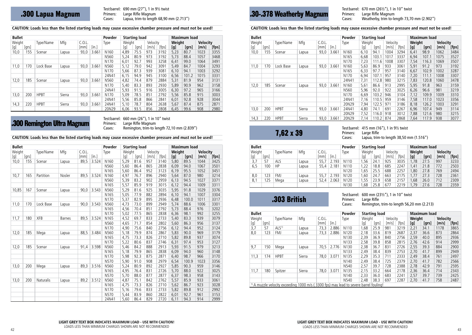### .300 Lapua Magnum

Test barrel: 690 mm (27"), 1 in 91/2 twist<br>Primers: Large Rifle Magnum Large Rifle Magnum Cases: Lapua, trim-to length 68,90 mm (2.713")

**CAUTION: Loads less than the listed starting loads may cause excessive chamber pressure and must not be used!**

| <b>Bullet</b> |       |             |        |        |             | <b>Powder</b>    |        | <b>Starting load</b> |                     |       |        | <b>Maximum load</b> |                 |       |
|---------------|-------|-------------|--------|--------|-------------|------------------|--------|----------------------|---------------------|-------|--------|---------------------|-----------------|-------|
| Weight        |       | Type/Name   | Mfg    | C.0.L. |             | Type             | Weight |                      | Velocity            |       | Weight |                     | <b>Velocity</b> |       |
| <u>[g]</u>    | [grs] |             |        | lmm    | $[$ in. $]$ |                  | [g]    | [grs]                | $\lceil m/s \rceil$ | [fps] | [g]    | [grs]               | [m/s]           | [fps] |
| 10,0          | 155   | Scenar      | Lapua  | 93,0   | 3.661       | N <sub>160</sub> | 4,89   | 75.5                 | 973                 | 3192  | 5,23   | 80.7                | 1023            | 3355  |
|               |       |             |        |        |             | N560             | 5,24   | 80.9                 | 973                 | 3192  | 5,73   | 88.4                | 1057            | 3468  |
|               |       |             |        |        |             | N <sub>170</sub> | 6,01   | 92.7                 | 993                 | 3258  | 6.41   | 99.0                | 1064            | 3491  |
| 11,0          | 170   | Lock Base   | Lapua  | 93,0   | 3.661       | N560             | 5,12   | 79.0                 | 942                 | 3091  | 5,49   | 84.7                | 1004            | 3293  |
|               |       |             |        |        |             | N <sub>170</sub> | 5,66   | 87.3                 | 939                 | 3081  | 6,10   | 94.1                | 1003            | 3292  |
|               |       |             |        |        |             | 24N41            | 6,15   | 94.9                 | 945                 | 3100  | 6.56   | 101.2               | 1015            | 3331  |
| 12,0          | 185   | Scenar      | Lapua  | 93,0   | 3.661       | N560             | 4,82   | 74.4                 | 879                 | 2884  | 5,31   | 81.9                | 954             | 3131  |
|               |       |             |        |        |             | N <sub>170</sub> | 5,40   | 83.3                 | 893                 | 2930  | 5,89   | 90.9                | 962             | 3158  |
|               |       |             |        |        |             | 24N41            | 5,93   | 91.5                 | 916                 | 3005  | 6,30   | 97.2                | 965             | 3166  |
| 13,0          | 200   | <b>HPBT</b> | Sierra | 93,0   | 3.661       | N <sub>170</sub> | 5,09   | 78.5                 | 851                 | 2792  | 5,56   | 85.8                | 915             | 3003  |
|               |       |             |        |        |             | 24N41            | 5,56   | 85.8                 | 866                 | 2841  | 6,01   | 92.8                | 928             | 3044  |
| 14,3          | 220   | <b>HPBT</b> | Sierra | 93,0   | 3.661       | 24N41            | 5,10   | 78.7                 | 804                 | 2638  | 5,67   | 87.4                | 875             | 2871  |
|               |       |             |        |        |             | 20N29            | 6,06   | 93.5                 | 856                 | 2808  | 6.45   | 99.6                | 908             | 2980  |

### .300 Remington Ultra Magnum

Test barrel: 660 mm (26"), 1 in 10" twist<br>Primers: Large Rifle Magnum Primers: Large Rifle Magnum<br>Cases: Remington, trim-to lo Remington, trim-to length 72,10 mm (2.839")

|--|

| <b>Bullet</b> |       |                  |               |        |             | Powder           |        | <b>Starting load</b> |          |       |        | <b>Maximum load</b> |                 |       |
|---------------|-------|------------------|---------------|--------|-------------|------------------|--------|----------------------|----------|-------|--------|---------------------|-----------------|-------|
| Weight        |       | Type/Name        | Mfg           | C.0.L. |             | Type             | Weight |                      | Velocity |       | Weight |                     | <b>Velocity</b> |       |
| [g]           | [grs] |                  |               | [mm]   | $[$ in. $]$ |                  | [g]    | [grs]                | [m/s]    | [fps] | [g]    | [grs]               | [m/s]           | [fps] |
| 10,0          | 155   | Scenar           | Lapua         | 89,5   | 3.524       | N160             | 5,29   | 81.6                 | 957      | 3140  | 5,80   | 89.5                | 1044            | 3425  |
|               |       |                  |               |        |             | N560             | 5,60   | 86.4                 | 865      | 2838  | 6,09   | 94.0                | 1067            | 3501  |
|               |       |                  |               |        |             | N165             | 5,60   | 86.4                 | 952      | 3123  | 6,19   | 95.5                | 1052            | 3451  |
| 10,7          | 165   | Partition        | Nosler        | 89,5   | 3.524       | N160             | 4,97   | 76.7                 | 896      | 2940  | 5,64   | 87.0                | 980             | 3214  |
|               |       |                  |               |        |             | N560             | 5,39   | 83.2                 | 902      | 2959  | 6,13   | 94.5                | 1027            | 3371  |
|               |       |                  |               |        |             | N165             | 5,57   | 85.9                 | 919      | 3015  | 6,12   | 94.4                | 1009            | 3311  |
| 10,85         | 167   | Scenar           | Lapua         | 90,0   | 3.543       | N560             | 5,29   | 81.6                 | 925      | 3035  | 5,95   | 91.8                | 1029            | 3376  |
|               |       |                  |               |        |             | N165             | 5,05   | 77.9                 | 882      | 2894  | 6,10   | 94.1                | 1007            | 3304  |
|               |       |                  |               |        |             | N <sub>170</sub> | 5,37   | 82.9                 | 895      | 2936  | 6,48   | 100.0               | 1011            | 3317  |
| 11,0          | 170   | Lock Base        | Lapua         | 90,0   | 3.543       | N560             | 4,73   | 73.0                 | 899      | 2949  | 5,74   | 88.6                | 1006            | 3301  |
|               |       |                  |               |        |             | N165             | 4,56   | 70.4                 | 851      | 2792  | 5,73   | 88.4                | 976             | 3202  |
|               |       |                  |               |        |             | N170             | 5,02   | 77.5                 | 865      | 2838  | 6,36   | 98.1                | 992             | 3255  |
| 11,7          | 180   | <b>XFB</b>       | <b>Barnes</b> | 89,5   | 3.524       | N <sub>165</sub> | 4,52   | 69.7                 | 833      | 2733  | 5,40   | 83.3                | 939             | 3079  |
|               |       |                  |               |        |             | N560             | 4,65   | 71.7                 | 854      | 2802  | 5,60   | 86.3                | 956             | 3137  |
|               |       |                  |               |        |             | N170             | 4,90   | 75.6                 | 840      | 2756  | 6,12   | 94.4                | 952             | 3124  |
| 12,0          | 185   | Mega             | Lapua         | 88,5   | 3.484       | N560             | 5,18   | 79.9                 | 874      | 2867  | 5,83   | 90.0                | 969             | 3179  |
|               |       |                  |               |        |             | N165             | 4,75   | 73.3                 | 826      | 2710  | 5,82   | 89.8                | 937             | 3074  |
|               |       |                  |               |        |             | N170             | 5,22   | 80.6                 | 837      | 2746  | 6,31   | 97.4                | 953             | 3127  |
| 12,0          | 185   | Scenar           | Lapua         | 91,4   | 3.598       | N560             | 5,46   | 84.2                 | 888      | 2913  | 5,93   | 91.5                | 979             | 3213  |
|               |       |                  |               |        |             | N165             | 5,18   | 79.9                 | 865      | 2838  | 6,09   | 94.0                | 960             | 3148  |
|               |       |                  |               |        |             | N <sub>170</sub> | 5,98   | 92.3                 | 875      | 2871  | 6,40   | 98.7                | 966             | 3170  |
|               |       |                  |               |        |             | N570             | 5,90   | 91.0                 | 908      | 2979  | 6,54   | 100.9               | 1023            | 3356  |
| 13,0          | 200   | Mega             | Lapua         | 89,3   | 3.516       | N560             | 5,24   | 80.9                 | 892      | 2927  | 5,85   | 90.3                | 959             | 3146  |
|               |       |                  |               |        |             | N165             | 4,95   | 76.4                 | 831      | 2726  | 5,70   | 88.0                | 922             | 3025  |
|               |       |                  |               |        |             | N570             | 5,70   | 88.0                 | 877      | 2877  | 6,37   | 98.3                | 958             | 3143  |
| 13,0          | 200   | <b>Naturalis</b> | Lapua         | 89,2   | 3.512       | N560             | 4,87   | 75.1                 | 842      | 2762  | 5,57   | 85.9                | 933             | 3061  |
|               |       |                  |               |        |             | N165             | 4,75   | 73.3                 | 826      | 2710  | 5,62   | 86.7                | 923             | 3028  |
|               |       |                  |               |        |             | N170             | 5,16   | 79.6                 | 833      | 2733  | 5,82   | 89.8                | 912             | 2992  |
|               |       |                  |               |        |             | N570             | 5,44   | 83.9                 | 860      | 2822  | 6,01   | 92.7                | 961             | 3153  |
|               |       |                  |               |        |             | 24N41            | 5,60   | 86.4                 | 829      | 2720  | 6,11   | 94.3                | 914             | 2999  |

Test barrel: 670 mm (261/2"), 1 in 10" twist<br>Primers: Large Rifle Magnum Large Rifle Magnum Cases: Weatherby, trim to-length 73,70 mm (2.902")

**CAUTION: Loads less than the listed starting loads may cause excessive chamber pressure and must not be used!**

| <b>Bullet</b> |       |             |        |        |          | Powder           |        | <b>Starting load</b> |          |       |        | <b>Maximum load</b> |                 |       |
|---------------|-------|-------------|--------|--------|----------|------------------|--------|----------------------|----------|-------|--------|---------------------|-----------------|-------|
| Weight        |       | Type/Name   | Mfg    | C.0.L. |          | Type             | Weight |                      | Velocity |       | Weight |                     | <b>Velocity</b> |       |
| [g]           | [grs] |             |        | mm     | $[$ in.] |                  | [g]    | [grs]                | m/s      | [fps] | [g]    | [grs]               | [m/s]           | [fps] |
| 10,0          | 155   | Scenar      | Lapua  | 93,0   | 3.661    | N <sub>160</sub> | 6, 10  | 94.1                 | 1004     | 3294  | 6,41   | 98.9                | 1062            | 3484  |
|               |       |             |        |        |          | N <sub>165</sub> | 6,68   | 103.1                | 1017     | 3337  | 6,94   | 107.1               | 1075            | 3527  |
|               |       |             |        |        |          | N <sub>170</sub> | 7,23   | 111.6                | 1008     | 3307  | 7,54   | 116.3               | 1069            | 3507  |
| 11,0          | 170   | Lock Base   | Lapua  | 93,0   | 3.661    | N <sub>160</sub> | 5,63   | 86.9                 | 933      | 3061  | 5,91   | 91.2                | 973             | 3192  |
|               |       |             |        |        |          | N <sub>165</sub> | 6,33   | 97.7                 | 957      | 3140  | 6,67   | 102.9               | 1002            | 3287  |
|               |       |             |        |        |          | N <sub>170</sub> | 6,94   | 107.1                | 957      | 3140  | 7,20   | 111.1               | 1008            | 3307  |
|               |       |             |        |        |          | 24N41            | 7,31   | 112.8                | 980      | 3215  | 7,83   | 120.8               | 1060            | 3478  |
| 12,0          | 185   | Scenar      | Lapua  | 93,0   | 3.661    | N <sub>160</sub> | 5,61   | 86.6                 | 913      | 2995  | 5,95   | 91.8                | 963             | 3159  |
|               |       |             |        |        |          | N560             | 5,96   | 92.0                 | 922      | 3025  | 6,26   | 96.6                | 981             | 3219  |
|               |       |             |        |        |          | N <sub>170</sub> | 6,69   | 103.2                | 946      | 3104  | 7,12   | 109.9               | 1009            | 3310  |
|               |       |             |        |        |          | 24N41            | 7,16   | 110.5                | 959      | 3146  | 7,58   | 117.0               | 1023            | 3356  |
|               |       |             |        |        |          | 20N29            | 7,94   | 122.5                | 971      | 3186  | 8,18   | 126.2               | 1003            | 3291  |
| 13,0          | 200   | <b>HPBT</b> | Sierra | 93,0   | 3.661    | 24N41            | 4,80   | 74.1                 | 691      | 2267  | 6,96   | 107.4               | 949             | 3114  |
|               |       |             |        |        |          | 20N29            | 7,52   | 116.0                | 918      | 3012  | 7,88   | 121.6               | 980             | 3215  |
| 14,3          | 220   | <b>HPBT</b> | Sierra | 93,0   | 3.661    | 20N29            | 7,14   | 110.2                | 874      | 2868  | 7,64   | 117.9               | 938             | 3077  |

### 7,62 x 39

#### Test barrel: 415 mm (16"), 1 in 9½ twist Primers: Large Rifle Cases: Lapua, trim-to length 38,50 mm (1.516")

| <b>Bullet</b> |       |           |       |        |       | Powder           |        | <b>Starting load</b> |                     |       |        | <b>Maximum load</b> |                 |       |
|---------------|-------|-----------|-------|--------|-------|------------------|--------|----------------------|---------------------|-------|--------|---------------------|-----------------|-------|
| Weight        |       | Type/Name | Mfg   | C.0.L. |       | Type             | Weight |                      | Velocity            |       | Weight |                     | <b>Velocity</b> |       |
| [g]           | [grs] |           |       | lmml   | [in.] |                  | [g]    | grs                  | $\lceil m/s \rceil$ | [fps] | [g]    | [grs]               | [m/s]           | [fps] |
| 3,7           | 57    | ALS       | Lapua | 55.7   | 193   | N <sub>110</sub> | .56    | 24.1                 | 925                 | 3035  | .78    | 27.5                | 997             | 3233  |
| 6,5           | 100   | HP        | Lapua | 55.4   | 2.181 | N <sub>110</sub> | .22    | 18.8                 | 685                 | 2247  | .41    | 21.8                | 772             | 2503  |
|               |       |           |       |        |       | N <sub>120</sub> | .65    | 25.5                 | 688                 | 2257  | .80    | 27.8                | 769             | 2494  |
| 8,0           | 23    | FMJ       | Lapua | 55,7   | 2.193 | N <sub>120</sub> | .60    | 24.7                 | 663                 | 2175  | .77    | 27.3                | 728             | 2361  |
| 8,1           | 25    | Mega      | Lapua | 52,4   | 2.063 | N <sub>120</sub> | .55    | 23.9                 | 658                 | 2157  | .68    | 26.0                | 712             | 2309  |
|               |       |           |       |        |       | N <sub>130</sub> | .68    | 25.8                 | 677                 | 2219  | .79    | 27.6                | 728             | 2359  |

#### .303 British

Test barrel: 600 mm (231/2"), 1 in 10" twist<br>Primers: Large Rifle Large Rifle Cases: Remington, trim-to length 56,20 mm (2.213)

| <b>Bullet</b> |       |                                                                                                  |        |        |             | Powder           |        | <b>Starting load</b> |          |       |        | Maximum load |                 |       |
|---------------|-------|--------------------------------------------------------------------------------------------------|--------|--------|-------------|------------------|--------|----------------------|----------|-------|--------|--------------|-----------------|-------|
| Weight        |       | Type/Name                                                                                        | Mfg    | C.0.L. |             | Type             | Weight |                      | Velocity |       | Weight |              | <b>Velocity</b> |       |
| [g]           | [grs] |                                                                                                  |        | mm     | $[$ in. $]$ |                  | [g]    | [grs]                | [m/s]    | [fps] | [g]    | [grs]        | [m/s]           | [fps] |
| 3,7           | 57    | ALS <sup>1</sup>                                                                                 | Lapua  | 73,3   | 2.886       | N <sub>110</sub> | 1,68   | 25.9                 | 981      | 3219  | 2,21   | 34.1         | 1178            | 3865  |
| 8,0           | 123   | <b>FMJ</b>                                                                                       | Lapua  | 73,3   | 2.886       | N <sub>120</sub> | 2,18   | 33.6                 | 819      | 2687  | 2,37   | 36.6         | 873             | 2864  |
|               |       |                                                                                                  |        |        |             | N <sub>130</sub> | 2,39   | 36.9                 | 840      | 2756  | 2,59   | 40.0         | 895             | 2936  |
|               |       |                                                                                                  |        |        |             | N <sub>133</sub> | 2,58   | 39.8                 | 858      | 2815  | 2.76   | 42.6         | 914             | 2999  |
| 9,7           | 150   | Mega                                                                                             | Lapua  | 70,5   | 2.776       | N <sub>130</sub> | 2,38   | 36.7                 | 831      | 2726  | 2.55   | 39.3         | 884             | 2900  |
|               |       |                                                                                                  |        |        |             | N <sub>133</sub> | 2.49   | 38.4                 | 839      | 2753  | 2.70   | 41.7         | 899             | 2949  |
| 11,3          | 174   | <b>HPBT</b>                                                                                      | Sierra | 78,0   | 3.071       | N <sub>135</sub> | 2,29   | 35.3                 | 711      | 2333  | 2,49   | 38.4         | 761             | 2497  |
|               |       |                                                                                                  |        |        |             | N <sub>140</sub> | 2,49   | 38.4                 | 725      | 2379  | 2.70   | 41.7         | 782             | 2566  |
|               |       |                                                                                                  |        |        |             | N <sub>540</sub> | 2,57   | 39.7                 | 728      | 2388  | 2,78   | 42.9         | 791             | 2595  |
| 11,7          | 180   | Spitzer                                                                                          | Sierra | 78,0   | 3.071       | N <sub>135</sub> | 2,15   | 33.2                 | 664      | 2178  | 2,36   | 36.4         | 714             | 2343  |
|               |       |                                                                                                  |        |        |             | N <sub>140</sub> | 2,33   | 36.0                 | 683      | 2241  | 2,57   | 39.7         | 739             | 2425  |
|               |       |                                                                                                  |        |        |             | N <sub>540</sub> | 2.48   | 38.3                 | 697      | 2287  | 2,70   | 41.7         | 758             | 2487  |
|               |       | <sup>1)</sup> A muzzle velocity exceeding 1000 m/s (3300 fps) may lead to severe barrel fouling! |        |        |             |                  |        |                      |          |       |        |              |                 |       |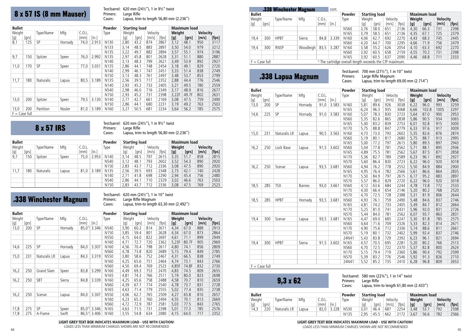### 8 x 57 IS (8 mm Mauser)

Test barrel:  $620 \text{ mm} (24\frac{1}{2})$ , 1 in  $9\frac{1}{2}$ " twist<br>Primers: Large Rifle Primers: Large Rifle<br>Cases: Lapua, trim Lapua, trim-to length 56,80 mm (2.236")

| <b>Bullet</b>   |       |                  |         |        |             | Powder           |        | <b>Starting load</b> |          |       |        | <b>Maximum load</b> |                 |       |
|-----------------|-------|------------------|---------|--------|-------------|------------------|--------|----------------------|----------|-------|--------|---------------------|-----------------|-------|
| Weight          |       | Type/Name        | Mfg     | C.0.L. |             | <b>Type</b>      | Weight |                      | Velocity |       | Weight |                     | <b>Velocity</b> |       |
| [g]             | [grs] |                  |         | mm     | $[$ in. $]$ |                  | Įg.    | [grs]                | m/s      | [fps] | [g]    | [grs]               | [m/s]           | [fps] |
| 8,1             | 125   | SP               | Hornady | 74,0   | 2.913       | N <sub>130</sub> | 2,80   | 43.2                 | 874      | 2867  | 3,12   | 48.1                | 950             | 3117  |
|                 |       |                  |         |        |             | N <sub>133</sub> | 3,14   | 48.5                 | 883      | 2897  | 3,50   | 54.0                | 979             | 3212  |
|                 |       |                  |         |        |             | N <sub>135</sub> | 3,22   | 49.7                 | 882      | 2894  | 3,57   | 55.1                | 974             | 3196  |
| 9,7             | 150   | Spitzer          | Speer   | 76,0   | 2.992       | N <sub>135</sub> | 2,97   | 45.8                 | 801      | 2628  | 3,31   | 51.1                | 880             | 2887  |
|                 |       |                  |         |        |             | N <sub>140</sub> | 3,13   | 48.3                 | 799      | 2621  | 3,49   | 53.9                | 892             | 2927  |
| 11,0            | 170   | SP               | Speer   | 77,0   | 3.031       | N <sub>135</sub> | 2,86   | 44.1                 | 748      | 2454  | 3,18   | 49.1                | 829             | 2720  |
|                 |       |                  |         |        |             | N <sub>140</sub> | 2,99   | 46.1                 | 747      | 2451  | 3,33   | 51.4                | 838             | 2749  |
|                 |       |                  |         |        |             | N <sub>150</sub> | 3,13   | 48.3                 | 761      | 2497  | 3,48   | 53.7                | 853             | 2799  |
| 11,7            | 180   | <b>Naturalis</b> | Lapua   | 80,5   | 3.189       | N <sub>135</sub> | 2,56   | 39.5                 | 717      | 2352  | 2,88   | 44.4                | 776             | 2546  |
|                 |       |                  |         |        |             | N <sub>140</sub> | 2,93   | 45.2                 | 733      | 2405  | 3,21   | 49.5                | 780             | 2559  |
|                 |       |                  |         |        |             | N540             | 2,98   | 46.0                 | 716      | 2349  | 3,17   | 48.9                | 816             | 2677  |
|                 |       |                  |         |        |             | N <sub>150</sub> | 2,93   | 45.2                 | 731      | 2398  | 3,22F  | 49.7F               | 802             | 2631  |
| 13,0            | 200   | Spitzer          | Speer   | 79,5   | 3.130       | N <sub>140</sub> | 2,77   | 42.7                 | 661      | 2169  | 3,08   | 47.5                | 759             | 2490  |
|                 |       |                  |         |        |             | N <sub>150</sub> | 2,86   | 44.1                 | 680      | 2231  | 3,19   | 49.2                | 763             | 2503  |
| 13,0            | 200   | Partition        | Nosler  | 81,0   | 3.189       | N <sub>160</sub> | 3,27   | 50.5                 | 681      | 2234  | 3,64   | 56.2                | 785             | 2575  |
| $F = Case full$ |       |                  |         |        |             |                  |        |                      |          |       |        |                     |                 |       |

### 8 x 57 IRS

Test barrel: 620 mm (241/2"), 1 in 91/2" twist<br>Primers: Large Rifle Primers: Large Rifle<br>Cases: Lapua, trim Lapua, trim-to length 56,80 mm (2.236")

| <b>Bullet</b> |       |                  |       |        |             | Powder           |        | <b>Starting load</b> |          |       |        | <b>Maximum load</b> |                 |       |
|---------------|-------|------------------|-------|--------|-------------|------------------|--------|----------------------|----------|-------|--------|---------------------|-----------------|-------|
| Weight        |       | Type/Name        | Mfg   | C.0.L. |             | Type             | Weight |                      | Velocity |       | Weight |                     | <b>Velocity</b> |       |
| [g]           | [grs] |                  |       | lmml   | $[$ in. $]$ |                  | [q]    | [grs]                | [m/s]    | [fps] | [g]    | [grs]               | [m/s]           | [fps] |
| 9,7           | 150   | Spitzer          | Speer | 75.0   | 2.953       | N <sub>140</sub> | 3,14   | 48.5                 | 797      | 2615  | 3,35   | 51.7                | 858             | 2815  |
|               |       |                  |       |        |             | N540             | 3,12   | 48.1                 | 793      | 2602  | 3,52   | 54.3                | 890             | 2920  |
|               |       |                  |       |        |             | N <sub>150</sub> | 2,83   | 43.7                 | 712      | 2336  | 3,08   | 47.5                | 890             | 2920  |
| 11,7          | 180   | <b>Naturalis</b> | Lapua | 81.0   | 3.189       | N <sub>135</sub> | 2,56   | 39.5                 | 693      | 2348  | 2.73   | 42.1                | 740             | 2428  |
|               |       |                  |       |        |             | N <sub>140</sub> | 2,71   | 41.8                 | 698      | 2290  | 2.94   | 45.4                | 756             | 2480  |
|               |       |                  |       |        |             | N540             | 2,86   | 44.1                 | 710      | 2329  | 3,02   | 46.6                | 763             | 2503  |
|               |       |                  |       |        |             | N <sub>150</sub> | 2.83   | 43.7                 | 712      | 2336  | 3.08   | 47.5                | 769             | 2523  |

### .338 Winchester Magnum

Test barrel: 620 mm (24<sup>1</sup>/<sub>2</sub>"), 1 in 10" twist<br>Primers: Large Rifle Magnum Primers: Large Rifle Magnum<br>Cases: Lapua, trim-to length Lapua, trim-to length 63,30 mm (2.492")

| <b>Bullet</b> |       |              |         |             |                           | Powder           |        | <b>Starting load</b> |          |       |        | Maximum load |                  |       |
|---------------|-------|--------------|---------|-------------|---------------------------|------------------|--------|----------------------|----------|-------|--------|--------------|------------------|-------|
| Weight        |       | Type/Name    | Mfg     | C.0.L.      |                           | Type             | Weight |                      | Velocity |       | Weight |              | Velocity         |       |
| [g]           | [grs] |              |         | mm          | $[$ in. $]$               |                  | [q]    | [grs]                | m/s      | [fps] | [g]    | [grs]        | $\mathsf{[m/s]}$ | [fps] |
| 13,0          | 200   | SP           | Hornady | $85,0^{1}$  | 3.346                     | N540             | 3,90   | 60.2                 | 814      | 2671  | 4,34   | 67.0         | 888              | 2913  |
|               |       |              |         |             |                           | N <sub>150</sub> | 3,85   | 59.4                 | 801      | 2628  | 4,34   | 67.0         | 873              | 2864  |
|               |       |              |         |             |                           | N550             | 4,15   | 64.0                 | 822      | 2697  | 4,61   | 71.1         | 899              | 2949  |
|               |       |              |         |             |                           | N <sub>160</sub> | 4,71   | 72.7                 | 720      | 2362  | 5,23F  | 80.7F        | 905              | 2969  |
| 14,6          | 225   | SP           | Hornady | 84,0        | 3.307                     | N <sub>160</sub> | 4,56   | 70.4                 | 798      | 2617  | 4,80   | 74.1         | 856              | 2809  |
|               |       |              |         |             |                           | N560             | 4,78   | 73.8                 | 820      | 2689  | 5,15   | 79.4         | 849              | 2785  |
| 15,0          | 231   | Naturalis LR | Lapua   | 84,3        | 3.319                     | N550             | 3,80   | 58.6                 | 752      | 2467  | 4,31   | 66.5         | 838              | 2749  |
|               |       |              |         |             |                           | N <sub>160</sub> | 4,25   | 65.6                 | 751      | 2464  | 4,74   | 73.1         | 843              | 2766  |
|               |       |              |         |             |                           | N560             | 4,50   | 69.4                 | 769      | 2523  | 4,85F  | 74.8F        | 832              | 2730  |
| 16,2          | 250   | Grand Slam   | Speer   | 83,8        | 3.299                     | N <sub>160</sub> | 4,49   | 69.3                 | 753      | 2470  | 4,83   | 74.5         | 809              | 2655  |
|               |       |              |         |             |                           | N <sub>165</sub> | 4,81   | 74.3                 | 766      | 2511  | 5,19   | 80.0         | 823              | 2698  |
| 16,2          | 250   | SBT          | Sierra  | 84,8        | 3.339                     | N <sub>160</sub> | 4,25   | 65.6                 | 758      | 2488  | 4,58   | 70.7         | 810              | 2659  |
|               |       |              |         |             |                           | N560             | 4,39   | 67.7                 | 774      | 2540  | 4,78   | 73.7         | 831              | 2728  |
|               |       |              |         |             |                           | N <sub>165</sub> | 4,63   | 71.4                 | 779      | 2555  | 5,02   | 77.4         | 835              | 2738  |
| 16,2          | 250   | Scenar       | Lapua   | 84,0        | 3.307                     | N550             | 4,06   | 62.7                 | 765      | 2509  | 4,27   | 65.8         | 810              | 2657  |
|               |       |              |         |             |                           | N <sub>160</sub> | 4,23   | 65.3                 | 760      | 2494  | 4,55   | 70.1         | 813              | 2669  |
|               |       |              |         |             |                           | N560             | 4,72   | 72.9                 | 787      | 2581  | 5,03   | 77.5         | 843              | 2765  |
| 17,8          | 275   | SP           | Speer   | $85.0^{11}$ | 3.346                     | N <sub>165</sub> | 4,63   | 71.5                 | 731      | 2398  | 5,01   | 77.3         | 785              | 2576  |
| 17,8          | 275   | A-Frame      | Swift   |             | $86.5$ <sup>1</sup> 3.406 | N <sub>160</sub> | 3,55   | 54.8                 | 634      | 2080  | 4,15   | 64.0         | 717              | 2352  |

**LIGHT GREY TEXT BOX INDICATES MAXIMUM LOAD - USE WITH CAUTION!** LOADS LESS THAN MINIMUM CHARGES SHOWN ARE NOT RECOMMENDED

|                 |       | .338 Winchester Magnum |           |        | cont.       |                                                                     |        |                      |          |       |        |                     |                 |       |
|-----------------|-------|------------------------|-----------|--------|-------------|---------------------------------------------------------------------|--------|----------------------|----------|-------|--------|---------------------|-----------------|-------|
| <b>Bullet</b>   |       |                        |           |        |             | <b>Powder</b>                                                       |        | <b>Starting load</b> |          |       |        | <b>Maximum load</b> |                 |       |
| Weight          |       | Type/Name              | Mfg       | C.0.L. |             | Type                                                                | Weight |                      | Velocity |       | Weight |                     | <b>Velocity</b> |       |
| [g]             | [grs] |                        |           | mm     | $[$ in. $]$ |                                                                     | [g]    | [grs]                | [m/s]    | [fps] | [g]    | [grs]               | [m/s]           | [fps] |
|                 |       |                        |           |        |             | N560                                                                | 3.76   | 58.0                 | 651      | 2136  | 4,30   | 66.3                | 731             | 2398  |
|                 |       |                        |           |        |             | N <sub>165</sub>                                                    | 3,79   | 58.5                 | 651      | 2136  | 4,35   | 67.1                | 725             | 2379  |
| 19,4            | 300   | <b>HPBT</b>            | Sierra    | 84.8   | 3.339       | N <sub>160</sub>                                                    | 4,06   | 62.7                 | 692      | 2270  | 4,43   | 68.3                | 745             | 2445  |
|                 |       |                        |           |        |             | N560                                                                | 4,20   | 64.7                 | 700      | 2295  | 4,66   | 71.9                | 756             | 2479  |
| 19,4            | 300   | <b>RNSP</b>            | Woodleigh | 83,5   | 3.287       | N <sub>160</sub>                                                    | 3,58   | 55.2                 | 626      | 2054  | 4,10   | 63.3                | 692             | 2270  |
|                 |       |                        |           |        |             | N560                                                                | 3,92   | 60.5                 | 658      | 2159  | 4,55   | 70.2                | 731             | 2398  |
|                 |       |                        |           |        |             | N <sub>165</sub>                                                    | 3.92   | 60.5                 | 637      | 2090  | 4.46   | 68.8                | 711             | 2333  |
| $F = Case full$ |       |                        |           |        |             | <sup>1)</sup> The cartridge overall length exceeds the CIP maximum. |        |                      |          |       |        |                     |                 |       |

### .338 Lapua Magnum

Test barrel: 700 mm (27½"), 1 in 10" twist Primers: Large Rifle Magnum<br>Cases: Lapua, trim-to length Lapua, trim-to length 69,00 mm (2.714")

| <b>Bullet</b> |       |              |               |        |          | Powder           |        | <b>Starting load</b> |          |       |        | <b>Maximum load</b> |                 |       |
|---------------|-------|--------------|---------------|--------|----------|------------------|--------|----------------------|----------|-------|--------|---------------------|-----------------|-------|
| Weight        |       | Type/Name    | Mfg           | C.0.L. |          | Type             | Weight |                      | Velocity |       | Weight |                     | <b>Velocity</b> |       |
| [g]           | [grs] |              |               | [mm]   | $[$ in.] |                  | [g]    | [grs]                | [m/s]    | [fps] | [g]    | [grs]               | [m/s]           | [fps] |
| 13,0          | 200   | SP           | Hornady       | 91,0   | 3.583    | N160             | 5,81   | 89.6                 | 926      | 3038  | 6,22   | 96.0                | 993             | 3259  |
|               |       |              |               |        |          | N <sub>165</sub> | 6,24   | 96.3                 | 935      | 3068  | 6,66   | 102.8               | 1005            | 3297  |
| 14,6          | 225   | SP           | Hornady       | 91,0   | 3.583    | N160             | 5,07   | 78.3                 | 830      | 2723  | 5,64   | 87.0                | 900             | 2953  |
|               |       |              |               |        |          | N560             | 5,35   | 82.6                 | 865      | 2838  | 5,86   | 90.5                | 934             | 3065  |
|               |       |              |               |        |          | N165             | 5,40   | 83.2                 | 839      | 2753  | 6,01   | 92.8                | 915             | 3000  |
|               |       |              |               |        |          | N170             | 5,75   | 88.8                 | 847      | 2779  | 6,33   | 97.6                | 917             | 3009  |
| 15,0          | 231   | Naturalis LR | Lapua         | 90,5   | 3.563    | N160             | 4,73   | 73.0                 | 793      | 2602  | 5,35   | 82.6                | 876             | 2874  |
|               |       |              |               |        |          | N560             | 5,19   | 80.1                 | 817      | 2680  | 5,75   | 88.7                | 913             | 2995  |
|               |       |              |               |        |          | N165             | 5,00   | 77.2                 | 797      | 2615  | 5,80   | 89.5                | 897             | 2943  |
| 16,2          | 250   | Lock Base    | Lapua         | 91,5   | 3.602    | N560             | 5,04   | 77.8                 | 781      | 2562  | 5,71   | 88.1                | 895             | 2936  |
|               |       |              |               |        |          | N165             | 4,89   | 75.5                 | 781      | 2562  | 5,67   | 87.5                | 871             | 2858  |
|               |       |              |               |        |          | N170             | 5,36   | 82.7                 | 789      | 2589  | 6,23   | 96.1                | 892             | 2927  |
|               |       |              |               |        |          | N570             | 5,60   | 86.4                 | 830      | 2723  | 6,22   | 96.0                | 920             | 3018  |
| 16,2          | 250   | Scenar       | Lapua         | 93,5   | 3.681    | N560             | 4,94   | 76.2                 | 778      | 2552  | 5,50   | 84.9                | 884             | 2900  |
|               |       |              |               |        |          | N165             | 4,95   | 76.4                 | 782      | 2566  | 5,61   | 86.6                | 864             | 2835  |
|               |       |              |               |        |          | N170             | 5,50   | 84.9                 | 797      | 2615  | 6,17   | 95.2                | 883             | 2897  |
|               |       |              |               |        |          | N570             | 5,57   | 86.0                 | 829      | 2720  | 6,22   | 96.0                | 920             | 3018  |
| 18,5          | 285   | <b>TSX</b>   | <b>Barnes</b> | 93,0   | 3.661    | N560             | 4,12   | 63.6                 | 684      | 2244  | 4,78   | 73.8                | 772             | 2533  |
|               |       |              |               |        |          | N170             | 4,30   | 66.4                 | 654      | 2146  | 5,20   | 80.2                | 768             | 2520  |
|               |       |              |               |        |          | N570             | 4,70   | 72.5                 | 728      | 2388  | 5,31   | 81.9                | 806             | 2644  |
| 18,5          | 285   | <b>HPBT</b>  | Hornady       | 93,5   | 3.681    | N560             | 4,93   | 76.1                 | 759      | 2490  | 5,48   | 84.6                | 837             | 2746  |
|               |       |              |               |        |          | N165             | 4,81   | 74.2                 | 733      | 2405  | 5,49   | 84.7                | 812             | 2664  |
|               |       |              |               |        |          | N170             | 5,25   | 81.0                 | 741      | 2431  | 5,96   | 92.0                | 831             | 2726  |
|               |       |              |               |        |          | N570             | 5,44   | 84.0                 | 781      | 2562  | 6,07   | 93.7                | 863             | 2831  |
| 19,4          | 300   | Scenar       | Lapua         | 93,5   | 3.681    | N165             | 4,47   | 69.0                 | 685      | 2247  | 5,30   | 81.8                | 785             | 2575  |
|               |       |              |               |        |          | N560             | 4,64   | 71.6                 | 709      | 2326  | 5,33   | 82.3                | 814             | 2671  |
|               |       |              |               |        |          | N170             | 4,90   | 75.6                 | 712      | 2336  | 5,74   | 88.6                | 811             | 2661  |
|               |       |              |               |        |          | N570             | 5,19   | 80.1                 | 732      | 2402  | 5,99   | 92.4                | 837             | 2746  |
|               |       |              |               |        |          | 24N41            | 5,43   | 83.8                 | 729      | 2392  | 6,23   | 96.1                | 821             | 2694  |
| 19,4          | 300   | <b>HPBT</b>  | Sierra        | 91,5   | 3.602    | N165             | 4,57   | 70.5                 | 695      | 2281  | 5,20   | 80.2                | 766             | 2513  |
|               |       |              |               |        |          | N560             | 4,70   | 72.5                 | 722      | 2370  | 5,37   | 82.8                | 800             | 2624  |
|               |       |              |               |        |          | N170             | 5,15   | 79.4                 | 719      | 2360  | 5,86   | 90.4                | 792             | 2599  |
|               |       |              |               |        |          | N570             | 5,39   | 83.2                 | 776      | 2546  | 5,92   | 91.3                | 826             | 2710  |
|               |       |              |               |        |          | 24N41            | 5,52   | 85.2                 | 735      | 2410  | 6,28   | 96.8                | 809             | 2653  |

9,3 x 62

Test barrel: 580 mm (22¾"), 1 in 14" twist Primers: Large Rifle Cases: Lapua, trim-to length 61,80 mm (2.433")

| <b>Bullet</b> |                          |              |        |      |      | Powder           |      | Starting load |     |        |      | Maximum load |       |       |
|---------------|--------------------------|--------------|--------|------|------|------------------|------|---------------|-----|--------|------|--------------|-------|-------|
| Weight        | Mfa<br>Type/Name<br>lars |              | C.O.L. |      | Type | Weight           |      | Velocity      |     | Weight |      | Velocity     |       |       |
| [g]           |                          |              |        | lmml | lin. |                  | lgJ  | lars          | m/s | [fps]  | [g]  | [grs]        | [m/s] | [fps] |
| 4.3           | 220                      | Naturalis LR | Lanua  | 82.0 | 228  | N530             | 3.01 | 46.4          | 687 | 2254   | 3.48 | 53.7         | 792   | 2598  |
|               |                          |              |        |      |      | N <sub>135</sub> | 2.95 | 45 F          | 662 | 2172   | 3.67 | 56.6         | 782   | 2566  |

**LIGHT GREY TEXT BOX INDICATES MAXIMUM LOAD - USE WITH CAUTION!**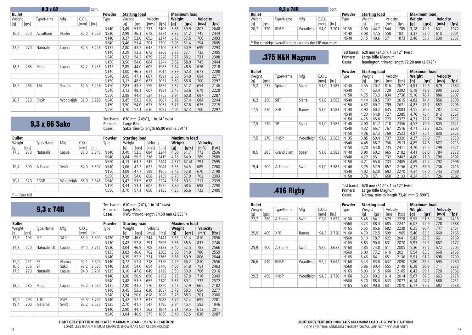|               |       | $9,3 \times 62$  |               |        | cont.    |                  |        |                      |          |       |        |                     |                 |       |
|---------------|-------|------------------|---------------|--------|----------|------------------|--------|----------------------|----------|-------|--------|---------------------|-----------------|-------|
| <b>Bullet</b> |       |                  |               |        |          | <b>Powder</b>    |        | <b>Starting load</b> |          |       |        | <b>Maximum load</b> |                 |       |
| Weight        |       | Type/Name        | Mfg           | C.0.L. |          | Type             | Weight |                      | Velocity |       | Weight |                     | <b>Velocity</b> |       |
| [g]           | [grs] |                  |               | mm     | $[$ in.] |                  | lgl    | [grs]                | m/s      | [fps] | [g]    | [grs]               | [m/s]           | [fps] |
|               |       |                  |               |        |          | N <sub>140</sub> | 3,49   | 53.9                 | 733      | 2405  | 3,88   | 59.9                | 807             | 2648  |
| 16,2          | 250   | AccuBond         | Nosler        | 82,0   | 3.228    | N530             | 2,99   | 46.1                 | 678      | 2224  | 3,32   | 51.2                | 745             | 2444  |
|               |       |                  |               |        |          | N <sub>140</sub> | 3,37   | 52.0                 | 693      | 2274  | 3,73   | 57.6                | 760             | 2493  |
|               |       |                  |               |        |          | N540             | 3,46   | 53.4                 | 701      | 2300  | 3,98   | 61.4                | 794             | 2605  |
| 17,5          | 270   | <b>Naturalis</b> | Lapua         | 82,5   | 3.248    | N <sub>135</sub> | 2,80   | 43.2                 | 642      | 2106  | 3,30   | 50.9                | 699             | 2293  |
|               |       |                  |               |        |          | N <sub>140</sub> | 3,39   | 52.3                 | 673      | 2208  | 3,70   | 57.1                | 733             | 2405  |
|               |       |                  |               |        |          | N540             | 3,52   | 54.3                 | 679      | 2228  | 3,77   | 58.2                | 731             | 2398  |
|               |       |                  |               |        |          | N <sub>150</sub> | 3,50   | 54.0                 | 684      | 2244  | 3,82   | 58.9                | 745             | 2444  |
| 18,5          | 285   | Mega             | Lapua         | 82,2   | 3.236    | N <sub>135</sub> | 2,85   | 44.0                 | 605      | 1985  | 3,14   | 48.5                | 676             | 2218  |
|               |       |                  |               |        |          | N <sub>140</sub> | 3,00   | 46.3                 | 614      | 2014  | 3,39   | 52.3                | 673             | 2208  |
|               |       |                  |               |        |          | N540             | 3,05   | 47.1                 | 607      | 1991  | 3,50   | 54.0                | 694             | 2277  |
|               |       |                  |               |        |          | N <sub>150</sub> | 3,17   | 48.9                 | 627      | 2057  | 3,60   | 55.6                | 700             | 2297  |
| 18,5          | 286   | <b>TSX</b>       | <b>Barnes</b> | 82,5   | 3.248    | N <sub>150</sub> | 2,83   | 43.7                 | 559      | 1834  | 3,32   | 51.2                | 654             | 2146  |
|               |       |                  |               |        |          | N540             | 3,12   | 48.1                 | 607      | 1991  | 3,47   | 53.6                | 679             | 2228  |
|               |       |                  |               |        |          | N550             | 2,88   | 44.4                 | 534      | 1752  | 3,94   | 60.8                | 697             | 2287  |
| 20,7          | 320   | <b>RNSP</b>      | Woodleigh     | 82,0   | 3.228    | N540             | 3,45   | 53.2                 | 630      | 2067  | 3,72   | 57.4                | 684             | 2244  |
|               |       |                  |               |        |          | N <sub>150</sub> | 3,50   | 54.0                 | 627      | 2057  | 3,73   | 57.6                | 675             | 2215  |
|               |       |                  |               |        |          | N550             | 3,70   | 57.1                 | 636      | 2087  | 4,04   | 62.3                | 700             | 2297  |

### 9,3 x 66 Sako

Test barrel: 630 mm (24¾"), 1 in 14" twist<br>Primers: Large Rifle Primers: Large Rifle<br>Cases: Sako, trim-t Sako, trim-to length 65,80 mm (2.591")

| <b>Bullet</b>   |       |                  |           |        |             | Powder           |        | <b>Starting load</b> |          |       |        | <b>Maximum load</b> |                 |       |
|-----------------|-------|------------------|-----------|--------|-------------|------------------|--------|----------------------|----------|-------|--------|---------------------|-----------------|-------|
| Weight          |       | Type/Name        | Mfg       | C.0.L. |             | Type             | Weight |                      | Velocity |       | Weight |                     | <b>Velocity</b> |       |
| [g]             | [grs] |                  |           | Imml   | $[$ in. $]$ |                  | [g]    | [qrs]                | m/s      | [fps] | [g]    | [grs]               | [m/s]           | [fps] |
| 17,5            | 270   | <b>Naturalis</b> | Lapua     | 85.0   | 3.346       | N <sub>140</sub> | 3,40   | 52.5                 | 684      | 2244  | 4.00   | 61.7                | 773             | 2536  |
|                 |       |                  |           |        |             | N540             | 3,84   | 59.3                 | 736      | 2415  | 4.15   | 64.0                | 789             | 2589  |
|                 |       |                  |           |        |             | N550             | 4,13   | 63.7                 | 745      | 2444  | 4,37F  | 67.4F               | 791             | 2595  |
| 19,4            | 300   | A-Frame          | Swift     | 84.0   | 3.307       | N540             | 3,06   | 47.2                 | 622      | 2041  | 3,53   | 54.5                | 689             | 2260  |
|                 |       |                  |           |        |             | N <sub>150</sub> | 3,09   | 47.7                 | 599      | 1965  | 3,42   | 52.8                | 670             | 2198  |
|                 |       |                  |           |        |             | N550             | 3,50   | 54.0                 | 658      | 2159  | 3.75   | 57.9                | 702             | 2303  |
| 20,7            | 320   | <b>RNSP</b>      | Woodleigh | 85.0   | 3.346       | N540             | 3,47   | 53.5                 | 678      | 2224  | 3.91   | 60.3                | 713             | 2339  |
|                 |       |                  |           |        |             | N <sub>150</sub> | 3,44   | 53.1                 | 602      | 1975  | 3.80   | 58.6                | 698             | 2290  |
|                 |       |                  |           |        |             | N550             | 3,70   | 57.1                 | 650      | 2133  | 4,25   | 65.6                | 733             | 2405  |
| $F = Case full$ |       |                  |           |        |             |                  |        |                      |          |       |        |                     |                 |       |

### 9,3 x 74R

Test barrel: 610 mm (24"), 1 in 14" twist<br>Primers: Large Rifle Primers: Large Rifle<br>Cases: RWS, trim-t Cases: RWS, trim-to length 74,50 mm (2.933")

| <b>Bullet</b> |       |                  |            |        |                           | <b>Powder</b>    |        | <b>Starting load</b> |          |       |        | Maximum load |                 |       |
|---------------|-------|------------------|------------|--------|---------------------------|------------------|--------|----------------------|----------|-------|--------|--------------|-----------------|-------|
| Weight        |       | Type/Name        | Mfg        | C.0.L. |                           | Type             | Weight |                      | Velocity |       | Weight |              | <b>Velocity</b> |       |
| [g]           | [grs] |                  |            | lmml   | $[$ in. $]$               |                  | [g]    | [grs]                | [m/s]    | [fps] | [g]    | [grs]        | [m/s]           | [fps] |
| 12,5          | 193   | <b>JFP</b>       | S&B        | 88,9   | 3.500                     | N120             | 2,98   | 46.0                 | 744      | 2441  | 3,33   | 51.4         | 810             | 2656  |
|               |       |                  |            |        |                           | N <sub>130</sub> | 3,42   | 52.8                 | 791      | 2595  | 3,66   | 56.5         | 837             | 2746  |
| 14,3          | 220   | Naturalis LR     | Lapua      | 94,4   | 3.717                     | N530             | 3,04   | 46.9                 | 708      | 2323  | 3,40   | 52.5         | 782             | 2566  |
|               |       |                  |            |        |                           | N <sub>135</sub> | 3,02   | 46.6                 | 702      | 2303  | 3,50   | 54.0         | 780             | 2559  |
|               |       |                  |            |        |                           | N <sub>140</sub> | 3,39   | 52.3                 | 721      | 2365  | 3,88   | 59.9         | 806             | 2644  |
| 15,0          | 231   | SP               | Norma      | 92,1   | 3.626                     | N <sub>140</sub> | 3,72   | 57.4                 | 718      | 2356  | 4,29   | 66.2         | 810             | 2656  |
| 16,6          | 256   | SP               | Sako       | 92,2   | 3.630                     | N <sub>140</sub> | 3,50   | 54.0                 | 654      | 2146  | 4,00   | 61.8         | 751             | 2463  |
| 17,5          | 270   | <b>Naturalis</b> | Lapua      | 94,0   | 3.701                     | N <sub>135</sub> | 3,10   | 47.8                 | 649      | 2129  | 3,30   | 50.9         | 706             | 2316  |
|               |       |                  |            |        |                           | N <sub>140</sub> | 3,30   | 50.9                 | 656      | 2152  | 3,75   | 57.9         | 716             | 2349  |
|               |       |                  |            |        |                           | N540             | 3,48   | 53.7                 | 655      | 2149  | 3,83   | 59.1         | 723             | 2372  |
| 18,5          | 285   | Mega             | Lapua      | 92,2   | 3.630                     | N <sub>135</sub> | 2,80   | 43.2                 | 576      | 1890  | 3,43   | 52.9         | 665             | 2182  |
|               |       |                  |            |        |                           | N <sub>140</sub> | 3,45   | 53.2                 | 636      | 2087  | 3,78   | 58.3         | 694             | 2277  |
|               |       |                  |            |        |                           | N540             | 3,24   | 50.0                 | 618      | 2028  | 3,78   | 58.3         | 701             | 2300  |
| 19,0          | 293   | <b>TUG</b>       | <b>RWS</b> |        | $95.5$ <sup>1</sup> 3.760 | N <sub>140</sub> | 3,42   | 52.7                 | 637      | 2088  | 3,72   | 57.4         | 695             | 2281  |
| 19,4          | 300   | A-Frame          | Swift      | 92,2   | 3.630                     | N <sub>135</sub> | 2,70   | 41.7                 | 547      | 1795  | 2,94   | 45.4         | 593             | 1946  |
|               |       |                  |            |        |                           | N <sub>140</sub> | 2,90   | 44.7                 | 562      | 1844  | 3,21   | 49.5         | 613             | 2011  |
|               |       |                  |            |        |                           | N540             | 3,04   | 46.9                 | 575      | 1886  | 3,40   | 52.5         | 636             | 2087  |

|               |       | 9,3 x 74R                                                           |           |            | cont.       |                  |        |                      |          |       |        |                     |                 |       |
|---------------|-------|---------------------------------------------------------------------|-----------|------------|-------------|------------------|--------|----------------------|----------|-------|--------|---------------------|-----------------|-------|
| <b>Bullet</b> |       |                                                                     |           |            |             | Powder           |        | <b>Starting load</b> |          |       |        | <b>Maximum load</b> |                 |       |
| Weight        |       | Type/Name                                                           | Mfg       | C.0.L.     |             | Type             | Weight |                      | Velocitv |       | Weight |                     | <b>Velocity</b> |       |
| [g]           | [grs] |                                                                     |           | <i>Imm</i> | $[$ in. $]$ |                  | [g]    | [grs]                | [m/s]    | [fps] | [g]    | [grs]               | [m/s]           | [fps] |
| 20,7          | 320   | <b>RNSP</b>                                                         | Woodleigh | 94.0       | 3.701       | N <sub>135</sub> | 2,90   | 44.7                 | 544      | 1785  | 3.18   | 49.1                | 601             | 1972  |
|               |       |                                                                     |           |            |             | N <sub>140</sub> | 3,08   | 47.5                 | 558      | 1831  | 3,37   | 52.0                | 610             | 2001  |
|               |       |                                                                     |           |            |             | N540             | 3,15   | 48.6                 | 571      | 1873  | 3.48   | 53.7                | 630             | 2067  |
|               |       | <sup>1)</sup> The cartridge overall length exceeds the CIP maximum. |           |            |             |                  |        |                      |          |       |        |                     |                 |       |

### .375 H&H Magnum

Test barrel: 620 mm (24½"), 1 in 12" twist<br>Primers: Large Rifle Magnum Primers: Large Rifle Magnum Cases: Remington, trim-to length 72,20 mm (2.842")

| <b>Bullet</b> |       |             |           |        |             | Powder           |        | <b>Starting load</b> |          |                  |        | <b>Maximum load</b> |          |       |
|---------------|-------|-------------|-----------|--------|-------------|------------------|--------|----------------------|----------|------------------|--------|---------------------|----------|-------|
| Weight        |       | Type/Name   | Mfg       | C.0.L. |             | Type             | Weight |                      | Velocity |                  | Weight |                     | Velocity |       |
| [g]           | [grs] |             |           | lmml   | $[$ in. $]$ |                  | [g]    | [grs]                | [m/s]    | $[{\text{fps}}]$ | [g]    | [grs]               | [m/s]    | [fps] |
| 15,2          | 235   | Spitzer     | Speer     | 91,0   | 3.583       | N <sub>140</sub> | 4,55   | 70.2                 | 816      | 2677             | 4,91   | 75.8                | 879      | 2884  |
|               |       |             |           |        |             | N540             | 4,11   | 63.4                 | 729      | 2392             | 5,18   | 79.9                | 890      | 2920  |
|               |       |             |           |        |             | N150             | 4,75   | 73.3                 | 834      | 2736             | 5,10   | 78.7                | 886      | 2907  |
| 16,2          | 250   | <b>SBT</b>  | Sierra    | 91,0   | 3.583       | N540             | 4,44   | 68.5                 | 797      | 2615             | 4,82   | 74.4                | 856      | 2808  |
|               |       |             |           |        |             | N <sub>150</sub> | 4,52   | 69.7                 | 799      | 2621             | 4,87   | 75.1                | 852      | 2795  |
| 17,5          | 270   | <b>XFB</b>  | Barnes    | 91,0   | 3.583       | N <sub>140</sub> | 3,90   | 60.2                 | 635      | 2083             | 4,55   | 70.2                | 787      | 2582  |
|               |       |             |           |        |             | N540             | 4,20   | 64.8                 | 727      | 2385             | 4,76   | 73.4                | 813      | 2667  |
|               |       |             |           |        |             | N <sub>150</sub> | 4,25   | 65.6                 | 723      | 2372             | 4,71   | 72.7                | 796      | 2612  |
| 17,5          | 270   | SP          | Speer     | 91,0   | 3.583       | N <sub>140</sub> | 4,00   | 61.7                 | 718      | 2356             | 4,57   | 70.5                | 805      | 2641  |
|               |       |             |           |        |             | N540             | 4,32   | 66.7                 | 767      | 2516             | 4,71   | 72.7                | 825      | 2707  |
|               |       |             |           |        |             | N <sub>150</sub> | 4,36   | 67.3                 | 769      | 2523             | 4,87   | 75.1                | 830      | 2723  |
| 17,5          | 270   | <b>RNSP</b> | Woodleigh | 91,0   | 3.583       | N135             | 3,85   | 59.4                 | 707      | 2320             | 4,27   | 65.9                | 771      | 2530  |
|               |       |             |           |        |             | N540             | 4,45   | 68.7                 | 766      | 2513             | 4,85   | 74.8                | 827      | 2713  |
|               |       |             |           |        |             | N <sub>150</sub> | 4,20   | 64.8                 | 735      | 2411             | 4,70   | 72.5                | 799      | 2621  |
| 18,5          | 285   | Grand Slam  | Speer     | 91,0   | 3.583       | N <sub>140</sub> | 3,90   | 60.2                 | 665      | 2182             | 4,41   | 68.0                | 784      | 2572  |
|               |       |             |           |        |             | N540             | 4,22   | 65.1                 | 732      | 2402             | 4,60   | 71.0                | 790      | 2592  |
|               |       |             |           |        |             | N <sub>150</sub> | 4,21   | 65.0                 | 733      | 2405             | 4,69   | 72.4                | 792      | 2598  |
| 19,4          | 300   | A-Frame     | Swift     | 91,0   | 3.583       | N <sub>140</sub> | 3,75   | 57.9                 | 657      | 2156             | 4,27   | 65.9                | 736      | 2415  |
|               |       |             |           |        |             | N540             | 4,02   | 62.0                 | 692      | 2270             | 4,34   | 67.0                | 743      | 2438  |
|               |       |             |           |        |             | N <sub>150</sub> | 3,70   | 57.1                 | 650      | 2133             | 4,24   | 65.4                | 726      | 2382  |

### .416 Rigby

Test barrel: 620 mm (241/2"), 1 in 12" twist<br>Primers: Large Rifle Magnum Primers: Large Rifle Magnum Cases: Norma, trim-to length 73,40 mm (2.890")

| <b>Bullet</b> |       |             |               |        |             | Powder           |        | <b>Starting load</b> |          |       |        | Maximum load |                 |       |
|---------------|-------|-------------|---------------|--------|-------------|------------------|--------|----------------------|----------|-------|--------|--------------|-----------------|-------|
| Weight        |       | Type/Name   | Mfg           | C.0.L. |             | <b>Type</b>      | Weight |                      | Velocity |       | Weight |              | <b>Velocity</b> |       |
| [g]           | [grs] |             |               | lmml   | $[$ in. $]$ |                  | [g]    | [grs]                | [m/s]    | [fps] | [g]    | [grs]        | [m/s]           | [fps] |
| 22,7          | 350   | A-Frame     | Swift         | 92,0   | 3.622       | N <sub>160</sub> | 5,45   | 84.1                 | 679      | 2228  | 5,95   | 91.8         | 736             | 2415  |
|               |       |             |               |        |             | N560             | 5,73   | 88.4                 | 685      | 2247  | 6,02   | 92.9         | 728             | 2388  |
|               |       |             |               |        |             | N <sub>165</sub> | 5,55   | 85.6                 | 682      | 2238  | 6,25   | 96.4         | 747             | 2451  |
| 25,9          | 400   | <b>XFB</b>  | <b>Barnes</b> | 94,5   | 3.720       | N <sub>160</sub> | 4,70   | 72.5                 | 599      | 1965  | 5,40   | 83.3         | 660             | 2165  |
|               |       |             |               |        |             | N560             | 5,10   | 78.7                 | 622      | 2041  | 5,43   | 83.8         | 661             | 2169  |
|               |       |             |               |        |             | N <sub>165</sub> | 5,83   | 90.0                 | 631      | 2070  | 5,97   | 92.1         | 662             | 2172  |
| 25,9          | 400   | A-Frame     | Swift         | 92,0   | 3.622       | N <sub>160</sub> | 4,85   | 74.8                 | 611      | 2005  | 5,36   | 82.7         | 672             | 2205  |
|               |       |             |               |        |             | N560             | 5,00   | 77.2                 | 616      | 2021  | 5,54   | 85.5         | 660             | 2165  |
|               |       |             |               |        |             | N <sub>165</sub> | 5,45   | 84.1                 | 651      | 2136  | 5,91   | 91.2         | 698             | 2290  |
| 26,6          | 410   | <b>RNSP</b> | Woodleigh     | 92,5   | 3.642       | N <sub>160</sub> | 5,43   | 83.8                 | 637      | 2090  | 5,80   | 89.5         | 695             | 2280  |
|               |       |             |               |        |             | N560             | 5,86   | 90.4                 | 655      | 2149  | 6,28   | 96.9         | 711             | 2333  |
|               |       |             |               |        |             | N <sub>165</sub> | 5,93   | 91.5                 | 660      | 2165  | 6,42   | 99.1         | 720             | 2362  |
| 29,2          | 450   | <b>RNSP</b> | Woodleigh     | 94,5   | 3.720       | N <sub>160</sub> | 5,20   | 80.2                 | 614      | 2014  | 5,67   | 87.5         | 663             | 2175  |
|               |       |             |               |        |             | N560             | 5,70   | 88.0                 | 633      | 2077  | 6,14   | 94.7         | 680             | 2231  |
|               |       |             |               |        |             | N <sub>165</sub> | 5,83   | 90.0                 | 631      | 2070  | 6,17   | 95.2         | 682             | 2238  |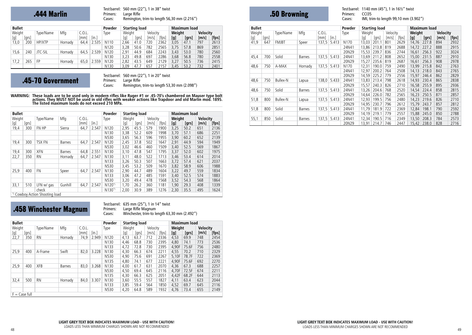#### .444 Marlin

#### Test barrel: 560 mm (22"), 1 in 38" twist<br>Primers: Large Rifle Large Rifle Cases: Remington, trim-to length 56,30 mm (2.216")

| <b>Bullet</b> |       |           |         |        |             | Powder           |        | <b>Starting load</b> |          |       |        | <b>Maximum load</b> |                 |       |
|---------------|-------|-----------|---------|--------|-------------|------------------|--------|----------------------|----------|-------|--------|---------------------|-----------------|-------|
| Weight        |       | Type/Name | Mfg     | C.O.L. |             | Type             | Weight |                      | Velocity |       | Weight |                     | <b>Velocity</b> |       |
| [g]           | [grs] |           |         | mm     | $[$ in. $]$ |                  | [g]    | [grs]                | [m/s]    | [fps] | [g]    | [grs]               | [m/s]           | [fps] |
| 13,0          | 200   | HP/XTP    | Hornady | 64.4   | 2.535       | N <sub>110</sub> | 2,66   | 41.0                 | 720      | 2362  | 3,05   | 47.1                | 797             | 2613  |
|               |       |           |         |        |             | N <sub>120</sub> | 3,28   | 50.6                 | 782      | 2565  | 3.75   | 57.8                | 869             | 2851  |
| 15,6          | 240   | JTC-SIL   | Hornady | 64.5   | 2.539       | N <sub>120</sub> | 2,91   | 44.9                 | 684      | 2243  | 3,43   | 53.0                | 780             | 2560  |
|               |       |           |         |        |             | N <sub>130</sub> | 3,23   | 49.8                 | 697      | 2286  | 3.68   | 56.8                | 780             | 2558  |
| 17,2          | 265   | FP        | Hornady | 65.0   | 2.559       | N <sub>120</sub> | 2,82   | 43.5                 | 649      | 2129  | 3.27   | 50.5                | 736             | 2415  |
|               |       |           |         |        |             | N <sub>130</sub> | 3,09   | 47.7                 | 657      | 2157  | 3.45   | 53.2                | 732             | 2401  |

#### .45-70 Government

Test barrel: 560 mm (22"), 1 in 20" twist Primers: Large Rifle<br>Cases: Remington, Remington, trim-to length 53,30 mm (2.098")

**WARNING: These loads are to be used only in modern rifles like Ruger #1 or .45-70's chambered on Mauser type bolt actions. They MUST NOT be used in old rifles with weaker actions like Trapdoor and old Marlin mod. 1895. The listed maximum loads do not exceed 210 MPa.** 

| <b>Bullet</b> |       |                                |               |        |             | <b>Powder</b>        |        | <b>Starting load</b> |          |       |        | <b>Maximum load</b> |                 |       |
|---------------|-------|--------------------------------|---------------|--------|-------------|----------------------|--------|----------------------|----------|-------|--------|---------------------|-----------------|-------|
| Weight        |       | Type/Name                      | Mfg           | C.0.L. |             | Type                 | Weight |                      | Velocity |       | Weight |                     | <b>Velocity</b> |       |
| [g]           | [grs] |                                |               | mm     | $[$ in. $]$ |                      | Įg.    | [grs]                | [m/s]    | [fps] | [g]    | [grs]               | [m/s]           | [fps] |
| 19,4          | 300   | FN HP                          | Sierra        | 64,7   | 2.547       | N <sub>120</sub>     | 2,95   | 45.5                 | 579      | 1900  | 3,25   | 50.2                | 651             | 2136  |
|               |       |                                |               |        |             | N <sub>130</sub>     | 3,38   | 52.2                 | 609      | 1998  | 3,70   | 57.1                | 686             | 2251  |
|               |       |                                |               |        |             | N530                 | 3,65   | 56.3                 | 596      | 1955  | 3,90   | 60.2                | 652             | 2139  |
| 19,4          | 300   | <b>TSX FN</b>                  | <b>Barnes</b> | 64,7   | 2.547       | N <sub>120</sub>     | 2,45   | 37.8                 | 502      | 1647  | 2,91   | 44.9                | 594             | 1949  |
|               |       |                                |               |        |             | N530                 | 3,02   | 46.6                 | 460      | 1509  | 3,40   | 52.5                | 569             | 1867  |
| 19,4          | 300   | <b>XFN</b>                     | <b>Barnes</b> | 64.8   | 2.551       | N <sub>130</sub>     | 3,10   | 47.8                 | 547      | 1795  | 3,37   | 52.0                | 602             | 1975  |
| 22,7          | 350   | <b>RN</b>                      | Hornady       | 64,7   | 2.547       | N <sub>130</sub>     | 3,11   | 48.0                 | 522      | 1713  | 3,46   | 53.4                | 614             | 2014  |
|               |       |                                |               |        |             | N <sub>133</sub>     | 3,26   | 50.3                 | 507      | 1663  | 3,72   | 57.4                | 621             | 2037  |
|               |       |                                |               |        |             | N530                 | 3,45   | 53.2                 | 509      | 1670  | 3,82   | 58.9                | 606             | 1988  |
| 25,9          | 400   | FN                             | Speer         | 64,7   | 2.547       | N <sub>130</sub>     | 2,90   | 44.7                 | 489      | 1604  | 3,22   | 49.7                | 559             | 1834  |
|               |       |                                |               |        |             | N <sub>133</sub>     | 3,06   | 47.2                 | 485      | 1591  | 3,40   | 52.5                | 574             | 1883  |
|               |       |                                |               |        |             | N530                 | 3,20   | 49.4                 | 478      | 1568  | 3,52   | 54.3                | 568             | 1864  |
| 33,1          | 510   | LFN w/ gas                     | Gunhill       | 64,7   | 2.547       | $N120$ <sup>*)</sup> | 1.70   | 26.2                 | 360      | 1181  | 1,90   | 29.3                | 408             | 1339  |
|               |       | check                          |               |        |             | $N130^{*}$           | 2,00   | 30.9                 | 389      | 1276  | 2,30   | 35.5                | 495             | 1624  |
|               |       | *) Cowboy Action Shooting load |               |        |             |                      |        |                      |          |       |        |                     |                 |       |

### .458 Winchester Magnum

Test barrel: 635 mm (25"), 1 in 14" twist Primers: Large Rifle Magnum<br>Cases: Winchester, trim-to le Winchester, trim-to length 63,30 mm (2.492")

| <b>Bullet</b>   |       |            |               |        |             | Powder           |        | <b>Starting load</b> |                     |       |        | Maximum load |          |       |
|-----------------|-------|------------|---------------|--------|-------------|------------------|--------|----------------------|---------------------|-------|--------|--------------|----------|-------|
| Weight          |       | Type/Name  | Mfg           | C.0.L. |             | Type             | Weight |                      | Velocity            |       | Weiaht |              | Velocity |       |
| <u>lgl</u>      | [grs] |            |               | Imml   | $[$ in. $]$ |                  | lgl    | [grs]                | $\lceil m/s \rceil$ | [fps] | [g]    | [grs]        | [m/s]    | [fps] |
| 22,7            | 350   | <b>RN</b>  | Hornady       | 74,9   | 2.949       | N <sub>120</sub> | 4,13   | 63.7                 | 712                 | 2336  | 4,53   | 69.9         | 748      | 2454  |
|                 |       |            |               |        |             | N <sub>130</sub> | 4.46   | 68.8                 | 730                 | 2395  | 4.80   | 74.1         | 773      | 2536  |
|                 |       |            |               |        |             | N <sub>133</sub> | 4.72   | 72.8                 | 730                 | 2395  | 4.90F  | 75.6F        | 756      | 2480  |
| 25,9            | 400   | A-Frame    | Swift         | 82,0   | 3.228       | N <sub>130</sub> | 4,30   | 66.3                 | 674                 | 2211  | 4,55   | 70.2         | 710      | 2329  |
|                 |       |            |               |        |             | N530             | 4.90   | 75.6                 | 691                 | 2267  | 5.10F  | 78.7F        | 722      | 2369  |
|                 |       |            |               |        |             | N <sub>135</sub> | 4.80   | 74.1                 | 677                 | 2221  | 4.90F  | 75.6F        | 692      | 2270  |
| 25,9            | 400   | <b>XFB</b> | <b>Barnes</b> | 83,0   | 3.268       | N <sub>130</sub> | 4,00   | 61.7                 | 631                 | 2070  | 4,36   | 67.3         | 688      | 2257  |
|                 |       |            |               |        |             | N530             | 4,50   | 69.4                 | 645                 | 2116  | 4.70F  | 72.5F        | 674      | 2211  |
|                 |       |            |               |        |             | N <sub>135</sub> | 4.30   | 66.3                 | 625                 | 2051  | 4.42F  | 68.2F        | 644      | 2113  |
| 32,4            | 500   | <b>RN</b>  | Hornady       | 84,0   | 3.307       | N <sub>130</sub> | 3.60   | 55.5                 | 557                 | 1827  | 4,11   | 63.4         | 623      | 2044  |
|                 |       |            |               |        |             | N <sub>133</sub> | 3,85   | 59.4                 | 564                 | 1850  | 4,52   | 69.7         | 645      | 2116  |
|                 |       |            |               |        |             | N530             | 4,20   | 64.8                 | 589                 | 1932  | 4,76   | 73.4         | 655      | 2149  |
| $F = Case full$ |       |            |               |        |             |                  |        |                      |                     |       |        |              |          |       |

.50 Browning

Test barrel: 1140 mm (45"), 1 in 16½" twist Primers: Cases: IMI, trim-to length 99,10 mm (3.902")

| <b>Bullet</b> |       |                 |               |        |             | Powder           |        | <b>Starting load</b> |          |                  |        | Maximum load |                 |       |
|---------------|-------|-----------------|---------------|--------|-------------|------------------|--------|----------------------|----------|------------------|--------|--------------|-----------------|-------|
| Weight        |       | Type/Name       | Mfg           | C.0.L. |             | Type             | Weight |                      | Velocity |                  | Weight |              | <b>Velocity</b> |       |
| [q]           | [grs] |                 |               | lmm l  | $[$ in. $]$ |                  | [q]    | grs                  | lm/sl    | $[{\text{fps}}]$ | [g]    | [grs]        | [m/s]           | [fps] |
| 41,9          | 647   | <b>FMJBT</b>    | Speer         | 137,5  | 5.413       | N <sub>170</sub> | 13.03  | 201.1                | 801      | 2629             | 14,76  | 227.8        | 894             | 2932  |
|               |       |                 |               |        |             | 24N41            | 13.86  | 213.8                | 819      | 2688             | 14.72  | 227.2        | 888             | 2915  |
|               |       |                 |               |        |             | 20N29            | 15,53  | 239.7                | 836      | 2744             | 16,61  | 256.3        | 922             | 3024  |
| 45,4          | 700   | Solid           | <b>Barnes</b> | 137,5  | 5.413       | 24N41            | 13.69  | 211.2                | 808      | 2652             | 15,00  | 231.5        | 887             | 2910  |
|               |       |                 |               |        |             | 20N29            | 15.27  | 235.6                | 819      | 2687             | 16,61  | 256.3        | 908             | 2978  |
| 48,6          | 750   | A-MAX           | Hornady       | 137,5  | 5.413       | N <sub>170</sub> | 12,31  | 190.0                | 759      | 2490             | 13,99  | 215.8        | 842             | 2763  |
|               |       |                 |               |        |             | 24N41            | 12.97  | 200.2                | 764      | 2508             | 14,13  | 218.0        | 843             | 2765  |
|               |       |                 |               |        |             | 20N29            | 14.59  | 225.2                | 779      | 2556             | 15,97  | 246.4        | 862             | 2829  |
| 48,6          | 750   | <b>Bullex-N</b> | Lapua         | 138,0  | 5.433       | 24N41            | 13.83  | 213.4                | 798      | 2618             | 14.93  | 230.4        | 865             | 2838  |
|               |       |                 |               |        |             | 20N29            | 15.57  | 240.3                | 826      | 2710             | 16,58  | 255.9        | 895             | 2936  |
| 48,6          | 750   | Solid           | <b>Barnes</b> | 137.5  | 5.413       | 24N41            | 13.26  | 204.6                | 768      | 2520             | 14.54  | 224.4        | 858             | 2815  |
|               |       |                 |               |        |             | 20N29            | 14.64  | 226.0                | 782      | 2565             | 16,23  | 250.5        | 871             | 2857  |
| 51,8          | 800   | Bullex-N        | Lapua         | 137.5  | 5.413       | 24N41            | 12.93  | 199.5                | 756      | 2480             | 14,23  | 219.6        | 826             | 2710  |
|               |       |                 |               |        |             | 20N29            | 14.95  | 230.7                | 796      | 2612             | 15,79  | 243.7        | 857             | 2812  |
| 51,8          | 800   | Solid           | <b>Barnes</b> | 137.5  | 5.413       | 24N41            | 11.79  | 181.9                | 722      | 2369             | 12,84  | 198.1        | 790             | 2592  |
|               |       |                 |               |        |             | 20N29            | 14.19  | 219.1                | 779      | 2557             | 15,88  | 245.0        | 850             | 2788  |
| 55,1          | 850   | Solid           | <b>Barnes</b> | 137.5  | 5.413       | 24N41            | 12,34  | 190.5                | 716      | 2349             | 13,50  | 208.3        | 784             | 2573  |
|               |       |                 |               |        |             | 20N29            | 13,91  | 214.7                | 746      | 2447             | 15,42  | 238.0        | 828             | 2716  |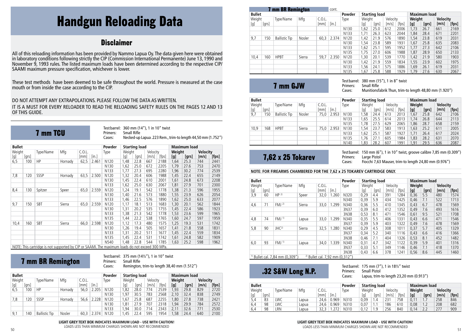# Handgun Reloading Data

#### **Disclaimer**

All of this reloading information has been provided by Nammo Lapua Oy. The data given here were obtained in laboratory conditions following strictly the CIP (Commission International Permanente) June 13, 1990 and November 9, 1993 rules. The listed maximum loads have been determined according to the respective CIP/ SAAMI maximum pressure specification, whichever is lower.

These test methods have been deemed to be safe throughout the world. Pressure is measured at the case mouth or from inside the case according to the CIP.

DO NOT ATTEMPT ANY EXTRAPOLATIONS. PLEASE FOLLOW THE DATA AS WRITTEN. IT IS A MUST FOR EVERY RELOADER TO READ THE RELOADING SAFETY RULES ON THE PAGES 12 AND 13 OF THIS GUIDE.

#### 7 mm TCU

Test barrel: 360 mm (14"), 1 in 10" twist Primers: Small Rifle

Cases: Necked-up Lapua .223 Rem., trim-to length 44,50 mm (1.752")

| <b>Bullet</b> |       |                                                                                                 |         |        |             | Powder           |        | <b>Starting load</b> |                     |       |        | <b>Maximum load</b> |                 |       |
|---------------|-------|-------------------------------------------------------------------------------------------------|---------|--------|-------------|------------------|--------|----------------------|---------------------|-------|--------|---------------------|-----------------|-------|
| Weight        |       | Type/Name                                                                                       | Mfg     | C.0.L. |             | Type             | Weight |                      | Velocity            |       | Weight |                     | <b>Velocity</b> |       |
| [g]           | [grs] |                                                                                                 |         | lmml   | $[$ in. $]$ |                  | [q]    | [grs]                | $\lceil m/s \rceil$ | [fps] | [g]    | [grs]               | [m/s]           | [fps] |
| 6,5           | 100   | HP                                                                                              | Hornady | 62,5   | 2.461       | N <sub>120</sub> | 1,48   | 22.8                 | 667                 | 2188  | 1,64   | 25.3                | 744             | 2441  |
|               |       |                                                                                                 |         |        |             | N <sub>130</sub> | 1,62   | 25.0                 | 672                 | 2205  | 1,79   | 27.6                | 753             | 2470  |
|               |       |                                                                                                 |         |        |             | N133             | 1,77   | 27.3                 | 695                 | 2280  | 1,96   | 30.2                | 774             | 2539  |
| 7,8           | 120   | SSSP                                                                                            | Hornady | 63,5   | 2.500       | N120             | 1,32   | 20.4                 | 606                 | 1988  | 1,45   | 22.4                | 655             | 2149  |
|               |       |                                                                                                 |         |        |             | N <sub>130</sub> | 1,45   | 22.4                 | 610                 | 2001  | 1,61   | 24.8                | 673             | 2208  |
|               |       |                                                                                                 |         |        |             | N133             | 1,62   | 25.0                 | 630                 | 2067  | 1,81   | 27.9                | 701             | 2300  |
| 8,4           | 130   | Spitzer                                                                                         | Speer   | 65,0   | 2.559       | N <sub>120</sub> | 1,24   | 19.1                 | 542                 | 1778  | 1,38   | 21.3                | 596             | 1955  |
|               |       |                                                                                                 |         |        |             | N <sub>130</sub> | 1,40   | 21.6                 | 573                 | 1880  | 1,55   | 23.9                | 626             | 2054  |
|               |       |                                                                                                 |         |        |             | N133             | 1,46   | 22.5                 | 576                 | 1890  | 1,62   | 25.0                | 633             | 2077  |
| 9,7           | 150   | SBT                                                                                             | Sierra  | 65,0   | 2.559       | N <sub>120</sub> | 1,17   | 18.1                 | 513                 | 1683  | 1,30   | 20.1                | 562             | 1844  |
|               |       |                                                                                                 |         |        |             | N <sub>130</sub> | 1,31   | 20.2                 | 535                 | 1755  | 1,45   | 22.4                | 586             | 1923  |
|               |       |                                                                                                 |         |        |             | N133             | 1,38   | 21.3                 | 542                 | 1778  | 1,53   | 23.6                | 599             | 1965  |
|               |       |                                                                                                 |         |        |             | N <sub>135</sub> | 1,44   | 22.2                 | 538                 | 1765  | 1,60   | 24.7                | 597             | 1959  |
| 10,4          | 160   | <b>SBT</b>                                                                                      | Sierra  | 66,0   | 2.598       | N <sub>120</sub> | 1,12   | 17.3                 | 480                 | 1575  | 1,25   | 19.3                | 531             | 1742  |
|               |       |                                                                                                 |         |        |             | N <sub>130</sub> | 1,26   | 19.4                 | 505                 | 1657  | 1,41   | 21.8                | 558             | 1831  |
|               |       |                                                                                                 |         |        |             | N133             | 1,31   | 20.2                 | 511                 | 1677  | 1,45   | 22.4                | 559             | 1834  |
|               |       |                                                                                                 |         |        |             | N <sub>135</sub> | 1,45   | 22.4                 | 531                 | 1742  | 1,61   | 24.8                | 582             | 1909  |
|               |       |                                                                                                 |         |        |             | N540             | 1,48   | 22.8                 | 544                 | 1785  | 1,63   | 25.2                | 598             | 1962  |
|               |       | NOTE: This cartridge is not supported by CIP or SAAMI. The maximum loads do not exceed 300 MPa. |         |        |             |                  |        |                      |                     |       |        |                     |                 |       |

|  |  | <b>7 mm BR Remington</b> |
|--|--|--------------------------|
|--|--|--------------------------|

Test barrel: 375 mm (14½"), 1 in 10" twist Primers: Small Rifle<br>Cases: Remington Remington, trim-to length 38,40 mm (1.512")

| <b>Bullet</b> |                            |                      |         |      |        | Powder           |          | <b>Starting load</b> |                                          |             |                 | <b>Maximum load</b> |       |       |
|---------------|----------------------------|----------------------|---------|------|--------|------------------|----------|----------------------|------------------------------------------|-------------|-----------------|---------------------|-------|-------|
| Weight        | Mfg<br>C.0.L.<br>Type/Name |                      |         | Type | Weight |                  | Velocity |                      | Weight                                   |             | <b>Velocity</b> |                     |       |       |
| [g]           | [grs]                      |                      |         | Imml | [in.]  |                  | [g]      | grs                  | $\left[\left.\mathsf{m/s}\right]\right]$ | $[{\rm fb}$ | [g]             | [grs]               | [m/s] | [fps] |
| 6,5           | '00                        | HP                   | Hornady | 56.0 | 2.205  | N <sub>120</sub> | .82      | 28.0                 | 774                                      | 2539        | ,93             | 29.8                | 829   | 2720  |
|               |                            |                      |         |      |        | N <sub>130</sub> | .97      | 30.5                 | 783                                      | 2568        | 2.10            | 32.4                | 838   | 2749  |
| 7,8           | 20                         | SSSP                 | Hornady | 56.6 | 2.228  | N <sub>120</sub> | .67      | 25.8                 | 687                                      | 2255        | .80             | 27.8                | 738   | 2421  |
|               |                            |                      |         |      |        | N <sub>130</sub> | .81      | 27.9                 | 707                                      | 2318        | .94             | 29.9                | 784   | 2572  |
|               |                            |                      |         |      |        | N <sub>133</sub> | .94      | 30.0                 | 714                                      | 2343        | 2.11            | 32.6                | 771   | 2530  |
| 9,1           | 40                         | <b>Ballistic Tip</b> | Nosler  | 60.3 | 2.374  | N <sub>120</sub> | .45      | 22.4                 | 595                                      | 1954        | .58             | 24.4                | 640   | 2100  |

50 51 **LIGHT GREY TEXT BOX INDICATES MAXIMUM LOAD - USE WITH CAUTION!** LOADS LESS THAN MINIMUM CHARGES SHOWN ARE NOT RECOMMENDED

|               |       | <b>7 mm BR Remington</b> |        |        | cont.    |                  |        |                      |          |       |        |              |                 |       |
|---------------|-------|--------------------------|--------|--------|----------|------------------|--------|----------------------|----------|-------|--------|--------------|-----------------|-------|
| <b>Bullet</b> |       |                          |        |        |          | <b>Powder</b>    |        | <b>Starting load</b> |          |       |        | Maximum load |                 |       |
| Weight        |       | Type/Name                | Mfg    | C.0.L. |          | Type             | Weight |                      | Velocity |       | Weight |              | <b>Velocity</b> |       |
| [g]           | [grs] |                          |        | mm     | $[$ in.] |                  | lgl    | [grs]                | [m/s]    | [fps] | [g]    | [grs]        | [m/s]           | [fps] |
|               |       |                          |        |        |          | N <sub>130</sub> | 1,62   | 25.0                 | 612      | 2006  | 1,73   | 26.7         | 661             | 2169  |
|               |       |                          |        |        |          | N <sub>133</sub> | 1,71   | 26.3                 | 623      | 2044  | 1,84   | 28.4         | 671             | 2201  |
| 9,7           | 150   | <b>Ballistic Tip</b>     | Nosler | 60,3   | 2.374    | N <sub>120</sub> | 1,42   | 21.9                 | 576      | 1890  | 1,54   | 23.8         | 619             | 2031  |
|               |       |                          |        |        |          | N <sub>130</sub> | 1,54   | 23.8                 | 589      | 1931  | 1,67   | 25.8         | 635             | 2083  |
|               |       |                          |        |        |          | N <sub>133</sub> | 1,62   | 25.1                 | 595      | 1952  | 1,77   | 27.3         | 642             | 2106  |
|               |       |                          |        |        |          | N <sub>135</sub> | 1.75   | 27.0                 | 606      | 1988  | 1,87   | 28.9         | 650             | 2133  |
| 10,4          | 160   | <b>HPBT</b>              | Sierra | 59,7   | 2.350    | N <sub>120</sub> | ,30    | 20.1                 | 539      | 1770  | 1,42   | 21.9         | 580             | 1903  |
|               |       |                          |        |        |          | N <sub>130</sub> | 1.42   | 21.9                 | 559      | 1834  | 1,55   | 23.9         | 602             | 1975  |
|               |       |                          |        |        |          | N <sub>133</sub> | 1,56   | 24.1                 | 575      | 1886  | 1,69   | 26.1         | 619             | 2031  |
|               |       |                          |        |        |          | N <sub>135</sub> | .67    | 25.8                 | 588      | 1929  | 1.79   | 27.6         | 630             | 2067  |

7 mm GJW

#### Test barrel: 380 mm (15"), 1 in 8" twist Primers: Small Rifle

Cases: Munitionsfabrik Thun, trim-to length 48,80 mm (1.920")

| <b>Bullet</b> |       |                      |        |        |             | Powder           |        | <b>Starting load</b> |                     |       |        | <b>Maximum load</b> |                 |       |
|---------------|-------|----------------------|--------|--------|-------------|------------------|--------|----------------------|---------------------|-------|--------|---------------------|-----------------|-------|
| Weight        |       | Type/Name            | Mfg    | C.0.L. |             | Type             | Weight |                      | Velocity            |       | Weight |                     | <b>Velocity</b> |       |
| [g]           | [grs] |                      |        | mm     | $[$ in. $]$ |                  | [g]    | grs                  | $\lceil m/s \rceil$ | [fps] | [g]    | [grs]               | [m/s]           | [fps] |
| 9,7           | 150   | <b>Ballistic Tip</b> | Nosler | 75.0   | 2.953       | N <sub>130</sub> | .58    | 24.4                 | 613                 | 2013  | .67    | 25.8                | 642             | 2106  |
|               |       |                      |        |        |             | N <sub>133</sub> | 1,65   | 25.5                 | 614                 | 2013  | .74    | 26.8                | 644             | 2113  |
|               |       |                      |        |        |             | N <sub>135</sub> | 1,78   | 27.5                 | 629                 | 2065  | ,86    | 28.7                | 658             | 2159  |
| 10,9          | 168   | <b>HPBT</b>          | Sierra | 75.0   | 2.953       | N <sub>130</sub> | 1,54   | 23.7                 | 583                 | 1913  | .63    | 25.2                | 611             | 2005  |
|               |       |                      |        |        |             | N <sub>133</sub> | 1,62   | 25.7                 | 587                 | 1927  | ,71    | 26.4                | 617             | 2024  |
|               |       |                      |        |        |             | N <sub>135</sub> | 1.76   | 27.                  | 605                 | 1984  | ,83    | 28.2                | 631             | 2070  |
|               |       |                      |        |        |             | N <sub>140</sub> | 1.83   | 28.2                 | 607                 | 1991  | .91    | 29.5                | 636             | 2087  |

### 7,62 x 25 Tokarev

Test barrel: 150 mm (6"), 1 in 10" twist, groove calibre 7,85 mm (0.309") Large Pistol Cases: Fiocchi 7,63 Mauser, trim-to length 24,80 mm (0.976")

#### **NOTE: FOR FIREARMS CHAMBERED FOR THE 7,62 x 25 TOKAREV CARTRIDGE ONLY.**

| <b>Bullet</b> |       |                                     |        |                                               |             | Powder |        | <b>Starting load</b> |          |       |        | Maximum load |                 |       |
|---------------|-------|-------------------------------------|--------|-----------------------------------------------|-------------|--------|--------|----------------------|----------|-------|--------|--------------|-----------------|-------|
| Weight        |       | Type/Name                           | Mfg    | C.0.L.                                        |             | Type   | Weight |                      | Velocity |       | Weight |              | <b>Velocity</b> |       |
| [g]           | [grs] |                                     |        | [mm]                                          | $[$ in. $]$ |        | [g]    | [grs]                | [m/s]    | [fps] | [g]    | [grs]        | [m/s]           | [fps] |
| 3,9           | 60    | HP <sup>2</sup>                     | Speer  | 32,0                                          | .260        | N320   | 0,29   | 4.4                  | 391      | 1284  | 0.36   | 5.5          | 480             | 1574  |
|               |       |                                     |        |                                               |             | N340   | 0,39   | 5.9                  | 434      | 1425  | 0,46   | 7.1          | 522             | 1713  |
| 4,6           | 71    | FMJ <sup>2</sup>                    | Sierra | 33,0                                          | .299        | N340   | 0,36   | 5.5                  | 410      | 1345  | 0,43   | 6.7          | 478             | 1569  |
|               |       |                                     |        |                                               |             | 3N37   | 0,39   | 6.0                  | 412      | 1352  | 0.49   | 7.6          | 493             | 1616  |
|               |       |                                     |        |                                               |             | 3N38   | 0,53   | 8.1                  | 471      | 1546  | 0.61   | 9.5          | 521             | 1708  |
| 4,8           | 74    | $FMJ$ <sup>1)</sup>                 | Lapua  | 33,0                                          | .299        | N340   | 0,35   | 5.5                  | 406      | 1331  | 0.43   | 6.6          | 471             | 1546  |
|               |       |                                     |        |                                               |             | 3N37   | 0,39   | 5.9                  | 403      | 1322  | 0.49   | 7.6          | 478             | 1569  |
| 5,8           | 90    | JHC <sup>2</sup>                    | Sierra | 32,5                                          | .280        | N340   | 0,29   | 4.5                  | 308      | 1011  | 0,37   | 5.7          | 405             | 1329  |
|               |       |                                     |        |                                               |             | 3N37   | 0,34   | 5.2                  | 340      | 1116  | 0,43   | 6.6          | 416             | 1366  |
|               |       |                                     |        |                                               |             | 3N38   | 0,46   | 7.1                  | 404      | 1326  | 0,53   | 8.1          | 452             | 1482  |
| 6,0           | 93    | $FMJ$ <sup>1)</sup>                 | Lapua  | 34,0                                          | .339        | N340   | 0,31   | 4.7                  | 342      | 1122  | 0,39   | 5.9          | 401             | 1316  |
|               |       |                                     |        |                                               |             | 3N37   | 0,33   | 5.1                  | 349      | 1146  | 0.46   | 7.1          | 418             | 1370  |
|               |       |                                     |        |                                               |             | 3N38   | 0,43   | 6.6                  | 378      | 1241  | 0,56   | 8.6          | 445             | 1460  |
|               |       | $^{1}$ Bullet cal. 7,84 mm (0,309") |        | <sup>2)</sup> Bullet cal. 7,92 mm $(0,312'')$ |             |        |        |                      |          |       |        |              |                 |       |

### .32 S&W Long N.P.

Test barrel: 175 mm (7"), 1 in 18½" twist<br>Primers: Small Pistol **Small Pistol** Cases: Lapua, trim-to length 23,20 mm (0.913")

| <b>Bullet</b>                                                                                                                                                                                                                                                                                                                                                                                                                                                                                                                                                                                                                     |                   |           |       |        |            | Powder |        | <b>Starting load</b> |          |      |        | <b>Maximum load</b> |                 |       |
|-----------------------------------------------------------------------------------------------------------------------------------------------------------------------------------------------------------------------------------------------------------------------------------------------------------------------------------------------------------------------------------------------------------------------------------------------------------------------------------------------------------------------------------------------------------------------------------------------------------------------------------|-------------------|-----------|-------|--------|------------|--------|--------|----------------------|----------|------|--------|---------------------|-----------------|-------|
| Weight                                                                                                                                                                                                                                                                                                                                                                                                                                                                                                                                                                                                                            |                   | Type/Name | Mfa   | C.O.L. |            | Type   | Weight |                      | Velocity |      | Weight |                     | <b>Velocity</b> |       |
| $[g] % \begin{center} % \includegraphics[width=\linewidth]{imagesSupplemental_3.png} % \end{center} % \caption { % \textit{DefNet} of a class $\mathcal{M}_1$-error of the class $\mathcal{M}_2$-error of the class $\mathcal{M}_1$-error of the class $\mathcal{M}_2$-error of the class $\mathcal{M}_1$-error of the class $\mathcal{M}_2$-error of the class $\mathcal{M}_1$-error of the class $\mathcal{M}_2$-error of the class $\mathcal{M}_2$-error of the class $\mathcal{M}_1$-error of the class $\mathcal{M}_2$-error of the class $\mathcal{M}_1$-error of the class $\mathcal{M}_2$-error of the class $\mathcal{M$ | [grs <sub>]</sub> |           |       | 'mm    | $\lim_{i}$ |        | lgl    | lgrs,                | m/s      | 'fps | [g]    | grs                 | [m/s]           | [fps] |
| 5,4                                                                                                                                                                                                                                                                                                                                                                                                                                                                                                                                                                                                                               | 83                | LWC       | Lapua | 24.6   | 0.969      | N310   | 0.09   | . .4                 | 23′      | 758  |        | $\frac{1}{2}$       | 258             | 846   |
| 6,4                                                                                                                                                                                                                                                                                                                                                                                                                                                                                                                                                                                                                               | 98                | LWC       | Lapua | 24.6   | 0.969      | N310   | 0.07   |                      | 186      | 610  | 0.08   |                     | 208             | 682   |
| 6,4                                                                                                                                                                                                                                                                                                                                                                                                                                                                                                                                                                                                                               | 98                | ∟RN       | Lapua |        |            | N310   | U.     | - Q                  | 256      | 840  | 0.14   | 2.2                 | 277             | 909   |

**LIGHT GREY TEXT BOX INDICATES MAXIMUM LOAD - USE WITH CAUTION!** LOADS LESS THAN MINIMUM CHARGES SHOWN ARE NOT RECOMMENDED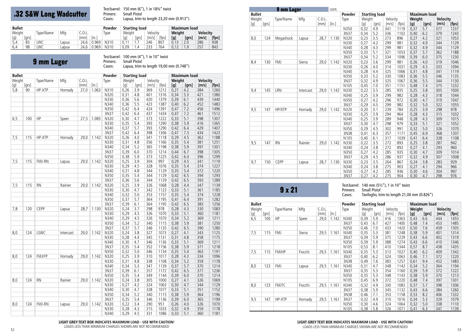### .32 S&W Long Wadcutter

Test barrel: 150 mm (6"), 1 in 18<sup>3</sup>/4" twist<br>Primers: Small Pistol **Small Pistol** Cases: Lapua, trim-to length 23,20 mm (0.913")

| <b>Bullet</b> |      |           |       |            |          | Powder |        | Starting load |          |       |        | <b>Maximum load</b> |                 |       |
|---------------|------|-----------|-------|------------|----------|--------|--------|---------------|----------|-------|--------|---------------------|-----------------|-------|
| Weight        |      | Type/Name | Mfa   | C.O.L.     |          | Type   | Weiaht |               | Velocitv |       | Weight |                     | <b>Velocity</b> |       |
| [g]           | lars |           |       | 'mml       | $\lim$ . |        | lg)    | lgrs,         | m/s      | [fɒs] | [g]    | [grs]               | $\mathsf{Im/s}$ | [fps] |
| 5.4           | 83   | LWC       | Lapua | 24<br>h    | 0.969    | N310   | 0.1    |               | 246      | 807   | 0.13   | 2.0                 | 286             | 938   |
| 6.4           | 98   | lwc       | Lapua | $\sqrt{2}$ | .969     | N310   | 0.09   | $\cdot$       | 233      | 764   |        |                     | 257             | 843   |

#### 9 mm Luger

Test barrel: 100 mm (4"), 1 in 10" twist

Primers: Small Pistol Cases: Lapua, trim-to length 19,00 mm (0.748") **Bullet Powder Starting load Maximum load** Weight Type/Name Mfg C.O.L. Type Weight Velocity **Weight Velocity** [g] [grs] [mm] [in.] [g] [grs] [m/s] [fps] **[g] [grs] [m/s] [fps]** 5,8 90 HP-XTP Hornady 27,0 1.063 N310 0,26 3.9 369 1212 0,27 4.2 384 1260 N320 0,31 4.8 401 1316 0,34 5.3 421 1380 N330 0,36 5.6 420 1379 0,39 6.1 439 1440 N340 0,36 5.5 423 1387 0,40 6.2 452 1483 N350 0,42 6.4 424 1391 0,47 7.2 456 1496 3N37 0,42 6.4 437 1434 0,47 7.2 461 1512 6,5 100 HP Speer 27,5 1.083 N320 0,30 4.7 373 1222 0,33 5.1 398 1307 N330 0,35 5.4 393 1290 0,38 5.9 416 1365  $\vert 0.37 \vert 5.7$ 3N37 0,42 6.4 398 1306 0,47 7.3 434 1423 7,5 115 HP-XTP Hornady 29,0 1.142 N320 0,26 4.0 341 1118 0,29 4.5 362 1188 N330 0,31 4.8 356 1166 0,35 5.4 381 1251 N340 0,34 5.2 365 1198 0,38 5.9 397 1301 3N37 0,39 6.0 370 1214 0,44 6.7 398 1305 N350 0,38 5.9 373 1225 0,42 6.4 396 1299 7,5 115 FMJ-RN Lapua 29,0 1.142 N320 0,25 3.9 304 997 0,29 4.5 341 1119  $N330$  0,29 4.5 N340 0,31 4.8 344 1129 0,35 5.4 372 1220 N350 0,35 5.4 344 1129 0,42 6.5 394 1293 3N37 0,36 5.6 344 1129 0,42 6.5 393 1289 7,5 115 RN Rainier 29,0 1.142 N320 0,25 3.9 326 1068 0,28 4.4 347 1139 N330 0,30 4.7 342 1123 0,33 5.1 361 1185 N340 0,32 5.0 353 1157 0,35 5.4 374<br>N350 0,37 5.7 364 1195 0,41 6.4 391 N350 0,37 5.7 364 1195 0,41 6.4 391 1282 3N37 0,39 6.1 364 1195 0,42 6.5 383 1256 7,8 120 CEPP Lapua 28,7 1.130 N320 0,24 3.7 298 978 0,28 4.3 330 1083 N330 0,29 4.5 326 1070 0,33 5.1 360 1181 N340 0,29 4.5 326 1070 0,34 5.2 369 1211 N350 0,34 5.2 340 1115 0,38 5.9 381 1250 3N37 0,37 5.7 346 1135 0,42 6.5 390 1280 8,0 124 LSWC Intercast 29,0 1.142 N320 0,24 3.8 327 1073 0,27 4.1 343 1125

N330 0,28 4.4 345 1131 0,31 4.8 358 1175 N340 0,30 4.7 346 1136 0,33 5.1 369 1211 3N37 0,35 5.4 352 1156 0,38 5.9 371 1218 N350 0,32 5.0 346 1134 0,35 5.4 363 1191

N330 0,31 4.8 338 1108 0,34 5.2 359 1178 N340 0,34 5.3 347 1139 0,37 5.7 370 1214

N350 0,35 5.4 349 1144 0,39 6.0 370 1214

N330 0,27 4.2 324 1063 0,30 4.7 344 1129 N340 0,30 4.7 328 1077 0,33 5.1 351 1152 N350 0,34 5.2 340 1115 0,38 5.9 364 1196 3N37 0,35 5.4 346 1136 0,39 6.0 365 1199

N330 0,28 4.3 315 1033 0,32 4.9 359 1178

N340 0,29 4.5 331 1086 0,33 5.1 360 1181

3N37 0,39 6.1 357 1172 0,42 6.5 377<br>N350 0.35 5.4 349 1144 0.39 6.0 370

|               |       | 9 mm Luger  |           |        | cont. |        |        |                      |                     |       |        |                     |                 |       |
|---------------|-------|-------------|-----------|--------|-------|--------|--------|----------------------|---------------------|-------|--------|---------------------|-----------------|-------|
| <b>Bullet</b> |       |             |           |        |       | Powder |        | <b>Starting load</b> |                     |       |        | <b>Maximum load</b> |                 |       |
| Weight        |       | Type/Name   | Mfg       | C.0.L. |       | Type   | Weight |                      | Velocity            |       | Weight |                     | <b>Velocity</b> |       |
| [g]           | [grs] |             |           | [mm]   | [in.] |        | [g]    | [grs]                | $\lceil m/s \rceil$ | [fps] | [g]    | [grs]               | [m/s]           | [fps] |
|               |       |             |           |        |       | N350   | 0,32   | 4.9                  | 341                 | 1119  | 0,37   | 5.7                 | 377             | 1237  |
|               |       |             |           |        |       | 3N37   | 0,34   | 5.2                  | 336                 | 1102  | 0,40   | 6.2                 | 379             | 1243  |
| 8,0           | 124   | Megashock   | Lapua     | 28,7   | 1.130 | N320   | 0,23   | 3.5                  | 273                 | 896   | 0,27   | 4.2                 | 321             | 1053  |
|               |       |             |           |        |       | N330   | 0,27   | 4.2                  | 299                 | 981   | 0,32   | 4.9                 | 344             | 1129  |
|               |       |             |           |        |       | N340   | 0,28   | 4.3                  | 299                 | 981   | 0,32   | 4.9                 | 344             | 1129  |
|               |       |             |           |        |       | N350   | 0,33   | 5.1                  | 321                 | 1053  | 0,37   | 5.7                 | 362             | 1188  |
|               |       |             |           |        |       | 3N37   | 0,34   | 5.2                  | 334                 | 1096  | 0,39   | 6.0                 | 375             | 1230  |
| 8,4           | 130   | <b>FMJ</b>  | Sierra    | 29,0   | 1.142 | N320   | 0,23   | 3.6                  | 299                 | 981   | 0,26   | 4.0                 | 319             | 1046  |
|               |       |             |           |        |       | N330   | 0,26   | 4.0                  | 314                 | 1031  | 0, 29  | 4.5                 | 333             | 1094  |
|               |       |             |           |        |       | N340   | 0,28   | 4.4                  | 325                 | 1066  | 0,31   | 4.8                 | 341             | 1119  |
|               |       |             |           |        |       | N350   | 0,33   | 5.2                  | 330                 | 1083  | 0,36   | 5.5                 | 346             | 1135  |
|               |       |             |           |        |       | 3N37   | 0,32   | 4.9                  | 325                 | 1067  | 0,36   | 5.5                 | 344             | 1130  |
|               |       |             |           |        |       | N105   | 0,45   | 7.0                  | 351                 | 1151  | 0,48   | 7.4                 | 375             | 1232  |
| 9,4           | 145   | LRN         | Intercast | 29,0   | 1.142 | N330   | 0,22   | 3.5                  | 285                 | 935   | 0,25   | 3.8                 | 305             | 1000  |
|               |       |             |           |        |       | N340   | 0,25   | 3.9                  | 299                 | 982   | 0,28   | 4.3                 | 318             | 1044  |
|               |       |             |           |        |       | N350   | 0,27   | 4.2                  | 296                 | 972   | 0,30   | 4.7                 | 319             | 1047  |
|               |       |             |           |        |       | 3N37   | 0,29   | 4.5                  | 299                 | 982   | 0,32   | 5.0                 | 322             | 1055  |
| 9,5           | 147   | HP/XTP      | Hornady   | 29,0   | 1.142 | N320   | 0, 20  | 3.1                  | 239                 | 784   | 0,25   | 3.9                 | 298             | 978   |
|               |       |             |           |        |       | N330   | 0,25   | 3.9                  | 294                 | 964   | 0,28   | 4.3                 | 315             | 1032  |
|               |       |             |           |        |       | N340   | 0,25   | 3.9                  | 289                 | 948   | 0,28   | 4.3                 | 309             | 1015  |
|               |       |             |           |        |       | 3N37   | 0,30   | 4.7                  | 298                 | 979   | 0,33   | 5.1                 | 321             | 1052  |
|               |       |             |           |        |       | N350   | 0,29   | 4.5                  | 302                 | 991   | 0,32   | 5.0                 | 326             | 1070  |
|               |       |             |           |        |       | 3N38   | 0,41   | 6.3                  | 357                 | 1171  | 0,45   | 6.9                 | 368             | 1207  |
|               |       |             |           |        |       | N105   | 0,40   | 6.1                  | 317                 | 1039  | 0,41   | 6.4                 | 338             | 1108  |
| 9,5           | 147   | <b>RN</b>   | Rainier   | 29,0   | 1.142 | N330   | 0,22   | 3.5                  | 272                 | 893   | 0,25   | 3.8                 | 287             | 942   |
|               |       |             |           |        |       | N340   | 0,24   | 3.8                  | 272                 | 892   | 0,27   | 4.1                 | 293             | 960   |
|               |       |             |           |        |       | N350   | 0,27   | 4.2                  | 285                 | 935   | 0,30   | 4.7                 | 309             | 1014  |
|               |       |             |           |        |       | 3N37   | 0,29   | 4.5                  | 286                 | 937   | 0,32   | 4.9                 | 307             | 1008  |
| 9,7           | 150   | <b>CEPP</b> | Lapua     | 28,7   | 1.130 | N330   | 0,23   | 3.5                  | 264                 | 867   | 0,24   | 3.8                 | 283             | 929   |
|               |       |             |           |        |       | N340   | 0,24   | 3.8                  | 275                 | 903   | 0,27   | 4.1                 | 294             | 966   |
|               |       |             |           |        |       | N350   | 0,27   | 4.2                  | 285                 | 936   | 0,30   | 4.6                 | 304             | 997   |
|               |       |             |           |        |       | 3N37   | 0,27   | 4.2                  | 275                 | 904   | 0,30   | 4.7                 | 298             | 976   |

#### 9 x 21

Test barrel: 140 mm (5½"), 1 in 10" twist Primers: Small Pistol<br>Cases: Tanfoglio, tr Tanfoglio, trim-to length 21,00 mm (0.826")

| <b>Bullet</b> |       |              |         |        |             | Powder           |        | <b>Starting load</b> |                     |       |        | <b>Maximum load</b> |          |       |
|---------------|-------|--------------|---------|--------|-------------|------------------|--------|----------------------|---------------------|-------|--------|---------------------|----------|-------|
| Weight        |       | Type/Name    | Mfg     | C.0.L. |             | Type             | Weight |                      | Velocity            |       | Weight |                     | Velocity |       |
| [g]           | [grs] |              |         | mm     | $[$ in. $]$ |                  | [g]    | [grs]                | $\lceil m/s \rceil$ | [fps] | [g]    | [grs]               | [m/s]    | [fps] |
| 6,5           | 100   | <b>HP</b>    | Speer   | 29,0   | 1.142       | N340             | 0,39   | 5.9                  | 416                 | 1363  | 0,43   | 6.6                 | 444      | 1455  |
|               |       |              |         |        |             | 3N37             | 0,43   | 6.7                  | 427                 | 1400  | 0,48   | 7.4                 | 453      | 1485  |
|               |       |              |         |        |             | N350             | 0,46   | 7.0                  | 433                 | 1420  | 0,50   | 7.6                 | 459      | 1505  |
| 7,5           | 115   | <b>FMJ</b>   | Sierra  | 29,5   | 1.161       | N340             | 0,35   | 5.3                  | 381                 | 1248  | 0,38   | 5.9                 | 401      | 1314  |
|               |       |              |         |        |             | 3N37             | 0,39   | 5.9                  | 375                 | 1229  | 0,43   | 6.6                 | 402      | 1319  |
|               |       |              |         |        |             | N350             | 0,39   | 5.9                  | 388                 | 1274  | 0,43   | 6.6                 | 410      | 1346  |
|               |       |              |         |        |             | N <sub>105</sub> | 0,53   | 8.1                  | 410                 | 1344  | 0,57   | 8.7                 | 438      | 1435  |
| 7,5           | 115   | <b>FMJHP</b> | Fiocchi | 29,5   | 1.161       | N340             | 0,35   | 5.3                  | 313                 | 1027  | 0,40   | 6.2                 | 409      | 1342  |
|               |       |              |         |        |             | 3N37             | 0,40   | 6.2                  | 324                 | 1063  | 0,46   | 7.1                 | 372      | 1220  |
|               |       |              |         |        |             | 3N38             | 0,49   | 7.6                  | 383                 | 1257  | 0,61   | 9.4                 | 452      | 1483  |
| 8,0           | 123   | <b>FMJ</b>   | Lapua   | 29,5   | 1.161       | N340             | 0,31   | 4.7                  | 348                 | 1142  | 0,34   | 5.2                 | 364      | 1194  |
|               |       |              |         |        |             | 3N37             | 0,35   | 5.3                  | 354                 | 1160  | 0,39   | 5.9                 | 372      | 1222  |
|               |       |              |         |        |             | N350             | 0,35   | 5.3                  | 348                 | 1143  | 0,38   | 5.9                 | 370      | 1213  |
|               |       |              |         |        |             | N <sub>105</sub> | 0,45   | 6.9                  | 372                 | 1220  | 0,48   | 7.4                 | 397      | 1301  |
| 8,0           | 123   | <b>FMJTC</b> | Fiocchi | 29,5   | 1.161       | N340             | 0,32   | 4.9                  | 330                 | 1083  | 0,37   | 5.7                 | 398      | 1306  |
|               |       |              |         |        |             | 3N37             | 0,38   | 5.9                  | 345                 | 1132  | 0,43   | 6.6                 | 384      | 1260  |
|               |       |              |         |        |             | 3N38             | 0,46   | 7.1                  | 353                 | 1158  | 0,53   | 8.2                 | 406      | 1332  |
| 9,5           | 147   | HP-XTP       | Hornady | 29,5   | 1.161       | 3N37             | 0,32   | 4.9                  | 310                 | 1016  | 0,34   | 5.3                 | 329      | 1079  |
|               |       |              |         |        |             | N350             | 0,30   | 4.6                  | 324                 | 1064  | 0,32   | 5.0                 | 338      | 1110  |
|               |       |              |         |        |             | N <sub>105</sub> | 0,38   | 5.8                  | 326                 | 1071  | 0,41   | 6.3                 | 347      | 1139  |

**LIGHT GREY TEXT BOX INDICATES MAXIMUM LOAD - USE WITH CAUTION!** LOADS LESS THAN MINIMUM CHARGES SHOWN ARE NOT RECOMMENDED

8,0 124 FMJ-RN Lapua 29,0 1.142 N320 0,22 3.4 290 951 0,26 4.0 326 1070

8,0 124 FMJ/FP Hornady 29,0 1.142 N320 0,25 3.9 310 1017 0,28 4.3 334 1096

8,0 124 RN Rainier 29,0 1.142 N320 0,24 3.8 305 1000 0,27 4.1 326 1069

52 53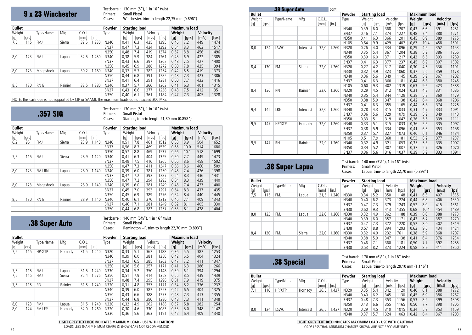#### 9 x 23 Winchester

Test barrel: 130 mm (5"), 1 in 16" twist **Small Pistol** Cases: Winchester, trim-to length 22,75 mm (0.896")

| <b>Bullet</b> |       |                                                                                                 |         |        |             | Powder      |        | <b>Starting load</b> |          |       |        | <b>Maximum load</b> |          |       |
|---------------|-------|-------------------------------------------------------------------------------------------------|---------|--------|-------------|-------------|--------|----------------------|----------|-------|--------|---------------------|----------|-------|
| Weight        |       | Type/Name                                                                                       | Mfg     | C.0.L. |             | <b>Type</b> | Weight |                      | Velocity |       | Weight |                     | Velocity |       |
| [g]           | [grs] |                                                                                                 |         | lmml   | $[$ in. $]$ |             | [g]    | [grs]                | lm/sl    | [fps] | [g]    | [grs]               | [m/s]    | [fps] |
| 7,5           | 115   | <b>FMJ</b>                                                                                      | Sierra  | 32,5   | 1.280       | N340        | 0,41   | 6.3                  | 425      | 1395  | 0,46   | 7.2                 | 449      | 1474  |
|               |       |                                                                                                 |         |        |             | 3N37        | 0,47   | 7.3                  | 424      | 1392  | 0,54   | 8.3                 | 462      | 1517  |
|               |       |                                                                                                 |         |        |             | N350        | 0,48   | 7.4                  | 419      | 1374  | 0.57   | 8.8                 | 456      | 1496  |
| 8,0           | 123   | <b>FMJ</b>                                                                                      | Lapua   | 32,5   | 1.280       | N340        | 0,38   | 5.9                  | 384      | 1261  | 0.45   | 6.9                 | 422      | 1385  |
|               |       |                                                                                                 |         |        |             | 3N37        | 0,43   | 6.6                  | 397      | 1302  | 0.48   | 7.5                 | 427      | 1400  |
|               |       |                                                                                                 |         |        |             | N350        | 0,45   | 6.9                  | 388      | 1272  | 0.50   | 7.8                 | 425      | 1394  |
| 8,0           | 123   | Megashock                                                                                       | Lapua   | 30,2   | 1.189       | N340        | 0,37   | 5.7                  | 382      | 1254  | 0.42   | 6.5                 | 419      | 1373  |
|               |       |                                                                                                 |         |        |             | N350        | 0,44   | 6.8                  | 391      | 1282  | 0,48   | 7.3                 | 423      | 1386  |
|               |       |                                                                                                 |         |        |             | 3N37        | 0,41   | 6.4                  | 391      | 1281  | 0.50   | 7.7                 | 432      | 1416  |
| 8,5           | 130   | RN B                                                                                            | Rainier | 32,5   | 1.280       | N340        | 0,37   | 5.7                  | 366      | 1202  | 0,41   | 6.3                 | 401      | 1315  |
|               |       |                                                                                                 |         |        |             | 3N37        | 0.43   | 6.6                  | 377      | 1238  | 0.48   | 7.5                 | 412      | 1351  |
|               |       |                                                                                                 |         |        |             | N350        | 0.40   | 6.1                  | 361      | 1184  | 0.47   | 7.3                 | 405      | 1328  |
|               |       | NOTE: This cartridge is not supported by CIP or SAAMI. The maximum loads do not exceed 300 MPa. |         |        |             |             |        |                      |          |       |        |                     |          |       |

.357 SIG

Test barrel: 130 mm (5"), 1 in 16" twist<br>Primers: Small Pistol Primers: Small Pistol<br>Cases: Starline, trin Starline, trim-to length 21,80 mm (0.858")

| <b>Bullet</b> |       |               |         |        |             | Powder |        | <b>Starting load</b> |          |       |        | <b>Maximum load</b> |                 |       |
|---------------|-------|---------------|---------|--------|-------------|--------|--------|----------------------|----------|-------|--------|---------------------|-----------------|-------|
| Weight        |       | Type/Name     | Mfg     | C.0.L. |             | Type   | Weight |                      | Velocity |       | Weight |                     | <b>Velocity</b> |       |
| [g]           | [grs] |               |         | mm     | $[$ in. $]$ |        | Įg,    | [grs]                | [m/s]    | [fps] | [g]    | [grs]               | [m/s]           | [fps] |
| 6,2           | 95    | <b>FMJ</b>    | Sierra  | 28,9   | 1.140       | N340   | 0,51   | 7.8                  | 461      | 1512  | 0,58   | 8.9                 | 504             | 1652  |
|               |       |               |         |        |             | 3N37   | 0,56   | 8.7                  | 469      | 1539  | 0,65   | 10.0                | 514             | 1686  |
|               |       |               |         |        |             | N350   | 0,57   | 8.8                  | 469      | 1537  | 0,66   | 10.1                | 518             | 1699  |
| 7,5           | 115   | <b>FMJ</b>    | Sierra  | 28,9   | 1.140       | N340   | 0,41   | 6.3                  | 404      | 1325  | 0,50   | 7.7                 | 449             | 1473  |
|               |       |               |         |        |             | 3N37   | 0,49   | 7.5                  | 416      | 1365  | 0,56   | 8.6                 | 458             | 1502  |
|               |       |               |         |        |             | N350   | 0,47   | 7.3                  | 411      | 1347  | 0,56   | 8.6                 | 460             | 1509  |
| 8,0           | 123   | <b>FMJ-RN</b> | Lapua   | 28,9   | 1.140       | N340   | 0,39   | 6.0                  | 381      | 1250  | 0,48   | 7.4                 | 426             | 1398  |
|               |       |               |         |        |             | 3N37   | 0,47   | 7.2                  | 392      | 1287  | 0,54   | 8.3                 | 436             | 1431  |
|               |       |               |         |        |             | N350   | 0,47   | 7.2                  | 394      | 1293  | 0,54   | 8.3                 | 439             | 1440  |
| 8,0           | 123   | Megashock     | Lapua   | 28,9   | 1.140       | N340   | 0,39   | 6.0                  | 381      | 1249  | 0,48   | 7.4                 | 427             | 1400  |
|               |       |               |         |        |             | 3N37   | 0,45   | 7.0                  | 393      | 1291  | 0,54   | 8.3                 | 437             | 1435  |
|               |       |               |         |        |             | N350   | 0,45   | 6.9                  | 389      | 1276  | 0,54   | 8.4                 | 440             | 1445  |
| 8,5           | 130   | RN B          | Rainier | 28,9   | 1.140       | N340   | 0,40   | 6.1                  | 370      | 1213  | 0.46   | 7.1                 | 409             | 1343  |
|               |       |               |         |        |             | 3N37   | 0,46   | 7.1                  | 381      | 1249  | 0,52   | 8.1                 | 405             | 1330  |
|               |       |               |         |        |             | N350   | 0,44   | 6.8                  | 383      | 1257  | 0,53   | 8.1                 | 428             | 1404  |

### .38 Super Auto

Test barrel: 140 mm (5½"), 1 in 16" twist<br>Primers: Small Pistol **Small Pistol** Cases: Remington +P, trim-to length 22,70 mm (0.893")

| <b>Bullet</b> |       |               |         |        |          | Powder |        | <b>Starting load</b> |          |       |        | <b>Maximum load</b> |                 |       |
|---------------|-------|---------------|---------|--------|----------|--------|--------|----------------------|----------|-------|--------|---------------------|-----------------|-------|
| Weight        |       | Type/Name     | Mfg     | C.0.L. |          | Type   | Weight |                      | Velocity |       | Weight |                     | <b>Velocity</b> |       |
| [g]           | [grs] |               |         | mm     | $[$ in.] |        | lgl    | [grs]                | [m/s]    | [fps] | [g]    | [grs]               | [m/s]           | [fps] |
| 7,5           | 115   | HP-XTP        | Hornady | 31,5   | 1.240    | N320   | 0,33   | 5.1                  | 362      | 1188  | 0,36   | 5.5                 | 382             | 1253  |
|               |       |               |         |        |          | N340   | 0,39   | 6.0                  | 381      | 1250  | 0,42   | 6.5                 | 404             | 1324  |
|               |       |               |         |        |          | 3N37   | 0,42   | 6.5                  | 385      | 1263  | 0,47   | 7.2                 | 411             | 1347  |
|               |       |               |         |        |          | N350   | 0,36   | 5.6                  | 357      | 1171  | 0,41   | 6.3                 | 386             | 1266  |
| 7,5           | 115   | <b>FMJ</b>    | Lapua   | 31,5   | 1.240    | N330   | 0,34   | 5.2                  | 350      | 1148  | 0,39   | 6.1                 | 394             | 1294  |
| 7,5           | 115   | FMJ           | Sierra  | 32,4   | 1.276    | N350   | 0,51   | 7.9                  | 414      | 1358  | 0,55   | 8.5                 | 439             | 1439  |
|               |       |               |         |        |          | 3N37   | 0,48   | 7.4                  | 395      | 1296  | 0,51   | 7.9                 | 419             | 1375  |
| 7,5           | 115   | <b>RN</b>     | Rainier | 31,5   | 1.240    | N320   | 0,31   | 4.8                  | 357      | 1171  | 0.34   | 5.2                 | 376             | 1232  |
|               |       |               |         |        |          | N340   | 0,39   | 6.0                  | 382      | 1253  | 0,42   | 6.5                 | 404             | 1325  |
|               |       |               |         |        |          | N350   | 0,43   | 6.6                  | 388      | 1273  | 0,48   | 7.3                 | 413             | 1355  |
|               |       |               |         |        |          | 3N37   | 0,44   | 6.8                  | 390      | 1280  | 0,48   | 7.3                 | 411             | 1348  |
| 8,0           | 123   | <b>FMJ</b>    | Lapua   | 31,5   | 1.240    | N330   | 0,32   | 4.9                  | 362      | 1188  | 0,37   | 5.8                 | 382             | 1254  |
| 8,0           | 124   | <b>FMJ-FP</b> | Hornady | 32,0   | 1.260    | N320   | 0,30   | 4.6                  | 330      | 1083  | 0,33   | 5.0                 | 348             | 1142  |
|               |       |               |         |        |          | N330   | 0,36   | 5.6                  | 363      | 1191  | 0,42   | 6.4                 | 409             | 1340  |

**LIGHT GREY TEXT BOX INDICATES MAXIMUM LOAD - USE WITH CAUTION!** LOADS LESS THAN MINIMUM CHARGES SHOWN ARE NOT RECOMMENDED

|               |       | <b>.</b> 00 Juper Auto |           |        | COTTL.   |                  |        |                      |          |       |        |                     |                 |       |
|---------------|-------|------------------------|-----------|--------|----------|------------------|--------|----------------------|----------|-------|--------|---------------------|-----------------|-------|
| <b>Bullet</b> |       |                        |           |        |          | <b>Powder</b>    |        | <b>Starting load</b> |          |       |        | <b>Maximum load</b> |                 |       |
| Weight        |       | Type/Name              | Mfg       | C.0.L. |          | Type             | Weight |                      | Velocity |       | Weight |                     | <b>Velocity</b> |       |
| [g]           | [grs] |                        |           | [mm]   | $[$ in.] |                  | [g]    | [grs]                | [m/s]    | [fps] | [g]    | [grs]               | [m/s]           | [fps] |
|               |       |                        |           |        |          | N340             | 0,39   | 6.0                  | 368      | 1207  | 0,43   | 6.6                 | 391             | 1281  |
|               |       |                        |           |        |          | 3N37             | 0,46   | 7.1                  | 374      | 1227  | 0,48   | 7.4                 | 388             | 1271  |
|               |       |                        |           |        |          | N350             | 0,41   | 6.3                  | 366      | 1201  | 0,45   | 6.9                 | 389             | 1275  |
|               |       |                        |           |        |          | N <sub>105</sub> | 0,64   | 9.9                  | 429      | 1407  | 0,67   | 10.4                | 458             | 1501  |
| 8,0           | 124   | LSWC                   | Intercast | 32,0   | 1.260    | N320             | 0,26   | 4.0                  | 334      | 1096  | 0,29   | 4.5                 | 352             | 1153  |
|               |       |                        |           |        |          | N340             | 0,35   | 5.4                  | 367      | 1204  | 0,38   | 5.9                 | 386             | 1266  |
|               |       |                        |           |        |          | N350             | 0,39   | 6.0                  | 371      | 1217  | 0,43   | 6.6                 | 393             | 1289  |
|               |       |                        |           |        |          | 3N37             | 0,41   | 6.3                  | 377      | 1237  | 0,45   | 6.9                 | 397             | 1302  |
| 8,4           | 130   | <b>FMJ</b>             | Sierra    | 32,0   | 1.260    | N320             | 0,27   | 4.2                  | 317      | 1040  | 0,30   | 4.6                 | 336             | 1101  |
|               |       |                        |           |        |          | N330             | 0,32   | 4.9                  | 323      | 1060  | 0,37   | 5.6                 | 359             | 1178  |
|               |       |                        |           |        |          | N340             | 0,36   | 5.6                  | 349      | 1145  | 0,39   | 5.9                 | 367             | 1202  |
|               |       |                        |           |        |          | 3N37             | 0,41   | 6.3                  | 360      | 1181  | 0,44   | 6.8                 | 380             | 1245  |
|               |       |                        |           |        |          | N <sub>105</sub> | 0,60   | 9.3                  | 402      | 1319  | 0,63   | 9.6                 | 423             | 1388  |
| 8,4           | 130   | <b>RN</b>              | Rainier   | 32,0   | 1.260    | N320             | 0,29   | 4.5                  | 312      | 1024  | 0,31   | 4.8                 | 331             | 1086  |
|               |       |                        |           |        |          | N340             | 0,35   | 5.4                  | 344      | 1129  | 0,38   | 5.8                 | 360             | 1179  |
|               |       |                        |           |        |          | N350             | 0,38   | 5.9                  | 347      | 1138  | 0,42   | 6.4                 | 368             | 1206  |
|               |       |                        |           |        |          | 3N37             | 0,41   | 6.3                  | 355      | 1165  | 0,44   | 6.8                 | 374             | 1225  |
| 9,4           | 145   | LRN                    | Intercast | 32,0   | 1.260    | N340             | 0,28   | 4.3                  | 315      | 1033  | 0,31   | 4.7                 | 333             | 1091  |
|               |       |                        |           |        |          | 3N37             | 0,36   | 5.6                  | 329      | 1079  | 0,39   | 5.9                 | 349             | 1143  |
|               |       |                        |           |        |          | N350             | 0,33   | 5.1                  | 319      | 1047  | 0,36   | 5.6                 | 339             | 1111  |
| 9,5           | 147   | HP/XTP                 | Hornady   | 32,0   | 1.260    | N340             | 0,33   | 5.1                  | 315      | 1033  | 0,36   | 5.5                 | 335             | 1097  |
|               |       |                        |           |        |          | 3N37             | 0,38   | 5.9                  | 334      | 1096  | 0,41   | 6.3                 | 353             | 1158  |
|               |       |                        |           |        |          | N350             | 0,37   | 5.7                  | 327      | 1073  | 0,40   | 6.1                 | 346             | 1134  |
|               |       |                        |           |        |          | N <sub>105</sub> | 0,51   | 7.9                  | 360      | 1181  | 0,53   | 8.2                 | 377             | 1237  |
| 9,5           | 147   | <b>RN</b>              | Rainier   | 32,0   | 1.260    | N340             | 0,32   | 4.9                  | 321      | 1053  | 0,35   | 5.3                 | 335             | 1097  |
|               |       |                        |           |        |          | N350             | 0,34   | 5.2                  | 307      | 1007  | 0,37   | 5.7                 | 326             | 1070  |
|               |       |                        |           |        |          | 3N37             | 0,36   | 5.6                  | 316      | 1037  | 0,39   | 5.9                 | 333             | 1091  |

### .38 Super Lapua

.38 Super Auto cont.

Test barrel: 140 mm (5½"), 1 in 16" twist Primers: Small Pistol<br>Cases: Lapua, trim-Lapua, trim-to length  $22,70$  mm  $(0.893")$ 

| <b>Bullet</b> |       |            |        |        |             | Powder |        | <b>Starting load</b> |          |       |        | <b>Maximum load</b> |                 |       |
|---------------|-------|------------|--------|--------|-------------|--------|--------|----------------------|----------|-------|--------|---------------------|-----------------|-------|
| Weight        |       | Type/Name  | Mfg    | C.0.L. |             | Type   | Weight |                      | Velocity |       | Weight |                     | <b>Velocity</b> |       |
| [g]           | [grs] |            |        | mm     | $[$ in. $]$ |        | [g]    | [grs]                | [m/s]    | [fps] | [g]    | [grs]               | [m/s]           | [fps] |
| 7,5           | 115   | <b>FMJ</b> | Lapua  | 31,5   | 1.240       | N330   | 0,34   | 5.2                  | 350      | 1148  | 0,41   | 6.3                 | 407             | 1335  |
|               |       |            |        |        |             | N340   | 0.40   | 6.2                  | 373      | 1224  | 0,44   | 6.8                 | 406             | 1330  |
|               |       |            |        |        |             | 3N37   | 0,47   | 7.3                  | 379      | 1243  | 0,52   | 8.0                 | 415             | 1361  |
|               |       |            |        |        |             | 3N38   | 0,60   | 9.3                  | 413      | 1355  | 0,68   | 10.4                | 454             | 1489  |
| 8,0           | 123   | <b>FMJ</b> | Lapua  | 32,0   | 1.260       | N330   | 0,32   | 4.9                  | 362      | 1188  | 0,39   | 6.0                 | 388             | 1273  |
|               |       |            |        |        |             | N340   | 0,39   | 6.0                  | 357      | 1171  | 0.43   | 6.7                 | 387             | 1270  |
|               |       |            |        |        |             | 3N37   | 0,47   | 7.3                  | 372      | 1220  | 0,52   | 8.0                 | 402             | 1319  |
|               |       |            |        |        |             | 3N38   | 0,57   | 8.8                  | 394      | 1293  | 0,62   | 9.6                 | 434             | 1424  |
| 8,4           | 130   | <b>FMJ</b> | Sierra | 32,0   | 1.260       | N330   | 0,32   | 4.9                  | 232      | 761   | 0,38   | 5.9                 | 368             | 1207  |
|               |       |            |        |        |             | N340   | 0,38   | 5.9                  | 347      | 1138  | 0,41   | 6.4                 | 376             | 1234  |
|               |       |            |        |        |             | 3N37   | 0,46   | 7.1                  | 360      | 1181  | 0,50   | 7.7                 | 392             | 1285  |
|               |       |            |        |        |             | 3N38   | 0,53   | 8.2                  | 373      | 1224  | 0.58   | 8.9                 | 411             | 1350  |

.38 Special

Test barrel:  $170 \text{ mm} (6\frac{1}{2})$ , 1 in  $18''$  twist<br>Primers: Small Pistol Primers: Small Pistol<br>Cases: Lapua, trim-Lapua, trim-to length 29,10 mm  $(1.146")$ 

| <b>Bullet</b> |       |           |           |        |        | Powder |        | <b>Starting load</b> |          |       |        | <b>Maximum load</b> |                 |       |
|---------------|-------|-----------|-----------|--------|--------|--------|--------|----------------------|----------|-------|--------|---------------------|-----------------|-------|
| Weight        |       | Type/Name | Mfa       | C.0.L. |        | Type   | Weight |                      | Velocity |       | Weight |                     | <b>Velocity</b> |       |
| [g]           | [grs] |           |           | lmml   | $\lim$ |        | Įg,    | [grs]                | [m/s]    | [fps] | [g]    | [grs]               | [m/s]           | [fps] |
|               | 10    | HP/XTP    | Hornady   | 36.5   | .437   | N320   | 0,35   | 5.4                  | 342      | 1120  | 0,40   | 6.1                 | 388             | 1272  |
|               |       |           |           |        |        | N340   | 0.40   | 6.2                  | 345      | 1130  | 0.45   | 6.9                 | 386             | 1267  |
|               |       |           |           |        |        | 3N37   | 0.48   | 7.3                  | 353      | 1156  | 0.53   | 8.2                 | 399             | 1308  |
|               |       |           |           |        |        | N350   | 0.43   | 6.6                  | 355      | 1165  | 0.50   | 7.7                 | 398             | 1305  |
| 8,0           | 124   | LSWC      | Intercast | 36.5   | .437   | N320   | 0.29   | 4.5                  | 310      | 1015  | 0,34   | 5.2                 | 353             | 1159  |
|               |       |           |           |        |        | N340   | 0,37   | 5.7                  | 324      | 1063  | 0,42   | 6.4                 | 367             | 1203  |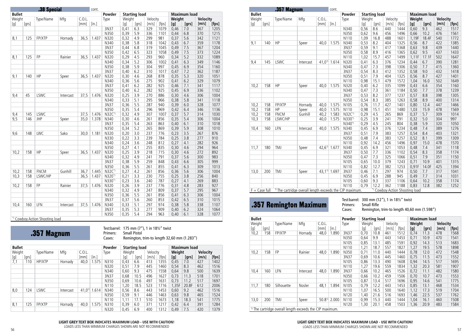|               |       | .38 Special                    |           |        | cont.       |          |        |                      |          |       |        |                     |                 |       |
|---------------|-------|--------------------------------|-----------|--------|-------------|----------|--------|----------------------|----------|-------|--------|---------------------|-----------------|-------|
| <b>Bullet</b> |       |                                |           |        |             | Powder   |        | <b>Starting load</b> |          |       |        | <b>Maximum load</b> |                 |       |
| Weight        |       | Type/Name                      | Mfg       | C.0.L. |             | Type     | Weight |                      | Velocity |       | Weight |                     | <b>Velocity</b> |       |
| [g]           | [grs] |                                |           | [mm]   | $[$ in. $]$ |          | [g]    | [grs]                | [m/s]    | [fps] | [g]    | [grs]               | [m/s]           | [fps] |
|               |       |                                |           |        |             | 3N37     | 0,41   | 6.3                  | 329      | 1079  | 0,46   | 7.0                 | 367             | 1205  |
|               |       |                                |           |        |             | N350     | 0,39   | 5.9                  | 336      | 1101  | 0,44   | 6.8                 | 370             | 1215  |
| 8,1           | 125   | FP/XTP                         | Hornady   | 36,5   | 1.437       | N320     | 0,32   | 4.9                  | 299      | 981   | 0,37   | 5.6                 | 342             | 1121  |
|               |       |                                |           |        |             | N340     | 0,38   | 5.8                  | 318      | 1042  | 0,43   | 6.7                 | 359             | 1178  |
|               |       |                                |           |        |             | 3N37     | 0,44   | 6.8                  | 319      | 1045  | 0,49   | 7.5                 | 367             | 1204  |
|               |       |                                |           |        |             | N350     | 0,42   | 6.5                  | 323      | 1058  | 0,49   | 7.5                 | 373             | 1224  |
| 8,1           | 125   | FP                             | Rainier   | 36,5   | 1.437       | N320     | 0,29   | 4.5                  | 293      | 960   | 0,34   | 5.2                 | 332             | 1089  |
|               |       |                                |           |        |             | N340     | 0,34   | 5.2                  | 306      | 1002  | 0,41   | 6.3                 | 349             | 1146  |
|               |       |                                |           |        |             | N350     | 0,38   | 5.9                  | 304      | 997   | 0,45   | 6.9                 | 354             | 1160  |
|               |       |                                |           |        |             | 3N37     | 0,40   | 6.2                  | 310      | 1017  | 0,47   | 7.2                 | 362             | 1187  |
| 9,1           | 140   | HP                             | Speer     | 36,5   | 1.437       | N320     | 0,30   | 4.6                  | 268      | 878   | 0,35   | 5.3                 | 320             | 1051  |
|               |       |                                |           |        |             | N340     | 0,36   | 5.6                  | 275      | 902   | 0,41   | 6.2                 | 329             | 1079  |
|               |       |                                |           |        |             | 3N37     | 0,41   | 6.2                  | 282      | 925   | 0,46   | 7.1                 | 341             | 1117  |
|               |       |                                |           |        |             | N350     | 0,40   | 6.2                  | 282      | 925   | 0,45   | 6.9                 | 336             | 1102  |
| 9,4           | 45    | LSWC                           | Intercast | 37,5   | 1.476       | N320     | 0,25   | 3.9                  | 270      | 886   | 0,30   | 4.6                 | 306             | 1004  |
|               |       |                                |           |        |             | N340     | 0,33   | 5.1                  | 295      | 966   | 0,38   | 5.8                 | 341             | 1118  |
|               |       |                                |           |        |             | 3N37     | 0,36   | 5.5                  | 287      | 940   | 0,39   | 6.0                 | 328             | 1077  |
|               |       |                                |           |        |             | N350     | 0,35   | 5.4                  | 296      | 969   | 0,42   | 6.4                 | 346             | 1136  |
| 9,4           | 145   | LSWC                           |           | 37,5   | 1.476       | $N32C^*$ | 0,32   | 4.9                  | 307      | 1007  | 0,37   | 5.7                 | 314             | 1030  |
| 9,5           | 146   | <b>JHP</b>                     | Speer     | 35,0   | 1.378       | N340     | 0,30   | 4.6                  | 261      | 856   | 0,35   | 5.4                 | 306             | 1004  |
|               |       |                                |           |        |             | 3N37     | 0,35   | 5.4                  | 263      | 863   | 0,40   | 6.1                 | 310             | 1018  |
|               |       |                                |           |        |             | N350     | 0,34   | 5.2                  | 265      | 869   | 0,39   | 5.9                 | 308             | 1010  |
| 9,6           | 148   | LWC                            | Sako      | 30,0   | 1.181       | N320     | 0,20   | 3.0                  | 237      | 776   | 0,23   | 3.5                 | 267             | 876   |
|               |       |                                |           |        |             | N330     | 0,22   | 3.3                  | 239      | 784   | 0,25   | 3.8                 | 277             | 910   |
|               |       |                                |           |        |             | N340     | 0,24   | 3.6                  | 248      | 812   | 0,27   | 4.1                 | 282             | 926   |
|               |       |                                |           |        |             | N350     | 0,27   | 4.1                  | 255      | 835   | 0,30   | 4.6                 | 294             | 964   |
| 10,2          | 158   | HP                             | Speer     | 36,5   | 1.437       | N320     | 0,25   | 3.9                  | 218      | 715   | 0,30   | 4.6                 | 272             | 892   |
|               |       |                                |           |        |             | N340     | 0,32   | 4.9                  | 241      | 791   | 0,37   | 5.6                 | 300             | 983   |
|               |       |                                |           |        |             | 3N37     | 0,38   | 5.9                  | 259      | 848   | 0,43   | 6.6                 | 305             | 999   |
|               |       |                                |           |        |             | N350     | 0,36   | 5.5                  | 261      | 855   | 0,41   | 6.3                 | 309             | 1013  |
| 10,2          | 158   | <b>FNCM</b>                    | Gunhill   | 36,7   | 1.445       | N32C*)   | 0,27   | 4.2                  | 261      | 856   | 0,36   | 5.6                 | 306             | 1004  |
| 10,3          | 158   | LSWC/HP                        |           | 36,5   | 1.437       | N320*)   | 0,21   | 3.3                  | 230      | 755   | 0,25   | 3.8                 | 256             | 840   |
|               |       |                                |           |        |             | N330*)   | 0,23   | 3.6                  | 240      | 787   | 0,27   | 4.1                 | 269             | 883   |
| 10,2          | 158   | FP                             | Rainier   | 37,5   | 1.476       | N320     | 0,26   | 3.9                  | 237      | 776   | 0,31   | 4.8                 | 283             | 927   |
|               |       |                                |           |        |             | N340     | 0,32   | 4.9                  | 247      | 809   | 0,37   | 5.7                 | 295             | 967   |
|               |       |                                |           |        |             | N350     | 0,36   | 5.5                  | 261      | 856   | 0,41   | 6.3                 | 306             | 1004  |
|               |       |                                |           |        |             | 3N37     | 0,37   | 5.6                  | 260      | 853   | 0,42   | 6.5                 | 310             | 1015  |
| 10,4          | 160   | LFN                            | Intercast | 37,5   | 1.476       | N340     | 0,33   | 5.1                  | 297      | 974   | 0,38   | 5.8                 | 338             | 1107  |
|               |       |                                |           |        |             | 3N37     | 0,35   | 5.3                  | 277      | 909   | 0,40   | 6.2                 | 324             | 1064  |
|               |       |                                |           |        |             | N350     | 0,35   | 5.4                  | 294      | 963   | 0,40   | 6.1                 | 328             | 1077  |
|               |       | *) Cowboy Action Shooting load |           |        |             |          |        |                      |          |       |        |                     |                 |       |

.357 Magnum

|          | Test barrel: 175 mm $(7")$ , 1 in 18 $\frac{1}{2}$ " twist |
|----------|------------------------------------------------------------|
| Primers: | <b>Small Pistol</b>                                        |
| Cases:   | Remington, trim-to length 32,60 mm (1.283")                |

| <b>Bullet</b> |       |           |           |        |                   | Powder           |        | <b>Starting load</b> |          |       |        | <b>Maximum load</b> |                 |       |
|---------------|-------|-----------|-----------|--------|-------------------|------------------|--------|----------------------|----------|-------|--------|---------------------|-----------------|-------|
| Weight        |       | Type/Name | Mfg       | C.0.L. |                   | Type             | Weight |                      | Velocity |       | Weight |                     | <b>Velocity</b> |       |
| [g]           | [grs] |           |           | lmml   | $[$ in. $]$       |                  | [g]    | [grs]                | [m/s]    | [fps] | [g]    | [grs]               | [m/s]           | [fps] |
| 7,1           | 110   | HP/XTP    | Hornady   | 40,0   | 1.575             | N310             | 0,43   | 6.6                  | 413      | 1355  | 0,45   | 7.0                 | 427             | 1402  |
|               |       |           |           |        |                   | N320             | 0,51   | 7.9                  | 445      | 1460  | 0.54   | 8.3                 | 462             | 1516  |
|               |       |           |           |        |                   | N340             | 0,60   | 9.3                  | 475      | 1558  | 0,64   | 9.8                 | 500             | 1639  |
|               |       |           |           |        |                   | 3N37             | 0,68   | 10.5                 | 496      | 1627  | 0.73   | 11.3                | 518             | 1701  |
|               |       |           |           |        |                   | N350             | 0.69   | 10.6                 | 497      | 1631  | 0.73   | 11.2                | 517             | 1697  |
|               |       |           |           |        |                   | N <sub>110</sub> | 1,20   | 18.5                 | 523      | 1716  | 1.35F  | 20.8F               | 612             | 2006  |
| 8,0           | 124   | LSWC      | Intercast |        | $41.0^{11}$ 1.614 | N340             | 0,56   | 8.6                  | 443      | 1453  | 0,60   | 9.2                 | 462             | 1516  |
|               |       |           |           |        |                   | N350             | 0,59   | 9.1                  | 446      | 1463  | 0.63   | 9.8                 | 465             | 1524  |
|               |       |           |           |        |                   | N <sub>110</sub> | 1,11   | 17.1                 | 510      | 1673  | 1,18   | 18.3                | 541             | 1775  |
| 8,1           | 125   | FP/XTP    | Hornady   | 40.0   | 1.575             | N310             | 0,39   | 6.0                  | 371      | 1217  | 0.42   | 6.4                 | 391             | 1284  |
|               |       |           |           |        |                   | N320             | 0.45   | 6.9                  | 400      | 1312  | 0.49   | 7.5                 | 420             | 1379  |

N350 0,58 8.9 416 1365 0,62 9.5 437 1433 N110 1,02 15.7 457 1499 1,11F 17.1F 502 1647<br>N320 0,41 6.3 376 1234 0,44 6.7 390 1281 9,4 145 LSWC Intercast 41,01) 1.614 N320 0,41 6.3 376 1234 0,44 6.7 390 1281 N340 0,47 7.3 398 1306 0,50 7.7 415 1360 3N37 0,54 8.3 412 1352 0,58 9.0 432 1418 N350 0,51 7.9 404 1325 0,56 8.7 427 1401 N110 0,98 15.1 479 1572 1,04 16.0 502 1649 10,2 158 HP Speer 40,0 1.575 N320 0,40 6.2 335 1099 0,43 6.6 354 1160 N340 0,47 7.3 361 1184 0,50 7.7 378 1239 3N37 0,53 8.2 377 1237 0,57 8.8 398 1305 0,54 8.3 385 1263 0,58 8.9 400 1314<br>0,76 11.7 427 1401 0,80 12.4 447 1466 10,2 158 FP/XTP Hornady 40,0 1.575 N105 0,76 11.7 427 1401 0,80 12.4 447 1466 10,2 158 HP Speer 40,0 1.575 N110 0,98 15.1 451 1480 1,03 15.9 478 1569 10,2 158 FNCM Gunhill 40,2 1.583 N32C\*) 0,29 4.5 265 869 0,37 5.7 309 1014 10,3 158 LSWC/HP 40,0 1.575 N330\*) 0,25 3.9 241 791 0,32 5.0 304 997 0,29 4.5 245 804 0,38 5.9 320<br>0,45 6.9 376 1234 0,48 7.4 389 10,4 160 LFN Intercast 40,0 1.575 N340 0,45 6.9 376 1234 0,48 7.4 389 1276 3N37 0,51 7.9 383 1257 0,54 8.4 403 1321 N350 0,48 7.4 383 1257 0,52 8.1 399 1309 N110 0,92 14.2 456 1496 0,97 15.0 478 1570 11,7 180 TMJ Speer 42,61) 1.677 N340 0,45 6.9 321 1053 0,48 7.4 341 1118 3N37 0,50 7.7 336 1102 0,54 8.3 358 1174 N350 0,47 7.3 325 1066 0,51 7.9 351 1150 N105 0,65 10.0 379 1243 0,71 10.9 401 1315 N110 0,82 12.7 382 1253 0,91F 14.0F 425 1394 13,0 200 TMJ Speer 43,1<sup>1</sup> 1.697 3N37 0,46 7.1 297 974 0,50<br>N350 0,45 6.9 288 945 0,49 N350 0,45 6.9 288 945 0,49 7.7 314 1031 N105 0,60 9.3 337 1106 0,64 10.2 358 1174 0,79 12.2 362 1188 0,83<br>m. \* Cowboy Action Shooting load  $F = Case full$  <sup>1)</sup> The cartridge overall length exceeds the CIP maximum. .357 Remington Maximum Test barrel: 300 mm (12"), 1 in 18½" twist Primers: Small Rifle Cases: Remington, trim-to length 40,60 mm (1.598")

**.357 Magnum** cont.

N340 0,56 8.6 440 1444 0,60 9.3 462 1517 N350 0,62 9.6 456 1496 0,66 10.2 476 1561

3N37 0,59 9.1 417 1368 0,63 9.8<br>N350 0,58 8.9 416 1365 0,62 9.5

1,09 16.8 488 1601 1,19F 18.4F 540 1772<br>0,53 8.2 404 1325 0,56 8.7 422 1385

| <b>Bullet</b> |       |                                                                     |           |             |             | Powder           |        | <b>Starting load</b> |                     |       |        | <b>Maximum load</b> |                 |       |
|---------------|-------|---------------------------------------------------------------------|-----------|-------------|-------------|------------------|--------|----------------------|---------------------|-------|--------|---------------------|-----------------|-------|
| Weight        |       | Type/Name                                                           | Mfg       | C.0.L.      |             | Type             | Weiaht |                      | Velocitv            |       | Weight |                     | <b>Velocity</b> |       |
| [g]           | [grs] |                                                                     |           | mm          | $[$ in. $]$ |                  | [g]    | [grs]                | $\lceil m/s \rceil$ | [fps] | [g]    | [grs]               | [m/s]           | [fps] |
| 10,2          | 158   | FP/XTP                                                              | Hornady   | 48,0        | 1.890       | 3N37             | 0,70   | 10.8                 | 461                 | 1512  | 0,74   | 11.3                | 478             | 1568  |
|               |       |                                                                     |           |             |             | N350             | 0,64   | 9.9                  | 443                 | 1453  | 0,71   | 10.9                | 470             | 1541  |
|               |       |                                                                     |           |             |             | N <sub>105</sub> | 0,85   | 13.1                 | 485                 | 1591  | 0,92   | 14.3                | 513             | 1683  |
|               |       |                                                                     |           |             |             | N <sub>110</sub> | 1,21   | 18.7                 | 557                 | 1827  | 1,27   | 19.5                | 578             | 1898  |
| 10,2          | 158   | FP                                                                  | Rainier   | 48,0        | 1.890       | N350             | 0,71   | 11.0                 | 440                 | 1444  | 0,78   | 12.0                | 472             | 1548  |
|               |       |                                                                     |           |             |             | 3N37             | 0,69   | 10.6                 | 445                 | 1460  | 0,75   | 11.5                | 473             | 1552  |
|               |       |                                                                     |           |             |             | N <sub>105</sub> | 0,86   | 13.3                 | 490                 | 1608  | 0,94   | 14.5                | 517             | 1695  |
|               |       |                                                                     |           |             |             | N <sub>110</sub> | 1,27   | 19.6                 | 559                 | 1834  | 1,32   | 20.3                | 581             | 1907  |
| 10,4          | 160   | LFN                                                                 | Intercast | 48,0        | 1.890       | 3N37             | 0,66   | 10.2                 | 465                 | 1526  | 0,72   | 11.1                | 482             | 1580  |
|               |       |                                                                     |           |             |             | N350             | 0,66   | 10.2                 | 459                 | 1506  | 0,70   | 10.7                | 473             | 1553  |
|               |       |                                                                     |           |             |             | N105             | 0,87   | 13.4                 | 517                 | 1696  | 0,95   | 14.6                | 541             | 1775  |
| 11,7          | 180   | Silhouette                                                          | Nosler    | 48,1        | 1.894       | N105             | 0,79   | 12.2                 | 443                 | 1453  | 0,85   | 13.1                | 468             | 1534  |
|               |       |                                                                     |           |             |             | N110             | 1,07   | 16.5                 | 500                 | 1640  | 1,12   | 17.3                | 519             | 1704  |
|               |       |                                                                     |           |             |             | N <sub>120</sub> | 1,40   | 21.6                 | 516                 | 1693  | 1,46   | 22.5                | 537             | 1762  |
| 13,0          | 200   | TMJ                                                                 | Speer     | $50.8^{11}$ | 2.000       | N <sub>110</sub> | 0,99   | 15.3                 | 440                 | 1444  | 1,04   | 16.1                | 460             | 1508  |
|               |       |                                                                     |           |             |             | N <sub>120</sub> | 1,30   | 20.1                 | 458                 | 1503  | 1,36   | 20.9                | 483             | 1584  |
|               |       | <sup>1)</sup> The cartridge overall length exceeds the CIP maximum. |           |             |             |                  |        |                      |                     |       |        |                     |                 |       |

9,1 140 HP Speer 40,0 1.575 N340 0,53 8.2 404 1325 0,56 8.7 422 1385

**Bullet**<br> **Powder Starting load Maximum load**<br> **Powder Starting load Maximum load Meight | Velocity | Velocity | Velocity** Weight Type/Name Mfg C.O.L. Type Weight Velocity **Weight Velocity** [g] [grs] [mm] [in.] [g] [grs] [m/s] [fps] **[g] [grs] [m/s] [fps]**

**LIGHT GREY TEXT BOX INDICATES MAXIMUM LOAD - USE WITH CAUTION!**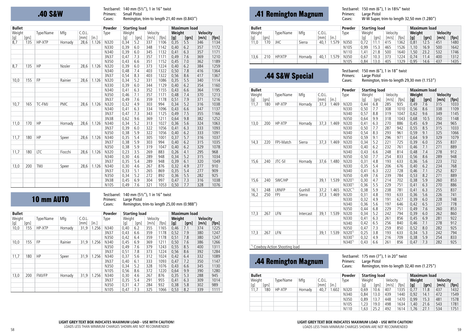#### .40 S&W

Test barrel: 140 mm (51/2"), 1 in 16" twist<br>Primers: Small Pistol **Small Pistol** Cases: Remington, trim-to length 21,40 mm (0.843")

| <b>Bullet</b> |       |               |            |        |             | Powder |        | <b>Starting load</b> |          |       |        | <b>Maximum load</b> |                 |       |
|---------------|-------|---------------|------------|--------|-------------|--------|--------|----------------------|----------|-------|--------|---------------------|-----------------|-------|
| Weight        |       | Type/Name     | Mfg        | C.0.L. |             | Type   | Weight |                      | Velocity |       | Weight |                     | <b>Velocity</b> |       |
| [g]           | [grs] |               |            | [mm]   | $[$ in. $]$ |        | [g]    | [grs]                | [m/s]    | [fps] | [g]    | [grs]               | [m/s]           | [fps] |
| 8,7           | 135   | HP-XTP        | Hornady    | 28,6   | 1.126       | N320   | 0,34   | 5.2                  | 337      | 1106  | 0,35   | 5.5                 | 346             | 1134  |
|               |       |               |            |        |             | N330   | 0,39   | 6.0                  | 348      | 1142  | 0,40   | 6.2                 | 357             | 1172  |
|               |       |               |            |        |             | N340   | 0,39   | 6.0                  | 345      | 1132  | 0,41   | 6.3                 | 357             | 1171  |
|               |       |               |            |        |             | 3N37   | 0,47   | 7.3                  | 357      | 1171  | 0,49   | 7.6                 | 369             | 1210  |
|               |       |               |            |        |             | N350   | 0,43   | 6.6                  | 351      | 1152  | 0,45   | 7.0                 | 362             | 1189  |
| 8,7           | 135   | HP            | Nosler     | 28,6   | 1.126       | N320   | 0,39   | 6.0                  | 373      | 1224  | 0,40   | 6.2                 | 384             | 1259  |
|               |       |               |            |        |             | N340   | 0,48   | 7.4                  | 403      | 1322  | 0,50   | 7.8                 | 416             | 1364  |
|               |       |               |            |        |             | 3N37   | 0,54   | 8.3                  | 403      | 1322  | 0,56   | 8.6                 | 417             | 1367  |
| 10,0          | 155   | FP            | Rainier    | 28,6   | 1.126       | N320   | 0,34   | 5.2                  | 331      | 1086  | 0,35   | 5.5                 | 340             | 1114  |
|               |       |               |            |        |             | N330   | 0,39   | 6.0                  | 344      | 1129  | 0,40   | 6.2                 | 354             | 1160  |
|               |       |               |            |        |             | N340   | 0,41   | 6.3                  | 352      | 1155  | 0,43   | 6.6                 | 364             | 1195  |
|               |       |               |            |        |             | N350   | 0,46   | 7.1                  | 357      | 1171  | 0,48   | 7.4                 | 370             | 1213  |
|               |       |               |            |        |             | 3N37   | 0,49   | 7.6                  | 359      | 1178  | 0, 51  | 7.9                 | 371             | 1216  |
| 10,7          | 165   | <b>TC-FMJ</b> | <b>PMC</b> | 28,6   | 1.126       | N320   | 0,32   | 4.9                  | 303      | 994   | 0,34   | 5.2                 | 316             | 1038  |
|               |       |               |            |        |             | N340   | 0,41   | 6.3                  | 334      | 1096  | 0,43   | 6.6                 | 347             | 1137  |
|               |       |               |            |        |             | 3N37   | 0,47   | 7.3                  | 343      | 1125  | 0,49   | 7.5                 | 355             | 1166  |
|               |       |               |            |        |             | 3N38   | 0,62   | 9.6                  | 369      | 1211  | 0,64   | 9.8                 | 382             | 1252  |
| 11,0          | 170   | HP            | Hornady    | 28,6   | 1.126       | N340   | 0,34   | 5.2                  | 313      | 1027  | 0,36   | 5.6                 | 324             | 1063  |
|               |       |               |            |        |             | 3N37   | 0,39   | 6.0                  | 322      | 1056  | 0,41   | 6.3                 | 333             | 1093  |
|               |       |               |            |        |             | N350   | 0,38   | 5.9                  | 322      | 1056  | 0,40   | 6.2                 | 333             | 1091  |
| 11,7          | 180   | HP            | Speer      | 28,6   | 1.126       | N340   | 0,35   | 5.4                  | 305      | 1001  | 0,37   | 5.7                 | 316             | 1037  |
|               |       |               |            |        |             | 3N37   | 0,38   | 5.9                  | 303      | 994   | 0,40   | 6.2                 | 315             | 1035  |
|               |       |               |            |        |             | N350   | 0,38   | 5.9                  | 319      | 1047  | 0,40   | 6.2                 | 329             | 1078  |
| 11,7          | 180   | <b>LTC</b>    | Fiocchi    | 28,6   | 1.126       | N320   | 0,23   | 3.5                  | 269      | 883   | 0,26   | 4.1                 | 295             | 968   |
|               |       |               |            |        |             | N340   | 0,30   | 4.6                  | 289      | 948   | 0,34   | 5.2                 | 315             | 1034  |
|               |       |               |            |        |             | 3N37   | 0,35   | 5.4                  | 289      | 948   | 0,39   | 6.1                 | 320             | 1049  |
| 13,0          | 200   | <b>TMJ</b>    | Speer      | 28,6   | 1.126       | N340   | 0,30   | 4.6                  | 267      | 876   | 0,32   | 4.9                 | 277             | 910   |
|               |       |               |            |        |             | 3N37   | 0,33   | 5.1                  | 265      | 869   | 0,35   | 5.4                 | 277             | 909   |
|               |       |               |            |        |             | N350   | 0,34   | 5.2                  | 272      | 892   | 0,36   | 5.5                 | 282             | 925   |
|               |       |               |            |        |             | 3N38   | 0,45   | 6.9                  | 304      | 997   | 0,47   | 7.3                 | 316             | 1038  |
|               |       |               |            |        |             | N105   | 0,49   | 7.6                  | 321      | 1053  | 0.50   | 7.7                 | 328             | 1076  |

### 10 mm AUTO

Test barrel: 140 mm (51/2"), 1 in 16" twist<br>Primers: Large Pistol Large Pistol Cases: Remington, trim-to length 25,00 mm (0.988")

| <b>Bullet</b> |       |               |         |        |             | Powder           |        | <b>Starting load</b> |          |       |        | Maximum load |                 |       |
|---------------|-------|---------------|---------|--------|-------------|------------------|--------|----------------------|----------|-------|--------|--------------|-----------------|-------|
| Weight        |       | Type/Name     | Mfg     | C.0.L. |             | Type             | Weight |                      | Velocity |       | Weight |              | <b>Velocity</b> |       |
| [g]           | [grs] |               |         | lmml   | $[$ in. $]$ |                  | [g]    | [grs]                | [m/s]    | [fps] | [g]    | [grs]        | [m/s]           | [fps] |
| 10,0          | 155   | HP-XTP        | Hornady | 31,9   | 1.256       | N340             | 0,40   | 6.2                  | 355      | 1165  | 0,46   | 7.1          | 374             | 1225  |
|               |       |               |         |        |             | 3N37             | 0,43   | 6.6                  | 359      | 1178  | 0,52   | 7.9          | 380             | 1247  |
|               |       |               |         |        |             | N350             | 0,42   | 6.4                  | 359      | 1178  | 0,51   | 7.8          | 380             | 1247  |
| 10,0          | 155   | <b>FP</b>     | Rainier | 31,9   | 1.256       | N340             | 0,45   | 6.9                  | 369      | 1211  | 0,50   | 7.6          | 386             | 1266  |
|               |       |               |         |        |             | N350             | 0,49   | 7.6                  | 379      | 1243  | 0,55   | 8.5          | 400             | 1311  |
|               |       |               |         |        |             | 3N37             | 0,51   | 7.8                  | 373      | 1224  | 0.56   | 8.6          | 392             | 1284  |
| 11,7          | 180   | HP            | Speer   | 31,9   | 1.256       | N340             | 0,37   | 5.6                  | 312      | 1024  | 0,42   | 6.4          | 332             | 1089  |
|               |       |               |         |        |             | 3N37             | 0,40   | 6.1                  | 333      | 1093  | 0,47   | 7.2          | 350             | 1147  |
|               |       |               |         |        |             | N350             | 0,34   | 5.2                  | 328      | 1076  | 0,43   | 6.6          | 345             | 1130  |
|               |       |               |         |        |             | N <sub>105</sub> | 0,56   | 8.6                  | 372      | 1220  | 0,64   | 9.9          | 390             | 1280  |
| 13,0          | 200   | <b>FMJ/FP</b> | Hornady | 31,9   | 1.256       | N340             | 0,30   | 4.6                  | 267      | 876   | 0,35   | 5.3          | 288             | 945   |
|               |       |               |         |        |             | 3N37             | 0,35   | 5.4                  | 291      | 955   | 0.41   | 6.3          | 309             | 1014  |
|               |       |               |         |        |             | N350             | 0,31   | 4.7                  | 284      | 932   | 0,38   | 5.8          | 302             | 989   |
|               |       |               |         |        |             | N <sub>105</sub> | 0,47   | 7.3                  | 325      | 1066  | 0,53   | 8.2          | 339             | 1111  |

## .41 Remington Magnum

Test barrel: 150 mm (6"), 1 in 18<sup>3</sup>/4" twist<br>Primers: Large Pistol Primers: Large Pistol<br>Cases: W-W Super, Cases: W-W Super, trim-to length 32,50 mm (1.280")

| <b>Bullet</b> |       |           |         |        |        | Powder           |        | <b>Starting load</b> |          |       |        | <b>Maximum load</b> |                 |       |
|---------------|-------|-----------|---------|--------|--------|------------------|--------|----------------------|----------|-------|--------|---------------------|-----------------|-------|
| Weight        |       | Type/Name | Mfg     | C.O.L. |        | Type             | Weight |                      | Velocity |       | Weight |                     | <b>Velocity</b> |       |
| [g]           | [grs] |           |         | mm     | $\lim$ |                  | Įg.    | [grs]                | m/s      | [fps] | [g]    | [grs]               | [m/s]           | [fps] |
| 11,0          | 70    | JHC       | Sierra  | 40.1   | .579   | N350             | 0.72   |                      | 415      | 1362  | 0.81   | 12.5                | 451             | 1480  |
|               |       |           |         |        |        | N <sub>105</sub> | 0.99   | 15.3                 | 465      | 1526  | 1.10   | 16.9                | 500             | 1642  |
|               |       |           |         |        |        | N <sub>110</sub> | 1.41   | 21.8                 | 500      | 1640  | 1.50   | 23.2                | 532             | 1746  |
| 13.6          | 210   | HP/XTP    | Hornady | 40.1   | .579   | N350             | 0.67   | 10.3                 | 373      | 1224  | 0.74   | 11.4                | 400             | 1312  |
|               |       |           |         |        |        | N <sub>105</sub> | 0.84   | 3.0                  | 405      | 1329  | 0.95   | 14.6                | 437             | 1435  |

### .44 S&W Special

Test barrel: 150 mm (6"), 1 in 18" twist<br>Primers: Large Pistol Primers: Large Pistol Cases: Remington, trim-to length 29,30 mm (1.153")

| <b>Bullet</b> |       |              |           |        |       | Powder     |        | <b>Starting load</b> |          |       |        | <b>Maximum load</b> |                 |       |
|---------------|-------|--------------|-----------|--------|-------|------------|--------|----------------------|----------|-------|--------|---------------------|-----------------|-------|
| Weight        |       | Type/Name    | Mfg       | C.0.L. |       | Type       | Weight |                      | Velocity |       | Weight |                     | <b>Velocity</b> |       |
| [g]           | [grs] |              |           | [mm]   | [in.] |            | [g]    | [grs]                | [m/s]    | [fps] | [g]    | [grs]               | [m/s]           | [fps] |
| 11,7          | 180   | HP-XTP       | Hornady   | 37,3   | 1.469 | N320       | 0,44   | 6.8                  | 285      | 935   | 0,49   | 7.6                 | 315             | 1033  |
|               |       |              |           |        |       | N330       | 0,50   | 7.7                  | 308      | 1010  | 0,56   | 8.6                 | 338             | 1109  |
|               |       |              |           |        |       | N340       | 0,57   | 8.8                  | 319      | 1047  | 0,62   | 9.6                 | 349             | 1145  |
|               |       |              |           |        |       | N350       | 0,64   | 9.9                  | 318      | 1043  | 0,68   | 10.5                | 350             | 1148  |
| 13,0          | 200   | HP-XTP       | Hornady   | 37,3   | 1.469 | N320       | 0,41   | 6.3                  | 270      | 886   | 0,45   | 6.9                 | 294             | 965   |
|               |       |              |           |        |       | N330       | 0,50   | 7.7                  | 287      | 942   | 0,55   | 8.5                 | 315             | 1033  |
|               |       |              |           |        |       | N340       | 0,54   | 8.3                  | 293      | 961   | 0,59   | 9.1                 | 325             | 1066  |
|               |       |              |           |        |       | N350       | 0,59   | 9.1                  | 296      | 971   | 0,64   | 9.9                 | 329             | 1079  |
| 14,3          | 220   | FPJ-Match    | Sierra    | 37,3   | 1.469 | N320       | 0,34   | 5.2                  | 221      | 725   | 0,39   | 6.0                 | 255             | 837   |
|               |       |              |           |        |       | N330       | 0,40   | 6.2                  | 232      | 761   | 0,46   | 7.1                 | 271             | 889   |
|               |       |              |           |        |       | N340       | 0,43   | 6.6                  | 248      | 814   | 0,48   | 7.4                 | 278             | 912   |
|               |       |              |           |        |       | N350       | 0,50   | 7.7                  | 254      | 833   | 0,56   | 8.6                 | 289             | 948   |
| 15,6          | 240   | JTC-Sil      | Hornady   | 37,6   | 1.480 | N320       | 0,31   | 4.8                  | 193      | 633   | 0,36   | 5.6                 | 223             | 732   |
|               |       |              |           |        |       | N330       | 0,35   | 5.4                  | 206      | 676   | 0,40   | 6.2                 | 234             | 768   |
|               |       |              |           |        |       | N340       | 0,41   | 6.3                  | 222      | 728   | 0,46   | 7.1                 | 252             | 827   |
|               |       |              |           |        |       | N350       | 0,49   | 7.6                  | 239      | 784   | 0,53   | 8.2                 | 271             | 889   |
| 15,6          | 240   | SWC/HP       |           | 39,1   | 1.539 | N320*)     | 0, 30  | 4.7                  | 214      | 702   | 0,38   | 5.9                 | 260             | 853   |
|               |       |              |           |        |       | N330*)     | 0,36   | 5.5                  | 229      | 751   | 0,41   | 6.3                 | 270             | 886   |
| 16,1          | 248   | <b>LRNFP</b> | Gunhill   | 37,2   | 1.465 | $N32C^*$   | 0,38   | 5.9                  | 238      | 781   | 0,41   | 6.3                 | 255             | 837   |
| 16,2          | 250   | <b>FPJ</b>   | Sierra    | 37,3   | 1.469 | N320       | 0,31   | 4.8                  | 193      | 633   | 0,36   | 5.6                 | 226             | 741   |
|               |       |              |           |        |       | N330       | 0,32   | 4.9                  | 191      | 627   | 0,39   | 6.0                 | 228             | 748   |
|               |       |              |           |        |       | N340       | 0,36   | 5.6                  | 197      | 646   | 0,42   | 6.5                 | 237             | 778   |
|               |       |              |           |        |       | N350       | 0,44   | 6.8                  | 229      | 751   | 0,49   | 7.6                 | 260             | 853   |
| 17,3          | 267   | LFN          | Intercast | 39,1   | 1.539 | N320       | 0,34   | 5.2                  | 242      | 794   | 0,39   | 6.0                 | 262             | 860   |
|               |       |              |           |        |       | N330       | 0,41   | 6.3                  | 261      | 856   | 0,45   | 6.9                 | 281             | 922   |
|               |       |              |           |        |       | N340       | 0,42   | 6.5                  | 256      | 840   | 0,46   | 7.1                 | 278             | 912   |
|               |       |              |           |        |       | N350       | 0,47   | 7.3                  | 259      | 850   | 0,52   | 8.0                 | 282             | 925   |
| 17,3          | 267   | LFN          |           | 39,1   | 1.539 | N320*)     | 0,25   | 3.8                  | 193      | 633   | 0,34   | 5.3                 | 242             | 794   |
|               |       |              |           |        |       | $N330^{*}$ | 0,32   | 4.9                  | 216      | 709   | 0,38   | 5.9                 | 254             | 833   |
|               |       |              |           |        |       | N340*)     | 0,43   | 6.6                  | 261      | 856   | 0,47   | 7.3                 | 282             | 925   |

### .44 Remington Magnum

Test barrel: 175 mm (7"), 1 in 20" twist Primers: Large Pistol<br>Cases: Remington, Remington, trim-to length 32,40 mm (1.275")

| <b>Bullet</b> |       |           |         |        |       | Powder           |        | <b>Starting load</b> |          |      |        | <b>Maximum load</b> |                 |       |
|---------------|-------|-----------|---------|--------|-------|------------------|--------|----------------------|----------|------|--------|---------------------|-----------------|-------|
| Weight        |       | Type/Name | Mfg     | C.0.L. |       | Type             | Weight |                      | Velocity |      | Weight |                     | <b>Velocity</b> |       |
| [g]           | [grs] |           |         | lmml   | [in.] |                  | lgı    | [grs]                | [m/s]    | fps  | [g]    | [grs]               | [m/s]           | [fps] |
| 11,7          | 180   | HP-XTP    | Hornady | 40.7   | .602  | N320             | 0.69   | 10.6                 | 407      | 1335 | 0,77   | 11.8                | 437             | 1432  |
|               |       |           |         |        |       | N340             | 0.84   | 3.0                  | 439      | 1440 | 0,92   | 14.1                | 472             | 1549  |
|               |       |           |         |        |       | N350             | 0.89   | 13.7                 | 448      | 1470 | 0.99   | 15.3                | 481             | 1578  |
|               |       |           |         |        |       | N <sub>105</sub> | 1.23   | 19.0                 | 498      | 1634 | .40    | 21.6                | 543             | 1781  |
|               |       |           |         |        |       | N <sub>110</sub> | .63    | 25.2                 | 492      | 1614 | .76    | 27.1                | 534             | 1751  |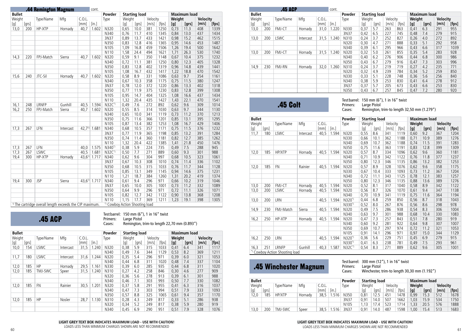|               |       | .44 Remington Magnum                                                |           |            | cont.                    |                                |        |                      |          |       |        |                     |                 |       |
|---------------|-------|---------------------------------------------------------------------|-----------|------------|--------------------------|--------------------------------|--------|----------------------|----------|-------|--------|---------------------|-----------------|-------|
| <b>Bullet</b> |       |                                                                     |           |            |                          | Powder                         |        | <b>Starting load</b> |          |       |        | <b>Maximum load</b> |                 |       |
| Weight        |       | Type/Name                                                           | Mfg       | C.0.L.     |                          | Type                           | Weight |                      | Velocity |       | Weight |                     | <b>Velocity</b> |       |
| [g]           | [grs] |                                                                     |           | [mm]       | $[$ in.]                 |                                | [g]    | [grs]                | [m/s]    | [fps] | [g]    | [grs]               | [m/s]           | [fps] |
| 13,0          | 200   | HP-XTP                                                              | Hornady   | 40,7       | 1.602                    | N320                           | 0,65   | 10.0                 | 381      | 1250  | 0,73   | 11.3                | 408             | 1339  |
|               |       |                                                                     |           |            |                          | N340                           | 0,76   | 11.7                 | 410      | 1345  | 0,84   | 13.0                | 437             | 1434  |
|               |       |                                                                     |           |            |                          | 3N37                           | 0,89   | 13.7                 | 433      | 1421  | 0,98   | 15.2                | 462             | 1515  |
|               |       |                                                                     |           |            |                          | N350                           | 0,83   | 12.8                 | 416      | 1365  | 0,95   | 14.6                | 453             | 1487  |
|               |       |                                                                     |           |            |                          | N105                           | 1,09   | 16.8                 | 459      | 1506  | 1,26   | 19.4                | 500             | 1642  |
|               |       |                                                                     |           |            |                          | N110                           | 1,58   | 24.4                 | 494      | 1621  | 1,71   | 26.3                | 530             | 1740  |
| 14,3          | 220   | FPJ-Match                                                           | Sierra    | 40,7       | 1.602                    | N320                           | 0,59   | 9.1                  | 350      | 1148  | 0,67   | 10.4                | 375             | 1232  |
|               |       |                                                                     |           |            |                          | N340                           | 0,72   | 11.1                 | 381      | 1250  | 0,80   | 12.3                | 405             | 1328  |
|               |       |                                                                     |           |            |                          | N350                           | 0,83   | 12.8                 | 402      | 1319  | 0,96   | 14.8                | 439             | 1441  |
|               |       |                                                                     |           |            |                          | N105                           | 1,08   | 16.7                 | 432      | 1417  | 1,22   | 18.8                | 470             | 1542  |
| 15,6          | 240   | JTC-Sil                                                             | Hornady   | 40,7       | 1.602                    | N320                           | 0,58   | 8.9                  | 331      | 1086  | 0,63   | 9.7                 | 354             | 1161  |
|               |       |                                                                     |           |            |                          | N340                           | 0,67   | 10.3                 | 358      | 1175  | 0,75   | 11.5                | 380             | 1247  |
|               |       |                                                                     |           |            |                          | 3N37                           | 0,78   | 12.0                 | 372      | 1220  | 0,86   | 13.3                | 402             | 1318  |
|               |       |                                                                     |           |            |                          | N350                           | 0,77   | 11.9                 | 375      | 1230  | 0,83   | 12.8                | 399             | 1308  |
|               |       |                                                                     |           |            |                          | N105                           | 0,95   | 14.7                 | 404      | 1325  | 1,08   | 16.6                | 437             | 1434  |
|               |       |                                                                     |           |            |                          | N110                           | 1,32   | 20.4                 | 435      | 1427  | 1,43   | 22.1                | 470             | 1541  |
| 16,1          | 248   | LRNFP                                                               | Gunhill   | 40,5       | 1.594                    | N32C*)                         | 0,49   | 7.6                  | 272      | 892   | 0,62   | 9.6                 | 309             | 1014  |
| 16,2          | 250   | FPJ-Match                                                           | Sierra    | 40,7       | 1.602                    | N320                           | 0,55   | 8.5                  | 314      | 1030  | 0,63   | 9.7                 | 344             | 1130  |
|               |       |                                                                     |           |            |                          | N340                           | 0,65   | 10.0                 | 341      | 1119  | 0,73   | 11.2                | 370             | 1213  |
|               |       |                                                                     |           |            |                          | N350                           | 0,75   | 11.6                 | 366      | 1201  | 0,85   | 13.1                | 395             | 1295  |
|               |       |                                                                     |           |            |                          | N105                           | 0,87   | 13.4                 | 382      | 1253  | 1,08   | 16.7                | 429             | 1406  |
| 17,3          | 267   | LFN                                                                 | Intercast |            | 42,7 <sup>1)</sup> 1.681 | N340                           | 0,68   | 10.5                 | 357      | 1171  | 0,75   | 11.5                | 376             | 1232  |
|               |       |                                                                     |           |            |                          | 3N37                           | 0,77   | 11.9                 | 365      | 1198  | 0,85   | 13.2                | 391             | 1284  |
|               |       |                                                                     |           |            |                          | N350                           | 0,74   | 11.4                 | 360      | 1181  | 0,82   | 12.7                | 385             | 1262  |
|               |       |                                                                     |           |            |                          | N110                           | 1,32   | 20.4                 | 422      | 1385  | 1,41   | 21.8                | 450             | 1476  |
| 17,3          | 267   | LFN                                                                 |           | 40,0       | 1.575                    | N340*)                         | 0,38   | 5.9                  | 224      | 735   | 0,49   | 7.5                 | 288             | 945   |
| 17,3          | 267   | <b>LSWC</b>                                                         |           | 40,5       | 1.681                    | $N32C^*$                       | 0,50   | 7.7                  | 271      | 889   | 0,60   | 9.3                 | 301             | 988   |
| 19,4          | 300   | HP-XTP                                                              | Hornady   | $43,6^{1}$ | 1.717                    | N340                           | 0,62   | 9.6                  | 304      | 997   | 0,68   | 10.5                | 323             | 1061  |
|               |       |                                                                     |           |            |                          | 3N37                           | 0,67   | 10.3                 | 308      | 1010  | 0,74   | 11.4                | 336             | 1102  |
|               |       |                                                                     |           |            |                          | N350                           | 0,68   | 10.5                 | 315      | 1033  | 0,76   | 11.7                | 344             | 1128  |
|               |       |                                                                     |           |            |                          | N105                           | 0,85   | 13.1                 | 349      | 1145  | 0,94   | 14.6                | 375             | 1231  |
|               |       |                                                                     |           |            |                          | N110                           | 1,21   | 18.7                 | 384      | 1260  | 1,31   | 20.2                | 419             | 1374  |
| 19,4          | 300   | <b>JSP</b>                                                          | Sierra    |            | 43,6 <sup>1</sup> 1.717  | N340                           | 0,61   | 9.4                  | 296      | 971   | 0,66   | 10.2                | 319             | 1046  |
|               |       |                                                                     |           |            |                          | 3N37                           | 0,65   | 10.0                 | 305      | 1001  | 0,73   | 11.2                | 332             | 1089  |
|               |       |                                                                     |           |            |                          | N350                           | 0,64   | 9.9                  | 296      | 971   | 0,72   | 11.1                | 326             | 1071  |
|               |       |                                                                     |           |            |                          | N105                           | 0,82   | 12.7                 | 342      | 1122  | 0,90   | 13.8                | 368             | 1208  |
|               |       |                                                                     |           |            |                          | N110                           | 1,15   | 17.7                 | 369      | 1211  | 1,23   | 19.1                | 398             | 1305  |
|               |       | <sup>1)</sup> The cartridge overall length exceeds the CIP maximum. |           |            |                          | *) Cowboy Action Shooting load |        |                      |          |       |        |                     |                 |       |

.45 ACP

Test barrel: 150 mm (6"), 1 in 16" twist Primers: Large Pistol Cases: Remington, trim-to length 22,70 mm (0.893")

| <b>Bullet</b> |       |           |           |        |             | Powder |        | <b>Starting load</b> |          |       |        | <b>Maximum load</b> |                 |       |
|---------------|-------|-----------|-----------|--------|-------------|--------|--------|----------------------|----------|-------|--------|---------------------|-----------------|-------|
| Weight        |       | Type/Name | Mfg       | C.0.L. |             | Type   | Weight |                      | Velocity |       | Weight |                     | <b>Velocity</b> |       |
| [g]           | [grs] |           |           | mm     | $[$ in. $]$ |        | [g]    | [grs]                | [m/s]    | [fps] | [g]    | [grs]               | [m/s]           | [fps] |
| 10,0          | 154   | LSWC      | Intercast | 31,5   | 1.240       | N320   | 0,38   | 5.9                  | 315      | 1033  | 0.41   | 6.4                 | 341             | 1117  |
|               |       |           |           |        |             | N340   | 0,49   | 7.6                  | 344      | 1129  | 0,53   | 8.2                 | 369             | 1211  |
| 11,7          | 180   | LSWC      | Intercast | 31,6   | 1.244       | N320   | 0,35   | 5.4                  | 296      | 971   | 0,39   | 6.0                 | 321             | 1053  |
|               |       |           |           |        |             | N340   | 0,44   | 6.8                  | 311      | 1020  | 0,48   | 7.4                 | 337             | 1104  |
| 12,0          | 185   | HP        | Hornady   | 29,5   | 1.161       | N330   | 0,39   | 6.0                  | 285      | 935   | 0,44   | 6.8                 | 311             | 1020  |
| 12,0          | 185   | TMJ-SWC   | Speer     | 31,5   | 1.240       | N310   | 0,27   | 4.2                  | 258      | 846   | 0,30   | 4.6                 | 277             | 909   |
|               |       |           |           |        |             | N320   | 0,36   | 5.6                  | 278      | 913   | 0,39   | 6.1                 | 301             | 988   |
|               |       |           |           |        |             | N340   | 0,46   | 7.1                  | 303      | 993   | 0,50   | 7.7                 | 330             | 1082  |
| 12,0          | 185   | FN        | Rainier   | 30,5   | 1.201       | N320   | 0,37   | 5.8                  | 291      | 955   | 0,41   | 6.3                 | 316             | 1037  |
|               |       |           |           |        |             | N340   | 0,47   | 7.3                  | 303      | 994   | 0,51   | 7.9                 | 333             | 1093  |
|               |       |           |           |        |             | N350   | 0,57   | 8.8                  | 325      | 1065  | 0,61   | 9.4                 | 357             | 1170  |
| 12,0          | 185   | HP        | Nosler    | 28,7   | 1.130       | N310   | 0,28   | 4.3                  | 249      | 817   | 0,33   | 5.1                 | 286             | 938   |
|               |       |           |           |        |             | N320   | 0,34   | 5.2                  | 249      | 817   | 0,38   | 5.9                 | 280             | 919   |
|               |       |           |           |        |             | N340   | 0,45   | 6.9                  | 290      | 951   | 0,51   | 7.9                 | 328             | 1076  |

|               |       | <b>.45 ACP</b> |           |        | cont.       |        |        |                      |          |       |        |                     |                 |       |
|---------------|-------|----------------|-----------|--------|-------------|--------|--------|----------------------|----------|-------|--------|---------------------|-----------------|-------|
| <b>Bullet</b> |       |                |           |        |             | Powder |        | <b>Starting load</b> |          |       |        | <b>Maximum load</b> |                 |       |
| Weight        |       | Type/Name      | Mfg       | C.0.L. |             | Type   | Weight |                      | Velocity |       | Weight |                     | <b>Velocity</b> |       |
| [g]           | [grs] |                |           | [mm]   | $[$ in. $]$ |        | [g]    | [grs]                | [m/s]    | [fps] | [g]    | [grs]               | [m/s]           | [fps] |
| 13,0          | 200   | <b>FMJ-CT</b>  | Hornady   | 31,0   | 1.220       | N330   | 0,37   | 5.7                  | 263      | 863   | 0.41   | 6.3                 | 291             | 955   |
|               |       |                |           |        |             | 3N37   | 0,42   | 6.5                  | 227      | 745   | 0,48   | 7.4                 | 279             | 915   |
| 13,0          | 200   | <b>LSWC</b>    | Intercast | 31,5   | 1.240       | N310   | 0,24   | 3.7                  | 252      | 827   | 0,26   | 4.0                 | 272             | 892   |
|               |       |                |           |        |             | N320   | 0,30   | 4.7                  | 271      | 888   | 0,33   | 5.1                 | 292             | 958   |
|               |       |                |           |        |             | N340   | 0,39   | 6.1                  | 295      | 966   | 0,43   | 6.6                 | 317             | 1039  |
| 13,0          | 200   | <b>FMJ-CT</b>  | Hornady   | 31,5   | 1.240       | N320   | 0,32   | 5.0                  | 261      | 855   | 0,35   | 5.4                 | 283             | 928   |
|               |       |                |           |        |             | N340   | 0,40   | 6.2                  | 276      | 906   | 0,44   | 6.8                 | 300             | 986   |
|               |       |                |           |        |             | N350   | 0,43   | 6.7                  | 279      | 916   | 0,47   | 7.3                 | 303             | 996   |
| 14,9          | 230   | <b>FMJ-RN</b>  | Hornady   | 32,0   | 1.260       | N310   | 0,24   | 3.7                  | 219      | 719   | 0,27   | 4.2                 | 235             | 771   |
|               |       |                |           |        |             | N320   | 0,32   | 4.9                  | 239      | 784   | 0,34   | 5.2                 | 259             | 850   |
|               |       |                |           |        |             | N330   | 0,33   | 5.1                  | 228      | 748   | 0,36   | 5.6                 | 256             | 840   |
|               |       |                |           |        |             | N340   | 0,38   | 5.9                  | 253      | 830   | 0,41   | 6.4                 | 278             | 912   |
|               |       |                |           |        |             | 3N37   | 0,37   | 5.7                  | 205      | 673   | 0,43   | 6.6                 | 253             | 830   |
|               |       |                |           |        |             | N350   | 0,43   | 6.7                  | 257      | 845   | 0,47   | 7.2                 | 280             | 920   |

.45 Colt

Test barrel: 150 mm (6"), 1 in 16" twist Primers: Large Pistol Cases: Remington, trim-to length 32,50 mm (1.279")

| <b>Bullet</b> |       |                             |           |        |             | Powder            |        | <b>Starting load</b> |          |       |        | <b>Maximum load</b> |                 |       |
|---------------|-------|-----------------------------|-----------|--------|-------------|-------------------|--------|----------------------|----------|-------|--------|---------------------|-----------------|-------|
| Weight        |       | Type/Name                   | Mfg       | C.0.L. |             | Type              | Weight |                      | Velocity |       | Weight |                     | <b>Velocity</b> |       |
| [g]           | [grs] |                             |           | [mm]   | $[$ in. $]$ |                   | [g]    | [grs]                | [m/s]    | [fps] | [g]    | [grs]               | [m/s]           | [fps] |
| 11,7          | 180   | <b>LSWC</b>                 | Intercast | 40,5   | 1.594       | N320              | 0,55   | 8.6                  | 341      | 1119  | 0,60   | 9.2                 | 367             | 1204  |
|               |       |                             |           |        |             | N330              | 0,66   | 10.1                 | 362      | 1188  | 0,71   | 10.9                | 389             | 1276  |
|               |       |                             |           |        |             | N340              | 0,69   | 10.7                 | 362      | 1188  | 0,74   | 11.5                | 391             | 1283  |
|               |       |                             |           |        |             | N350              | 0,75   | 11.6                 | 363      | 1191  | 0,83   | 12.8                | 399             | 1309  |
| 12,0          | 185   | HP/XTP                      | Hornady   | 40,5   | 1.594       | N320              | 0,57   | 8.7                  | 334      | 1096  | 0,62   | 9.6                 | 360             | 1181  |
|               |       |                             |           |        |             | N340              | 0,71   | 10.9                 | 342      | 1122  | 0,76   | 11.8                | 377             | 1237  |
|               |       |                             |           |        |             | N350              | 0,80   | 12.3                 | 346      | 1135  | 0,86   | 13.2                | 382             | 1253  |
| 12,0          | 185   | <b>FN</b>                   | Rainier   | 40,5   | 1.594       | N320              | 0,57   | 8.9                  | 328      | 1076  | 0,62   | 9.6                 | 358             | 1175  |
|               |       |                             |           |        |             | N330              | 0,67   | 10.4                 | 333      | 1093  | 0,73   | 11.2                | 367             | 1204  |
|               |       |                             |           |        |             | N340              | 0,72   | 11.1                 | 343      | 1125  | 0,78   | 12.1                | 383             | 1257  |
|               |       |                             |           |        |             | N350              | 0,80   | 12.3                 | 346      | 1135  | 0,88   | 13.6                | 389             | 1276  |
| 13,0          | 200   | <b>FMJ-CT</b>               | Hornady   | 40,5   | 1.594       | N320              | 0,52   | 8.1                  | 317      | 1040  | 0,58   | 8.9                 | 342             | 1122  |
| 13,0          | 200   | LSWC                        | Hornady   | 40,5   | 1.594       | N320              | 0,56   | 8.7                  | 326      | 1070  | 0,61   | 9.4                 | 347             | 1138  |
|               |       |                             |           |        |             | N340              | 0,70   | 10.9                 | 341      | 1119  | 0,75   | 11.6                | 364             | 1194  |
| 13,0          | 200   | LRN                         |           | 40,5   | 1.594       | N320 <sup>2</sup> | 0,44   | 6.8                  | 259      | 850   | 0,56   | 8.7                 | 318             | 1043  |
|               |       |                             |           |        |             | N330*)            | 0,52   | 8.0                  | 267      | 876   | 0,56   | 8.6                 | 298             | 978   |
| 14,9          | 230   | FMJ-Match                   | Sierra    | 40,5   | 1.594       | N320              | 0,49   | 7.5                  | 286      | 938   | 0,54   | 8.3                 | 306             | 1004  |
|               |       |                             |           |        |             | N340              | 0,63   | 9.7                  | 301      | 988   | 0,68   | 10.4                | 330             | 1083  |
| 16,2          | 250   | HP-XTP                      | Hornady   | 40,5   | 1.594       | N320              | 0,47   | 7.3                  | 257      | 843   | 0,51   | 7.8                 | 280             | 919   |
|               |       |                             |           |        |             | N340              | 0,60   | 9.2                  | 281      | 922   | 0,64   | 9.8                 | 307             | 1007  |
|               |       |                             |           |        |             | N350              | 0,69   | 10.7                 | 297      | 974   | 0,72   | 11.2                | 321             | 1053  |
|               |       |                             |           |        |             | N105              | 0,91   | 14.1                 | 296      | 971   | 0,97   | 15.0                | 344             | 1129  |
| 16,2          | 250   | LRN                         |           | 40,5   | 1.594       | N320*)            | 0,36   | 5.6                  | 229      | 751   | 0,45   | 6.9                 | 279             | 915   |
|               |       |                             |           |        |             | N330*)            | 0,41   | 6.3                  | 238      | 781   | 0,49   | 7.5                 | 293             | 961   |
| 16.3          | 251   | LRNFP                       | Gunhill   | 40,3   | 1.587       | $N32C^*$          | 0,54   | 8.3                  | 271      | 889   | 0,62   | 9.6                 | 305             | 1001  |
|               |       | Cowboy Action Shooting load |           |        |             |                   |        |                      |          |       |        |                     |                 |       |

### .45 Winchester Magnum

#### Test barrel: 300 mm (12"), 1 in 16" twist<br>Primers: Large Pistol Primers: Large Pistol Cases: Winchester, trim-to length 30,30 mm (1.192")

| <b>Bullet</b> |       |           |         |        |          | Powder           |        | <b>Starting load</b> |          |                  |        | <b>Maximum load</b> |                 |       |
|---------------|-------|-----------|---------|--------|----------|------------------|--------|----------------------|----------|------------------|--------|---------------------|-----------------|-------|
| Weight        |       | Type/Name | Mfa     | C.0.L. |          | Type             | Weight |                      | Velocity |                  | Weight |                     | <b>Velocity</b> |       |
| [g]           | [grs] |           |         | lmm.   | $\lim$   |                  | Įg.    | lgrs                 | [m/s]    | fps <sup>'</sup> | [g]    | [qrs]               | [m/s]           | [fps] |
| 12.0          | 185   | HP/XTP    | Hornady | 38.5   | .51<br>6 | N350             | 0.81   | 2.5                  | 451      | 1478             | 0.99   | 15.3                | 512             | 1678  |
|               |       |           |         |        |          | 3N37             | 0.91   | 14.0                 | 507      | 1662             | .03    | 15.9                | 534             | 1750  |
|               |       |           |         |        |          | N <sub>105</sub> |        | 7.4                  | 523      | 714              | 1.33   | 20.5                | 576             | 1888  |
| 13.0          | 200   | TMJ-SWC   | Speer   | 38.5   | ۱հ       | 3N37             | 0.91   | .4.0                 | 487      | 1598             | .00    | 15.4                | 513             | 1683  |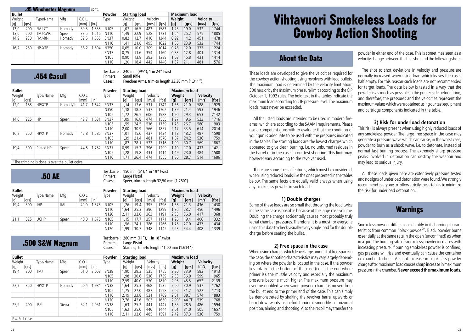|               |       | .45 Winchester Magnum |         |        | cont.       |                  |        |                      |          |       |        |                     |                 |       |
|---------------|-------|-----------------------|---------|--------|-------------|------------------|--------|----------------------|----------|-------|--------|---------------------|-----------------|-------|
| <b>Bullet</b> |       |                       |         |        |             | Powder           |        | <b>Starting load</b> |          |       |        | <b>Maximum load</b> |                 |       |
| Weight        |       | Type/Name             | Mfa     | C.0.L. |             | Type             | Weight |                      | Velocity |       | Weight |                     | <b>Velocity</b> |       |
| [g]           | [grs] |                       |         | mm     | $[$ in. $]$ |                  | [g]    | [grs]                | m/s      | [fps] | [g]    | [grs]               | [m/s]           | [fps] |
| 13,0          | 200   | <b>FMJ-CT</b>         | Hornady | 39,5   | 1.555       | N <sub>105</sub> | 1,07   | 16.5                 | 483      | 1583  | 1,23   | 19.0                | 532             | 1744  |
| 13,0          | 200   | TMJ-SWC               | Speer   | 38,5   | 1.516       | N110             | 1,49   | 22.9                 | 528      | 1731  | 1.64   | 25.2                | 575             | 1885  |
| 14,9          | 230   | <b>FMJ-RN</b>         | Hornady | 39,5   | 1.555       | 3N37             | 0,82   | 12.7                 | 410      | 1344  | 0,92   | 14.2                | 451             | 1478  |
|               |       |                       |         |        |             | N <sub>110</sub> | 1,41   | 21.8                 | 495      | 1622  | 1,55   | 23.9                | 532             | 1744  |
| 16,2          | 250   | HP-XTP                | Hornady | 38,2   | .504        | N350             | 0,65   | 10.0                 | 309      | 1014  | 0.78   | 12.0                | 373             | 1224  |
|               |       |                       |         |        |             | 3N37             | 0.75   | 11.6                 | 354      | 1160  | 0.83   | 12.8                | 401             | 1314  |
|               |       |                       |         |        |             | N <sub>105</sub> | 0.90   | 13.8                 | 393      | 1289  | 1.03   | 15.8                | 431             | 1414  |
|               |       |                       |         |        |             | N <sub>110</sub> | 1.20   | 18.4                 | 442      | 1448  | 1,37   | 21.1                | 481             | 1576  |

### .454 Casull

Test barrel: 240 mm (91/2"), 1 in 24" twist<br>Primers: Small Rifle Primers: Small Rifle<br>Cases: Freedom A Freedom Arms, trim-to length 33,30 mm (1.311")

| <b>Bullet</b> |                                                              |           |                       |             |             | Powder           |        | <b>Starting load</b> |          |       |        | <b>Maximum load</b> |                 |       |
|---------------|--------------------------------------------------------------|-----------|-----------------------|-------------|-------------|------------------|--------|----------------------|----------|-------|--------|---------------------|-----------------|-------|
| Weight        |                                                              | Type/Name | Mfg                   | C.0.L.      |             | Type             | Weight |                      | Velocity |       | Weiaht |                     | <b>Velocity</b> |       |
| <u>lgl</u>    | [grs]                                                        |           |                       | <i>Imml</i> | $[$ in. $]$ |                  | [g]    | [grs]                | m/s      | [fps] | [g]    | [grs]               | [m/s]           | [fps] |
| 12,0          | 185                                                          | HP/XTP    | Hornady <sup>1)</sup> | 41,7        | 1.642       | 3N37             | 1,14   | 17.6                 | 531      | 1742  | 1,36   | 21.0                | 588             | 1929  |
|               |                                                              |           |                       |             |             | N350             | 1,18   | 18.2                 | 537      | 1762  | 1,39   | 21.4                | 593             | 1946  |
|               |                                                              |           |                       |             |             | N <sub>105</sub> | 1,72   | 26.5                 | 606      | 1988  | 1,90   | 29.3                | 653             | 2142  |
| 14,6          | 225                                                          | HP        | Speer                 | 42,7        | 1.681       | 3N37             | 1,09   | 16.8                 | 474      | 1555  | 1,27   | 19.6                | 523             | 1716  |
|               |                                                              |           |                       |             |             | N <sub>105</sub> | 1,59   | 24.5                 | 536      | 1759  | 1.73   | 26.7                | 580             | 1903  |
|               |                                                              |           |                       |             |             | N <sub>110</sub> | 2,00   | 30.9                 | 566      | 1857  | 2,17   | 33.5                | 614             | 2014  |
| 16,2          | 250                                                          | HP/XTP    | Hornady               | 42,8        | 1.685       | 3N37             | 1,01   | 15.6                 | 437      | 1434  | 1.18   | 18.2                | 487             | 1598  |
|               |                                                              |           |                       |             |             | N <sub>105</sub> | 1,39   | 21.4                 | 481      | 1578  | 1,57   | 24.2                | 536             | 1759  |
|               |                                                              |           |                       |             |             | N <sub>110</sub> | 1,82   | 28.1                 | 523      | 1716  | 1.99   | 30.7                | 569             | 1867  |
| 19,4          | 300                                                          | Plated HP | Speer                 | 44,5        | 1.752       | 3N37             | 0,99   | 15.3                 | 396      | 1299  | 1.10   | 17.0                | 433             | 1421  |
|               |                                                              |           |                       |             |             | N <sub>105</sub> | 1,28   | 19.8                 | 431      | 1414  | 1,49   | 23.0                | 484             | 1588  |
|               |                                                              |           |                       |             |             | N <sub>110</sub> | 1,71   | 26.4                 | 474      | 1555  | 1,86   | 28.7                | 514             | 1686  |
|               | <sup>1)</sup> The crimping is done is over the bullet ogive. |           |                       |             |             |                  |        |                      |          |       |        |                     |                 |       |

.50 AE

Test barrel: 150 mm (6"), 1 in 19" twist<br>Primers: Large Pistol Large Pistol Cases: Speer, trim-to length 32,50 mm (1.280")

| <b>Bullet</b> |       |             |       |        |                       | Powder           |        | <b>Starting load</b> |          |       |        | Maximum load |                 |       |
|---------------|-------|-------------|-------|--------|-----------------------|------------------|--------|----------------------|----------|-------|--------|--------------|-----------------|-------|
| Weight        |       | Type/Name   | Mfg   | C.O.L. |                       | Type             | Weight |                      | Velocity |       | Weight |              | <b>Velocity</b> |       |
| [g]           | [grs] |             |       | Imml   | $\lim_{i \to \infty}$ |                  | Įg.    | grs                  | [m/s]    | [fps] | [g]    | [grs]        | [m/s]           | [fps] |
| 19,4          | 300   | <b>JHP</b>  | IMI   | 40.0   | .575                  | N <sub>105</sub> | . 26   | 19.4                 | 395      | 1296  | , 38   | 21.3         | 436             | 1430  |
|               |       |             |       |        |                       | N <sub>110</sub> | 1.64   | 25.3                 | 396      | 1299  | ,86    | 28.7         | 456             | 1496  |
|               |       |             |       |        |                       | N <sub>120</sub> | 2,11   | 32.6                 | 363      | 1191  | 2.33   | 36.0         | 417             | 1368  |
| 21,1          | 325   | <b>UCHP</b> | Speer | 40.0   | .575                  | N <sub>105</sub> | 1.15   | 1.1                  | 357      | 1171  | .26    | 19.4         | 406             | 1332  |
|               |       |             |       |        |                       | N <sub>110</sub> | 1,56   | 24.1                 | 386      | 1266  | .75    | 27.0         | 437             | 1434  |
|               |       |             |       |        |                       | N <sub>120</sub> | 1.99   | 30.7                 | 348      | 1142  | 2.23   | 34.4         | 408             | 1339  |

### .500 S&W Magnum

Test barrel: 280 mm (11"), 1 in 18" twist Primers: Large Pistol Cases: Starline, trim-to length 41,00 mm (1.614")

| <b>Bullet</b> |                 |            |         |        |             | Powder           |        | <b>Starting load</b> |          |       |        | Maximum load |                 |       |
|---------------|-----------------|------------|---------|--------|-------------|------------------|--------|----------------------|----------|-------|--------|--------------|-----------------|-------|
| Weight        |                 | Type/Name  | Mfg     | C.0.L. |             | Type             | Weight |                      | Velocity |       | Weight |              | <b>Velocity</b> |       |
| [g]           | [grs]           |            |         | mm     | $[$ in. $]$ |                  | [g]    | [grs]                | [m/s]    | [fps] | [g]    | [grs]        | [m/s]           | [fps] |
| 19,4          | 300             | TMJ        | Speer   | 51,0   | 2.008       | 3N38             | .90    | 29.3                 | 535      | 1755  | 2,20   | 33.9         | 583             | 1913  |
|               |                 |            |         |        |             | N <sub>105</sub> | 1.98   | 30.6                 | 536      | 1759  | 2,33   | 36.0         | 599             | 1965  |
|               |                 |            |         |        |             | N <sub>110</sub> | 2,59   | 40.0                 | 570      | 1870  | 2,95   | 45.5         | 652             | 2139  |
| 22,7          | 350             | HP/XTP     | Hornady | 50,4   | .984        | 3N38             | 1,64   | 25.3                 | 468      | 1535  | 2.00   | 30.9         | 537             | 1762  |
|               |                 |            |         |        |             | N <sub>105</sub> | 1,75   | 27.0                 | 487      | 1598  | 2,02   | 31.2         | 522             | 1713  |
|               |                 |            |         |        |             | N <sub>110</sub> | 2.19   | 33.8                 | 521      | 1709  | 2,51   | 38.7         | 574             | 1883  |
|               |                 |            |         |        |             | N <sub>120</sub> | 2,76   | 42.6                 | 503      | 1650  | 2,90F  | 44.7F        | 539             | 1768  |
| 25,9          | 400             | <b>JSP</b> | Sierra  | 52,1   | 2.051       | 3N38             | 1,63   | 25.2                 | 441      | 1447  | 1,85   | 28.5         | 486             | 1594  |
|               |                 |            |         |        |             | N <sub>105</sub> | 1.62   | 25.0                 | 440      | 1444  | 2.01   | 31.0         | 505             | 1657  |
|               |                 |            |         |        |             | N <sub>110</sub> | 2,11   | 32.6                 | 485      | 1591  | 2,42   | 37.3         | 536             | 1759  |
|               | $F = Full case$ |            |         |        |             |                  |        |                      |          |       |        |              |                 |       |

## Vihtavuori Smokeless Loads for Cowboy Action Shooting

#### About the Data

These loads are developed to give the velocities required for the cowboy action shooting using revolvers with lead bullets. The maximum load is determined by the velocity limit about 300 m/s, or by the maximum pressure limit according to the CIP October 1, 1992 rules. The bold text in the tables indicate the maximum load according to CIP pressure level. The maximum loads must never be exceeded.

All the listed loads are intended to be used in modern firearms, which are according to the SAAMI requirements. Please use a competent gunsmith to evaluate that the condition of your gun is adequate to be used with the pressures indicated in the tables. The starting loads are the lowest charges which appeared to give clean burning, i.e. no unburned residues in the barrel or in the case, in our test shooting. This limit may, however vary according to the revolver used.

There are some special features, which must be considered, when using reduced loads like the ones presented in the tables below. The same facts are equally valid always when using any smokeless powder in such loads.

#### **1) Double charges**

Some of these loads are so small that throwing the load twice in the same case is possible because of the large case volume. Doubling the charge accidentally causes most probably truly lethal chamber pressures. Therefore, it is a must for everyone using this data to check visually every single load for the double charge before seating the bullet.

#### **2) Free space in the case**

When using charges which leave large amount of free space in the case, the shooting characteristics may vary largely depending on where the powder is located in the case. If the powder lies totally in the bottom of the case (i.e. in the end where primer is), the muzzle velocity and especially the maximum pressure become much higher. The maximum pressure may even be doubled when same powder charge is moved from the bullet end to the primer end of the case. This can simply be demonstrated by shaking the revolver barrel upwards or barrel downwards just before turning it smoothly in horizontal position, aiming and shooting. Also the recoil may transfer the powder in either end of the case. This is sometimes seen as a velocity change between the first shot and the following shots.

The shot to shot deviations in velocity and pressure are normally increased when using load which leaves the cases half empty. For this reason such loads are not recommended for target loads. The data below is tested in a way that the powder is as much as possible in the primer side before firing, and therefore, the pressures and the velocities represent the maximum values which were obtained using our test equipment and cartridge components indicated in the table.

#### **3) Risk for underload detonation**

This risk is always present when using highly reduced loads of any smokeless powder. The large free space in the case may generate a pressure wave which can cause, in the worst case, powder to burn as a shock wave, i.e. to detonate, instead of normal fast burning process. The extremely sharp pressure peaks involved in detonation can destroy the weapon and may lead to serious injury.

All these loads given here are extensively pressure tested and no signs of underload detonation were found. We strongly recommend everyone to follow strictly these tables to minimize the risk for underload detonation.

#### **Warnings**

Smokeless powder differs considerably in its burning characteristics from common "black powder". Black powder burns essentially at the same rate in the open (unconfined) as when in a gun. The burning rate of smokeless powder increases with increasing pressure. If burning smokeless powder is confined, gas pressure will rise and eventually can cause the container or chamber to burst. A slight increase in smokeless powder charge after maximum load causes sharp increase in maximum pressure in the chamber. **Never exceed the maximum loads.**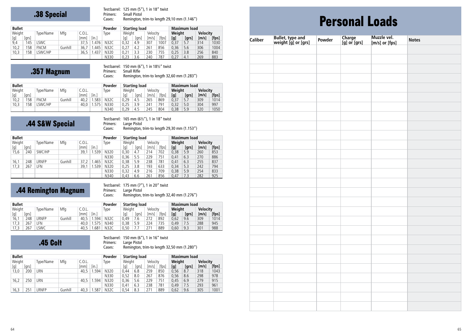### .38 Special

#### Test barrel: 125 mm (5"), 1 in 18" twist Primers: Small Pistol<br>Cases: Remington, Remington, trim-to length 29,10 mm (1.146")

| <b>Bullet</b>                        |       |             |         |      |          | Powder      |               | <b>Starting load</b> |                 |       |      | Maximum load |       |       |
|--------------------------------------|-------|-------------|---------|------|----------|-------------|---------------|----------------------|-----------------|-------|------|--------------|-------|-------|
| Weight<br>Mfa<br>Type/Name<br>C.O.L. |       | Type        | Weight  |      | Velocity |             | Weight        |                      | <b>Velocity</b> |       |      |              |       |       |
| [g]                                  | [grs] |             |         | mm   | $\lim$   |             | Įg            | grs                  | [m/s]           | [fps] | [g]  | [grs]        | [m/s] | [fps] |
| 9,4                                  | 145   | LSWC        |         | 37.5 | .476     | <b>N32C</b> | 0,32          | 4.9                  | 307             | 1007  | 0,37 | 5.7          | 314   | 1030  |
| 10,2                                 | 158   | <b>FNCM</b> | Gunhill | 36.  | .445     | <b>N32C</b> | 0,27          | 4.2                  | 261             | 856   | 0.36 | 5.6          | 306   | 1004  |
| 10,3                                 | 158   | LSWC/HP     |         | 36.5 | .437     | N320        | $0.2^{\circ}$ | 3.3                  | 230             | 755   | 0.25 | 3.8          | 256   | 840   |
|                                      |       |             |         |      |          | N330        | 0.23          | 3.6                  | 240             | 787   | 0.27 | 4.1          | 269   | 883   |

### .357 Magnum

Test barrel: 150 mm (6"), 1 in 18½" twist Primers: Small Rifle<br>Cases: Remington Remington, trim-to length 32,60 mm (1.283")

| <b>Bullet</b> |     |             |         |        |        | Powder      |        | <b>Starting load</b> |                 |       |        | Maximum load |                 |       |
|---------------|-----|-------------|---------|--------|--------|-------------|--------|----------------------|-----------------|-------|--------|--------------|-----------------|-------|
| Weight        |     | Type/Name   | Mfa     | C.O.L. |        | Type        | Weight |                      | Velocity        |       | Weight |              | <b>Velocity</b> |       |
| [g]           | grs |             |         | Imm    | $\lim$ |             | [g]    | grs                  | $\mathsf{Im/s}$ | [fps] | [g]    | [grs]        | $\mathsf{Im/s}$ | [fps] |
| 10,2          | 58  | <b>FNCM</b> | Gunhill | 40.2   | 583    | <b>N32C</b> | 0.29   | 4.5                  | 265             | 869   | 0,37   | 5.7          | 309             | 1014  |
| 10.3          | 58  | LSWC/HP     |         | 40.0   | .575   | N330        | 0.25   | 3.9                  | 241             | 791   | 0.32   | 5.0          | 304             | 997   |
|               |     |             |         |        |        | N340        | 0.29   | 4.5                  | 245             | 804   | 0.38   | 5.9          | 320             | 1050  |

### .44 S&W Special

Test barrel: 165 mm (61/2"), 1 in 18" twist<br>Primers: Large Pistol Primers: Large Pistol<br>Cases: Remington, Remington, trim-to length 29,30 mm (1.153")

| <b>Bullet</b> |       |           |         |        |                  | Powder      |        | <b>Starting load</b> |          |       |        | <b>Maximum load</b> |                 |       |
|---------------|-------|-----------|---------|--------|------------------|-------------|--------|----------------------|----------|-------|--------|---------------------|-----------------|-------|
| Weight        |       | Type/Name | Mfg     | C.0.L. |                  | Type        | Weight |                      | Velocity |       | Weight |                     | <b>Velocity</b> |       |
| [g]           | [grs] |           |         | lmml   | $^{\circ}$ [in., |             | [g]    | [grs]                | m/s      | [fps] | [g]    | [grs]               | [m/s]           | [fps] |
| 15,6          | 240   | SWC/HP    |         | 39,1   | .539             | N320        | 0,30   | 4.7                  | 214      | 702   | 0,38   | 5.9                 | 260             | 853   |
|               |       |           |         |        |                  | N330        | 0.36   | 5.5                  | 229      | 751   | 0,41   | 6.3                 | 270             | 886   |
| 16,1          | 248   | LRNFP     | Gunhill | 37.2   | .465             | <b>N32C</b> | 0,38   | 5.9                  | 238      | 781   | 0,41   | 6.3                 | 255             | 837   |
| 17,3          | 267   | LFN       |         | 39.1   | .539             | N320        | 0,25   | 3.8                  | 193      | 633   | 0.34   | 5.3                 | 242             | 794   |
|               |       |           |         |        |                  | N330        | 0,32   | 4.9                  | 216      | 709   | 0.38   | 5.9                 | 254             | 833   |
|               |       |           |         |        |                  | N340        | 0.43   | 6.6                  | 261      | 856   | 0.47   | 7.3                 | 282             | 925   |

### .44 Remington Magnum

Test barrel: 175 mm (7"), 1 in 20" twist<br>Primers: Large Pistol Primers: Large Pistol<br>Cases: Remington, Remington, trim-to length 32,40 mm (1.276")

| <b>Bullet</b><br>Weight |           |         |         |         |             |                  |     |        |                      |          |       |        |                                        |
|-------------------------|-----------|---------|---------|---------|-------------|------------------|-----|--------|----------------------|----------|-------|--------|----------------------------------------|
|                         | Type/Name | Mfa     | $0.0$ . |         | Type        |                  |     |        |                      |          |       |        |                                        |
| grs                     |           |         | 'mmı    | lin.    |             | Įg,              | grs | [m/s]  | [fps]                |          | [grs] | [m/s]  | [fps]                                  |
| 248                     | LRNFP     | Gunhill | 40.5    |         | <b>N32C</b> | 0.49             |     | 272    | 892                  | 0.62     | 9.6   | 309    | 1014                                   |
| 267                     | LFN       |         | 40.0    | . . 575 | N340        | 0.38             | 5.9 | 224    | 735                  | 0.49     |       | 288    | 945                                    |
| 267                     | LSWC      |         | 40.5    | .681    | <b>N32C</b> | 0.50             |     |        | 889                  | 0.60     | 9.3   | 301    | 988                                    |
|                         |           |         |         |         |             | Powder<br>.594 ' |     | Weight | <b>Starting load</b> | Velocity | [g]   | Weight | <b>Maximum load</b><br><b>Velocity</b> |

### .45 Colt

Test barrel: 150 mm (6"), 1 in 16" twist<br>Primers: Large Pistol Primers: Large Pistol<br>Cases: Remington,

Cases: Remington, trim-to length 32,50 mm (1.280")

| <b>Bullet</b> |       |           |         |        |       | Powder      |        | <b>Starting load</b> |          |       |        | Maximum load |                 |       |
|---------------|-------|-----------|---------|--------|-------|-------------|--------|----------------------|----------|-------|--------|--------------|-----------------|-------|
| Weight        |       | Type/Name | Mfg     | C.O.L. |       | Type        | Weight |                      | Velocity |       | Weight |              | <b>Velocity</b> |       |
| [g]           | [grs] |           |         | lmm    | [in.] |             | Įg     | [qrs]                | [m/s]    | [fps] | [g]    | [grs]        | [m/s]           | [fps] |
| 13,0          | 200   | LRN       |         | 40.5   | 594   | N320        | 0.44   | 6.8                  | 259      | 850   | 0.56   | 8.7          | 318             | 1043  |
|               |       |           |         |        |       | N330        | 0.52   | 8.0                  | 267      | 876   | 0.56   | 8.6          | 298             | 978   |
| 16,2          | 250   | LRN       |         | 40.5   | .594  | N320        | 0.36   | 5.6                  | 229      | 751   | 0.45   | 6.9          | 279             | 915   |
|               |       |           |         |        |       | N330        | 0.41   | 6.3                  | 238      | 781   | 0.49   | 7.5          | 293             | 961   |
| 16.3          | 251   | LRNFP     | Gunhill | 40.3   | 587   | <b>N32C</b> | 0.54   | 8.3                  | 271      | 889   | 0.62   | 9.6          | 305             | 1001  |

# Personal Loads

| <b>Caliber</b> | Bullet, type and<br>weight [g] or [grs] | Powder | Charge<br>[g] or [grs] | Muzzle vel.<br>[m/s] or [fps] | <b>Notes</b> |
|----------------|-----------------------------------------|--------|------------------------|-------------------------------|--------------|
|                |                                         |        |                        |                               |              |
|                |                                         |        |                        |                               |              |
|                |                                         |        |                        |                               |              |
|                |                                         |        |                        |                               |              |
|                |                                         |        |                        |                               |              |
|                |                                         |        |                        |                               |              |
|                |                                         |        |                        |                               |              |
|                |                                         |        |                        |                               |              |
|                |                                         |        |                        |                               |              |
|                |                                         |        |                        |                               |              |
|                |                                         |        |                        |                               |              |
|                |                                         |        |                        |                               |              |
|                |                                         |        |                        |                               |              |
|                |                                         |        |                        |                               |              |
|                |                                         |        |                        |                               |              |
|                |                                         |        |                        |                               |              |
|                |                                         |        |                        |                               |              |
|                |                                         |        |                        |                               |              |
|                |                                         |        |                        |                               |              |
|                |                                         |        |                        |                               |              |
|                |                                         |        |                        |                               |              |
|                |                                         |        |                        |                               |              |
|                |                                         |        |                        |                               |              |
|                |                                         |        |                        |                               |              |
|                |                                         |        |                        |                               |              |
|                |                                         |        |                        |                               |              |
|                |                                         |        |                        |                               |              |
|                |                                         |        |                        |                               |              |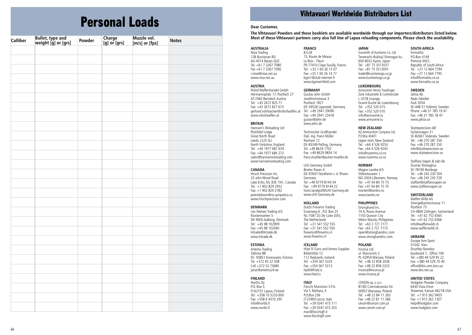## Personal Loads

| <b>Calliber</b> | Bullet, type and<br>weight [g] or [grs] | Powder | Charge<br>[g] or [grs] | Muzzle vel.<br>[m/s] or [fps] | <b>Notes</b> |
|-----------------|-----------------------------------------|--------|------------------------|-------------------------------|--------------|
|                 |                                         |        |                        |                               |              |
|                 |                                         |        |                        |                               |              |
|                 |                                         |        |                        |                               |              |
|                 |                                         |        |                        |                               |              |
|                 |                                         |        |                        |                               |              |
|                 |                                         |        |                        |                               |              |
|                 |                                         |        |                        |                               |              |
|                 |                                         |        |                        |                               |              |
|                 |                                         |        |                        |                               |              |
|                 |                                         |        |                        |                               |              |
|                 |                                         |        |                        |                               |              |
|                 |                                         |        |                        |                               |              |
|                 |                                         |        |                        |                               |              |
|                 |                                         |        |                        |                               |              |
|                 |                                         |        |                        |                               |              |
|                 |                                         |        |                        |                               |              |
|                 |                                         |        |                        |                               |              |
|                 |                                         |        |                        |                               |              |
|                 |                                         |        |                        |                               |              |
|                 |                                         |        |                        |                               |              |
|                 |                                         |        |                        |                               |              |
|                 |                                         |        |                        |                               |              |
|                 |                                         |        |                        |                               |              |
|                 |                                         |        |                        |                               |              |
|                 |                                         |        |                        |                               |              |
|                 |                                         |        |                        |                               |              |
|                 |                                         |        |                        |                               |              |
|                 |                                         |        |                        |                               |              |
|                 |                                         |        |                        |                               |              |

#### Vihtavuori Worldwide Distributors List

#### **Dear Customer,**

**The Vihtavuori Powders and these booklets are available wordwide through our importers/distributors listed below. Most of these Vihtavuori partners carry also full line of Lapua reloading components. Please check the availability.**

| AUSTRALIA               |
|-------------------------|
| Nioa Trading            |
| 128 Buchanan RD         |
| AU-4014 Banyo QLD       |
| Tel. +61 7 3267 7080    |
| Fax +61 7 3267 7090     |
| r.nioa@nioa.net.au      |
| www.nioa.net.au         |
|                         |
| AUSTRIA                 |
| Dohof Waffanhandel Cmhu |

Rohof Waffenhandel GmbH Hermannsplatz 17, Postfach 27 AT-2560 Berndorf, Austria Tel: +43 2672 825 71 Fax: +43 2672 827 673 gerhard.rohrbacher@rohofwaffen.at www.rohofwaffen.at

#### **BRITAIN**

Hannam's Reloading Ltd Peckfield Lodge Great North Road Leeds, LS25 5LJ North Yorkshire, England Tel: +44 1977 681 639 Fax: +44 1977 684 272 sales@hannamsreloading.com www.hannamsreloading.com

#### **CANADA**

Hirsch Precision Inc. 33 John Wood Road Lake Echo, NS, B3E 1N1, Canada Tel: +1 902 829 2932 Fax: +1 902 829 2782 peterdobson@ns.sympatico.ca www.hirschprecision.com

**DENMARK** Leo Nielsen Trading A/S Klostermarken 5 DK-9000 Aalborg, Denmark Tel: +45 98 102909 Fax: +45 98 102940 lntrade@lntrade.dk www.lntrade.dk

#### **ESTONIA**

Artemis Trading Tallinna 88 EE- 93851 Kuressaare, Estonia Tel. +372 45 22 508 Cell +372 52 75680 janar@artemis24.ee

#### **FINLAND**

NorDis Oy P.O. Box 5 FI-62101 Lapua, Finland Tel: +358 10 5233 600 Fax: +358 6 4310 295 info@nordis.fi www.nordis.fi

**FRANCE** B.G.M 15, Route de Meaux Le Bois - Fleuri FR-77410 Claye-Souilly, France Tel: +33 1 60 26 13 07 Fax: +33 1 60 26 14 77 bgm1@club-internet.fr www.bgmwinfield.com

#### **GERMANY**

Gustav Jehn GmbH Josefkirchstrasse 3 Postfach 1827 DE-59528 Lippstadt, Germany Tel: +49 2941 29090 Fax: +49 2941 23418 gustav@jehn.de www.jehn.de

Technischer Großhandel Dipl. Ing. Franz Müller Ranham 12 DE-83349 Palling, Germany Tel: +49 8629 1702 Fax: +49 8629 9854 14 franz.mueller@pulver-mueller.de

#### LHS-Germany GmbH Breiter Rasen 4 DE-97647 Nordheim v. d. Rhoen Germany Tel: +49 9779 8144 34 Fax: +49 9779 8144 22 horst.landgraf@LHS-Germany.de www.LHS-Germany.de

**HOLLAND**

**ICELAND**

Dutch Firearms Trading Essenweg 6 , P.O. Box 23 NL-7587 ZG De Lutte (OV), The Netherlands Tel: +31 541 552 555 Fax: +31 541 552 550 firearms@firearms.nl www.firearms.nl

Hlad Sf Guns and Ammo Supplies Bildshöfda 12 112 Reykjavik, Iceland Tel: +354 567 5333 Fax: +354 567 5313 hjalli@hlad.is www.hlad.is

**ITALY** Fiocchi Munizioni S.P.A. Via S. Barbara, 4 P.O.Box 236 IT-23900 Lecco, Italy Tel: +39 0341 473 111 Fax: +39 0341 473 203 mac@fiocchigfl.it

www.fiocchigfl.com

**JAPAN** Gunsmith of Kunitomo Co. Ltd. Teramachi-Bukkoji Shimogyo-ku 600-8032 Kyoto, Japan Tel: +81 75 3513037 Fax: +81 75 3513041 trade@kunitomogs.co.jp www.kunitomogs.co.jp

#### **LUXEMBOURG** Armurerie Henry Freylinger

Zone Industrielle & Commerciale L-3378 Livange, Grand-Duche de Luxembourg Tel: +352 520 015 Fax: +352 520 010 info@armurerie.lu www.armurerie.lu

#### **NEW ZEALAND**

NZ Ammunition Company Ltd. P.O.Box 40401 Upper Hutt, New Zealand Tel: +64 4 526 9253 Fax: +64 4 526 9243 info@nzammo.co.nz www.nzammo.co.nz

#### **NORWAY**

Magne Landrø A/S Stillverksveien 1 NO-2004 Lillestrøm, Norway Tel: +47 64 84 75 75 Fax: +47 64 84 75 70 morten@landro.no www.landro.no

#### **PHILIPPINES**

Stronghand Inc. 74 A, Roces Avenue 1103 Quezon City Metro Manila, Philippines Tel: +63 2 721 7171 Fax: +63 2 721 7173 open@stronghandinc.com www.stronghandinc.com

#### **POLAND**

Incorsa Ltd. ul. Marconich 3 PL-02954 Warsaw, Poland Tel: +48 22 858 2036 Fax: +48 22 858 2323 incorsa@incorsa.pl www.incorsa.pl

#### CENZIN sp. z o.o. 81/83 Czerniakowska Str. 00957 Warzawa, Poland Tel: +48 22 84 11 263 Fax: +48 22 81 11 266 cenzin@cenzin.com.pl

www.cenzin.com.pl

**SOUTH AFRICA** Formalito P.O.Box 4149 Pretoria 0001, Republic of South Africa Tel. +27 12 664 7794 Fax: +27 12 664 7795 info@formalito.co.za www.formalito.co.za

#### **SWEDEN**

Jaktia Ab Nääs Fabriker Fack 5054 SE-448 51 Tollered, Sweden Phone: +46 31 785 19 47 Fax: +46 31 785 18 47 www.jaktia.se

#### Skytteprecision AB Sockenvägen 31 SE-82661 Söderala, Sweden Tel: +46 270 287 350 Fax: +46 270 287 250 info@skytteprecision.se www.skytteprecision.se

Staffans Vapen & Jakt Ab Duvnäs företaghus SE-78190 Borlänge Tel : +46 243 230 504 Fax: +46 243 230 729 staffan@staffansvapen.se www.staffansvapen.se

#### **SWITZERLAND**

Waffen Wildi AG Strengelbacherstrasse 11 Postfach 73 CH-4800 Zofingen, Switzerland Tel: +41 62 752 6565 Fax: +41 62 752 6566 info@waffenwildi.ch www.waffenwildi.ch

#### **UKRAINE**

Europe Arm Sport 01042 Kiev Druzhby Narodov boulevard 7, Office 106 Tel: +380 44 529 95 22 Fax: +380 44 529 70 40 office@ibis-arm.kiev.ua www.ibis.net.ua

#### **UNITED STATES**

Hodgdon Powder Company 6430 Vista Drive Shawnee, Kansas 66218 USA Tel: +1 913 362 9455 Fax: +1 913 362 1307 help@hodgdon.com www.hodgdon.com